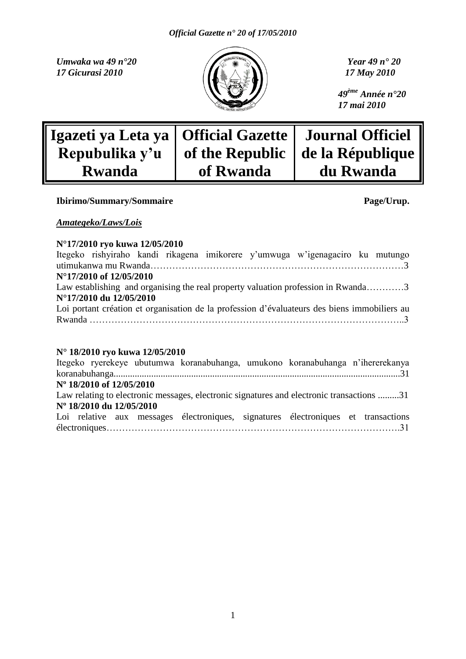*Umwaka wa 49 n° 20 Year 49 n° 20 Year 49 n° 20 Year 49 n° 20 Year 49 n° 20 17 Gicurasi 2010 17 May 2010*



*49ème Année n°20 17 mai 2010*

| Igazeti ya Leta ya   Official Gazette   Journal Officiel |           |                                    |
|----------------------------------------------------------|-----------|------------------------------------|
| Repubulika y'u                                           |           | of the Republic   de la République |
| <b>Rwanda</b>                                            | of Rwanda | du Rwanda                          |

#### **Ibirimo/Summary/Sommaire Page/Urup.**

#### *Amategeko/Laws/Lois*

#### **N°17/2010 ryo kuwa 12/05/2010**

|                         |  |  | Itegeko rishyiraho kandi rikagena imikorere y'umwuga w'igenagaciro ku mutungo                |  |
|-------------------------|--|--|----------------------------------------------------------------------------------------------|--|
|                         |  |  |                                                                                              |  |
| N°17/2010 of 12/05/2010 |  |  |                                                                                              |  |
|                         |  |  | Law establishing and organising the real property valuation profession in Rwanda3            |  |
| N°17/2010 du 12/05/2010 |  |  |                                                                                              |  |
|                         |  |  | Loi portant création et organisation de la profession d'évaluateurs des biens immobiliers au |  |
|                         |  |  |                                                                                              |  |

#### **N° 18/2010 ryo kuwa 12/05/2010**

|                          |  | Itegeko ryerekeye ubutumwa koranabuhanga, umukono koranabuhanga n'ihererekanya            |  |  |
|--------------------------|--|-------------------------------------------------------------------------------------------|--|--|
|                          |  |                                                                                           |  |  |
| N° 18/2010 of 12/05/2010 |  |                                                                                           |  |  |
|                          |  | Law relating to electronic messages, electronic signatures and electronic transactions 31 |  |  |
| N° 18/2010 du 12/05/2010 |  |                                                                                           |  |  |
|                          |  | Loi relative aux messages électroniques, signatures électroniques et transactions         |  |  |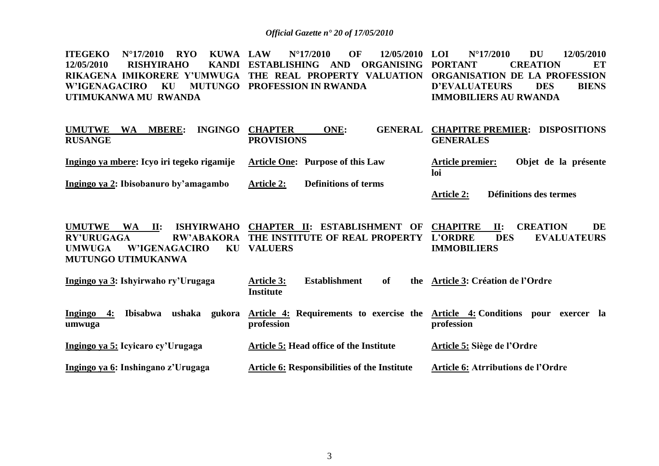**ITEGEKO N°17/2010 RYO KUWA 12/05/2010 RISHYIRAHO RIKAGENA IMIKORERE Y"UMWUGA THE REAL PROPERTY VALUATION ORGANISATION DE LA PROFESSION W"IGENAGACIRO KU MUTUNGO PROFESSION IN RWANDA UTIMUKANWA MU RWANDA LAW N°17/2010 OF 12/05/2010 ESTABLISHING AND ORGANISING PORTANT LOI N°17/2010 DU 12/05/2010 PORTANTION ET D"EVALUATEURS DES BIENS IMMOBILIERS AU RWANDA** 

| WA<br><b>MBERE:</b><br><b>INGINGO</b><br><b>UMUTWE</b> | <b>CHAPTER</b>    | ONE:                             |                         | <b>GENERAL CHAPITRE PREMIER: DISPOSITIONS</b> |
|--------------------------------------------------------|-------------------|----------------------------------|-------------------------|-----------------------------------------------|
| <b>RUSANGE</b>                                         | <b>PROVISIONS</b> |                                  | <b>GENERALES</b>        |                                               |
|                                                        |                   |                                  |                         |                                               |
| Ingingo ya mbere: Icyo iri tegeko rigamije             |                   | Article One: Purpose of this Law | <b>Article premier:</b> | Objet de la présente                          |
|                                                        |                   |                                  | loi                     |                                               |
| Ingingo ya 2: Ibisobanuro by'amagambo                  | <b>Article 2:</b> | <b>Definitions of terms</b>      |                         |                                               |
|                                                        |                   |                                  | <b>Article 2:</b>       | Définitions des termes                        |

**UMUTWE WA II: ISHYIRWAHO CHAPTER II: ESTABLISHMENT OF CHAPITRE II: CREATION DE RY"URUGAGA RW"ABAKORA THE INSTITUTE OF REAL PROPERTY UMWUGA W"IGENAGACIRO KU VALUERS MUTUNGO UTIMUKANWA DES EVALUATEURS IMMOBILIERS**

| Ingingo ya 3: Ishyirwaho ry'Urugaga                            | <b>Establishment</b><br><b>Article 3:</b><br>of<br><b>Institute</b>         | the Article 3: Création de l'Ordre |
|----------------------------------------------------------------|-----------------------------------------------------------------------------|------------------------------------|
| ushaka<br>4:<br>Ingingo<br>gukora<br><b>Ibisabwa</b><br>umwuga | Article 4: Requirements to exercise the Article 4: Conditions<br>profession | exercer la<br>pour<br>profession   |
| Ingingo ya 5: Icyicaro cy'Urugaga                              | Article 5: Head office of the Institute                                     | Article 5: Siège de l'Ordre        |
| Ingingo ya 6: Inshingano z'Urugaga                             | <b>Article 6: Responsibilities of the Institute</b>                         | Article 6: Atrributions de l'Ordre |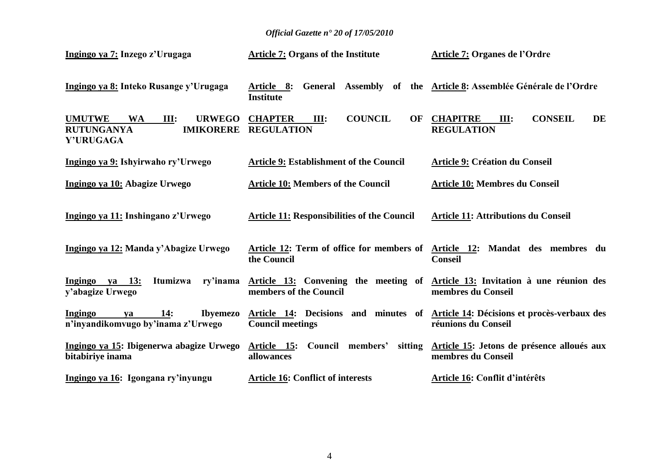| Ingingo ya 7: Inzego z'Urugaga                                                                                   | <b>Article 7: Organs of the Institute</b>                                                               | Article 7: Organes de l'Ordre                                                                 |
|------------------------------------------------------------------------------------------------------------------|---------------------------------------------------------------------------------------------------------|-----------------------------------------------------------------------------------------------|
| Ingingo ya 8: Inteko Rusange y'Urugaga                                                                           | Article 8: General Assembly of the Article 8: Assemblée Générale de l'Ordre<br><b>Institute</b>         |                                                                                               |
| <b>UMUTWE</b><br><b>WA</b><br><b>III:</b><br><b>URWEGO</b><br><b>RUTUNGANYA</b><br><b>IMIKORERE</b><br>Y'URUGAGA | <b>COUNCIL</b><br><b>CHAPTER</b><br>OF<br>III:<br><b>REGULATION</b>                                     | <b>CONSEIL</b><br><b>DE</b><br><b>CHAPITRE</b><br>III:<br><b>REGULATION</b>                   |
| Ingingo ya 9: Ishyirwaho ry'Urwego                                                                               | <b>Article 9: Establishment of the Council</b>                                                          | <b>Article 9: Création du Conseil</b>                                                         |
| Ingingo ya 10: Abagize Urwego                                                                                    | <b>Article 10: Members of the Council</b>                                                               | Article 10: Membres du Conseil                                                                |
| Ingingo ya 11: Inshingano z'Urwego                                                                               | <b>Article 11: Responsibilities of the Council</b>                                                      | <b>Article 11: Attributions du Conseil</b>                                                    |
| Ingingo ya 12: Manda y'Abagize Urwego                                                                            | the Council                                                                                             | Article 12: Term of office for members of Article 12: Mandat des membres du<br><b>Conseil</b> |
| Ingingo va 13:<br>Itumizwa<br>ry'inama<br>y'abagize Urwego                                                       | Article 13: Convening the meeting of Article 13: Invitation à une réunion des<br>members of the Council | membres du Conseil                                                                            |
| 14:<br>Ingingo<br><b>Ibyemezo</b><br>va<br>n'inyandikomvugo by'inama z'Urwego                                    | Article 14: Decisions and minutes of<br><b>Council meetings</b>                                         | Article 14: Décisions et procès-verbaux des<br>réunions du Conseil                            |
| Ingingo ya 15: Ibigenerwa abagize Urwego<br>bitabiriye inama                                                     | <b>Article 15:</b> Council members'<br>sitting<br>allowances                                            | Article 15: Jetons de présence alloués aux<br>membres du Conseil                              |
| Ingingo ya 16: Igongana ry'inyungu                                                                               | <b>Article 16: Conflict of interests</b>                                                                | Article 16: Conflit d'intérêts                                                                |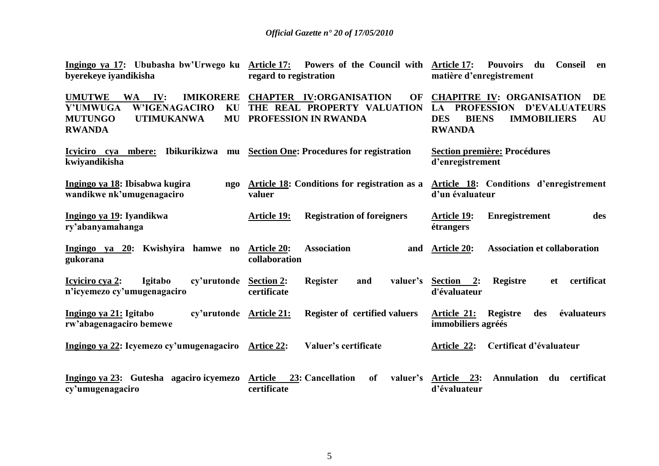| byerekeye iyandikisha                                                                                                                                                    | Ingingo ya 17: Ububasha bw'Urwego ku Article 17: Powers of the Council with Article 17:<br>regard to registration | <b>Pouvoirs</b><br>du Conseil<br>en<br>matière d'enregistrement                                                                                                      |
|--------------------------------------------------------------------------------------------------------------------------------------------------------------------------|-------------------------------------------------------------------------------------------------------------------|----------------------------------------------------------------------------------------------------------------------------------------------------------------------|
| <b>UMUTWE</b><br><b>IMIKORERE</b><br>$\mathbf{IV:}$<br><b>WA</b><br><b>W'IGENAGACIRO</b><br>Y'UMWUGA<br>KU<br><b>MUTUNGO</b><br><b>UTIMUKANWA</b><br>MU<br><b>RWANDA</b> | <b>CHAPTER IV:ORGANISATION</b><br>OF<br>THE REAL PROPERTY VALUATION<br>PROFESSION IN RWANDA                       | <b>CHAPITRE IV: ORGANISATION</b><br>DE<br><b>D'EVALUATEURS</b><br><b>PROFESSION</b><br>LA<br><b>IMMOBILIERS</b><br><b>DES</b><br><b>BIENS</b><br>AU<br><b>RWANDA</b> |
| Icyiciro cya mbere:<br>kwiyandikisha                                                                                                                                     | Ibikurikizwa mu Section One: Procedures for registration                                                          | <b>Section première: Procédures</b><br>d'enregistrement                                                                                                              |
| Ingingo ya 18: Ibisabwa kugira<br>ngo<br>wandikwe nk'umugenagaciro                                                                                                       | Article 18: Conditions for registration as a<br>valuer                                                            | Article 18: Conditions d'enregistrement<br>d'un évaluateur                                                                                                           |
| Ingingo ya 19: Iyandikwa<br>ry'abanyamahanga                                                                                                                             | <b>Registration of foreigners</b><br><b>Article 19:</b>                                                           | <b>Enregistrement</b><br><b>Article 19:</b><br>des<br>étrangers                                                                                                      |
| Ingingo ya 20: Kwishyira hamwe no<br>gukorana                                                                                                                            | <b>Association</b><br><b>Article 20:</b><br>and<br>collaboration                                                  | <b>Association et collaboration</b><br><b>Article 20:</b>                                                                                                            |
| <b>Igitabo</b><br>Icyiciro cya 2:<br>cy'urutonde<br>n'icyemezo cy'umugenagaciro                                                                                          | <b>Register</b><br><b>Section 2:</b><br>and<br>valuer's<br>certificate                                            | certificat<br><b>Registre</b><br>Section 2:<br><b>et</b><br>d'évaluateur                                                                                             |
| Ingingo ya 21: Igitabo<br>cy'urutonde Article 21:<br>rw'abagenagaciro bemewe                                                                                             | <b>Register of certified valuers</b>                                                                              | Article 21:<br><b>Registre</b><br>évaluateurs<br>des<br>immobiliers agréés                                                                                           |
| Ingingo ya 22: Icyemezo cy'umugenagaciro                                                                                                                                 | Valuer's certificate<br><b>Artice 22:</b>                                                                         | Certificat d'évaluateur<br>Article 22:                                                                                                                               |
| Ingingo ya 23: Gutesha agaciro icyemezo<br>cy'umugenagaciro                                                                                                              | <b>Article</b><br>23: Cancellation<br><b>of</b><br>valuer's<br>certificate                                        | Article 23:<br><b>Annulation</b><br>certificat<br>du<br>d'évaluateur                                                                                                 |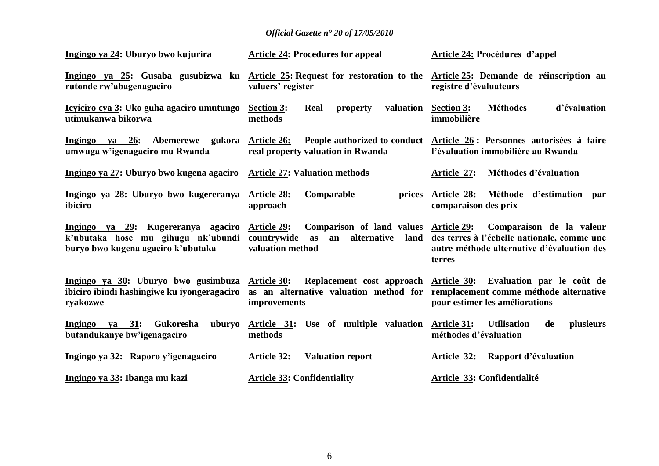| Ingingo ya 24: Uburyo bwo kujurira                                                                             | <b>Article 24: Procedures for appeal</b>                                                                                                   | <b>Article 24: Procédures d'appel</b>                                                                                                                 |
|----------------------------------------------------------------------------------------------------------------|--------------------------------------------------------------------------------------------------------------------------------------------|-------------------------------------------------------------------------------------------------------------------------------------------------------|
| rutonde rw'abagenagaciro                                                                                       | Ingingo ya 25: Gusaba gusubizwa ku Article 25: Request for restoration to the Article 25: Demande de réinscription au<br>valuers' register | registre d'évaluateurs                                                                                                                                |
| Icyiciro cya 3: Uko guha agaciro umutungo<br>utimukanwa bikorwa                                                | <b>Section 3:</b><br>valuation<br>Real<br>property<br>methods                                                                              | <b>Section 3:</b><br><b>Méthodes</b><br>d'évaluation<br>immobilière                                                                                   |
| Ingingo ya 26: Abemerewe gukora Article 26:<br>umwuga w'igenagaciro mu Rwanda                                  | real property valuation in Rwanda                                                                                                          | People authorized to conduct Article 26 : Personnes autorisées à faire<br>l'évaluation immobilière au Rwanda                                          |
| Ingingo ya 27: Uburyo bwo kugena agaciro                                                                       | <b>Article 27: Valuation methods</b>                                                                                                       | Méthodes d'évaluation<br>Article 27:                                                                                                                  |
| Ingingo ya 28: Uburyo bwo kugereranya<br>ibiciro                                                               | Comparable<br><b>Article 28:</b><br>prices<br>approach                                                                                     | Article 28: Méthode d'estimation par<br>comparaison des prix                                                                                          |
| Ingingo ya 29: Kugereranya agaciro<br>k'ubutaka hose mu gihugu nk'ubundi<br>buryo bwo kugena agaciro k'ubutaka | Comparison of land values<br><b>Article 29:</b><br>countrywide<br>alternative<br>land<br>as<br>an<br>valuation method                      | <b>Article 29:</b><br>Comparaison de la valeur<br>des terres à l'échelle nationale, comme une<br>autre méthode alternative d'évaluation des<br>terres |
| Ingingo ya 30: Uburyo bwo gusimbuza Article 30:<br>ibiciro ibindi hashingiwe ku iyongeragaciro<br>ryakozwe     | as an alternative valuation method for remplacement comme méthode alternative<br>improvements                                              | Replacement cost approach Article 30: Evaluation par le coût de<br>pour estimer les améliorations                                                     |
| Ingingo va 31:<br>Gukoresha<br>uburyo<br>butandukanye bw'igenagaciro                                           | Article 31: Use of multiple valuation<br>methods                                                                                           | plusieurs<br><b>Article 31:</b><br><b>Utilisation</b><br>de<br>méthodes d'évaluation                                                                  |
| Ingingo ya 32: Raporo y'igenagaciro                                                                            | <b>Article 32:</b><br><b>Valuation report</b>                                                                                              | Rapport d'évaluation<br>Article 32:                                                                                                                   |
| Ingingo ya 33: Ibanga mu kazi                                                                                  | <b>Article 33: Confidentiality</b>                                                                                                         | Article 33: Confidentialité                                                                                                                           |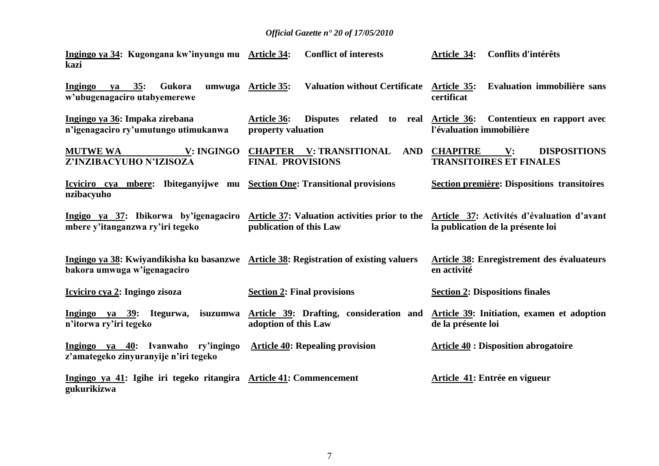| Ingingo ya 34: Kugongana kw'inyungu mu Article 34:<br>kazi                                                           | <b>Conflict of interests</b>                                                                                   | <b>Article 34:</b><br>Conflits d'intérêts                                                  |
|----------------------------------------------------------------------------------------------------------------------|----------------------------------------------------------------------------------------------------------------|--------------------------------------------------------------------------------------------|
| va 35:<br>Gukora<br>Ingingo<br>w'ubugenagaciro utabyemerewe                                                          | Valuation without Certificate Article 35:<br>umwuga Article 35:                                                | Evaluation immobilière sans<br>certificat                                                  |
| Ingingo ya 36: Impaka zirebana<br>n'igenagaciro ry'umutungo utimukanwa                                               | Article 36:<br>Disputes related to real<br>property valuation                                                  | Article 36: Contentieux en rapport avec<br>l'évaluation immobilière                        |
| <b>V: INGINGO</b><br><b>MUTWE WA</b><br>Z'INZIBACYUHO N'IZISOZA                                                      | <b>CHAPTER V: TRANSITIONAL</b><br><b>AND</b><br><b>FINAL PROVISIONS</b>                                        | <b>CHAPITRE</b><br>$\mathbf{V}$ :<br><b>DISPOSITIONS</b><br><b>TRANSITOIRES ET FINALES</b> |
| Icyiciro cya mbere: Ibiteganyijwe mu<br>nzibacyuho                                                                   | <b>Section One: Transitional provisions</b>                                                                    | <b>Section première: Dispositions transitoires</b>                                         |
| mbere y'itanganzwa ry'iri tegeko                                                                                     | Ingigo ya 37: Ibikorwa by'igenagaciro Article 37: Valuation activities prior to the<br>publication of this Law | Article 37: Activités d'évaluation d'avant<br>la publication de la présente loi            |
| Ingingo ya 38: Kwiyandikisha ku basanzwe Article 38: Registration of existing valuers<br>bakora umwuga w'igenagaciro |                                                                                                                | <b>Article 38: Enregistrement des évaluateurs</b><br>en activité                           |
| Icyiciro cya 2: Ingingo zisoza                                                                                       | <b>Section 2: Final provisions</b>                                                                             | <b>Section 2: Dispositions finales</b>                                                     |
| Ingingo ya 39: Itegurwa,<br>isuzumwa<br>n'itorwa ry'iri tegeko                                                       | Article 39: Drafting, consideration and<br>adoption of this Law                                                | Article 39: Initiation, examen et adoption<br>de la présente loi                           |
| Ingingo ya 40: Ivanwaho ry'ingingo<br>z'amategeko zinyuranyije n'iri tegeko                                          | <b>Article 40: Repealing provision</b>                                                                         | <b>Article 40 : Disposition abrogatoire</b>                                                |
| Ingingo ya 41: Igihe iri tegeko ritangira Article 41: Commencement<br>gukurikizwa                                    |                                                                                                                | Article 41: Entrée en vigueur                                                              |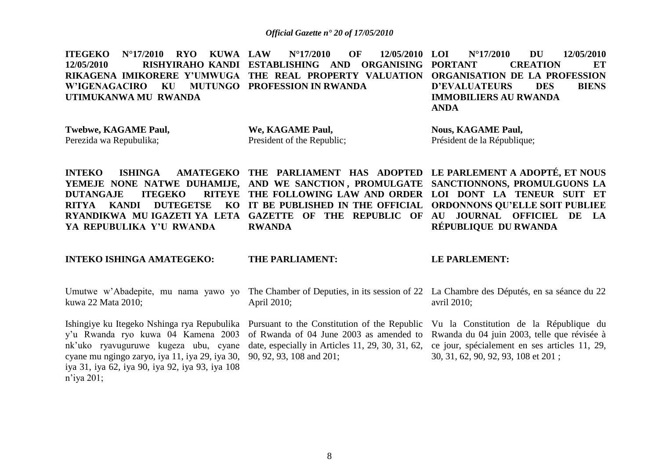**ITEGEKO N°17/2010 RYO KUWA 12/05/2010 RISHYIRAHO KANDI ESTABLISHING AND ORGANISING RIKAGENA IMIKORERE Y"UMWUGA THE REAL PROPERTY VALUATION ORGANISATION DE LA PROFESSION W"IGENAGACIRO KU MUTUNGO PROFESSION IN RWANDA UTIMUKANWA MU RWANDA LAW N°17/2010 OF 12/05/2010 LOI N°17/2010 DU 12/05/2010 PORTANT CREATION ET D"EVALUATEURS DES BIENS IMMOBILIERS AU RWANDA ANDA** 

**Twebwe, KAGAME Paul,** Perezida wa Repubulika;

**We, KAGAME Paul,** President of the Republic; **Nous, KAGAME Paul,** Président de la République;

**INTEKO ISHINGA AMATEGEKO THE PARLIAMENT HAS ADOPTED LE PARLEMENT A ADOPTÉ, ET NOUS YEMEJE NONE NATWE DUHAMIJE, AND WE SANCTION , PROMULGATE SANCTIONNONS, PROMULGUONS LA DUTANGAJE ITEGEKO RITYA KANDI DUTEGETSE** RYANDIKWA MUIGAZETI'YA LETA GAZETTE OF THE REPUBLIC OF AU JOURNAL OFFICIEL DE LA **YA REPUBULIKA Y"U RWANDA**

**RWANDA**

# **THE FOLLOWING LAW AND ORDER LOI DONT LA TENEUR SUIT ET IT BE PUBLISHED IN THE OFFICIAL ORDONNONS QU"ELLE SOIT PUBLIEE RÉPUBLIQUE DU RWANDA**

**INTEKO ISHINGA AMATEGEKO:**

#### **THE PARLIAMENT:**

#### **LE PARLEMENT:**

kuwa 22 Mata 2010;

Ishingiye ku Itegeko Nshinga rya Repubulika Pursuant to the Constitution of the Republic Vu la Constitution de la République du y"u Rwanda ryo kuwa 04 Kamena 2003 nk'uko ryavuguruwe kugeza ubu, cyane date, especially in Articles 11, 29, 30, 31, 62, ce jour, spécialement en ses articles 11, 29, cyane mu ngingo zaryo, iya 11, iya 29, iya 30, 90, 92, 93, 108 and 201; iya 31, iya 62, iya 90, iya 92, iya 93, iya 108 n"iya 201;

Umutwe w'Abadepite, mu nama yawo yo The Chamber of Deputies, in its session of 22 La Chambre des Députés, en sa séance du 22 April 2010;

of Rwanda of 04 June 2003 as amended to Rwanda du 04 juin 2003, telle que révisée à

avril 2010;

30, 31, 62, 90, 92, 93, 108 et 201 ;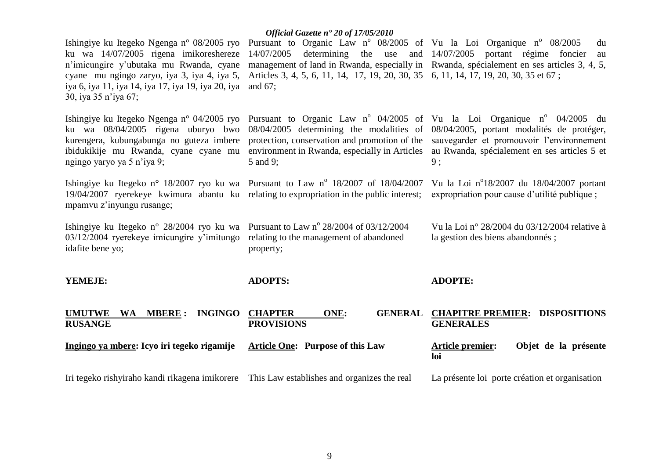|                                                                                                                                                                                                                                                              | Official Gazette n° 20 of 17/05/2010                                                                                                                                                                                                                |                                                                                                                                                                      |
|--------------------------------------------------------------------------------------------------------------------------------------------------------------------------------------------------------------------------------------------------------------|-----------------------------------------------------------------------------------------------------------------------------------------------------------------------------------------------------------------------------------------------------|----------------------------------------------------------------------------------------------------------------------------------------------------------------------|
| Ishingiye ku Itegeko Ngenga n° 08/2005 ryo<br>ku wa 14/07/2005 rigena imikoreshereze<br>n'imicungire y'ubutaka mu Rwanda, cyane<br>cyane mu ngingo zaryo, iya 3, iya 4, iya 5,<br>iya 6, iya 11, iya 14, iya 17, iya 19, iya 20, iya<br>30, iya 35 n'iya 67; | Pursuant to Organic Law nº 08/2005 of Vu la Loi Organique nº 08/2005<br>14/07/2005<br>Articles 3, 4, 5, 6, 11, 14, 17, 19, 20, 30, 35 6, 11, 14, 17, 19, 20, 30, 35 et 67;<br>and $67$ ;                                                            | du<br>determining the use and $14/07/2005$ portant régime foncier<br>au<br>management of land in Rwanda, especially in Rwanda, spécialement en ses articles 3, 4, 5, |
| Ishingiye ku Itegeko Ngenga n° 04/2005 ryo<br>ku wa 08/04/2005 rigena uburyo bwo<br>kurengera, kubungabunga no guteza imbere<br>ibidukikije mu Rwanda, cyane cyane mu<br>ngingo yaryo ya 5 n'iya 9;                                                          | Pursuant to Organic Law $n^{\circ}$ 04/2005 of Vu la Loi Organique $n^{\circ}$ 04/2005 du<br>08/04/2005 determining the modalities of<br>protection, conservation and promotion of the<br>environment in Rwanda, especially in Articles<br>5 and 9; | 08/04/2005, portant modalités de protéger,<br>sauvegarder et promouvoir l'environnement<br>au Rwanda, spécialement en ses articles 5 et<br>9:                        |
| Ishingiye ku Itegeko n° 18/2007 ryo ku wa Pursuant to Law n° 18/2007 of 18/04/2007<br>19/04/2007 ryerekeye kwimura abantu ku relating to expropriation in the public interest;<br>mpamvu z'inyungu rusange;                                                  |                                                                                                                                                                                                                                                     | Vu la Loi nº18/2007 du 18/04/2007 portant<br>expropriation pour cause d'utilité publique ;                                                                           |
| Ishingiye ku Itegeko n° 28/2004 ryo ku wa Pursuant to Law n° 28/2004 of 03/12/2004<br>$03/12/2004$ ryerekeye imicungire y'imitungo<br>idafite bene yo;                                                                                                       | relating to the management of abandoned<br>property;                                                                                                                                                                                                | Vu la Loi nº 28/2004 du 03/12/2004 relative à<br>la gestion des biens abandonnés;                                                                                    |
| YEMEJE:                                                                                                                                                                                                                                                      | <b>ADOPTS:</b>                                                                                                                                                                                                                                      | <b>ADOPTE:</b>                                                                                                                                                       |
| <b>UMUTWE</b><br><b>MBERE:</b><br><b>INGINGO</b><br>WA<br><b>RUSANGE</b>                                                                                                                                                                                     | <b>CHAPTER</b><br>ONE:<br><b>GENERAL</b><br><b>PROVISIONS</b>                                                                                                                                                                                       | <b>CHAPITRE PREMIER: DISPOSITIONS</b><br><b>GENERALES</b>                                                                                                            |
| Ingingo ya mbere: Icyo iri tegeko rigamije                                                                                                                                                                                                                   | <b>Article One: Purpose of this Law</b>                                                                                                                                                                                                             | <b>Article premier:</b><br>Objet de la présente<br>loi                                                                                                               |
| Iri tegeko rishyiraho kandi rikagena imikorere This Law establishes and organizes the real                                                                                                                                                                   |                                                                                                                                                                                                                                                     | La présente loi porte création et organisation                                                                                                                       |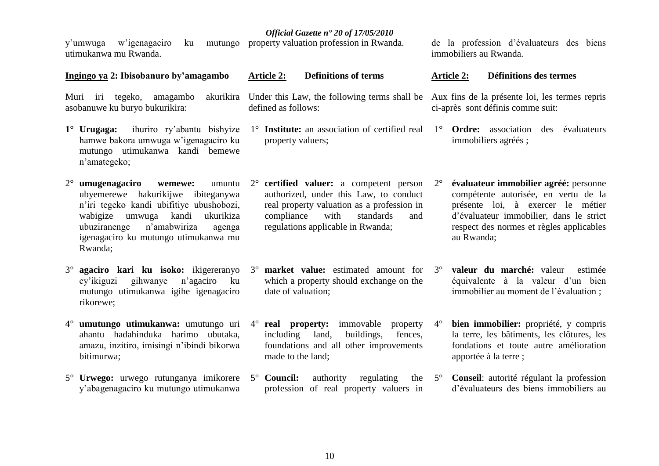| utimukanwa mu Rwanda.                                                                                                                                                                                                                                                  |                                                                                                                                                                                                                         | immobiliers au Rwanda.                                                                                                                                                                                                                 |
|------------------------------------------------------------------------------------------------------------------------------------------------------------------------------------------------------------------------------------------------------------------------|-------------------------------------------------------------------------------------------------------------------------------------------------------------------------------------------------------------------------|----------------------------------------------------------------------------------------------------------------------------------------------------------------------------------------------------------------------------------------|
| Ingingo ya 2: Ibisobanuro by'amagambo                                                                                                                                                                                                                                  | <b>Definitions of terms</b><br><b>Article 2:</b>                                                                                                                                                                        | <b>Définitions des termes</b><br><b>Article 2:</b>                                                                                                                                                                                     |
| Muri iri tegeko, amagambo akurikira<br>asobanuwe ku buryo bukurikira:                                                                                                                                                                                                  | Under this Law, the following terms shall be Aux fins de la présente loi, les termes repris<br>defined as follows:                                                                                                      | ci-après sont définis comme suit:                                                                                                                                                                                                      |
| $1^\circ$ Urugaga:<br>ihuriro ry'abantu bishyize<br>hamwe bakora umwuga w'igenagaciro ku<br>mutungo utimukanwa kandi bemewe<br>n'amategeko;                                                                                                                            | 1° Institute: an association of certified real<br>property valuers;                                                                                                                                                     | 1° <b>Ordre:</b> association des évaluateurs<br>immobiliers agréés;                                                                                                                                                                    |
| $2^{\circ}$ umugenagaciro<br>wemewe:<br>umuntu<br>ubyemerewe hakurikijwe ibiteganywa<br>n'iri tegeko kandi ubifitiye ubushobozi,<br>umwuga kandi<br>wabigize<br>ukurikiza<br>n'amabwiriza<br>ubuziranenge<br>agenga<br>igenagaciro ku mutungo utimukanwa mu<br>Rwanda; | $2^{\circ}$ certified valuer: a competent person<br>authorized, under this Law, to conduct<br>real property valuation as a profession in<br>compliance<br>with<br>standards<br>and<br>regulations applicable in Rwanda; | évaluateur immobilier agréé: personne<br>$2^{\circ}$<br>compétente autorisée, en vertu de la<br>présente loi, à exercer le métier<br>d'évaluateur immobilier, dans le strict<br>respect des normes et règles applicables<br>au Rwanda; |
| agaciro kari ku isoko: ikigereranyo<br>gihwanye<br>n'agaciro<br>cy'ikiguzi<br>ku<br>mutungo utimukanwa igihe igenagaciro<br>rikorewe;                                                                                                                                  | <b>market value:</b> estimated amount for 3°<br>$3^\circ$<br>which a property should exchange on the<br>date of valuation;                                                                                              | valeur du marché: valeur<br>estimée<br>équivalente à la valeur d'un bien<br>immobilier au moment de l'évaluation ;                                                                                                                     |
| 4° umutungo utimukanwa: umutungo uri<br>ahantu hadahinduka harimo ubutaka,<br>amazu, inzitiro, imisingi n'ibindi bikorwa<br>bitimurwa;                                                                                                                                 | real property: immovable<br>$4^{\circ}$<br>property<br>including land,<br>buildings,<br>fences,<br>foundations and all other improvements<br>made to the land;                                                          | bien immobilier: propriété, y compris<br>$4^\circ$<br>la terre, les bâtiments, les clôtures, les<br>fondations et toute autre amélioration<br>apportée à la terre;                                                                     |
| 5° Urwego: urwego rutunganya imikorere<br>y'abagenagaciro ku mutungo utimukanwa                                                                                                                                                                                        | 5° Council:<br>authority<br>regulating<br>the<br>profession of real property valuers in                                                                                                                                 | Conseil: autorité régulant la profession<br>$5^{\circ}$<br>d'évaluateurs des biens immobiliers au                                                                                                                                      |

10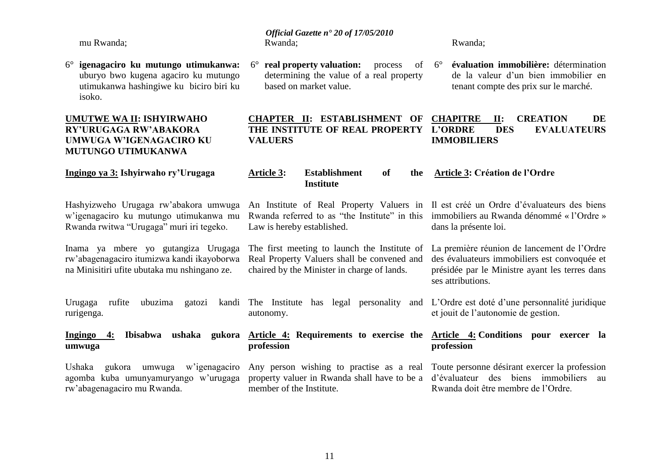mu Rwanda;

6° **igenagaciro ku mutungo utimukanwa:** uburyo bwo kugena agaciro ku mutungo utimukanwa hashingiwe ku biciro biri ku isoko.

#### **UMUTWE WA II: ISHYIRWAHO RY"URUGAGA RW"ABAKORA UMWUGA W"IGENAGACIRO KU MUTUNGO UTIMUKANWA**

**Ingingo ya 3: Ishyirwaho ry"Urugaga**

*Official Gazette n° 20 of 17/05/2010* Rwanda;

6° **real property valuation:** process of determining the value of a real property based on market value.

#### Rwanda;

6° **évaluation immobilière:** détermination de la valeur d"un bien immobilier en tenant compte des prix sur le marché.

#### **CHAPTER II: ESTABLISHMENT OF THE INSTITUTE OF REAL PROPERTY VALUERS CHAPITRE II: CREATION DE DES EVALUATEURS IMMOBILIERS**

**Article 3: Establishment of the Institute Article 3: Création de l"Ordre**

Hashyizweho Urugaga rw"abakora umwuga w"igenagaciro ku mutungo utimukanwa mu Rwanda rwitwa "Urugaga" muri iri tegeko.

Inama ya mbere yo gutangiza Urugaga rw"abagenagaciro itumizwa kandi ikayoborwa na Minisitiri ufite ubutaka mu nshingano ze.

Urugaga rufite ubuzima gatozi

rurigenga.

**umwuga** 

An Institute of Real Property Valuers in Il est créé un Ordre d"évaluateurs des biens Rwanda referred to as "the Institute" in this immobiliers au Rwanda dénommé « l'Ordre » Law is hereby established.

The first meeting to launch the Institute of Real Property Valuers shall be convened and chaired by the Minister in charge of lands.

kandi The Institute has legal personality

autonomy.

**profession** 

member of the Institute.

dans la présente loi.

La première réunion de lancement de l"Ordre des évaluateurs immobiliers est convoquée et présidée par le Ministre ayant les terres dans ses attributions.

L"Ordre est doté d"une personnalité juridique et jouit de l"autonomie de gestion.

**Ingingo 4: Ibisabwa ushaka gukora Article 4: Requirements to exercise the Article 4: Conditions pour exercer la profession** 

> Any person wishing to practise as a real Toute personne désirant exercer la profession property valuer in Rwanda shall have to be a d"évaluateur des biens immobiliers au Rwanda doit être membre de l"Ordre.

Ushaka gukora umwuga w"igenagaciro agomba kuba umunyamuryango w"urugaga rw"abagenagaciro mu Rwanda.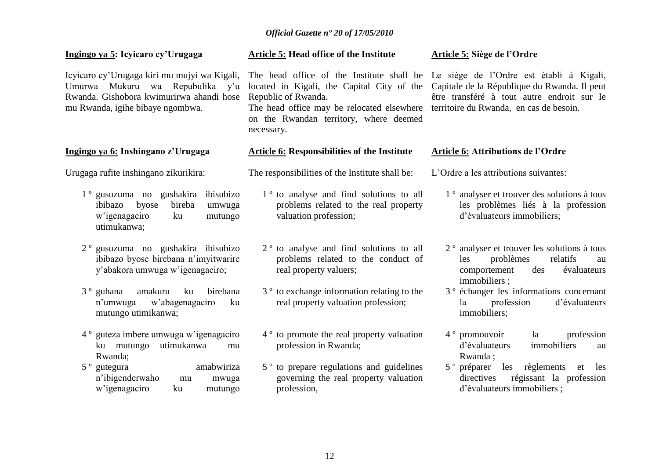#### **Ingingo ya 5: Icyicaro cy"Urugaga**

Icyicaro cy"Urugaga kiri mu mujyi wa Kigali, Umurwa Mukuru wa Repubulika y"u Rwanda. Gishobora kwimurirwa ahandi hose mu Rwanda, igihe bibaye ngombwa.

#### **Ingingo ya 6: Inshingano z"Urugaga**

Urugaga rufite inshingano zikurikira:

- 1 º gusuzuma no gushakira ibisubizo ibibazo byose bireba umwuga w"igenagaciro ku mutungo utimukanwa;
- 2 º gusuzuma no gushakira ibisubizo ibibazo byose birebana n"imyitwarire y"abakora umwuga w"igenagaciro;
- 3 º guhana amakuru ku birebana n"umwuga w"abagenagaciro ku mutungo utimikanwa;
- 4 º guteza imbere umwuga w"igenagaciro ku mutungo utimukanwa mu Rwanda;
- 5 º gutegura amabwiriza n"ibigenderwaho mu mwuga w"igenagaciro ku mutungo

#### **Article 5: Head office of the Institute**

Republic of Rwanda. The head office may be relocated elsewhere territoire du Rwanda, en cas de besoin.

on the Rwandan territory, where deemed necessary.

#### **Article 6: Responsibilities of the Institute**

The responsibilities of the Institute shall be:

- 1 º to analyse and find solutions to all problems related to the real property valuation profession;
- 2 º to analyse and find solutions to all problems related to the conduct of real property valuers;
- 3 º to exchange information relating to the real property valuation profession;
- 4 º to promote the real property valuation profession in Rwanda;
- 5 º to prepare regulations and guidelines governing the real property valuation profession,

#### **Article 5: Siège de l"Ordre**

The head office of the Institute shall be Le siège de l"Ordre est établi à Kigali, located in Kigali, the Capital City of the Capitale de la République du Rwanda. Il peut être transféré à tout autre endroit sur le

#### **Article 6: Attributions de l"Ordre**

L'Ordre a les attributions suivantes:

- 1 º analyser et trouver des solutions à tous les problèmes liés à la profession d"évaluateurs immobiliers;
- 2 º analyser et trouver les solutions à tous les problèmes relatifs au comportement des évaluateurs immobiliers ;
- 3 º échanger les informations concernant la profession d"évaluateurs immobiliers;
- 4 º promouvoir la profession d"évaluateurs immobiliers au Rwanda ;
- 5 º préparer les règlements et les directives régissant la profession d"évaluateurs immobiliers ;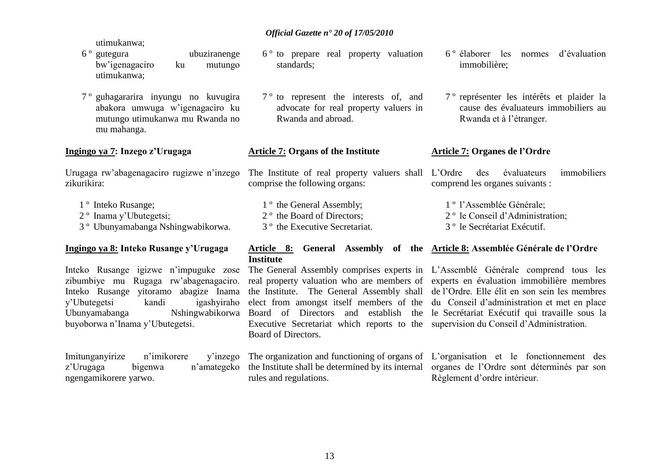- utimukanwa;<br>6<sup>°</sup> gutegura ubuziranenge bw"igenagaciro ku mutungo utimukanwa;
- 7 º guhagararira inyungu no kuvugira abakora umwuga w"igenagaciro ku mutungo utimukanwa mu Rwanda no mu mahanga.

#### **Ingingo ya 7: Inzego z"Urugaga**

Urugaga rw"abagenagaciro rugizwe n"inzego zikurikira:

- 1 º Inteko Rusange;
- 2 º Inama y"Ubutegetsi;
- 3 º Ubunyamabanga Nshingwabikorwa.

#### **Ingingo ya 8: Inteko Rusange y"Urugaga**

Inteko Rusange igizwe n"impuguke zose zibumbiye mu Rugaga rw"abagenagaciro. Inteko Rusange yitoramo abagize Inama the Institute. The General Assembly shall de l'Ordre. Elle élit en son sein les membres y"Ubutegetsi kandi igashyiraho Ubunyamabanga Nshingwabikorwa buyoborwa n"Inama y"Ubutegetsi.

Imitunganyirize n'imikorere ngengamikorere yarwo.

6 º to prepare real property valuation standards;

7 º to represent the interests of, and advocate for real property valuers in Rwanda and abroad.

#### **Article 7: Organs of the Institute**

The Institute of real property valuers shall L"Ordre des évaluateurs immobiliers comprise the following organs: comprend les organes suivants :

1<sup>°</sup> the General Assembly: 2 º the Board of Directors; 3 º the Executive Secretariat. 1 º l"Assemblée Générale; 2 º le Conseil d"Administration; 3 º le Secrétariat Exécutif.

#### **Article 8: General Assembly of the Article 8: Assemblée Générale de l"Ordre Institute**

The General Assembly comprises experts in L"Assemblé Générale comprend tous les Executive Secretariat which reports to the supervision du Conseil d"Administration. Board of Directors.

rules and regulations.

real property valuation who are members of experts en évaluation immobilière membres elect from amongst itself members of the du Conseil d"administration et met en place Board of Directors and establish the le Secrétariat Exécutif qui travaille sous la

6 º élaborer les normes d"évaluation

7 º représenter les intérêts et plaider la cause des évaluateurs immobiliers au

Rwanda et à l"étranger.

**Article 7: Organes de l"Ordre**

immobilière;

z'Urugaga bigenwa n'amategeko the Institute shall be determined by its internal organes de l'Ordre sont déterminés par son The organization and functioning of organs of L"organisation et le fonctionnement des Règlement d"ordre intérieur.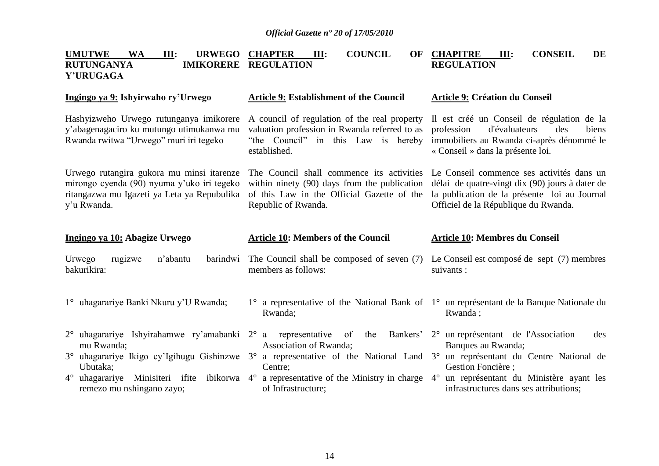| <b>UMUTWE</b><br><b>WA</b><br>III:<br><b>URWEGO</b><br><b>RUTUNGANYA</b><br><b>IMIKORERE</b><br>Y'URUGAGA                                                                                           | <b>COUNCIL</b><br><b>CHAPTER</b><br>III:<br>OF<br><b>REGULATION</b>                                                                                                                 | <b>CHAPITRE</b><br><b>CONSEIL</b><br><b>DE</b><br>III:<br><b>REGULATION</b>                                                                                                            |
|-----------------------------------------------------------------------------------------------------------------------------------------------------------------------------------------------------|-------------------------------------------------------------------------------------------------------------------------------------------------------------------------------------|----------------------------------------------------------------------------------------------------------------------------------------------------------------------------------------|
| Ingingo ya 9: Ishyirwaho ry'Urwego                                                                                                                                                                  | <b>Article 9: Establishment of the Council</b>                                                                                                                                      | <b>Article 9: Création du Conseil</b>                                                                                                                                                  |
| Hashyizweho Urwego rutunganya imikorere<br>y'abagenagaciro ku mutungo utimukanwa mu<br>Rwanda rwitwa "Urwego" muri iri tegeko                                                                       | A council of regulation of the real property<br>valuation profession in Rwanda referred to as<br>"the Council" in this Law is hereby<br>established.                                | Il est créé un Conseil de régulation de la<br>d'évaluateurs<br>profession<br>des<br>biens<br>immobiliers au Rwanda ci-après dénommé le<br>« Conseil » dans la présente loi.            |
| Urwego rutangira gukora mu minsi itarenze<br>mirongo cyenda (90) nyuma y'uko iri tegeko<br>ritangazwa mu Igazeti ya Leta ya Repubulika<br>y'u Rwanda.                                               | The Council shall commence its activities<br>within ninety (90) days from the publication<br>of this Law in the Official Gazette of the<br>Republic of Rwanda.                      | Le Conseil commence ses activités dans un<br>délai de quatre-vingt dix (90) jours à dater de<br>la publication de la présente loi au Journal<br>Officiel de la République du Rwanda.   |
|                                                                                                                                                                                                     |                                                                                                                                                                                     |                                                                                                                                                                                        |
| Ingingo ya 10: Abagize Urwego                                                                                                                                                                       | <b>Article 10: Members of the Council</b>                                                                                                                                           | Article 10: Membres du Conseil                                                                                                                                                         |
| Urwego<br>rugizwe<br>n'abantu<br>barindwi<br>bakurikira:                                                                                                                                            | The Council shall be composed of seven (7)<br>members as follows:                                                                                                                   | Le Conseil est composé de sept (7) membres<br>suivants :                                                                                                                               |
| 1° uhagarariye Banki Nkuru y'U Rwanda;                                                                                                                                                              | Rwanda;                                                                                                                                                                             | 1° a representative of the National Bank of 1° un représentant de la Banque Nationale du<br>Rwanda;                                                                                    |
| $2^{\circ}$ uhagarariye Ishyirahamwe ry'amabanki $2^{\circ}$ a<br>mu Rwanda;<br>3° uhagarariye Ikigo cy'lgihugu Gishinzwe<br>Ubutaka;<br>Minisiteri ifite<br>ibikorwa 4°<br>$4^{\circ}$ uhagarariye | representative<br>Bankers'<br>of<br>the<br>Association of Rwanda;<br>a representative of the National Land 3°<br>$3^\circ$<br>Centre;<br>a representative of the Ministry in charge | 2° un représentant de l'Association<br>des<br>Banques au Rwanda;<br>un représentant du Centre National de<br>Gestion Foncière ;<br>un représentant du Ministère ayant les<br>$4^\circ$ |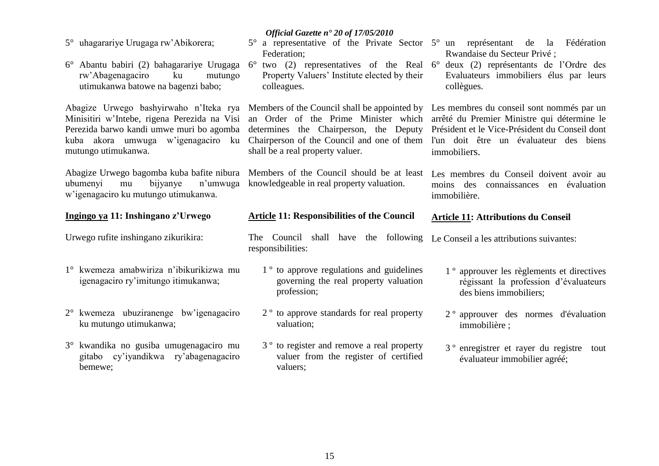| 5° uhagarariye Urugaga rw'Abikorera;<br>rw'Abagenagaciro<br>ku<br>mutungo<br>utimukanwa batowe na bagenzi babo; | Official Gazette nº 20 of 17/05/2010<br>$5^{\circ}$ a representative of the Private Sector $5^{\circ}$ un représentant de la<br>Federation;<br>6° Abantu babiri (2) bahagarariye Urugaga 6° two (2) representatives of the Real 6° deux (2) représentants de l'Ordre des<br>Property Valuers' Institute elected by their<br>colleagues.                                     | Fédération<br>Rwandaise du Secteur Privé ;<br>Evaluateurs immobiliers élus par leurs<br>collègues.                       |
|-----------------------------------------------------------------------------------------------------------------|-----------------------------------------------------------------------------------------------------------------------------------------------------------------------------------------------------------------------------------------------------------------------------------------------------------------------------------------------------------------------------|--------------------------------------------------------------------------------------------------------------------------|
| Minisitiri w'Intebe, rigena Perezida na Visi<br>Perezida barwo kandi umwe muri bo agomba<br>mutungo utimukanwa. | Abagize Urwego bashyirwaho n'Iteka rya Members of the Council shall be appointed by Les membres du conseil sont nommés par un<br>an Order of the Prime Minister which<br>determines the Chairperson, the Deputy<br>kuba akora umwuga w'igenagaciro ku Chairperson of the Council and one of them l'un doit être un évaluateur des biens<br>shall be a real property valuer. | arrêté du Premier Ministre qui détermine le<br>Président et le Vice-Président du Conseil dont<br>immobiliers.            |
| n'umwuga<br>bijyanye<br>ubumenyi<br>mu<br>w'igenagaciro ku mutungo utimukanwa.                                  | Abagize Urwego bagomba kuba bafite nibura Members of the Council should be at least<br>knowledgeable in real property valuation.                                                                                                                                                                                                                                            | Les membres du Conseil doivent avoir au<br>connaissances en évaluation<br>moins<br>des<br>immobilière.                   |
| Ingingo ya 11: Inshingano z'Urwego                                                                              | <b>Article 11: Responsibilities of the Council</b>                                                                                                                                                                                                                                                                                                                          | Article 11: Attributions du Conseil                                                                                      |
|                                                                                                                 |                                                                                                                                                                                                                                                                                                                                                                             |                                                                                                                          |
| Urwego rufite inshingano zikurikira:                                                                            | The Council shall have the following Le Conseil a les attributions suivantes:<br>responsibilities:                                                                                                                                                                                                                                                                          |                                                                                                                          |
| 1° kwemeza amabwiriza n'ibikurikizwa mu<br>igenagaciro ry'imitungo itimukanwa;                                  | 1 <sup>°</sup> to approve regulations and guidelines<br>governing the real property valuation<br>profession;                                                                                                                                                                                                                                                                | 1 <sup>°</sup> approuver les règlements et directives<br>régissant la profession d'évaluateurs<br>des biens immobiliers; |
| 2° kwemeza ubuziranenge bw'igenagaciro<br>ku mutungo utimukanwa;                                                | 2 <sup>°</sup> to approve standards for real property<br>valuation;                                                                                                                                                                                                                                                                                                         | 2 <sup>°</sup> approuver des normes d'évaluation<br>immobilière;                                                         |
| 3° kwandika no gusiba umugenagaciro mu<br>gitabo cy'iyandikwa ry'abagenagaciro<br>bemewe;                       | 3 <sup>°</sup> to register and remove a real property<br>valuer from the register of certified<br>valuers;                                                                                                                                                                                                                                                                  | 3 <sup>°</sup> enregistrer et rayer du registre tout<br>évaluateur immobilier agréé;                                     |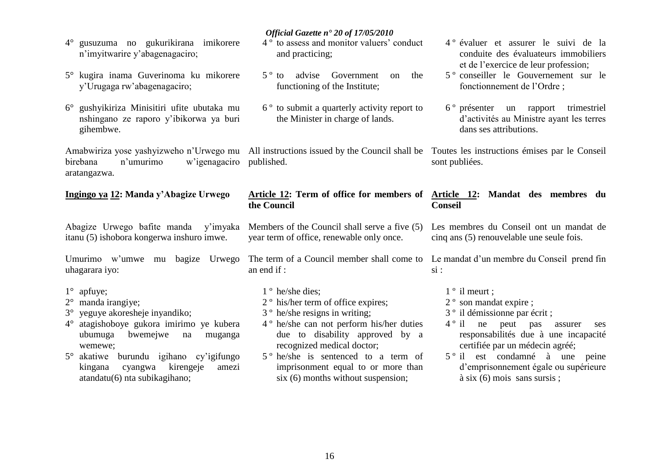- 4° gusuzuma no gukurikirana imikorere n"imyitwarire y"abagenagaciro;
- 5° kugira inama Guverinoma ku mikorere y"Urugaga rw"abagenagaciro;
- 6° gushyikiriza Minisitiri ufite ubutaka mu nshingano ze raporo y"ibikorwa ya buri gihembwe.

Amabwiriza yose yashyizweho n"Urwego mu All instructions issued by the Council shall be Toutes les instructions émises par le Conseil birebana n"umurimo w"igenagaciro published. aratangazwa.

#### **Ingingo ya 12: Manda y"Abagize Urwego**

Abagize Urwego bafite manda y"imyaka itanu (5) ishobora kongerwa inshuro imwe.

uhagarara iyo:

- 1° apfuye;
- 2° manda irangiye;
- 3° yeguye akoresheje inyandiko;
- 4° atagishoboye gukora imirimo ye kubera ubumuga bwemejwe na muganga wemewe;
- 5° akatiwe burundu igihano cy"igifungo kingana cyangwa kirengeje amezi atandatu(6) nta subikagihano;

#### *Official Gazette n° 20 of 17/05/2010*

- 4 º to assess and monitor valuers" conduct and practicing;
- 5 º to advise Government on the functioning of the Institute;
- 6 º to submit a quarterly activity report to the Minister in charge of lands.

#### **Article 12: Term of office for members of Article 12: Mandat des membres du the Council**

Members of the Council shall serve a five (5) year term of office, renewable only once.

Umurimo w'umwe mu bagize Urwego The term of a Council member shall come to an end if :

- 1 º he/she dies;
- 2 º his/her term of office expires;
- 3 º he/she resigns in writing;
- 4 º he/she can not perform his/her duties due to disability approved by a recognized medical doctor;
- 5 º he/she is sentenced to a term of imprisonment equal to or more than six (6) months without suspension;
- 4 º évaluer et assurer le suivi de la conduite des évaluateurs immobiliers et de l'exercice de leur profession;
- 5 º conseiller le Gouvernement sur le fonctionnement de l"Ordre ;
- 6 º présenter un rapport trimestriel d"activités au Ministre ayant les terres dans ses attributions.

sont publiées.

# **Conseil**

Les membres du Conseil ont un mandat de cinq ans (5) renouvelable une seule fois.

Le mandat d'un membre du Conseil prend fin si :

- 1 º il meurt ;
- 2 º son mandat expire ;
- 3 º il démissionne par écrit ;
- 4 º il ne peut pas assurer ses responsabilités due à une incapacité certifiée par un médecin agréé;
- 5 º il est condamné à une peine d"emprisonnement égale ou supérieure à six (6) mois sans sursis ;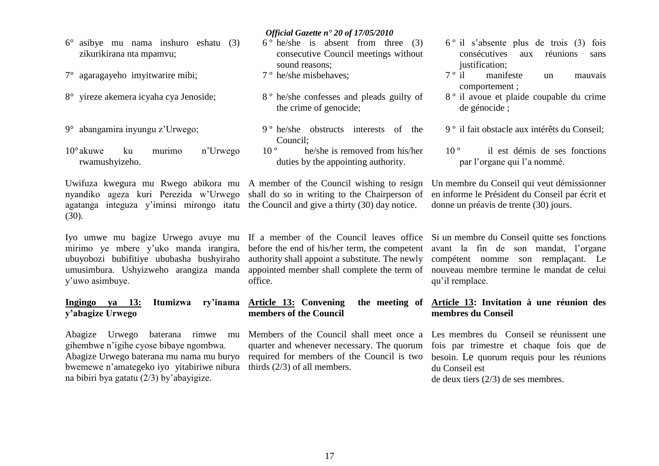zikurikirana nta mpamvu; 7° agaragayeho imyitwarire mibi; 8° yireze akemera icyaha cya Jenoside; 9° abangamira inyungu z"Urwego; 10°akuwe ku murimo n"Urwego rwamushyizeho. Uwifuza kwegura mu Rwego abikora mu A member of the Council wishing to resign nyandiko ageza kuri Perezida w"Urwego shall do so in writing to the Chairperson of agatanga integuza y"iminsi mirongo itatu the Council and give a thirty (30) day notice.  $(30)$ . Iyo umwe mu bagize Urwego avuye mu mirimo ye mbere y"uko manda irangira, ubuyobozi bubifitiye ububasha bushyiraho umusimbura. Ushyizweho arangiza manda y"uwo asimbuye. **Ingingo ya 13: Itumizwa ry"inama y"abagize Urwego**  consecutive Council meetings without sound reasons; 7 º he/she misbehaves; 8 º he/she confesses and pleads guilty of the crime of genocide; 9 º he/she obstructs interests of the Council; 10 º he/she is removed from his/her duties by the appointing authority. If a member of the Council leaves office Si un membre du Conseil quitte ses fonctions before the end of his/her term, the competent avant la fin de son mandat, l'organe authority shall appoint a substitute. The newly compétent nomme son remplaçant. Le appointed member shall complete the term of nouveau membre termine le mandat de celui office. **Article 13: Convening members of the Council** consécutives aux réunions sans justification;<br>7 ° il manif manifeste un mauvais comportement ; 8 º il avoue et plaide coupable du crime de génocide ; 9 º il fait obstacle aux intérêts du Conseil; 10 º il est démis de ses fonctions par l"organe qui l"a nommé. Un membre du Conseil qui veut démissionner en informe le Président du Conseil par écrit et donne un préavis de trente (30) jours. qu"il remplace. **Article 13: Invitation à une réunion des membres du Conseil** 

*Official Gazette n° 20 of 17/05/2010*

 $6^\circ$  he/she is absent from three (3)

Abagize Urwego baterana rimwe mu gihembwe n"igihe cyose bibaye ngombwa. Abagize Urwego baterana mu nama mu buryo bwemewe n"amategeko iyo yitabiriwe nibura na bibiri bya gatatu (2/3) by"abayigize.

6° asibye mu nama inshuro eshatu (3)

thirds (2/3) of all members.

Members of the Council shall meet once a quarter and whenever necessary. The quorum required for members of the Council is two

# Les membres du Conseil se réunissent une

6 º il s"absente plus de trois (3) fois

fois par trimestre et chaque fois que de besoin. Le quorum requis pour les réunions du Conseil est de deux tiers (2/3) de ses membres.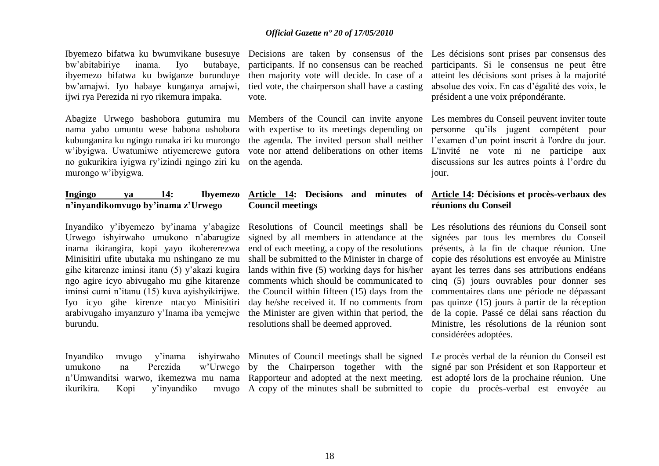Ibyemezo bifatwa ku bwumvikane busesuye Decisions are taken by consensus of the bw"abitabiriye inama. Iyo butabaye, ibyemezo bifatwa ku bwiganze burunduye bw"amajwi. Iyo habaye kunganya amajwi, ijwi rya Perezida ni ryo rikemura impaka.

Abagize Urwego bashobora gutumira mu nama yabo umuntu wese babona ushobora kubunganira ku ngingo runaka iri ku murongo w"ibyigwa. Uwatumiwe ntiyemerewe gutora vote nor attend deliberations on other items no gukurikira iyigwa ry"izindi ngingo ziri ku on the agenda. murongo w"ibyigwa.

#### **Ingingo ya 14: Ibyemezo n"inyandikomvugo by"inama z"Urwego**

Inyandiko y"ibyemezo by"inama y"abagize Urwego ishyirwaho umukono n"abarugize inama ikirangira, kopi yayo ikohererezwa Minisitiri ufite ubutaka mu nshingano ze mu gihe kitarenze iminsi itanu (5) y"akazi kugira ngo agire icyo abivugaho mu gihe kitarenze iminsi cumi n"itanu (15) kuva ayishyikirijwe. Iyo icyo gihe kirenze ntacyo Minisitiri arabivugaho imyanzuro y"Inama iba yemejwe burundu.

Inyandiko mvugo y"inama ishyirwaho Minutes of Council meetings shall be signed Le procès verbal de la réunion du Conseil est ikurikira. Kopi y'inyandiko

participants. If no consensus can be reached then majority vote will decide. In case of a tied vote, the chairperson shall have a casting vote.

with expertise to its meetings depending on

# **Council meetings**

Resolutions of Council meetings shall be signed by all members in attendance at the end of each meeting, a copy of the resolutions shall be submitted to the Minister in charge of lands within five (5) working days for his/her comments which should be communicated to the Council within fifteen (15) days from the day he/she received it. If no comments from the Minister are given within that period, the resolutions shall be deemed approved.

Les décisions sont prises par consensus des participants. Si le consensus ne peut être atteint les décisions sont prises à la majorité absolue des voix. En cas d"égalité des voix, le président a une voix prépondérante.

Members of the Council can invite anyone Les membres du Conseil peuvent inviter toute the agenda. The invited person shall neither l'examen d'un point inscrit à l'ordre du jour. personne qu"ils jugent compétent pour L'invité ne vote ni ne participe aux discussions sur les autres points à l"ordre du jour.

#### **Article 14: Decisions and minutes of Article 14: Décisions et procès-verbaux des réunions du Conseil**

Les résolutions des réunions du Conseil sont signées par tous les membres du Conseil présents, à la fin de chaque réunion. Une copie des résolutions est envoyée au Ministre ayant les terres dans ses attributions endéans cinq (5) jours ouvrables pour donner ses commentaires dans une période ne dépassant pas quinze (15) jours à partir de la réception de la copie. Passé ce délai sans réaction du Ministre, les résolutions de la réunion sont considérées adoptées.

umukono na Perezida w"Urwego by the Chairperson together with the signé par son Président et son Rapporteur et n"Umwanditsi warwo, ikemezwa mu nama Rapporteur and adopted at the next meeting. est adopté lors de la prochaine réunion. Une A copy of the minutes shall be submitted to copie du procès-verbal est envoyée au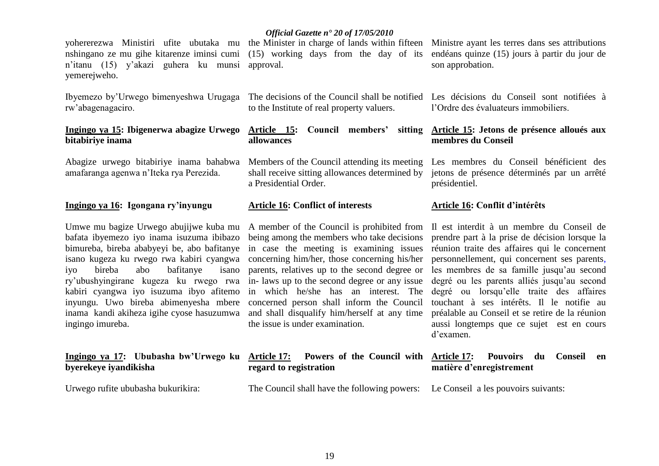yohererezwa Ministiri ufite ubutaka mu the Minister in charge of lands within fifteen Ministre ayant les terres dans ses attributions nshingano ze mu gihe kitarenze iminsi cumi n"itanu (15) y"akazi guhera ku munsi approval. yemerejweho.

rw"abagenagaciro.

#### **Ingingo ya 15: Ibigenerwa abagize Urwego bitabiriye inama**

Abagize urwego bitabiriye inama bahabwa amafaranga agenwa n"Iteka rya Perezida.

#### **Ingingo ya 16: Igongana ry"inyungu**

Umwe mu bagize Urwego abujijwe kuba mu bafata ibyemezo iyo inama isuzuma ibibazo bimureba, bireba ababyeyi be, abo bafitanye isano kugeza ku rwego rwa kabiri cyangwa concerning him/her, those concerning his/her iyo bireba abo bafitanye isano ry"ubushyingirane kugeza ku rwego rwa kabiri cyangwa iyo isuzuma ibyo afitemo inyungu. Uwo bireba abimenyesha mbere inama kandi akiheza igihe cyose hasuzumwa ingingo imureba.

#### **Ingingo ya 17: Ububasha bw"Urwego ku byerekeye iyandikisha**

Urwego rufite ububasha bukurikira:

#### *Official Gazette n° 20 of 17/05/2010*

to the Institute of real property valuers.

**allowances**

a Presidential Order.

#### **Article 16: Conflict of interests**

A member of the Council is prohibited from being among the members who take decisions in case the meeting is examining issues parents, relatives up to the second degree or in- laws up to the second degree or any issue in which he/she has an interest. The concerned person shall inform the Council and shall disqualify him/herself at any time the issue is under examination.

#### **Article 17: Powers of the Council with regard to registration**

The Council shall have the following powers: Le Conseil a les pouvoirs suivants:

(15) working days from the day of its endéans quinze (15) jours à partir du jour de son approbation.

Ibyemezo by"Urwego bimenyeshwa Urugaga The decisions of the Council shall be notified Les décisions du Conseil sont notifiées à l"Ordre des évaluateurs immobiliers.

#### **Article 15: Council members" sitting Article 15: Jetons de présence alloués aux membres du Conseil**

Members of the Council attending its meeting Les membres du Conseil bénéficient des shall receive sitting allowances determined by jetons de présence déterminés par un arrêté présidentiel.

#### **Article 16: Conflit d"intérêts**

Il est interdit à un membre du Conseil de prendre part à la prise de décision lorsque la réunion traite des affaires qui le concernent personnellement, qui concernent ses parents, les membres de sa famille jusqu"au second degré ou les parents alliés jusqu"au second degré ou lorsqu"elle traite des affaires touchant à ses intérêts. Il le notifie au préalable au Conseil et se retire de la réunion aussi longtemps que ce sujet est en cours d"examen.

#### **Article 17: Pouvoirs du Conseil en matière d"enregistrement**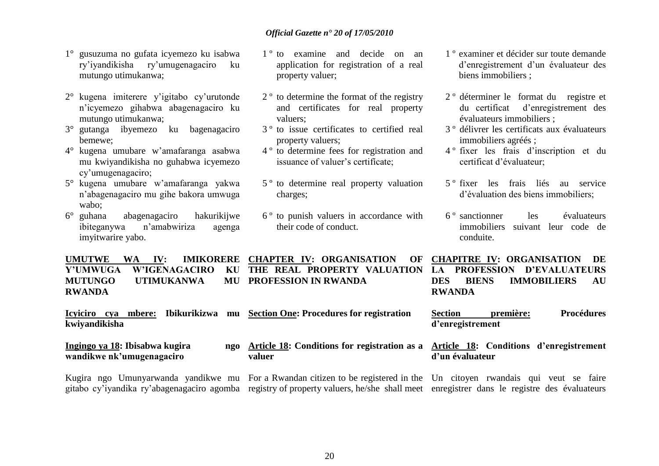- 1° gusuzuma no gufata icyemezo ku isabwa ry"iyandikisha ry"umugenagaciro ku mutungo utimukanwa;
- 2° kugena imiterere y"igitabo cy"urutonde n"icyemezo gihabwa abagenagaciro ku mutungo utimukanwa;
- 3° gutanga ibyemezo ku bagenagaciro bemewe;
- 4° kugena umubare w"amafaranga asabwa mu kwiyandikisha no guhabwa icyemezo cy"umugenagaciro;
- 5° kugena umubare w"amafaranga yakwa n"abagenagaciro mu gihe bakora umwuga wabo;
- 6° guhana abagenagaciro hakurikijwe ibiteganywa n"amabwiriza agenga imyitwarire yabo.
- 1 º to examine and decide on an application for registration of a real property valuer;
- 2 º to determine the format of the registry and certificates for real property valuers;
- 3 º to issue certificates to certified real property valuers;
- 4 º to determine fees for registration and issuance of valuer's certificate:
- 5 º to determine real property valuation charges;
- 6 º to punish valuers in accordance with their code of conduct.
- 1 º examiner et décider sur toute demande d"enregistrement d"un évaluateur des biens immobiliers ;
- 2 º déterminer le format du registre et du certificat d"enregistrement des évaluateurs immobiliers ;
- 3 º délivrer les certificats aux évaluateurs immobiliers agréés ;
- 4 º fixer les frais d"inscription et du certificat d"évaluateur;
- 5 º fixer les frais liés au service d"évaluation des biens immobiliers;
- 6 º sanctionner les évaluateurs immobiliers suivant leur code de conduite.

**UMUTWE WA IV: IMIKORERE CHAPTER IV: ORGANISATION OF Y'UMWUGA W'IGENAGACIRO MUTUNGO UTIMUKANWA RWANDA THE REAL PROPERTY VALUATION PROFESSION IN RWANDA CHAPITRE IV: ORGANISATION DE LA PROFESSION D"EVALUATEURS DES BIENS IMMOBILIERS AU RWANDA**

**Icyiciro cya mbere: Ibikurikizwa mu Section One: Procedures for registration kwiyandikisha Section première: Procédures d"enregistrement** 

**Ingingo ya 18: Ibisabwa kugira wandikwe nk"umugenagaciro Article 18: Conditions for registration as a Article 18: Conditions d"enregistrement valuer d"un évaluateur** 

Kugira ngo Umunyarwanda yandikwe mu For a Rwandan citizen to be registered in the Un citoyen rwandais qui veut se faire gitabo cy'iyandika ry'abagenagaciro agomba registry of property valuers, he/she shall meet enregistrer dans le registre des évaluateurs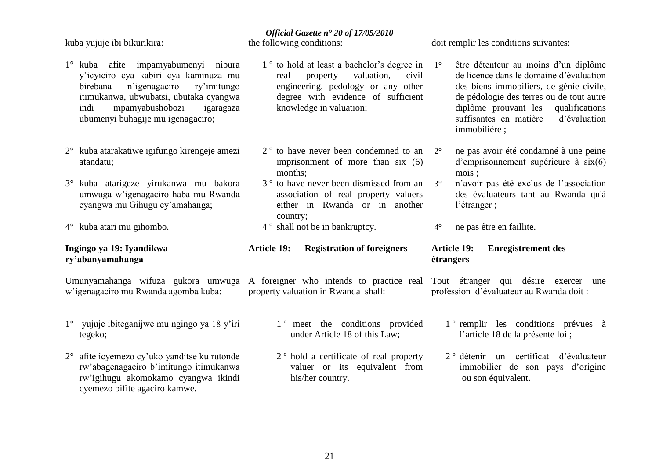kuba yujuje ibi bikurikira:

- 1° kuba afite impamyabumenyi nibura y"icyiciro cya kabiri cya kaminuza mu birebana n"igenagaciro ry"imitungo itimukanwa, ubwubatsi, ubutaka cyangwa indi mpamyabushobozi igaragaza ubumenyi buhagije mu igenagaciro;
- 2° kuba atarakatiwe igifungo kirengeje amezi atandatu;
- 3° kuba atarigeze yirukanwa mu bakora umwuga w"igenagaciro haba mu Rwanda cyangwa mu Gihugu cy"amahanga;
- 4° kuba atari mu gihombo.

#### **Ingingo ya 19: Iyandikwa ry"abanyamahanga**

w"igenagaciro mu Rwanda agomba kuba:

- 1° yujuje ibiteganijwe mu ngingo ya 18 y"iri tegeko;
- 2° afite icyemezo cy"uko yanditse ku rutonde rw"abagenagaciro b"imitungo itimukanwa rw"igihugu akomokamo cyangwa ikindi cyemezo bifite agaciro kamwe.

### *Official Gazette n° 20 of 17/05/2010*

the following conditions:

- 1<sup>°</sup> to hold at least a bachelor's degree in 1<sup>°</sup> real property valuation, civil engineering, pedology or any other degree with evidence of sufficient knowledge in valuation;
- 2<sup>°</sup> to have never been condemned to an 2<sup>°</sup> imprisonment of more than six (6) months;
- 3 º to have never been dismissed from an association of real property valuers either in Rwanda or in another country;
- 4 º shall not be in bankruptcy.
- **Article 19: Registration of foreigners**

Umunyamahanga wifuza gukora umwuga A foreigner who intends to practice real Tout étranger qui désire exercer une property valuation in Rwanda shall:

- 1<sup>°</sup> meet the conditions provided under Article 18 of this Law;
- 2 º hold a certificate of real property valuer or its equivalent from his/her country.

doit remplir les conditions suivantes:

- être détenteur au moins d'un diplôme de licence dans le domaine d"évaluation des biens immobiliers, de génie civile, de pédologie des terres ou de tout autre diplôme prouvant les qualifications suffisantes en matière d"évaluation immobilière ;
- 2° ne pas avoir été condamné à une peine d"emprisonnement supérieure à six(6) mois ;
- 3° n"avoir pas été exclus de l"association des évaluateurs tant au Rwanda qu'à l"étranger ;
- 4° ne pas être en faillite.

#### **Article 19: Enregistrement des étrangers**

profession d"évaluateur au Rwanda doit :

- 1 º remplir les conditions prévues à l"article 18 de la présente loi ;
- 2 º détenir un certificat d"évaluateur immobilier de son pays d"origine ou son équivalent.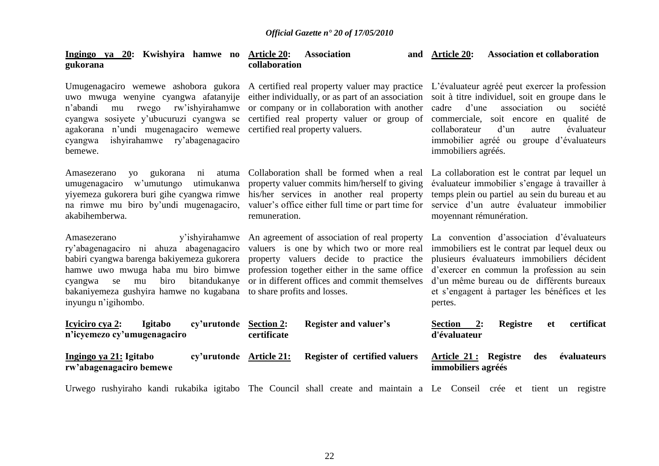| Ingingo ya 20: Kwishyira hamwe no Article 20:<br>gukorana                                                                                                                                                                                                                                | <b>Association</b><br>collaboration                                                                                                                                                                                                                                       | <b>Association et collaboration</b><br>and Article 20:                                                                                                                                                                                                                                                          |
|------------------------------------------------------------------------------------------------------------------------------------------------------------------------------------------------------------------------------------------------------------------------------------------|---------------------------------------------------------------------------------------------------------------------------------------------------------------------------------------------------------------------------------------------------------------------------|-----------------------------------------------------------------------------------------------------------------------------------------------------------------------------------------------------------------------------------------------------------------------------------------------------------------|
| rw'ishyirahamwe<br>n'abandi<br>rwego<br>mu<br>cyangwa sosiyete y'ubucuruzi cyangwa se<br>agakorana n'undi mugenagaciro wemewe certified real property valuers.<br>ishyirahamwe<br>ry'abagenagaciro<br>cyangwa<br>bemewe.                                                                 | Umugenagaciro wemewe ashobora gukora A certified real property valuer may practice<br>uwo mwuga wenyine cyangwa afatanyije either individually, or as part of an association<br>or company or in collaboration with another<br>certified real property valuer or group of | L'évaluateur agréé peut exercer la profession<br>soit à titre individuel, soit en groupe dans le<br>d'une<br>association<br>cadre<br>société<br>ou<br>commerciale, soit encore en qualité de<br>d'un<br>collaborateur<br>évaluateur<br>autre<br>immobilier agréé ou groupe d'évaluateurs<br>immobiliers agréés. |
| gukorana<br>atuma<br>Amasezerano<br>yo<br>ni<br>umugenagaciro w'umutungo<br>utimukanwa<br>viyemeza gukorera buri gihe cyangwa rimwe<br>na rimwe mu biro by'undi mugenagaciro,<br>akabihemberwa.                                                                                          | Collaboration shall be formed when a real<br>property valuer commits him/herself to giving<br>his/her services in another real property<br>valuer's office either full time or part time for<br>remuneration.                                                             | La collaboration est le contrat par lequel un<br>évaluateur immobilier s'engage à travailler à<br>temps plein ou partiel au sein du bureau et au<br>service d'un autre évaluateur immobilier<br>moyennant rémunération.                                                                                         |
| Amasezerano<br>ry'abagenagaciro ni ahuza abagenagaciro<br>babiri cyangwa barenga bakiyemeza gukorera<br>hamwe uwo mwuga haba mu biro bimwe<br>bitandukanye<br>mu<br>biro<br>cyangwa<br>se<br>bakaniyemeza gushyira hamwe no kugabana to share profits and losses.<br>inyungu n'igihombo. | y'ishyirahamwe An agreement of association of real property<br>valuers is one by which two or more real<br>property valuers decide to practice the<br>profession together either in the same office<br>or in different offices and commit themselves                      | La convention d'association d'évaluateurs<br>immobiliers est le contrat par lequel deux ou<br>plusieurs évaluateurs immobiliers décident<br>d'exercer en commun la profession au sein<br>d'un même bureau ou de différents bureaux<br>et s'engagent à partager les bénéfices et les<br>pertes.                  |
| <b>Icylciro cya 2:</b><br><b>Igitabo</b><br>cy'urutonde Section 2:<br>n'icyemezo cy'umugenagaciro                                                                                                                                                                                        | <b>Register and valuer's</b><br>certificate                                                                                                                                                                                                                               | certificat<br><b>Registre</b><br>Section<br>2:<br><b>et</b><br>d'évaluateur                                                                                                                                                                                                                                     |
| Ingingo ya 21: Igitabo<br>cy'urutonde Article 21:<br>rw'abagenagaciro bemewe                                                                                                                                                                                                             | <b>Register of certified valuers</b>                                                                                                                                                                                                                                      | Article 21: Registre<br>évaluateurs<br>des<br>immobiliers agréés                                                                                                                                                                                                                                                |
|                                                                                                                                                                                                                                                                                          |                                                                                                                                                                                                                                                                           |                                                                                                                                                                                                                                                                                                                 |

Urwego rushyiraho kandi rukabika igitabo The Council shall create and maintain a Le Conseil crée et tient un registre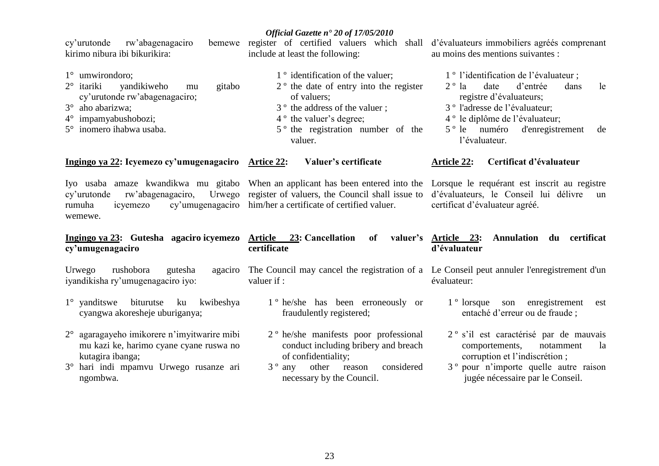| rw'abagenagaciro<br>cy'urutonde<br>kirimo nibura ibi bikurikira:                                                                                                                                             | include at least the following:                                                                                                                                                                                                              | bemewe register of certified valuers which shall d'évaluateurs immobiliers agrées comprenant<br>au moins des mentions suivantes :                                                                                                                                              |
|--------------------------------------------------------------------------------------------------------------------------------------------------------------------------------------------------------------|----------------------------------------------------------------------------------------------------------------------------------------------------------------------------------------------------------------------------------------------|--------------------------------------------------------------------------------------------------------------------------------------------------------------------------------------------------------------------------------------------------------------------------------|
| $1^\circ$ umwirondoro;<br>$2^{\circ}$ itariki<br>yandikiweho<br>gitabo<br>mu<br>cy'urutonde rw'abagenagaciro;<br>$3^\circ$ aho abarizwa;<br>$4^{\circ}$ impamyabushobozi;<br>$5^\circ$ inomero ihabwa usaba. | 1 <sup>°</sup> identification of the valuer;<br>$2o$ the date of entry into the register<br>of valuers:<br>3 <sup>°</sup> the address of the valuer;<br>4 <sup>°</sup> the valuer's degree;<br>5 <sup>°</sup> the registration number of the | 1 <sup>°</sup> l'identification de l'évaluateur ;<br>d'entrée<br>$2^{\circ}$ la<br>date<br>le<br>dans<br>registre d'évaluateurs;<br>3 <sup>°</sup> l'adresse de l'évaluateur;<br>4 <sup>°</sup> le diplôme de l'évaluateur;<br>5 <sup>°</sup> le numéro d'enregistrement<br>de |
| Ingingo ya 22: Icyemezo cy'umugenagaciro Artice 22:                                                                                                                                                          | valuer.<br>Valuer's certificate                                                                                                                                                                                                              | l'évaluateur.<br>Certificat d'évaluateur<br><b>Article 22:</b>                                                                                                                                                                                                                 |
| cy'urutonde<br>rumuha<br>icyemezo<br>wemewe.                                                                                                                                                                 | Iyo usaba amaze kwandikwa mu gitabo When an applicant has been entered into the<br>rw'abagenagaciro, Urwego register of valuers, the Council shall issue to<br>cy'umugenagaciro him/her a certificate of certified valuer.                   | Lorsque le requérant est inscrit au registre<br>d'évaluateurs, le Conseil lui délivre<br>un<br>certificat d'évaluateur agréé.                                                                                                                                                  |

#### **Ingingo ya 23: Gutesha agaciro icyemezo Article 23: Cancellation of valuer"s cy"umugenagaciro certificate Article 23: Annulation du certificat d"évaluateur**

Urwego rushobora gutesha iyandikisha ry"umugenagaciro iyo:

- 1° yanditswe biturutse ku kwibeshya cyangwa akoresheje uburiganya;
- 2° agaragayeho imikorere n"imyitwarire mibi mu kazi ke, harimo cyane cyane ruswa no kutagira ibanga;
- 3° hari indi mpamvu Urwego rusanze ari ngombwa.

The Council may cancel the registration of a Le Conseil peut annuler l'enregistrement d'un valuer if :

- 1 º he/she has been erroneously or fraudulently registered;
- 2 º he/she manifests poor professional conduct including bribery and breach of confidentiality;
- 3 º any other reason considered necessary by the Council.

évaluateur:

- 1 º lorsque son enregistrement est entaché d"erreur ou de fraude ;
- 2 º s"il est caractérisé par de mauvais comportements, notamment la corruption et l"indiscrétion ;
- 3 º pour n"importe quelle autre raison jugée nécessaire par le Conseil.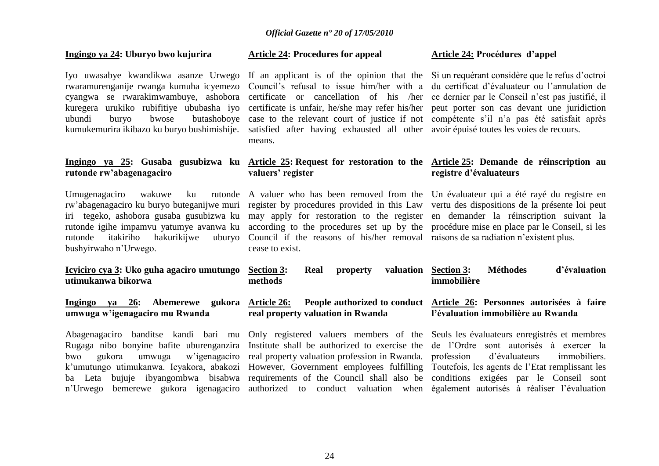#### **Ingingo ya 24: Uburyo bwo kujurira**

Iyo uwasabye kwandikwa asanze Urwego kuregera urukiko rubifitiye ububasha iyo

# **rutonde rw"abagenagaciro**

Umugenagaciro wakuwe ku rw'abagenagaciro ku buryo buteganijwe muri register by procedures provided in this Law vertu des dispositions de la présente loi peut iri tegeko, ashobora gusaba gusubizwa ku may apply for restoration to the register en demander la réinscription suivant la rutonde igihe impamvu yatumye avanwa ku according to the procedures set up by the procédure mise en place par le Conseil, si les rutonde itakiriho hakurikijwe bushyirwaho n"Urwego.

Abagenagaciro banditse kandi bari mu Rugaga nibo bonyine bafite uburenganzira bwo gukora umwuga w"igenagaciro k"umutungo utimukanwa. Icyakora, abakozi ba Leta bujuje ibyangombwa bisabwa requirements of the Council shall also be conditions exigées par le Conseil sont

#### **Article 24: Procedures for appeal**

rwaramurenganije rwanga kumuha icyemezo Council's refusal to issue him/her with a du certificat d'évaluateur ou l'annulation de cyangwa se rwarakimwambuye, ashobora certificate or cancellation of his /her ce-dernier-par-le-Conseil-n'est-pas-justifié, il ubundi buryo bwose butashoboye case to the relevant court of justice if not compétente s"il n"a pas été satisfait après kumukemurira ikibazo ku buryo bushimishije. satisfied after having exhausted all other avoir épuisé toutes les voies de recours. certificate is unfair, he/she may refer his/her peut porter son cas devant une juridiction means.

#### **Article 24: Procédures d"appel**

If an applicant is of the opinion that the Si un requérant considère que le refus d'octroi

#### **Ingingo ya 25: Gusaba gusubizwa ku Article 25: Request for restoration to the Article 25: Demande de réinscription au valuers" register registre d"évaluateurs**

A valuer who has been removed from the Un évaluateur qui a été rayé du registre en Council if the reasons of his/her removal raisons de sa radiation n'existent plus. cease to exist.

| Icyiciro cya 3: Uko guha agaciro umutungo<br>utimukanwa bikorwa      | <b>Section 3:</b><br>Real<br>property<br>methods                                            | d'évaluation<br><b>Méthodes</b><br>valuation Section 3:<br>immobilière                                                                                                                                                                                                           |
|----------------------------------------------------------------------|---------------------------------------------------------------------------------------------|----------------------------------------------------------------------------------------------------------------------------------------------------------------------------------------------------------------------------------------------------------------------------------|
| Ingingo ya 26: Abemerewe<br>gukora<br>umwuga w'igenagaciro mu Rwanda | <b>Article 26:</b><br>real property valuation in Rwanda                                     | <b>People authorized to conduct</b> Article 26: Personnes autorisées à faire<br>l'évaluation immobilière au Rwanda                                                                                                                                                               |
| bwo<br>gukora                                                        | umwuga w'igenagaciro real property valuation profession in Rwanda. profession d'évaluateurs | Abagenagaciro banditse kandi bari mu Only registered valuers members of the Seuls les évaluateurs enregistrés et membres<br>Rugaga nibo bonyine bafite uburenganzira Institute shall be authorized to exercise the de l'Ordre sont autorisés à exercer la<br><i>immobiliers.</i> |
|                                                                      |                                                                                             | k'umutungo utimukanwa. Icyakora, abakozi However, Government employees fulfilling Toutefois, les agents de l'Etat remplissant les                                                                                                                                                |

n"Urwego bemerewe gukora igenagaciro authorized to conduct valuation when également autorisés à réaliser l"évaluation Toutefois, les agents de l"Etat remplissant les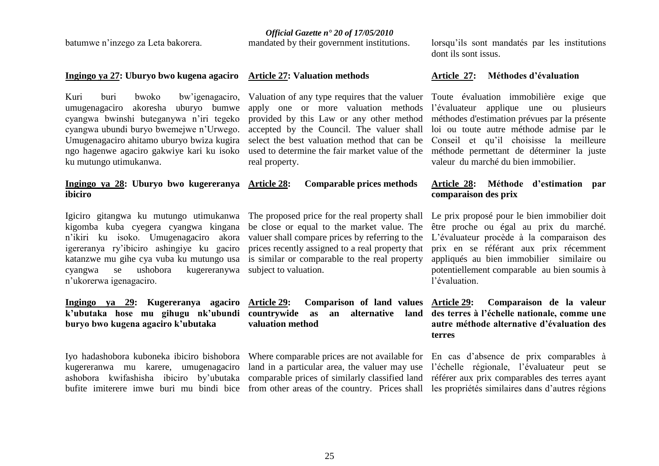batumwe n"inzego za Leta bakorera.

**ibiciro**

*Official Gazette n° 20 of 17/05/2010*

mandated by their government institutions.

#### **Ingingo ya 27: Uburyo bwo kugena agaciro Article 27: Valuation methods**

Kuri buri bwoko bw"igenagaciro, umugenagaciro akoresha uburyo bumwe cyangwa bwinshi buteganywa n"iri tegeko cyangwa ubundi buryo bwemejwe n"Urwego. Umugenagaciro ahitamo uburyo bwiza kugira ngo hagenwe agaciro gakwiye kari ku isoko ku mutungo utimukanwa.

real property.

**Ingingo ya 28: Uburyo bwo kugereranya Article 28: Comparable prices methods** 

Igiciro gitangwa ku mutungo utimukanwa The proposed price for the real property shall Le prix proposé pour le bien immobilier doit kigomba kuba cyegera cyangwa kingana n"ikiri ku isoko. Umugenagaciro akora valuer shall compare prices by referring to the igereranya ry"ibiciro ashingiye ku gaciro prices recently assigned to a real property that katanzwe mu gihe cya vuba ku mutungo usa is similar or comparable to the real property cyangwa se ushobora kugereranywa subject to valuation. n"ukorerwa igenagaciro.

#### **Ingingo ya 29: Kugereranya agaciro k"ubutaka hose mu gihugu nk"ubundi buryo bwo kugena agaciro k"ubutaka**

kugereranwa mu karere, umugenagaciro

be close or equal to the market value. The

**Article 29: Comparison of land values countrywide as an alternative land des terres à l"échelle nationale, comme une valuation method**

Iyo hadashobora kuboneka ibiciro bishobora Where comparable prices are not available for En cas d'absence de prix comparables à ashobora kwifashisha ibiciro by"ubutaka comparable prices of similarly classified land référer aux prix comparables des terres ayant bufite imiterere imwe buri mu bindi bice from other areas of the country. Prices shall les propriétés similaires dans d"autres régions land in a particular area, the valuer may use l'échelle régionale, l'évaluateur peut se

lorsqu"ils sont mandatés par les institutions dont ils sont issus.

#### **Article 27: Méthodes d"évaluation**

Valuation of any type requires that the valuer Toute évaluation immobilière exige que apply one or more valuation methods l"évaluateur applique une ou plusieurs provided by this Law or any other method méthodes d'estimation prévues par la présente accepted by the Council. The valuer shall loi ou toute autre méthode admise par le select the best valuation method that can be Conseil et qu"il choisisse la meilleure used to determine the fair market value of the méthode permettant de déterminer la juste valeur du marché du bien immobilier.

#### **Article 28: Méthode d"estimation par comparaison des prix**

être proche ou égal au prix du marché. L"évaluateur procède à la comparaison des prix en se référant aux prix récemment appliqués au bien immobilier similaire ou potentiellement comparable au bien soumis à l"évaluation.

### **Article 29: Comparaison de la valeur autre méthode alternative d"évaluation des terres**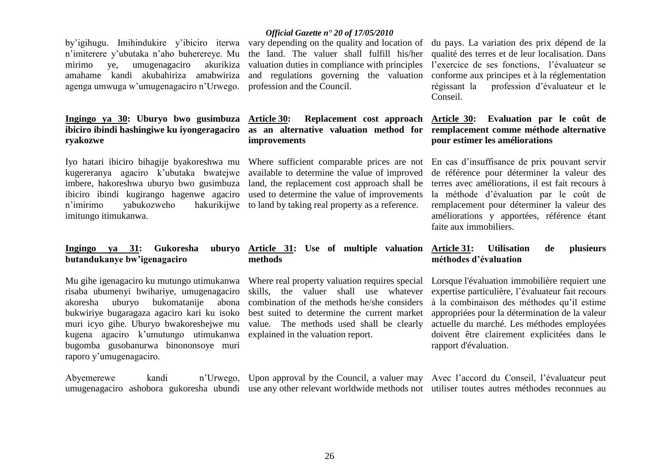Abyemerewe kandi

raporo y"umugenagaciro.

best suited to determine the current market value. The methods used shall be clearly explained in the valuation report.

## **methods**

land, the replacement cost approach shall be used to determine the value of improvements hakurikijwe to land by taking real property as a reference.

### **as an alternative valuation method for remplacement comme méthode alternative Article 30: Evaluation par le coût de pour estimer les améliorations**

En cas d"insuffisance de prix pouvant servir de référence pour déterminer la valeur des terres avec améliorations, il est fait recours à la méthode d"évaluation par le coût de remplacement pour déterminer la valeur des améliorations y apportées, référence étant faite aux immobiliers.

#### **Article 31: Use of multiple valuation Article 31: Utilisation de plusieurs méthodes d"évaluation**

Lorsque l'évaluation immobilière requiert une expertise particulière, l"évaluateur fait recours à la combinaison des méthodes qu"il estime appropriées pour la détermination de la valeur actuelle du marché. Les méthodes employées doivent être clairement explicitées dans le rapport d'évaluation.

umugenagaciro ashobora gukoresha ubundi use any other relevant worldwide methods not utiliser toutes autres méthodes reconnues au Upon approval by the Council, a valuer may Avec l"accord du Conseil, l"évaluateur peut

#### *Official Gazette n° 20 of 17/05/2010*

agenga umwuga w"umugenagaciro n"Urwego. profession and the Council. akurikiza valuation duties in compliance with principles

### **Article 30: Replacement cost approach improvements**

Where sufficient comparable prices are not available to determine the value of improved

Iyo hatari ibiciro bihagije byakoreshwa mu kugereranya agaciro k"ubutaka bwatejwe imbere, hakoreshwa uburyo bwo gusimbuza ibiciro ibindi kugirango hagenwe agaciro n'imirimo vabukozweho imitungo itimukanwa.

n"imiterere y"ubutaka n"aho buherereye. Mu

amahame kandi akubahiriza amabwiriza

**Ingingo ya 30: Uburyo bwo gusimbuza ibiciro ibindi hashingiwe ku iyongeragaciro** 

mirimo ve, umugenagaciro

**ryakozwe**

#### **Ingingo va 31: Gukoresha butandukanye bw"igenagaciro**

Mu gihe igenagaciro ku mutungo utimukanwa risaba ubumenyi bwihariye, umugenagaciro akoresha uburyo bukomatanije abona bukwiriye bugaragaza agaciro kari ku isoko muri icyo gihe. Uburyo bwakoreshejwe mu kugena agaciro k"umutungo utimukanwa bugomba gusobanurwa binononsoye muri combination of the methods he/she considers

### Where real property valuation requires special skills, the valuer shall use whatever

by'igihugu. Imihindukire y'ibiciro iterwa vary depending on the quality and location of du pays. La variation des prix dépend de la the land. The valuer shall fulfill his/her qualité des terres et de leur localisation. Dans and regulations governing the valuation conforme aux principes et à la réglementation l"exercice de ses fonctions, l"évaluateur se régissant la profession d"évaluateur et le Conseil.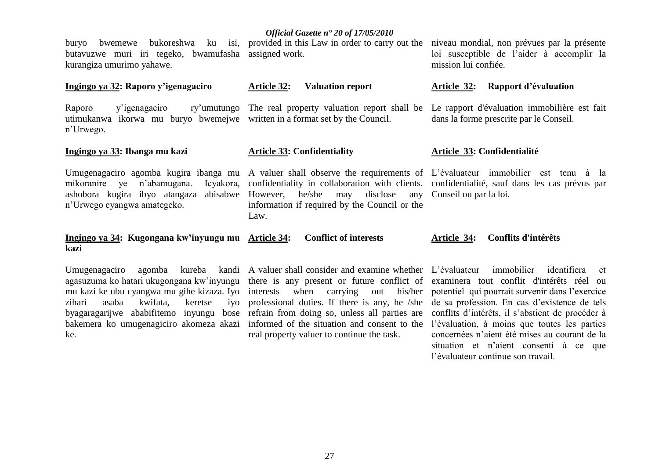**Article 32: Valuation report**

buryo bwemewe bukoreshwa ku isi, provided in this Law in order to carry out the niveau mondial, non prévues par la présente butavuzwe muri iri tegeko, bwamufasha assigned work. kurangiza umurimo yahawe.

#### **Ingingo ya 32: Raporo y"igenagaciro**

Raporo y'igenagaciro utimukanwa ikorwa mu buryo bwemejwe written in a format set by the Council. n"Urwego.

#### **Ingingo ya 33: Ibanga mu kazi**

**Article 33: Confidentiality**

mikoranire ye n'abamugana. n"Urwego cyangwa amategeko.

ashobora kugira ibyo atangaza abisabwe However, he/she may disclose any Conseil ou par la loi. confidentiality in collaboration with clients. confidentialité, sauf dans les cas prévus par information if required by the Council or the Law.

### loi susceptible de l"aider à accomplir la mission lui confiée.

#### **Article 32: Rapport d"évaluation**

The real property valuation report shall be Le rapport d'évaluation immobilière est fait dans la forme prescrite par le Conseil.

#### **Article 33: Confidentialité**

Umugenagaciro agomba kugira ibanga mu A valuer shall observe the requirements of L'évaluateur immobilier est tenu à la

#### **Ingingo ya 34: Kugongana kw"inyungu mu kazi Conflict of interests Article 34: Conflits d'intérêts**

Umugenagaciro agomba kureba zihari asaba kwifata, keretse ke.

agasuzuma ko hatari ukugongana kw"inyungu there is any present or future conflict of mu kazi ke ubu cyangwa mu gihe kizaza. Iyo interests when carrying out his/her potentiel qui pourrait survenir dans l"exercice byagaragarijwe ababifitemo inyungu bose refrain from doing so, unless all parties are conflits d"intérêts, il s"abstient de procéder à bakemera ko umugenagiciro akomeza akazi informed of the situation and consent to the l"évaluation, à moins que toutes les parties ivo professional duties. If there is any, he /she real property valuer to continue the task.

A valuer shall consider and examine whether L"évaluateur immobilier identifiera et examinera tout conflit d'intérêts réel ou de sa profession. En cas d"existence de tels concernées n"aient été mises au courant de la situation et n"aient consenti à ce que l"évaluateur continue son travail.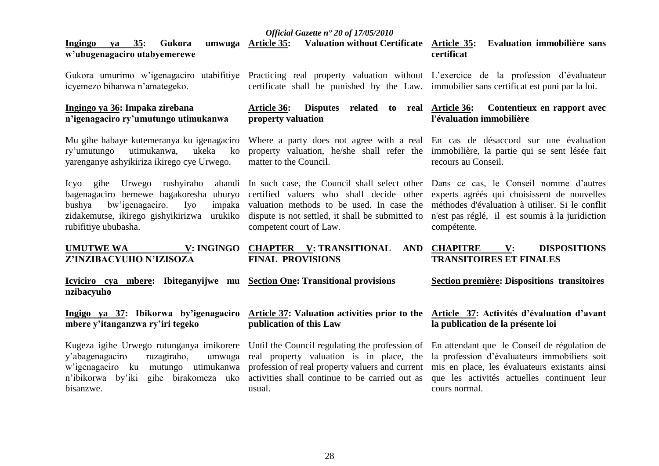#### *Official Gazette n° 20 of 17/05/2010* **Ingingo ya 35: Gukora umwuga w"ubugenagaciro utabyemerewe** Gukora umurimo w'igenagaciro utabifitiye Practicing real property valuation without L'exercice de la profession d'évaluateur icyemezo bihanwa n"amategeko. **Ingingo ya 36: Impaka zirebana n"igenagaciro ry"umutungo utimukanwa** Mu gihe habaye kutemeranya ku igenagaciro ry"umutungo utimukanwa, ukeka ko yarenganye ashyikiriza ikirego cye Urwego. Icyo gihe Urwego rushyiraho bagenagaciro bemewe bagakoresha uburyo certified valuers who shall decide other experts agréés qui choisissent de nouvelles bushya bw'igenagaciro. Iyo zidakemutse, ikirego gishyikirizwa urukiko dispute is not settled, it shall be submitted to n'est pas réglé, il est soumis à la juridiction rubifitiye ububasha. **UMUTWE** WA **Z"INZIBACYUHO N"IZISOZA Icyiciro cya mbere: Ibiteganyijwe mu Section One: Transitional provisions nzibacyuho Ingigo ya 37: Ibikorwa by"igenagaciro mbere y"itanganzwa ry"iri tegeko**  Kugeza igihe Urwego rutunganya imikorere Until the Council regulating the profession of En attendant que le Conseil de régulation de y"abagenagaciro ruzagiraho, umwuga w"igenagaciro ku mutungo utimukanwa profession of real property valuers and current mis en place, les évaluateurs existants ainsi n'ibikorwa by'iki gihe birakomeza uko activities shall continue to be carried out as que les activités actuelles continuent leur bisanzwe. **Article 35: Valuation without Certificate Article 35: Evaluation immobilière sans**  certificate shall be punished by the Law. immobilier sans certificat est puni par la loi. **Article 36: Disputes related to real property valuation**  Where a party does not agree with a real En cas de désaccord sur une évaluation property valuation, he/she shall refer the immobilière, la partie qui se sent lésée fait matter to the Council. In such case, the Council shall select other Dans ce cas, le Conseil nomme d"autres valuation methods to be used. In case the méthodes d'évaluation à utiliser. Si le conflit competent court of Law. **CHAPTER V: TRANSITIONAL AND FINAL PROVISIONS Article 37: Valuation activities prior to the Article 37: Activités d"évaluation d"avant publication of this Law** real property valuation is in place, the usual. **certificat Contentieux en rapport avec l'évaluation immobilière** recours au Conseil. compétente. **CHAPITRE V: DISPOSITIONS TRANSITOIRES ET FINALES Section première: Dispositions transitoires la publication de la présente loi**  la profession d"évaluateurs immobiliers soit cours normal.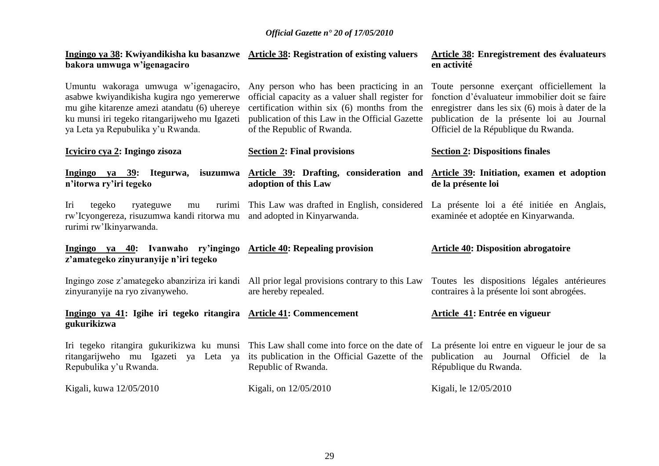| Ingingo ya 38: Kwiyandikisha ku basanzwe Article 38: Registration of existing valuers<br>bakora umwuga w'igenagaciro                                                                                                     |                                                                                                                                                                                                                               | Article 38: Enregistrement des évaluateurs<br>en activité                                                                                                                                                                           |
|--------------------------------------------------------------------------------------------------------------------------------------------------------------------------------------------------------------------------|-------------------------------------------------------------------------------------------------------------------------------------------------------------------------------------------------------------------------------|-------------------------------------------------------------------------------------------------------------------------------------------------------------------------------------------------------------------------------------|
| Umuntu wakoraga umwuga w'igenagaciro,<br>asabwe kwiyandikisha kugira ngo yemererwe<br>mu gihe kitarenze amezi atandatu (6) uhereye<br>ku munsi iri tegeko ritangarijweho mu Igazeti<br>ya Leta ya Repubulika y'u Rwanda. | Any person who has been practicing in an<br>official capacity as a valuer shall register for<br>certification within six (6) months from the<br>publication of this Law in the Official Gazette<br>of the Republic of Rwanda. | Toute personne exerçant officiellement la<br>fonction d'évaluateur immobilier doit se faire<br>enregistrer dans les six (6) mois à dater de la<br>publication de la présente loi au Journal<br>Officiel de la République du Rwanda. |
| Icyiciro cya 2: Ingingo zisoza                                                                                                                                                                                           | <b>Section 2: Final provisions</b>                                                                                                                                                                                            | <b>Section 2: Dispositions finales</b>                                                                                                                                                                                              |
| n'itorwa ry'iri tegeko                                                                                                                                                                                                   | Ingingo ya 39: Itegurwa, isuzumwa Article 39: Drafting, consideration and Article 39: Initiation, examen et adoption<br>adoption of this Law                                                                                  | de la présente loi                                                                                                                                                                                                                  |
| Iri<br>tegeko<br>ryateguwe<br>mu<br>rw'Icyongereza, risuzumwa kandi ritorwa mu and adopted in Kinyarwanda.<br>rurimi rw'Ikinyarwanda.                                                                                    | rurimi This Law was drafted in English, considered La présente loi a été initiée en Anglais,                                                                                                                                  | examinée et adoptée en Kinyarwanda.                                                                                                                                                                                                 |
| Ingingo ya 40: Ivanwaho ry'ingingo Article 40: Repealing provision<br>z'amategeko zinyuranyije n'iri tegeko                                                                                                              |                                                                                                                                                                                                                               | <b>Article 40: Disposition abrogatoire</b>                                                                                                                                                                                          |
| zinyuranyije na ryo zivanyweho.                                                                                                                                                                                          | Ingingo zose z'amategeko abanziriza iri kandi All prior legal provisions contrary to this Law Toutes les dispositions légales antérieures<br>are hereby repealed.                                                             | contraires à la présente loi sont abrogées.                                                                                                                                                                                         |
| Ingingo ya 41: Igihe iri tegeko ritangira Article 41: Commencement<br>gukurikizwa                                                                                                                                        |                                                                                                                                                                                                                               | Article 41: Entrée en vigueur                                                                                                                                                                                                       |
|                                                                                                                                                                                                                          |                                                                                                                                                                                                                               | Iri tegeko ritangira gukurikizwa ku munsi This Law shall come into force on the date of La présente loi entre en vigueur le jour de sa                                                                                              |
| Repubulika y'u Rwanda.                                                                                                                                                                                                   | ritangarijweho mu Igazeti ya Leta ya its publication in the Official Gazette of the<br>Republic of Rwanda.                                                                                                                    | publication au Journal Officiel de la<br>République du Rwanda.                                                                                                                                                                      |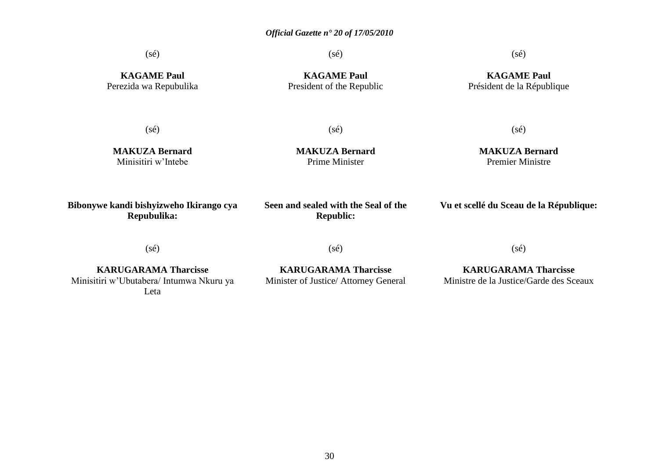(sé)

(sé)

(sé)

**KAGAME Paul** Perezida wa Repubulika

**KAGAME Paul** President of the Republic

#### **KAGAME Paul** Président de la République

(sé)

(sé)

**MAKUZA Bernard** Minisitiri w"Intebe

**MAKUZA Bernard** Prime Minister

#### **MAKUZA Bernard**  Premier Ministre

(sé)

**Bibonywe kandi bishyizweho Ikirango cya Repubulika:**

**Seen and sealed with the Seal of the Republic:**

**Vu et scellé du Sceau de la République:**

(sé)

(sé)

**KARUGARAMA Tharcisse** Minisitiri w"Ubutabera/ Intumwa Nkuru ya Leta

**KARUGARAMA Tharcisse** Minister of Justice/ Attorney General (sé)

**KARUGARAMA Tharcisse** Ministre de la Justice/Garde des Sceaux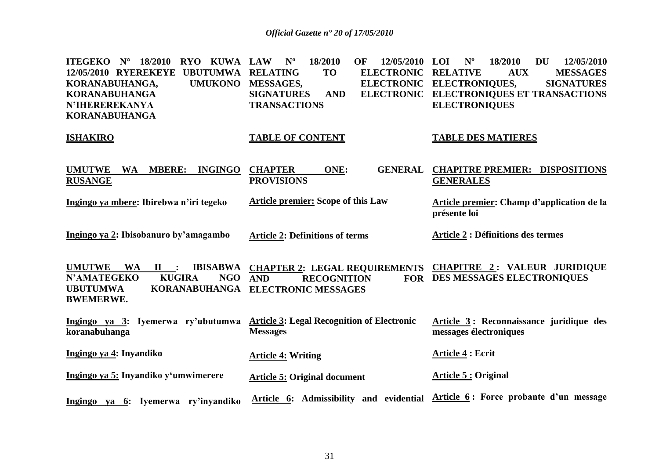| <b>ITEGEKO</b> N°<br>18/2010<br>RYO KUWA<br>12/05/2010 RYEREKEYE<br><b>UBUTUMWA</b><br>KORANABUHANGA,<br><b>UMUKONO</b><br><b>KORANABUHANGA</b><br><b>N'IHEREREKANYA</b><br><b>KORANABUHANGA</b> | 18/2010<br><b>LAW</b><br>$N^{\rm o}$<br>OF<br>12/05/2010<br><b>RELATING</b><br><b>TO</b><br><b>ELECTRONIC</b><br>MESSAGES,<br><b>SIGNATURES</b><br><b>AND</b><br><b>TRANSACTIONS</b> | $N^{\rm o}$<br>18/2010<br>LOI<br><b>DU</b><br>12/05/2010<br><b>RELATIVE</b><br><b>MESSAGES</b><br><b>AUX</b><br>ELECTRONIC ELECTRONIQUES,<br><b>SIGNATURES</b><br>ELECTRONIC ELECTRONIQUES ET TRANSACTIONS<br><b>ELECTRONIQUES</b> |
|--------------------------------------------------------------------------------------------------------------------------------------------------------------------------------------------------|--------------------------------------------------------------------------------------------------------------------------------------------------------------------------------------|------------------------------------------------------------------------------------------------------------------------------------------------------------------------------------------------------------------------------------|
| <b>ISHAKIRO</b>                                                                                                                                                                                  | <b>TABLE OF CONTENT</b>                                                                                                                                                              | <b>TABLE DES MATIERES</b>                                                                                                                                                                                                          |
| <b>MBERE:</b><br><b>INGINGO</b><br><b>UMUTWE</b><br><b>WA</b><br><b>RUSANGE</b>                                                                                                                  | <b>CHAPTER</b><br>ONE:<br><b>GENERAL</b><br><b>PROVISIONS</b>                                                                                                                        | <b>CHAPITRE PREMIER: DISPOSITIONS</b><br><b>GENERALES</b>                                                                                                                                                                          |
| Ingingo ya mbere: Ibirebwa n'iri tegeko                                                                                                                                                          | <b>Article premier: Scope of this Law</b>                                                                                                                                            | Article premier: Champ d'application de la<br>présente loi                                                                                                                                                                         |
| Ingingo ya 2: Ibisobanuro by'amagambo                                                                                                                                                            | <b>Article 2: Definitions of terms</b>                                                                                                                                               | <b>Article 2 : Définitions des termes</b>                                                                                                                                                                                          |
| <b>UMUTWE</b><br><b>WA</b><br>$\mathbf{I}$ :<br><b>KUGIRA</b><br><b>N'AMATEGEKO</b><br>NGO<br><b>UBUTUMWA</b><br><b>BWEMERWE.</b>                                                                | IBISABWA CHAPTER 2: LEGAL REQUIREMENTS CHAPITRE 2: VALEUR JURIDIQUE<br><b>AND</b><br><b>RECOGNITION</b><br>KORANABUHANGA ELECTRONIC MESSAGES                                         | FOR DES MESSAGES ELECTRONIQUES                                                                                                                                                                                                     |
| Ingingo ya 3: Iyemerwa ry'ubutumwa Article 3: Legal Recognition of Electronic<br>koranabuhanga                                                                                                   | <b>Messages</b>                                                                                                                                                                      | Article 3: Reconnaissance juridique des<br>messages électroniques                                                                                                                                                                  |
| Ingingo ya 4: Inyandiko                                                                                                                                                                          | <b>Article 4: Writing</b>                                                                                                                                                            | Article 4 : Ecrit                                                                                                                                                                                                                  |
| Ingingo ya 5: Inyandiko y'umwimerere                                                                                                                                                             | <b>Article 5: Original document</b>                                                                                                                                                  | <b>Article 5: Original</b>                                                                                                                                                                                                         |
| Ingingo ya 6: Iyemerwa ry'inyandiko                                                                                                                                                              | Article 6: Admissibility and evidential                                                                                                                                              | Article 6: Force probante d'un message                                                                                                                                                                                             |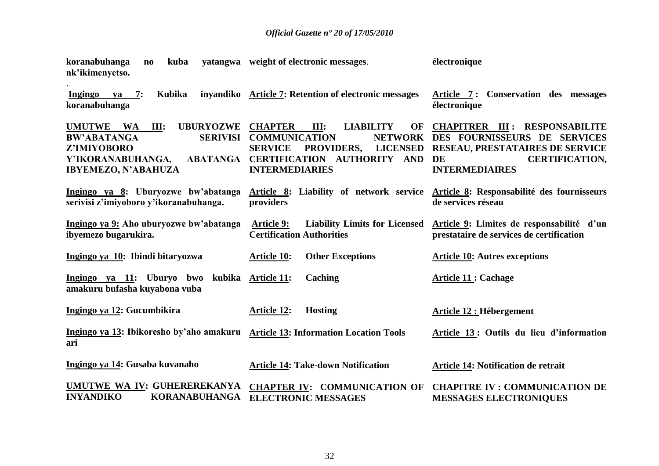| kuba<br>koranabuhanga<br>$\mathbf{n}\mathbf{o}$<br>nk'ikimenyetso.                                                                               | vatangwa weight of electronic messages.                                                                                                                                                                        | électronique                                                                                                                                                    |
|--------------------------------------------------------------------------------------------------------------------------------------------------|----------------------------------------------------------------------------------------------------------------------------------------------------------------------------------------------------------------|-----------------------------------------------------------------------------------------------------------------------------------------------------------------|
| Kubika<br>Ingingo<br>7:<br>va<br>koranabuhanga                                                                                                   | inyandiko Article 7: Retention of electronic messages                                                                                                                                                          | Article 7: Conservation des messages<br>électronique                                                                                                            |
| UMUTWE WA<br>III:<br><b>UBURYOZWE</b><br><b>SERIVISI</b><br><b>BW'ABATANGA</b><br>Z'IMIYOBORO<br>Y'IKORANABUHANGA,<br><b>IBYEMEZO, N'ABAHUZA</b> | <b>CHAPTER</b><br>III:<br><b>LIABILITY</b><br>OF<br><b>COMMUNICATION</b><br><b>NETWORK</b><br><b>SERVICE</b><br>PROVIDERS,<br><b>LICENSED</b><br>ABATANGA CERTIFICATION AUTHORITY AND<br><b>INTERMEDIARIES</b> | <b>CHAPITRER III: RESPONSABILITE</b><br>DES FOURNISSEURS DE SERVICES<br>RESEAU, PRESTATAIRES DE SERVICE<br><b>CERTIFICATION,</b><br>DE<br><b>INTERMEDIAIRES</b> |
| Ingingo ya 8: Uburyozwe bw'abatanga<br>serivisi z'imiyoboro y'ikoranabuhanga.                                                                    | Article 8: Liability of network service<br>providers                                                                                                                                                           | Article 8: Responsabilité des fournisseurs<br>de services réseau                                                                                                |
| Ingingo ya 9: Aho uburyozwe bw'abatanga<br>ibyemezo bugarukira.                                                                                  | <b>Article 9:</b><br><b>Liability Limits for Licensed</b><br><b>Certification Authorities</b>                                                                                                                  | Article 9: Limites de responsabilité d'un<br>prestataire de services de certification                                                                           |
| Ingingo ya 10: Ibindi bitaryozwa                                                                                                                 | <b>Article 10:</b><br><b>Other Exceptions</b>                                                                                                                                                                  | <b>Article 10: Autres exceptions</b>                                                                                                                            |
| Ingingo ya 11: Uburyo bwo kubika<br>amakuru bufasha kuyabona vuba                                                                                | Caching<br><b>Article 11:</b>                                                                                                                                                                                  | <b>Article 11: Cachage</b>                                                                                                                                      |
| Ingingo ya 12: Gucumbikira                                                                                                                       | <b>Hosting</b><br><b>Article 12:</b>                                                                                                                                                                           | Article 12 : Hébergement                                                                                                                                        |
| Ingingo ya 13: Ibikoresho by'aho amakuru Article 13: Information Location Tools<br>ari                                                           |                                                                                                                                                                                                                | Article 13: Outils du lieu d'information                                                                                                                        |
| Ingingo ya 14: Gusaba kuvanaho                                                                                                                   | <b>Article 14: Take-down Notification</b>                                                                                                                                                                      | <b>Article 14: Notification de retrait</b>                                                                                                                      |
| UMUTWE WA IV: GUHEREREKANYA<br><b>INYANDIKO</b><br><b>KORANABUHANGA</b>                                                                          | <b>CHAPTER IV: COMMUNICATION OF</b><br><b>ELECTRONIC MESSAGES</b>                                                                                                                                              | <b>CHAPITRE IV: COMMUNICATION DE</b><br><b>MESSAGES ELECTRONIQUES</b>                                                                                           |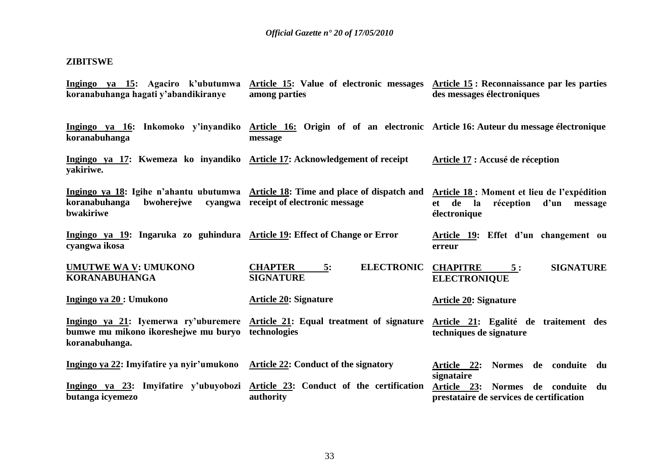#### **ZIBITSWE**

**koranabuhanga.**

**Ingingo ya 15: Agaciro k"ubutumwa koranabuhanga hagati y"abandikiranye Article 15: Value of electronic messages Article 15 : Reconnaissance par les parties among parties des messages électroniques**

**Ingingo ya 16: Inkomoko y"inyandiko Article 16: Origin of of an electronic Article 16: Auteur du message électronique koranabuhanga message**

**Ingingo ya 17: Kwemeza ko inyandiko Article 17: Acknowledgement of receipt yakiriwe. Article 17 : Accusé de réception**

**Ingingo ya 18: Igihe n"ahantu ubutumwa Article 18: Time and place of dispatch and Article 18 : Moment et lieu de l"expédition koranabuhanga bwohereiwe bwakiriwe receipt of electronic message et de la réception d"un message électronique** 

**Ingingo ya 19: Ingaruka zo guhindura Article 19: Effect of Change or Error cyangwa ikosa Article 19: Effet d"un changement ou erreur**

**UMUTWE WA V: UMUKONO KORANABUHANGA CHAPTER 5: ELECTRONIC CHAPITRE 5 : SIGNATURE SIGNATURE ELECTRONIQUE**

**Ingingo ya 20 : Umukono Ingingo ya 21: Iyemerwa ry"uburemere Article 21: Equal treatment of signature Article 21: Egalité de traitement des bumwe mu mikono ikoreshejwe mu buryo technologies Article 20: Signature Article 20: Signature techniques de signature**

**Ingingo ya 22: Imyifatire ya nyir"umukono Article 22: Conduct of the signatory Ingingo ya 23: Imyifatire y"ubuyobozi Article 23: Conduct of the certification butanga icyemezo authority Article 22: Normes de conduite du signataire Article 23: Normes de conduite du prestataire de services de certification**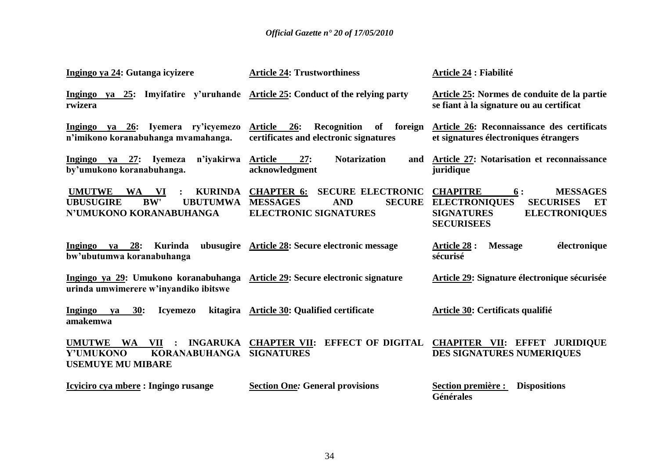| Ingingo ya 24: Gutanga icyizere                                                                                                    | <b>Article 24: Trustworthiness</b>                                                                                              | Article 24 : Fiabilité                                                                                                                                       |
|------------------------------------------------------------------------------------------------------------------------------------|---------------------------------------------------------------------------------------------------------------------------------|--------------------------------------------------------------------------------------------------------------------------------------------------------------|
| Ingingo ya 25: Imyifatire y'uruhande Article 25: Conduct of the relying party<br>rwizera                                           |                                                                                                                                 | Article 25: Normes de conduite de la partie<br>se fiant à la signature ou au certificat                                                                      |
| Ingingo ya 26: Iyemera ry'icyemezo<br>n'imikono koranabuhanga mvamahanga.                                                          | of foreign<br><b>Article</b><br><b>26:</b><br>Recognition<br>certificates and electronic signatures                             | Article 26: Reconnaissance des certificats<br>et signatures électroniques étrangers                                                                          |
| Ingingo ya 27: Iyemeza<br>n'iyakirwa<br>by'umukono koranabuhanga.                                                                  | <b>Notarization</b><br><b>Article</b><br>27:<br>and<br>acknowledgment                                                           | Article 27: Notarisation et reconnaissance<br>juridique                                                                                                      |
| <b>UMUTWE</b><br><b>KURINDA</b><br><b>WA</b><br>VI<br><b>BW'</b><br><b>UBUTUMWA</b><br><b>UBUSUGIRE</b><br>N'UMUKONO KORANABUHANGA | <b>CHAPTER 6:</b><br><b>SECURE ELECTRONIC</b><br><b>SECURE</b><br><b>MESSAGES</b><br><b>AND</b><br><b>ELECTRONIC SIGNATURES</b> | <b>CHAPITRE</b><br><b>MESSAGES</b><br>6:<br><b>ELECTRONIQUES</b><br><b>SECURISES</b><br>ET<br><b>SIGNATURES</b><br><b>ELECTRONIQUES</b><br><b>SECURISEES</b> |
| Ingingo ya 28:<br>Kurinda<br>bw'ubutumwa koranabuhanga                                                                             | ubusugire Article 28: Secure electronic message                                                                                 | électronique<br><b>Article 28 :</b><br><b>Message</b><br>sécurisé                                                                                            |
| Ingingo ya 29: Umukono koranabuhanga Article 29: Secure electronic signature<br>urinda umwimerere w'inyandiko ibitswe              |                                                                                                                                 | Article 29: Signature électronique sécurisée                                                                                                                 |
| 30:<br>Ingingo<br><b>Icyemezo</b><br>ya<br>amakemwa                                                                                | kitagira Article 30: Qualified certificate                                                                                      | Article 30: Certificats qualifié                                                                                                                             |
| UMUTWE WA<br>VII<br>$\bullet$<br>KORANABUHANGA<br>Y'UMUKONO<br><b>USEMUYE MU MIBARE</b>                                            | INGARUKA CHAPTER VII: EFFECT OF DIGITAL<br><b>SIGNATURES</b>                                                                    | <b>CHAPITER VII: EFFET JURIDIQUE</b><br>DES SIGNATURES NUMERIQUES                                                                                            |
| Icyiciro cya mbere : Ingingo rusange                                                                                               | <b>Section One: General provisions</b>                                                                                          | <b>Dispositions</b><br>Section première :<br>Générales                                                                                                       |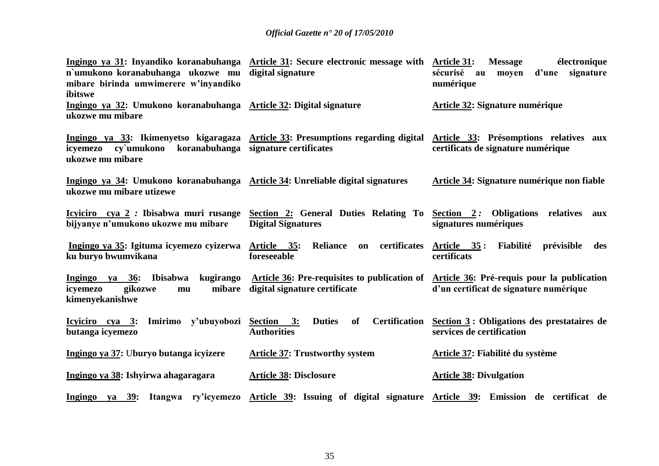| n'umukono koranabuhanga ukozwe mu digital signature<br>mibare birinda umwimerere w'inyandiko<br>ibitswe    | Ingingo ya 31: Inyandiko koranabuhanga Article 31: Secure electronic message with                                                                 | <b>Article 31:</b><br><b>Message</b><br>électronique<br>d'une signature<br>sécurisé<br>moyen<br>au<br>numérique                   |
|------------------------------------------------------------------------------------------------------------|---------------------------------------------------------------------------------------------------------------------------------------------------|-----------------------------------------------------------------------------------------------------------------------------------|
| Ingingo ya 32: Umukono koranabuhanga Article 32: Digital signature<br>ukozwe mu mibare                     |                                                                                                                                                   | <b>Article 32: Signature numérique</b>                                                                                            |
| icyemezo cy'umukono koranabuhanga signature certificates<br>ukozwe mu mibare                               | Ingingo ya 33: Ikimenyetso kigaragaza Article 33: Presumptions regarding digital                                                                  | Article 33: Présomptions relatives aux<br>certificats de signature numérique                                                      |
| Ingingo ya 34: Umukono koranabuhanga Article 34: Unreliable digital signatures<br>ukozwe mu mibare utizewe |                                                                                                                                                   | <b>Article 34: Signature numérique non fiable</b>                                                                                 |
| bijyanye n'umukono ukozwe mu mibare                                                                        | <u>Icyiciro cya 2</u> : Ibisabwa muri rusange Section 2: General Duties Relating To Section 2: Obligations relatives<br><b>Digital Signatures</b> | aux<br>signatures numériques                                                                                                      |
| Ingingo ya 35: Igituma icyemezo cyizerwa Article 35:<br>ku buryo bwumvikana                                | on certificates<br><b>Reliance</b><br>foreseeable                                                                                                 | Article 35: Fiabilité<br>prévisible<br>des<br>certificats                                                                         |
| kugirango<br>Ingingo ya 36:<br>Ibisabwa<br>gikozwe<br>mibare<br>icyemezo<br>mu<br>kimenyekanishwe          | digital signature certificate                                                                                                                     | Article 36: Pre-requisites to publication of Article 36: Pré-requis pour la publication<br>d'un certificat de signature numérique |
| <u>Icyiciro cya 3:</u> Imirimo y'ubuyobozi<br>butanga icyemezo                                             | <b>Duties</b><br><b>of</b><br><b>Certification</b><br>Section 3:<br><b>Authorities</b>                                                            | Section 3: Obligations des prestataires de<br>services de certification                                                           |
| Ingingo ya 37: Uburyo butanga icyizere                                                                     | <b>Article 37: Trustworthy system</b>                                                                                                             | Article 37: Fiabilité du système                                                                                                  |
| Ingingo ya 38: Ishyirwa ahagaragara                                                                        | <b>Article 38: Disclosure</b>                                                                                                                     | <b>Article 38: Divulgation</b>                                                                                                    |
|                                                                                                            | Ingingo ya 39: Itangwa ry'icyemezo Article 39: Issuing of digital signature Article 39: Emission de certificat de                                 |                                                                                                                                   |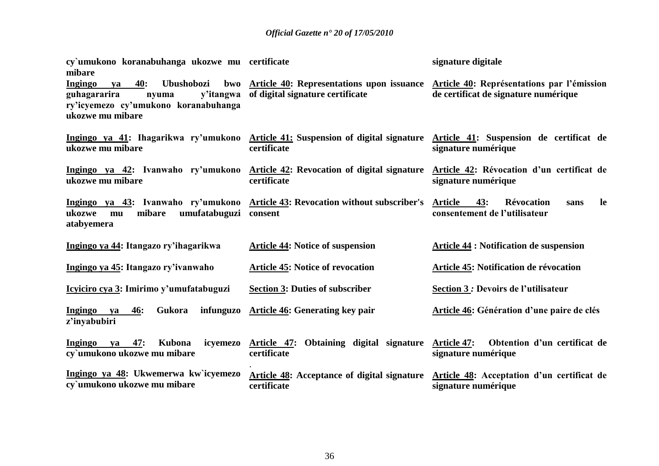| cy'umukono koranabuhanga ukozwe mu certificate<br>mibare                                                                                    |                                                                                                                                         | signature digitale                                                                        |
|---------------------------------------------------------------------------------------------------------------------------------------------|-----------------------------------------------------------------------------------------------------------------------------------------|-------------------------------------------------------------------------------------------|
| 40:<br>Ubushobozi<br><b>Ingingo</b><br>ya<br>guhagararira<br>y'itangwa<br>nyuma<br>ry'icyemezo cy'umukono koranabuhanga<br>ukozwe mu mibare | bwo Article 40: Representations upon issuance Article 40: Représentations par l'émission<br>of digital signature certificate            | de certificat de signature numérique                                                      |
| ukozwe mu mibare                                                                                                                            | Ingingo ya 41: Ihagarikwa ry'umukono Article 41: Suspension of digital signature Article 41: Suspension de certificat de<br>certificate | signature numérique                                                                       |
| Ingingo ya 42: Ivanwaho ry'umukono Article 42: Revocation of digital signature<br>ukozwe mu mibare                                          | certificate                                                                                                                             | Article 42: Révocation d'un certificat de<br>signature numérique                          |
| umufatabuguzi consent<br>mibare<br>ukozwe<br>mu<br>atabyemera                                                                               | Ingingo ya 43: Ivanwaho ry'umukono Article 43: Revocation without subscriber's                                                          | <b>Article</b><br>43:<br><b>Révocation</b><br>le<br>sans<br>consentement de l'utilisateur |
| Ingingo ya 44: Itangazo ry'ihagarikwa                                                                                                       | <b>Article 44: Notice of suspension</b>                                                                                                 | <b>Article 44 : Notification de suspension</b>                                            |
| Ingingo ya 45: Itangazo ry'ivanwaho                                                                                                         | <b>Article 45: Notice of revocation</b>                                                                                                 | Article 45: Notification de révocation                                                    |
| Icyiciro cya 3: Imirimo y'umufatabuguzi                                                                                                     | <b>Section 3: Duties of subscriber</b>                                                                                                  | <b>Section 3 : Devoirs de l'utilisateur</b>                                               |
| Gukora<br><b>46:</b><br>infunguzo<br>Ingingo<br>ya<br>z'inyabubiri                                                                          | <b>Article 46: Generating key pair</b>                                                                                                  | Article 46: Génération d'une paire de clés                                                |
| Kubona<br>Ingingo<br>47:<br>ya<br>cy'umukono ukozwe mu mibare                                                                               | icyemezo Article 47:<br>Obtaining digital signature<br>certificate                                                                      | Obtention d'un certificat de<br><b>Article 47:</b><br>signature numérique                 |
| Ingingo ya 48: Ukwemerwa kw`icyemezo<br>cy'umukono ukozwe mu mibare                                                                         | Article 48: Acceptance of digital signature Article 48: Acceptation d'un certificat de<br>certificate                                   | signature numérique                                                                       |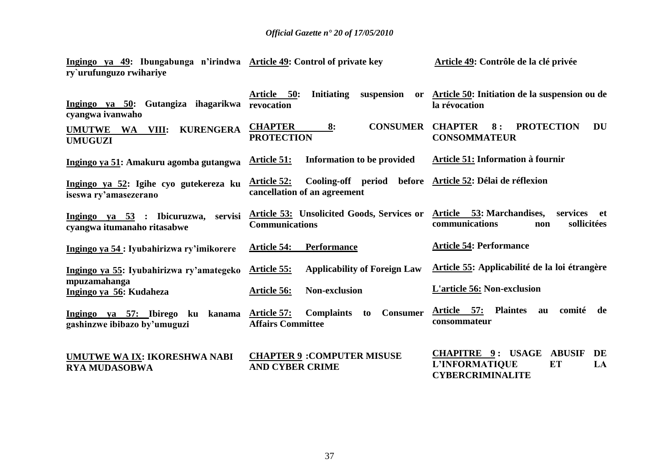**Ingingo ya 49: Ibungabunga n"irindwa Article 49: Control of private key ry`urufunguzo rwihariye Article 49: Contrôle de la clé privée**

| Ingingo ya 50: Gutangiza ihagarikwa<br>cyangwa ivanwaho                   | Article 50:<br><b>Initiating</b><br>suspension<br>or<br>revocation                                             | Article 50: Initiation de la suspension ou de<br>la révocation                                           |
|---------------------------------------------------------------------------|----------------------------------------------------------------------------------------------------------------|----------------------------------------------------------------------------------------------------------|
| <b>KURENGERA</b><br><b>UMUTWE</b><br><b>WA</b><br>VIII:<br><b>UMUGUZI</b> | <b>CHAPTER</b><br><b>CONSUMER</b><br>8:<br><b>PROTECTION</b>                                                   | <b>CHAPTER</b><br><b>PROTECTION</b><br>8:<br>DU<br><b>CONSOMMATEUR</b>                                   |
| Ingingo ya 51: Amakuru agomba gutangwa                                    | Information to be provided<br><b>Article 51:</b>                                                               | <b>Article 51: Information à fournir</b>                                                                 |
| Ingingo ya 52: Igihe cyo gutekereza ku<br>iseswa ry'amasezerano           | Cooling-off period before Article 52: Délai de réflexion<br><b>Article 52:</b><br>cancellation of an agreement |                                                                                                          |
| Ingingo ya $53$ : Ibicuruzwa,<br>servisi<br>cyangwa itumanaho ritasabwe   | Article 53: Unsolicited Goods, Services or<br><b>Communications</b>                                            | Article 53: Marchandises,<br>services<br>et<br>sollicitées<br>communications<br>non                      |
| Ingingo ya 54 : Iyubahirizwa ry'imikorere                                 | <b>Performance</b><br><b>Article 54:</b>                                                                       | <b>Article 54: Performance</b>                                                                           |
| Ingingo ya 55: Iyubahirizwa ry'amategeko                                  | <b>Applicability of Foreign Law</b><br><u>Article 55:</u>                                                      | Article 55: Applicabilité de la loi étrangère                                                            |
| mpuzamahanga<br>Ingingo ya 56: Kudaheza                                   | <b>Non-exclusion</b><br>Article 56:                                                                            | L'article 56: Non-exclusion                                                                              |
| Ingingo ya 57: Ibirego ku<br>kanama<br>gashinzwe ibibazo by'umuguzi       | <b>Complaints</b><br><b>Consumer</b><br><b>Article 57:</b><br>to<br><b>Affairs Committee</b>                   | Article 57:<br><b>Plaintes</b><br>comité<br>de<br>au<br>consommateur                                     |
| UMUTWE WA IX: IKORESHWA NABI<br><b>RYA MUDASOBWA</b>                      | <b>CHAPTER 9: COMPUTER MISUSE</b><br><b>AND CYBER CRIME</b>                                                    | <b>CHAPITRE 9: USAGE</b><br><b>ABUSIF</b><br>DE<br>L'INFORMATIQUE<br>ET<br>LA<br><b>CYBERCRIMINALITE</b> |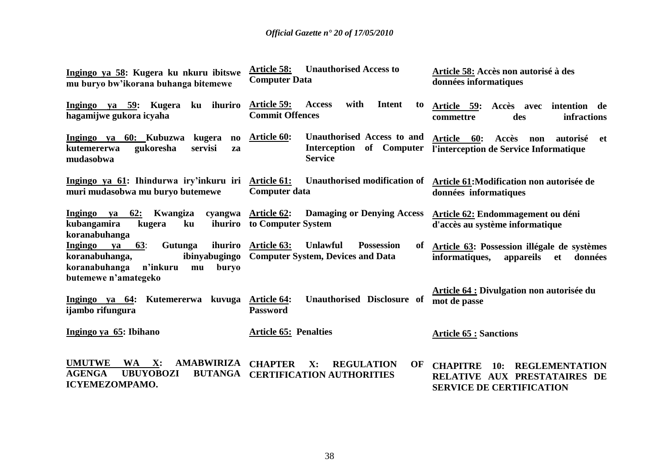| Ingingo ya 58: Kugera ku nkuru ibitswe<br>mu buryo bw'ikorana buhanga bitemewe                                                                 | <b>Unauthorised Access to</b><br><b>Article 58:</b><br><b>Computer Data</b>                                                             | Article 58: Accès non autorisé à des<br>données informatiques                                                      |  |  |  |
|------------------------------------------------------------------------------------------------------------------------------------------------|-----------------------------------------------------------------------------------------------------------------------------------------|--------------------------------------------------------------------------------------------------------------------|--|--|--|
| Ingingo ya 59: Kugera<br>ku ihuriro<br>hagamijwe gukora icyaha                                                                                 | with<br><b>Intent</b><br><b>Article 59:</b><br><b>Access</b><br>to<br><b>Commit Offences</b>                                            | Article 59:<br>Accès avec<br>intention de<br>infractions<br>des<br>commettre                                       |  |  |  |
| Ingingo ya 60: Kubuzwa<br>kugera<br>$\mathbf{n}\mathbf{o}$<br>servisi<br>gukoresha<br>kutemererwa<br>za<br>mudasobwa                           | Unauthorised Access to and<br><b>Article 60:</b><br>Interception<br>of Computer<br><b>Service</b>                                       | Article 60:<br>Accès<br>autorisé<br>non<br>-et<br>l'interception de Service Informatique                           |  |  |  |
| Ingingo ya 61: Ihindurwa iry'inkuru iri Article 61:<br>muri mudasobwa mu buryo butemewe                                                        | Unauthorised modification of<br><b>Computer data</b>                                                                                    | Article 61: Modification non autorisée de<br>données informatiques                                                 |  |  |  |
| Ingingo va 62:<br>Kwangiza<br>kubangamira<br>ihuriro<br>kugera<br>ku<br>koranabuhanga                                                          | cyangwa Article 62:<br><b>Damaging or Denying Access</b><br>to Computer System                                                          | <b>Article 62: Endommagement ou déni</b><br>d'accès au système informatique                                        |  |  |  |
| 63:<br>Gutunga<br>Ingingo ya<br>ihuriro<br>koranabuhanga,<br>ibinyabugingo<br>n'inkuru<br>koranabuhanga<br>buryo<br>mu<br>butemewe n'amategeko | <b>Article 63:</b><br><b>Unlawful</b><br><b>Possession</b><br>of<br><b>Computer System, Devices and Data</b>                            | Article 63: Possession illégale de systèmes<br>informatiques,<br>appareils<br><b>et</b><br>données                 |  |  |  |
| Ingingo ya 64: Kutemererwa<br>kuvuga<br>ijambo rifungura                                                                                       | <b>Article 64 : Divulgation non autorisée du</b><br>Unauthorised Disclosure of<br><b>Article 64:</b><br>mot de passe<br><b>Password</b> |                                                                                                                    |  |  |  |
| Ingingo ya 65: Ibihano                                                                                                                         | <b>Article 65: Penalties</b>                                                                                                            | <b>Article 65 : Sanctions</b>                                                                                      |  |  |  |
| <b>UMUTWE</b><br><b>AMABWIRIZA</b><br>WA X:<br><b>AGENGA</b><br><b>UBUYOBOZI</b><br><b>BUTANGA</b><br><b>ICYEMEZOMPAMO.</b>                    | <b>CHAPTER</b><br>X:<br><b>REGULATION</b><br>OF<br><b>CERTIFICATION AUTHORITIES</b>                                                     | <b>CHAPITRE</b><br><b>REGLEMENTATION</b><br>10:<br>RELATIVE AUX PRESTATAIRES DE<br><b>SERVICE DE CERTIFICATION</b> |  |  |  |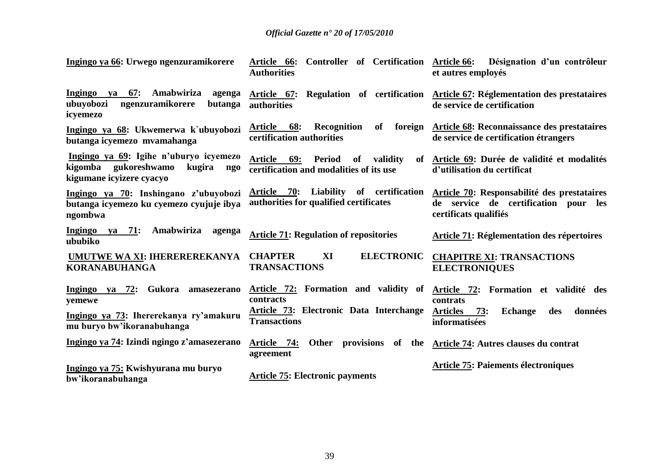| Ingingo ya 66: Urwego ngenzuramikorere                                                                      | Article 66: Controller of Certification Article 66:<br><b>Authorities</b>                          | Désignation d'un contrôleur<br>et autres employés                                                                  |  |  |
|-------------------------------------------------------------------------------------------------------------|----------------------------------------------------------------------------------------------------|--------------------------------------------------------------------------------------------------------------------|--|--|
| va 67:<br>Amabwiriza<br>Ingingo<br>agenga<br>ubuyobozi<br>ngenzuramikorere<br>butanga<br>icyemezo           | authorities                                                                                        | Article 67: Regulation of certification Article 67: Réglementation des prestataires<br>de service de certification |  |  |
| Ingingo ya 68: Ukwemerwa k`ubuyobozi<br>butanga icyemezo mvamahanga                                         | Article 68:<br>Recognition<br>of<br>certification authorities                                      | foreign Article 68: Reconnaissance des prestataires<br>de service de certification étrangers                       |  |  |
| Ingingo ya 69: Igihe n'uburyo icyemezo<br>kigomba gukoreshwamo<br>kugira<br>ngo<br>kigumane icyizere cyacyo | <b>Article</b><br>69:<br>Period<br>validity<br>of<br>of<br>certification and modalities of its use | Article 69: Durée de validité et modalités<br>d'utilisation du certificat                                          |  |  |
| Ingingo ya 70: Inshingano z'ubuyobozi<br>butanga icyemezo ku cyemezo cyujuje ibya<br>ngombwa                | Article 70: Liability of certification<br>authorities for qualified certificates                   | Article 70: Responsabilité des prestataires<br>de service de certification pour les<br>certificats qualifiés       |  |  |
| Ingingo ya 71:<br>Amabwiriza<br>agenga<br>ububiko                                                           | <b>Article 71: Regulation of repositories</b>                                                      | Article 71: Réglementation des répertoires                                                                         |  |  |
| <b>UMUTWE WA XI: IHEREREREKANYA</b><br><b>KORANABUHANGA</b>                                                 | <b>CHAPTER</b><br><b>ELECTRONIC</b><br>XI<br><b>TRANSACTIONS</b>                                   | <b>CHAPITRE XI: TRANSACTIONS</b><br><b>ELECTRONIQUES</b>                                                           |  |  |
| Ingingo ya 72: Gukora amasezerano<br>yemewe                                                                 | Article 72: Formation and validity of<br>contracts                                                 | Article 72: Formation et validité des<br>contrats                                                                  |  |  |
| Ingingo ya 73: Ihererekanya ry'amakuru<br>mu buryo bw'ikoranabuhanga                                        | Article 73: Electronic Data Interchange<br><b>Transactions</b>                                     | <b>Articles</b><br>73:<br><b>Echange</b><br>données<br>des<br>informatisées                                        |  |  |
| Ingingo ya 74: Izindi ngingo z'amasezerano                                                                  | Article 74:<br>Other provisions<br>agreement                                                       | of the <u>Article 74</u> : Autres clauses du contrat                                                               |  |  |
| Ingingo ya 75: Kwishyurana mu buryo<br>bw'ikoranabuhanga                                                    | <b>Article 75: Electronic payments</b>                                                             | <b>Article 75: Paiements électroniques</b>                                                                         |  |  |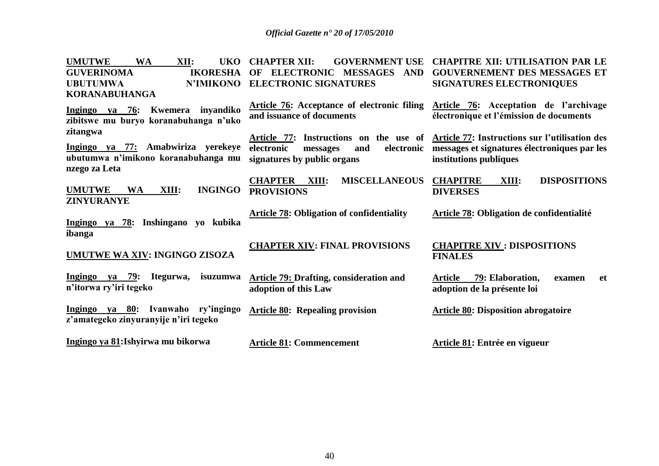| <b>UMUTWE</b><br><b>WA</b><br>XII:<br><b>UKO</b><br><b>GUVERINOMA</b><br><b>IKORESHA</b><br><b>UBUTUMWA</b><br><b>N'IMIKONO</b><br><b>KORANABUHANGA</b> | <b>CHAPTER XII:</b><br><b>GOVERNMENT USE</b><br><b>ELECTRONIC MESSAGES</b><br><b>AND</b><br>OF<br><b>ELECTRONIC SIGNATURES</b> | <b>CHAPITRE XII: UTILISATION PAR LE</b><br><b>GOUVERNEMENT DES MESSAGES ET</b><br><b>SIGNATURES ELECTRONIQUES</b>                                               |
|---------------------------------------------------------------------------------------------------------------------------------------------------------|--------------------------------------------------------------------------------------------------------------------------------|-----------------------------------------------------------------------------------------------------------------------------------------------------------------|
| ya 76:<br>Kwemera<br>inyandiko<br>Ingingo<br>zibitswe mu buryo koranabuhanga n'uko                                                                      | <b>Article 76:</b> Acceptance of electronic filing<br>and issuance of documents                                                | Article 76: Acceptation de l'archivage<br>électronique et l'émission de documents                                                                               |
| zitangwa<br>Ingingo ya 77: Amabwiriza yerekeye<br>ubutumwa n'imikono koranabuhanga mu<br>nzego za Leta                                                  | electronic<br>electronic<br>and<br>messages<br>signatures by public organs                                                     | Article 77: Instructions on the use of Article 77: Instructions sur l'utilisation des<br>messages et signatures électroniques par les<br>institutions publiques |
| <b>UMUTWE</b><br><b>WA</b><br><b>INGINGO</b><br>XIII:<br><b>ZINYURANYE</b>                                                                              | <b>CHAPTER</b><br><b>MISCELLANEOUS</b><br>XIII:<br><b>PROVISIONS</b>                                                           | <b>CHAPITRE</b><br><b>DISPOSITIONS</b><br>XIII:<br><b>DIVERSES</b>                                                                                              |
| Inshingano yo kubika<br>Ingingo ya 78:<br>ibanga                                                                                                        | <b>Article 78: Obligation of confidentiality</b>                                                                               | <b>Article 78: Obligation de confidentialité</b>                                                                                                                |
| UMUTWE WA XIV: INGINGO ZISOZA                                                                                                                           | <b>CHAPTER XIV: FINAL PROVISIONS</b>                                                                                           | <b>CHAPITRE XIV : DISPOSITIONS</b><br><b>FINALES</b>                                                                                                            |
| Ingingo ya 79:<br>Itegurwa,<br>isuzumwa<br>n'itorwa ry'iri tegeko                                                                                       | <b>Article 79: Drafting, consideration and</b><br>adoption of this Law                                                         | 79: Elaboration,<br><b>Article</b><br><b>et</b><br>examen<br>adoption de la présente loi                                                                        |
| Ingingo ya 80: Ivanwaho ry'ingingo<br>z'amategeko zinyuranyije n'iri tegeko                                                                             | <b>Article 80: Repealing provision</b>                                                                                         | <b>Article 80: Disposition abrogatoire</b>                                                                                                                      |
| Ingingo ya 81: Ishyirwa mu bikorwa                                                                                                                      | <b>Article 81: Commencement</b>                                                                                                | Article 81: Entrée en vigueur                                                                                                                                   |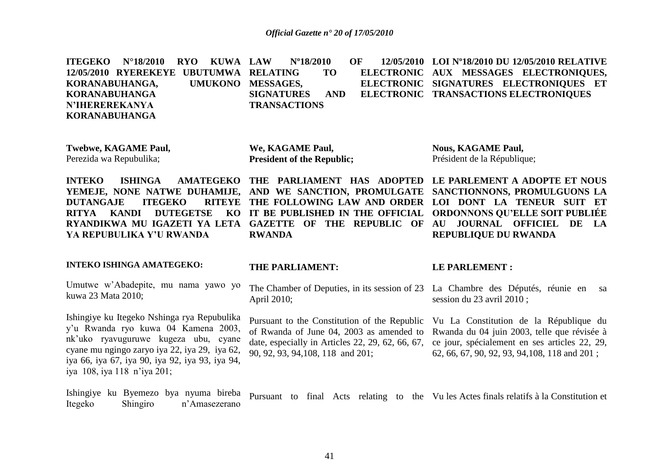|                       | ITEGEKO N°18/2010 RYO KUWA LAW N°18/2010  |  |                     |  | OF 12/05/2010 LOI N°18/2010 DU 12/05/2010 RELATIVE   |  |  |  |
|-----------------------|-------------------------------------------|--|---------------------|--|------------------------------------------------------|--|--|--|
|                       | 12/05/2010 RYEREKEYE UBUTUMWA RELATING TO |  |                     |  | ELECTRONIC AUX MESSAGES ELECTRONIQUES,               |  |  |  |
|                       | KORANABUHANGA, UMUKONO MESSAGES,          |  |                     |  | ELECTRONIC SIGNATURES ELECTRONIQUES ET               |  |  |  |
| KORANABUHANGA         |                                           |  |                     |  | SIGNATURES AND ELECTRONIC TRANSACTIONS ELECTRONIQUES |  |  |  |
| <b>N'IHEREREKANYA</b> |                                           |  | <b>TRANSACTIONS</b> |  |                                                      |  |  |  |
| KORANABUHANGA         |                                           |  |                     |  |                                                      |  |  |  |

**Twebwe, KAGAME Paul,** Perezida wa Repubulika;

**We, KAGAME Paul, President of the Republic;** **Nous, KAGAME Paul,** Président de la République;

**INTEKO ISHINGA AMATEGEKO THE PARLIAMENT HAS ADOPTED LE PARLEMENT A ADOPTE ET NOUS YEMEJE, NONE NATWE DUHAMIJE, AND WE SANCTION, PROMULGATE SANCTIONNONS, PROMULGUONS LA DUTANGAJE ITEGEKO RITYA KANDI DUTEGETSE** RYANDIKWA MU IGAZETI YA LETA GAZETTE OF THE REPUBLIC OF AU JOURNAL OFFICIEL DE LA **YA REPUBULIKA Y"U RWANDA RWANDA**

**THE FOLLOWING LAW AND ORDER LOI DONT LA TENEUR SUIT ET IT BE PUBLISHED IN THE OFFICIAL ORDONNONS QU"ELLE SOIT PUBLIÉE REPUBLIQUE DU RWANDA**

#### **INTEKO ISHINGA AMATEGEKO:**

Umutwe w"Abadepite, mu nama yawo yo kuwa 23 Mata 2010;

Ishingiye ku Itegeko Nshinga rya Repubulika y"u Rwanda ryo kuwa 04 Kamena 2003, nk"uko ryavuguruwe kugeza ubu, cyane cyane mu ngingo zaryo iya 22, iya 29, iya 62, iya 66, iya 67, iya 90, iya 92, iya 93, iya 94, iya 108, iya 118 n"iya 201;

#### **THE PARLIAMENT:**

The Chamber of Deputies, in its session of 23 La Chambre des Députés, réunie en sa April 2010;

of Rwanda of June 04, 2003 as amended to Rwanda du 04 juin 2003, telle que révisée à date, especially in Articles 22, 29, 62, 66, 67, ce jour, spécialement en ses articles 22, 29, 90, 92, 93, 94,108, 118 and 201;

#### **LE PARLEMENT :**

session du 23 avril 2010 ;

Pursuant to the Constitution of the Republic Vu La Constitution de la République du 62, 66, 67, 90, 92, 93, 94,108, 118 and 201 ;

Ishingiye ku Byemezo bya nyuma bireba Itegeko Shingiro n"Amasezerano Pursuant to final Acts relating to the Vu les Actes finals relatifs à la Constitution et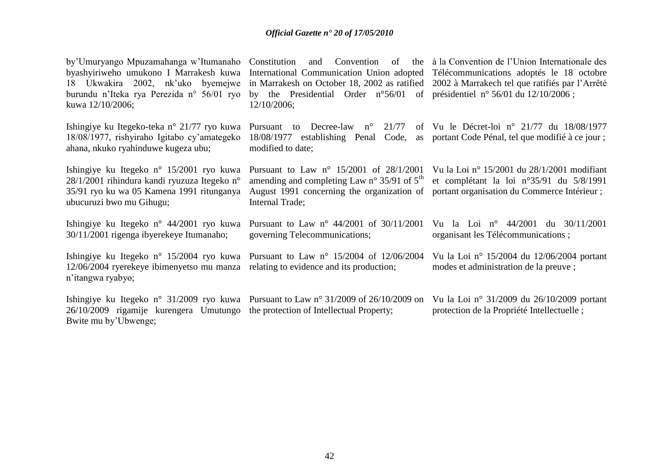| by'Umuryango Mpuzamahanga w'Itumanaho<br>byashyiriweho umukono I Marrakesh kuwa<br>18 Ukwakira 2002, nk'uko byemejwe<br>burundu n'Iteka rya Perezida n° 56/01 ryo<br>kuwa 12/10/2006; | Constitution<br>Convention<br>and<br>International Communication Union adopted Télécommunications adoptés le 18 octobre<br>in Marrakesh on October 18, 2002 as ratified 2002 à Marrakech tel que ratifiés par l'Arrêté<br>by the Presidential Order $n^{\circ}56/01$ of présidentiel $n^{\circ}56/01$ du $12/10/2006$ ;<br>12/10/2006; | of the à la Convention de l'Union Internationale des                                                                                     |
|---------------------------------------------------------------------------------------------------------------------------------------------------------------------------------------|----------------------------------------------------------------------------------------------------------------------------------------------------------------------------------------------------------------------------------------------------------------------------------------------------------------------------------------|------------------------------------------------------------------------------------------------------------------------------------------|
| Ishingiye ku Itegeko-teka n° 21/77 ryo kuwa<br>18/08/1977, rishyiraho Igitabo cy'amategeko<br>ahana, nkuko ryahinduwe kugeza ubu;                                                     | Pursuant to Decree-law n°<br>21/77<br>18/08/1977 establishing Penal Code, as portant Code Pénal, tel que modifié à ce jour ;<br>modified to date;                                                                                                                                                                                      | of Vu le Décret-loi n° 21/77 du $18/08/1977$                                                                                             |
| Ishingiye ku Itegeko n° 15/2001 ryo kuwa<br>$28/1/2001$ rihindura kandi ryuzuza Itegeko n°<br>35/91 ryo ku wa 05 Kamena 1991 ritunganya<br>ubucuruzi bwo mu Gihugu;                   | Pursuant to Law $n^{\circ}$ 15/2001 of 28/1/2001<br>amending and completing Law $n^{\circ}$ 35/91 of $5^{\text{th}}$<br>August 1991 concerning the organization of<br>Internal Trade;                                                                                                                                                  | Vu la Loi nº 15/2001 du $28/1/2001$ modifiant<br>et complétant la loi n°35/91 du 5/8/1991<br>portant organisation du Commerce Intérieur; |
| Ishingiye ku Itegeko n° 44/2001 ryo kuwa<br>30/11/2001 rigenga ibyerekeye Itumanaho;                                                                                                  | Pursuant to Law $n^{\circ}$ 44/2001 of 30/11/2001<br>governing Telecommunications;                                                                                                                                                                                                                                                     | Vu la Loi nº 44/2001 du 30/11/2001<br>organisant les Télécommunications;                                                                 |
| Ishingiye ku Itegeko n° 15/2004 ryo kuwa<br>12/06/2004 ryerekeye ibimenyetso mu manza<br>n'itangwa ryabyo;                                                                            | Pursuant to Law n° 15/2004 of 12/06/2004<br>relating to evidence and its production;                                                                                                                                                                                                                                                   | Vu la Loi nº 15/2004 du 12/06/2004 portant<br>modes et administration de la preuve;                                                      |
| 26/10/2009 rigamije kurengera Umutungo the protection of Intellectual Property;<br>Bwite mu by'Ubwenge;                                                                               | Ishingiye ku Itegeko n° 31/2009 ryo kuwa Pursuant to Law n° 31/2009 of 26/10/2009 on                                                                                                                                                                                                                                                   | Vu la Loi nº 31/2009 du 26/10/2009 portant<br>protection de la Propriété Intellectuelle;                                                 |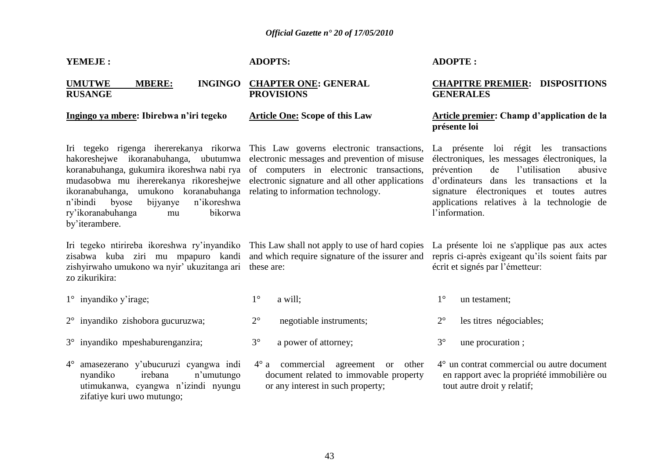| YEMEJE:                                                                                                                                                           | <b>ADOPTS:</b>                                                                                                                                                                                                                                                                                                                                                                 | <b>ADOPTE:</b>                                                                                                                                                                                                                                                                                   |  |  |  |
|-------------------------------------------------------------------------------------------------------------------------------------------------------------------|--------------------------------------------------------------------------------------------------------------------------------------------------------------------------------------------------------------------------------------------------------------------------------------------------------------------------------------------------------------------------------|--------------------------------------------------------------------------------------------------------------------------------------------------------------------------------------------------------------------------------------------------------------------------------------------------|--|--|--|
| <b>UMUTWE</b><br><b>MBERE:</b><br><b>INGINGO</b><br><b>RUSANGE</b>                                                                                                | <b>CHAPTER ONE: GENERAL</b><br><b>PROVISIONS</b>                                                                                                                                                                                                                                                                                                                               | <b>CHAPITRE PREMIER: DISPOSITIONS</b><br><b>GENERALES</b>                                                                                                                                                                                                                                        |  |  |  |
| Ingingo ya mbere: Ibirebwa n'iri tegeko                                                                                                                           | <b>Article One: Scope of this Law</b>                                                                                                                                                                                                                                                                                                                                          | Article premier: Champ d'application de la<br>présente loi                                                                                                                                                                                                                                       |  |  |  |
| mudasobwa mu ihererekanya rikoreshejwe<br>ikoranabuhanga,<br>n'ikoreshwa<br>n'ibindi<br>byose<br>bijyanye<br>bikorwa<br>ry'ikoranabuhanga<br>mu<br>by'iterambere. | Iri tegeko rigenga ihererekanya rikorwa This Law governs electronic transactions,<br>hakoreshejwe ikoranabuhanga, ubutumwa electronic messages and prevention of misuse<br>koranabuhanga, gukumira ikoreshwa nabi rya of computers in electronic transactions,<br>electronic signature and all other applications<br>umukono koranabuhanga relating to information technology. | La présente loi régit les transactions<br>électroniques, les messages électroniques, la<br>l'utilisation<br>prévention<br>de<br>abusive<br>d'ordinateurs dans les transactions et la<br>signature électroniques et toutes autres<br>applications relatives à la technologie de<br>l'information. |  |  |  |
| Iri tegeko ntirireba ikoreshwa ry'inyandiko<br>zisabwa kuba ziri mu mpapuro kandi<br>zishyirwaho umukono wa nyir' ukuzitanga ari<br>zo zikurikira:                | This Law shall not apply to use of hard copies<br>and which require signature of the issurer and<br>these are:                                                                                                                                                                                                                                                                 | La présente loi ne s'applique pas aux actes<br>repris ci-après exigeant qu'ils soient faits par<br>écrit et signés par l'émetteur:                                                                                                                                                               |  |  |  |
| $1^\circ$ inyandiko y'irage;                                                                                                                                      | $1^{\circ}$<br>a will;                                                                                                                                                                                                                                                                                                                                                         | $1^{\circ}$<br>un testament;                                                                                                                                                                                                                                                                     |  |  |  |
| $2^{\circ}$ inyandiko zishobora gucuruzwa;                                                                                                                        | $2^{\circ}$<br>negotiable instruments;                                                                                                                                                                                                                                                                                                                                         | $2^{\circ}$<br>les titres négociables;                                                                                                                                                                                                                                                           |  |  |  |
| 3° inyandiko mpeshaburenganzira;                                                                                                                                  | $3^{\circ}$<br>a power of attorney;                                                                                                                                                                                                                                                                                                                                            | $3^\circ$<br>une procuration;                                                                                                                                                                                                                                                                    |  |  |  |
| amasezerano y'ubucuruzi cyangwa indi<br>$4^{\circ}$<br>nyandiko<br>irebana<br>n'umutungo<br>utimukanwa, cyangwa n'izindi nyungu<br>zifatiye kuri uwo mutungo;     | $4^\circ$ a commercial agreement or other<br>document related to immovable property<br>or any interest in such property;                                                                                                                                                                                                                                                       | 4° un contrat commercial ou autre document<br>en rapport avec la propriété immobilière ou<br>tout autre droit y relatif;                                                                                                                                                                         |  |  |  |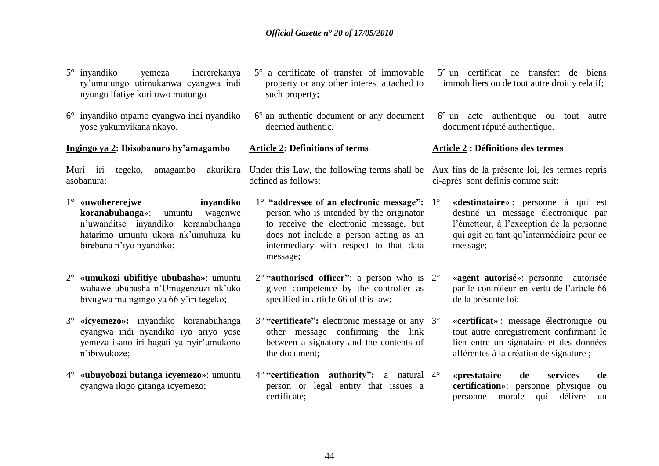- 5° inyandiko yemeza ihererekanya ry"umutungo utimukanwa cyangwa indi nyungu ifatiye kuri uwo mutungo
- 6° inyandiko mpamo cyangwa indi nyandiko yose yakumvikana nkayo.

#### **Ingingo ya 2: Ibisobanuro by"amagambo**

Muri iri tegeko, amagambo asobanura:

- 1° **«uwohererejwe inyandiko koranabuhanga»**: umuntu wagenwe n"uwanditse inyandiko koranabuhanga hatarimo umuntu ukora nk"umuhuza ku birebana n"iyo nyandiko;
- 2° **«umukozi ubifitiye ububasha»**: umuntu wahawe ububasha n"Umugenzuzi nk"uko bivugwa mu ngingo ya 66 y"iri tegeko;
- 3° **«icyemezo»:** inyandiko koranabuhanga cyangwa indi nyandiko iyo ariyo yose yemeza isano iri hagati ya nyir"umukono n"ibiwukoze;
- 4° **«ubuyobozi butanga icyemezo»**: umuntu cyangwa ikigo gitanga icyemezo;
- 5° a certificate of transfer of immovable property or any other interest attached to such property;
- 6° an authentic document or any document deemed authentic.

#### **Article 2: Definitions of terms**

defined as follows:

- 1° **"addressee of an electronic message":** person who is intended by the originator to receive the electronic message, but does not include a person acting as an intermediary with respect to that data message;
- 2° **"authorised officer"**: a person who is given competence by the controller as specified in article 66 of this law;
- 3° **"certificate":** electronic message or any other message confirming the link between a signatory and the contents of the document;
- 4° **"certification authority":** a natural person or legal entity that issues a certificate;
- 5° un certificat de transfert de biens immobiliers ou de tout autre droit y relatif;
- 6° un acte authentique ou tout autre document réputé authentique.

#### **Article 2 : Définitions des termes**

Under this Law, the following terms shall be Aux fins de la présente loi, les termes repris ci-après sont définis comme suit:

- 1° **«destinataire**» : personne à qui est destiné un message électronique par l"émetteur, à l"exception de la personne qui agit en tant qu"intermédiaire pour ce message;
- 2° «**agent autorisé**»: personne autorisée par le contrôleur en vertu de l"article 66 de la présente loi;
- 3° «**certificat**» : message électronique ou tout autre enregistrement confirmant le lien entre un signataire et des données afférentes à la création de signature ;
- 4° **«prestataire de services de certification»**: personne physique ou personne morale qui délivre un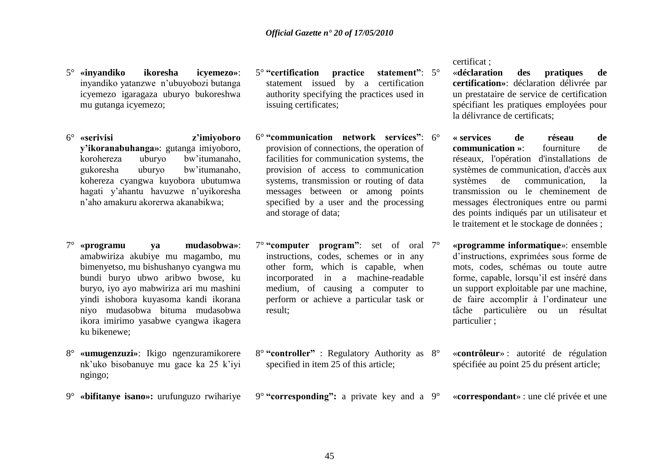- 5° **«inyandiko ikoresha icyemezo»**: inyandiko yatanzwe n"ubuyobozi butanga icyemezo igaragaza uburyo bukoreshwa mu gutanga icyemezo;
- 6° **«serivisi z"imiyoboro y"ikoranabuhanga»**: gutanga imiyoboro, korohereza uburyo bw"itumanaho, gukoresha uburyo bw"itumanaho, kohereza cyangwa kuyobora ubutumwa hagati y"ahantu havuzwe n"uyikoresha n"aho amakuru akorerwa akanabikwa;
- 7° **«programu ya mudasobwa»**: amabwiriza akubiye mu magambo, mu bimenyetso, mu bishushanyo cyangwa mu bundi buryo ubwo aribwo bwose, ku buryo, iyo ayo mabwiriza ari mu mashini yindi ishobora kuyasoma kandi ikorana niyo mudasobwa bituma mudasobwa ikora imirimo yasabwe cyangwa ikagera ku bikenewe;
- 8° **«umugenzuzi»**: Ikigo ngenzuramikorere nk"uko bisobanuye mu gace ka 25 k"iyi ngingo;
- 9° **«bifitanye isano»:** urufunguzo rwihariye
- 5° **"certification practice statement"**: statement issued by a certification authority specifying the practices used in issuing certificates;
- 6° **"communication network services"**: provision of connections, the operation of facilities for communication systems, the provision of access to communication systems, transmission or routing of data messages between or among points specified by a user and the processing and storage of data;
- 7° **"computer program"**: set of oral instructions, codes, schemes or in any other form, which is capable, when incorporated in a machine-readable medium, of causing a computer to perform or achieve a particular task or result;
- 8° **"controller"** : Regulatory Authority as specified in item 25 of this article;
- 9° **"corresponding":** a private key and a

certificat ;

- 5° «**déclaration des pratiques de certification»**: déclaration délivrée par un prestataire de service de certification spécifiant les pratiques employées pour la délivrance de certificats;
- 6° **« services de réseau de communication »**: fourniture de réseaux, l'opération d'installations de systèmes de communication, d'accès aux systèmes de communication, la transmission ou le cheminement de messages électroniques entre ou parmi des points indiqués par un utilisateur et le traitement et le stockage de données ;
- 7° **«programme informatique**»: ensemble d"instructions, exprimées sous forme de mots, codes, schémas ou toute autre forme, capable, lorsqu"il est inséré dans un support exploitable par une machine, de faire accomplir à l"ordinateur une tâche particulière ou un résultat particulier ;
- 8° «**contrôleur**» : autorité de régulation spécifiée au point 25 du présent article;
- 9° «**correspondant**» : une clé privée et une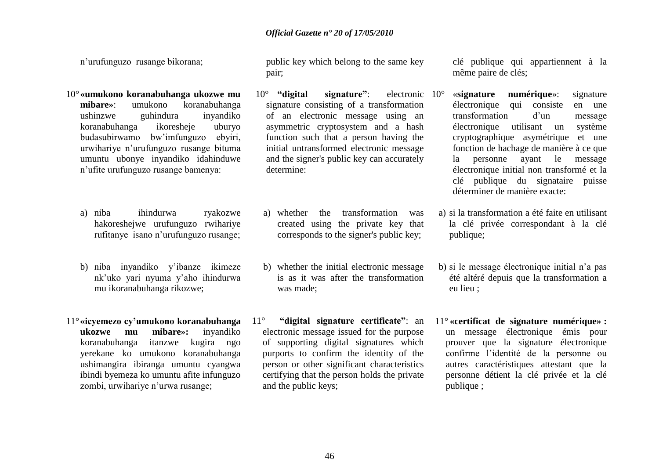n"urufunguzo rusange bikorana;

- 10°**«umukono koranabuhanga ukozwe mu mibare»**: umukono koranabuhanga ushinzwe guhindura inyandiko koranabuhanga ikoresheje uburyo budasubirwamo bw"imfunguzo ebyiri, urwihariye n"urufunguzo rusange bituma umuntu ubonye inyandiko idahinduwe n"ufite urufunguzo rusange bamenya:
	- a) niba ihindurwa ryakozwe hakoreshejwe urufunguzo rwihariye rufitanye isano n"urufunguzo rusange;
	- b) niba inyandiko y"ibanze ikimeze nk"uko yari nyuma y"aho ihindurwa mu ikoranabuhanga rikozwe;
- 11°**«icyemezo cy"umukono koranabuhanga ukozwe mu mibare»:** inyandiko koranabuhanga itanzwe kugira ngo yerekane ko umukono koranabuhanga ushimangira ibiranga umuntu cyangwa ibindi byemeza ko umuntu afite infunguzo zombi, urwihariye n'urwa rusange;

public key which belong to the same key pair;

- 10° **"digital signature"**: electronic signature consisting of a transformation of an electronic message using an asymmetric cryptosystem and a hash function such that a person having the initial untransformed electronic message and the signer's public key can accurately determine:
- a) whether the transformation was created using the private key that corresponds to the signer's public key;
- b) whether the initial electronic message is as it was after the transformation was made;
- 11° **"digital signature certificate"**: an electronic message issued for the purpose of supporting digital signatures which purports to confirm the identity of the person or other significant characteristics certifying that the person holds the private and the public keys;

clé publique qui appartiennent à la même paire de clés;

- 10° «**signature numérique**»: signature électronique qui consiste en une transformation d"un message électronique utilisant un système cryptographique asymétrique et une fonction de hachage de manière à ce que la personne ayant le message électronique initial non transformé et la clé publique du signataire puisse déterminer de manière exacte:
- a) si la transformation a été faite en utilisant la clé privée correspondant à la clé publique;
- b) si le message électronique initial n"a pas été altéré depuis que la transformation a eu lieu ;
- 11° **«certificat de signature numérique» :** un message électronique émis pour prouver que la signature électronique confirme l"identité de la personne ou autres caractéristiques attestant que la personne détient la clé privée et la clé publique ;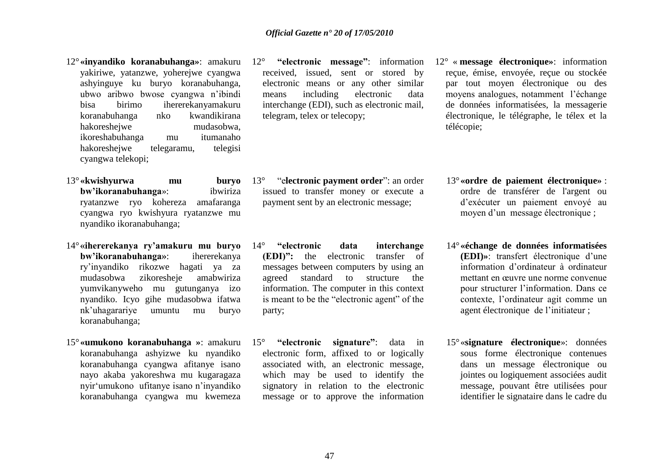- 12°**«inyandiko koranabuhanga»**: amakuru yakiriwe, yatanzwe, yoherejwe cyangwa ashyinguye ku buryo koranabuhanga, ubwo aribwo bwose cyangwa n"ibindi bisa birimo ihererekanyamakuru koranabuhanga nko kwandikirana hakoreshejwe mudasobwa, ikoreshabuhanga mu itumanaho hakoreshejwe telegaramu, telegisi cyangwa telekopi;
- 13°**«kwishyurwa mu buryo bw"ikoranabuhanga**»: ibwiriza ryatanzwe ryo kohereza amafaranga cyangwa ryo kwishyura ryatanzwe mu nyandiko ikoranabuhanga;
- 14°**«ihererekanya ry"amakuru mu buryo bw"ikoranabuhanga»**: ihererekanya ry"inyandiko rikozwe hagati ya za mudasobwa zikoresheje amabwiriza yumvikanyweho mu gutunganya izo nyandiko. Icyo gihe mudasobwa ifatwa nk"uhagarariye umuntu mu buryo koranabuhanga;
- 15°**«umukono koranabuhanga »**: amakuru koranabuhanga ashyizwe ku nyandiko koranabuhanga cyangwa afitanye isano nayo akaba yakoreshwa mu kugaragaza nyir"umukono ufitanye isano n"inyandiko koranabuhanga cyangwa mu kwemeza

12° **"electronic message"**: information received, issued, sent or stored by electronic means or any other similar means including electronic data interchange (EDI), such as electronic mail, telegram, telex or telecopy;

- 13° "e**lectronic payment order**": an order issued to transfer money or execute a payment sent by an electronic message;
- 14° **"electronic data interchange (EDI)":** the electronic transfer of messages between computers by using an agreed standard to structure the information. The computer in this context is meant to be the "electronic agent" of the party;
- 15° **"electronic signature"**: data in electronic form, affixed to or logically associated with, an electronic message, which may be used to identify the signatory in relation to the electronic message or to approve the information
- 12° « **message électronique»**: information reçue, émise, envoyée, reçue ou stockée par tout moyen électronique ou des moyens analogues, notamment l"échange de données informatisées, la messagerie électronique, le télégraphe, le télex et la télécopie;
	- 13°**«ordre de paiement électronique»** : ordre de transférer de l'argent ou d"exécuter un paiement envoyé au moyen d'un message électronique ;
	- 14°**«échange de données informatisées (EDI)»**: transfert électronique d"une information d"ordinateur à ordinateur mettant en œuvre une norme convenue pour structurer l"information. Dans ce contexte, l"ordinateur agit comme un agent électronique de l"initiateur ;
	- 15°«**signature électronique**»: données sous forme électronique contenues dans un message électronique ou jointes ou logiquement associées audit message, pouvant être utilisées pour identifier le signataire dans le cadre du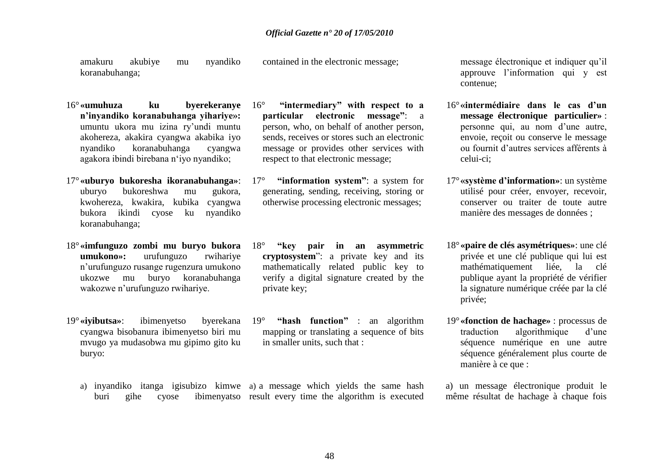amakuru akubiye mu nyandiko koranabuhanga; contained in the electronic message;

- 16°**«umuhuza ku byerekeranye n"inyandiko koranabuhanga yihariye»:** umuntu ukora mu izina ry"undi muntu akohereza, akakira cyangwa akabika iyo nyandiko koranabuhanga cyangwa agakora ibindi birebana n"iyo nyandiko;
- 17°**«uburyo bukoresha ikoranabuhanga»**: uburyo bukoreshwa mu gukora, kwohereza, kwakira, kubika cyangwa bukora ikindi cyose ku nyandiko koranabuhanga;
- 18°**«imfunguzo zombi mu buryo bukora umukono»:** urufunguzo rwihariye n"urufunguzo rusange rugenzura umukono ukozwe mu buryo koranabuhanga wakozwe n"urufunguzo rwihariye.
- 19°**«iyibutsa»**: ibimenyetso byerekana cyangwa bisobanura ibimenyetso biri mu mvugo ya mudasobwa mu gipimo gito ku buryo:
- 16° **"intermediary" with respect to a particular electronic message"**: a person, who, on behalf of another person, sends, receives or stores such an electronic message or provides other services with respect to that electronic message;
- 17° **"information system"**: a system for generating, sending, receiving, storing or otherwise processing electronic messages;
- 18° **"key pair in an asymmetric cryptosystem**": a private key and its mathematically related public key to verify a digital signature created by the private key;
- 19° **"hash function"** : an algorithm mapping or translating a sequence of bits in smaller units, such that :
- a) inyandiko itanga igisubizo kimwe a) a message which yields the same hash buri gihe cyose ibimenyatso result every time the algorithm is executed

message électronique et indiquer qu"il approuve l"information qui y est contenue;

- 16°**«intermédiaire dans le cas d"un message électronique particulier»** : personne qui, au nom d"une autre, envoie, reçoit ou conserve le message ou fournit d"autres services afférents à celui-ci;
- 17°**«système d"information»**: un système utilisé pour créer, envoyer, recevoir, conserver ou traiter de toute autre manière des messages de données ;
- 18°**«paire de clés asymétriques»**: une clé privée et une clé publique qui lui est mathématiquement liée, la clé publique ayant la propriété de vérifier la signature numérique créée par la clé privée;
- 19°**«fonction de hachage»** : processus de traduction algorithmique d"une séquence numérique en une autre séquence généralement plus courte de manière à ce que :
- a) un message électronique produit le même résultat de hachage à chaque fois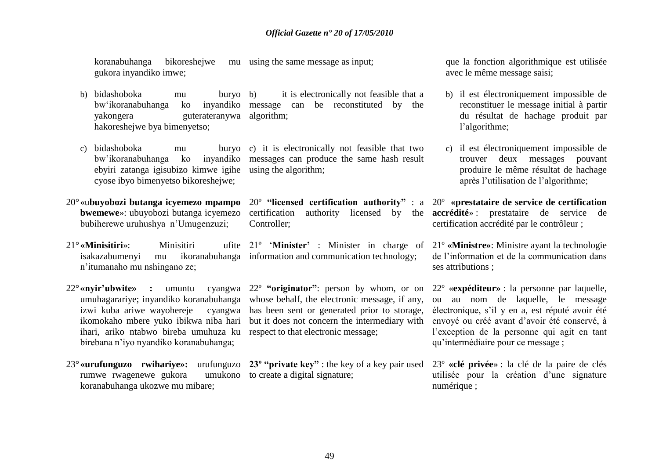koranabuhanga bikoreshejwe gukora inyandiko imwe; mu using the same message as input:

- b) bidashoboka mu buryo bw'ikoranabuhanga ko yakongera guterateranywa algorithm; hakoreshejwe bya bimenyetso; it is electronically not feasible that a inyandiko message can be reconstituted by the
- c) bidashoboka mu ebyiri zatanga igisubizo kimwe igihe using the algorithm; cyose ibyo bimenyetso bikoreshejwe;
- 20°«u**buyobozi butanga icyemezo mpampo bwemewe**»: ubuyobozi butanga icyemezo bubiherewe uruhushya n"Umugenzuzi;
- 21°**«Minisitiri**»<sup>:</sup> Minisitiri n"itumanaho mu nshingano ze;
- 22° «nyir'ubwite» : umuntu umuhagarariye; inyandiko koranabuhanga ihari, ariko ntabwo bireba umuhuza ku respect to that electronic message; birebana n"iyo nyandiko koranabuhanga;
- 23°**«urufunguzo rwihariye»:** urufunguzo **23º "private key"** : the key of a key pair used 23º **«clé privée**» : la clé de la paire de clés rumwe rwagenewe gukora koranabuhanga ukozwe mu mibare;

bw"ikoranabuhanga ko inyandiko messages can produce the same hash result buryo c) it is electronically not feasible that two

> 20º **"licensed certification authority"** : a 20º **«prestataire de service de certification**  certification authority licensed by the **accrédité**» : prestataire de service de Controller;

isakazabumenyi mu ikoranabuhanga information and communication technology;

izwi kuba ariwe wayohereje cyangwa has been sent or generated prior to storage, ikomokaho mbere yuko ibikwa niba hari but it does not concern the intermediary with 22º **"originator"**: person by whom, or on whose behalf, the electronic message, if any,

umukono to create a digital signature;

que la fonction algorithmique est utilisée avec le même message saisi;

- b) il est électroniquement impossible de reconstituer le message initial à partir du résultat de hachage produit par l"algorithme;
- c) il est électroniquement impossible de trouver deux messages pouvant produire le même résultat de hachage après l"utilisation de l"algorithme;

certification accrédité par le contrôleur ;

21º "**Minister"** : Minister in charge of 21º **«Ministre»**: Ministre ayant la technologie de l"information et de la communication dans ses attributions ;

> 22º «**expéditeur»** : la personne par laquelle, ou au nom de laquelle, le message électronique, s"il y en a, est réputé avoir été envoyé ou créé avant d"avoir été conservé, à l"exception de la personne qui agit en tant qu"intermédiaire pour ce message ;

utilisée pour la création d"une signature numérique ;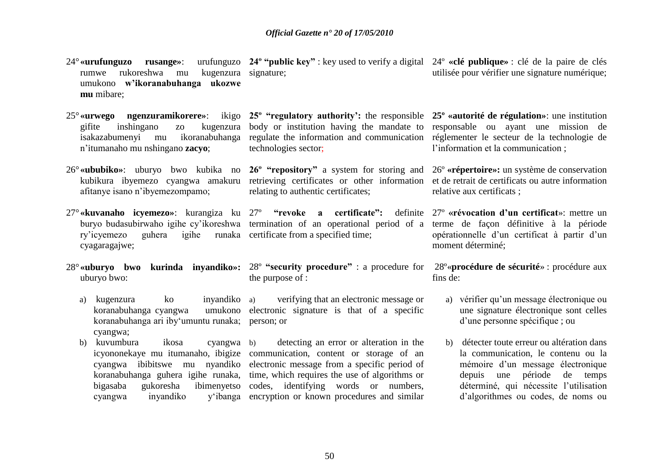24°**«urufunguzo rusange»**: rumwe rukoreshwa mu umukono **w"ikoranabuhanga ukozwe mu** mibare; **24º "public key"** : key used to verify a digital 24º **«clé publique»** : clé de la paire de clés kugenzura signature;

- gifite inshingano zo kugenzura isakazabumenyi mu ikoranabuhanga n"itumanaho mu nshingano **zacyo**;
- afitanye isano n"ibyemezompamo;
- ry"icyemezo guhera igihe runaka certificate from a specified time; cyagaragajwe;
- uburyo bwo:
	- a) kugenzura ko inyandiko koranabuhanga cyangwa koranabuhanga ari iby"umuntu runaka; person; or cyangwa;
	- b) kuvumbura ikosa cyangwa cyangwa inyandiko

25<sup>°</sup> «urwego ngenzuramikorere»: ikigo 25<sup>°</sup> "regulatory authority': the responsible 25<sup>°</sup> «autorité de régulation»: une institution body or institution having the mandate to responsable ou ayant une mission de regulate the information and communication réglementer le secteur de la technologie de technologies sector;

26°**«ububiko»**: uburyo bwo kubika no **26º "repository"** a system for storing and 26º **«répertoire»:** un système de conservation kubikura ibyemezo cyangwa amakuru retrieving certificates or other information et de retrait de certificats ou autre information relating to authentic certificates;

- 27°**«kuvanaho icyemezo»**: kurangiza ku 27º **"revoke a certificate":** definite buryo budasubirwaho igihe cy'ikoreshwa termination of an operational period of a terme de façon définitive à la période
- 28°**«uburyo bwo kurinda inyandiko»:** 28º **"security procedure"** : a procedure for 28º«**procédure de sécurité**» : procédure aux the purpose of :

a) verifying that an electronic message or umukono electronic signature is that of a specific

icyononekaye mu itumanaho, ibigize communication, content or storage of an cyangwa ibibitswe mu nyandiko electronic message from a specific period of koranabuhanga guhera igihe runaka, time, which requires the use of algorithms or bigasaba gukoresha ibimenyetso codes, identifying words or numbers, b) detecting an error or alteration in the encryption or known procedures and similar

utilisée pour vérifier une signature numérique;

l"information et la communication ;

relative aux certificats ;

27º **«révocation d"un certificat**»: mettre un opérationnelle d"un certificat à partir d"un moment déterminé;

fins de:

- a) vérifier qu'un message électronique ou une signature électronique sont celles d"une personne spécifique ; ou
- b) détecter toute erreur ou altération dans la communication, le contenu ou la mémoire d"un message électronique depuis une période de temps déterminé, qui nécessite l"utilisation d"algorithmes ou codes, de noms ou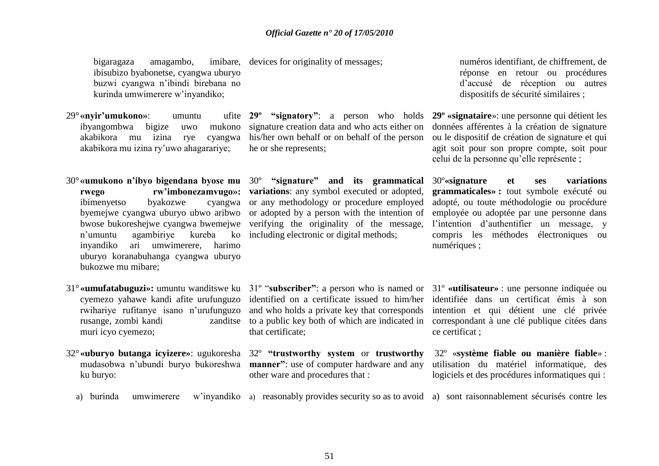bigaragaza amagambo, ibisubizo byabonetse, cyangwa uburyo buzwi cyangwa n"ibindi birebana no kurinda umwimerere w"inyandiko;

- 29° «nvir'umukono»: umuntu ibyangombwa bigize uwo mukono akabikora mu izina rye cyangwa akabikora mu izina ry"uwo ahagarariye;
- 30°**«umukono n"ibyo bigendana byose mu**  30º **"signature" and its grammatical rwego rw"imbonezamvugo»:** ibimenyetso byakozwe byemejwe cyangwa uburyo ubwo aribwo n"umuntu agambiriye kureba ko including electronic or digital methods; inyandiko ari umwimerere, harimo uburyo koranabuhanga cyangwa uburyo bukozwe mu mibare;
- 31°**«umufatabuguzi»:** umuntu wanditswe ku 31º "**subscriber"**: a person who is named or 31º **«utilisateur»** : une personne indiquée ou cyemezo yahawe kandi afite urufunguzo rwihariye rufitanye isano n"urufunguzo rusange, zombi kandi muri icyo cyemezo;
- 32°**«uburyo butanga icyizere»**: ugukoresha 32º **"trustworthy system** or **trustworthy**  ku buryo:

imibare, devices for originality of messages;

**29º "signatory"**: a person who holds **29º «signataire**»: une personne qui détient les signature creation data and who acts either on his/her own behalf or on behalf of the person he or she represents;

bwose bukoreshejwe cyangwa bwemejwe verifying the originality of the message, **variations**: any symbol executed or adopted, cyangwa or any methodology or procedure employed or adopted by a person with the intention of

numéros identifiant, de chiffrement, de réponse en retour ou procédures d"accusé de réception ou autres dispositifs de sécurité similaires ;

données afférentes à la création de signature ou le dispositif de création de signature et qui agit soit pour son propre compte, soit pour celui de la personne qu"elle représente ;

30º**«signature et ses variations grammaticales» :** tout symbole exécuté ou adopté, ou toute méthodologie ou procédure employée ou adoptée par une personne dans l"intention d"authentifier un message, y compris les méthodes électroniques ou numériques :

that certificate;

mudasobwa n'ubundi buryo bukoreshwa **manner**": use of computer hardware and any other ware and procedures that :

identified on a certificate issued to him/her identifiée dans un certificat émis à son and who holds a private key that corresponds intention et qui détient une clé privée to a public key both of which are indicated in correspondant à une clé publique citées dans ce certificat ;

> 32º «**système fiable ou manière fiable**» : utilisation du matériel informatique, des logiciels et des procédures informatiques qui :

a) burinda umwimerere w'inyandiko a) reasonably provides security so as to avoid a) sont raisonnablement sécurisés contre les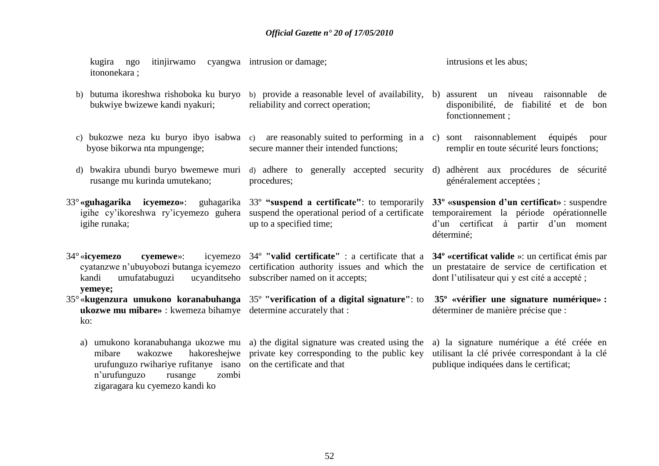kugira ngo itinjirwamo cyangwa intrusion or damage; itononekara ; intrusions et les abus;

b) butuma ikoreshwa rishoboka ku buryo b) provide a reasonable level of availability, b) assurent un niveau raisonnable de bukwiye bwizewe kandi nyakuri; reliability and correct operation;

procedures;

up to a specified time;

- c) bukozwe neza ku buryo ibyo isabwa c) are reasonably suited to performing in a c) sont raisonnablement équipés pour byose bikorwa nta mpungenge; secure manner their intended functions;
- d) bwakira ubundi buryo bwemewe muri rusange mu kurinda umutekano;
- 33°**«guhagarika icyemezo»**: guhagarika igihe cy'ikoreshwa ry'icyemezo guhera suspend the operational period of a certificate igihe runaka; 33º **"suspend a certificate"**: to temporarily
- 34° «**icvemezo** cyemewe»: kandi umufatabuguzi **yemeye;** ucyanditseho subscriber named on it accepts;
- 35°«**kugenzura umukono koranabuhanga**  35º **"verification of a digital signature"**: to **35º «vérifier une signature numérique» : ukozwe mu mibare»** : kwemeza bihamye determine accurately that :  $k^{\alpha}$ 
	- urufunguzo rwihariye rufitanye isano on the certificate and that n"urufunguzo rusange zombi zigaragara ku cyemezo kandi ko
	- a) umukono koranabuhanga ukozwe mu a) the digital signature was created using the a) la signature numérique a été créée en mibare wakozwe hakoreshejwe private key corresponding to the public key utilisant la clé privée correspondant à la clé
- disponibilité, de fiabilité et de bon fonctionnement ;
- remplir en toute sécurité leurs fonctions;
- d) adhere to generally accepted security d) adhèrent aux procédures de sécurité généralement acceptées ;

**33º «suspension d"un certificat»** : suspendre temporairement la période opérationnelle d"un certificat à partir d"un moment déterminé;

cyatanzwe n'ubuyobozi butanga icyemezo certification authority issues and which the un prestataire de service de certification et 34º **"valid certificate"** : a certificate that a **34º «certificat valide** »: un certificat émis par dont l"utilisateur qui y est cité a accepté ;

déterminer de manière précise que :

publique indiquées dans le certificat;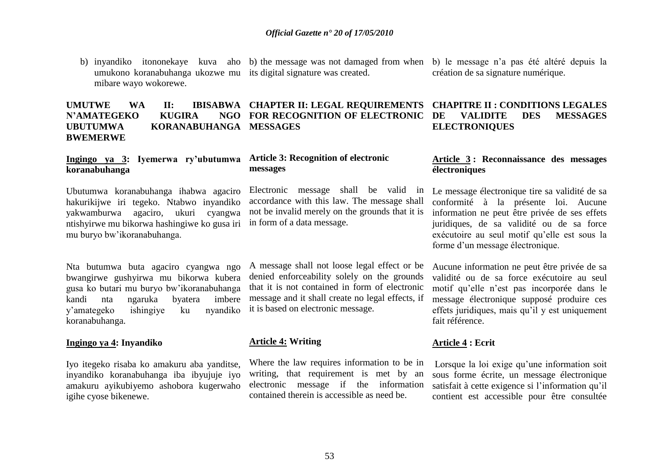b) inyandiko itononekaye kuva aho b) the message was not damaged from when b) le message n'a pas été altéré depuis la umukono koranabuhanga ukozwe mu its digital signature was created. mibare wayo wokorewe.

#### **UMUTWE WA II: IBISABWA CHAPTER II: LEGAL REQUIREMENTS N'AMATEGEKO KUGIRA UBUTUMWA KORANABUHANGA MESSAGES BWEMERWE NGO FOR RECOGNITION OF ELECTRONIC DE**

#### **Ingingo ya 3: Iyemerwa ry"ubutumwa koranabuhanga**

Ubutumwa koranabuhanga ihabwa agaciro hakurikijwe iri tegeko. Ntabwo inyandiko yakwamburwa agaciro, ukuri cyangwa ntishyirwe mu bikorwa hashingiwe ko gusa iri in form of a data message. mu buryo bw"ikoranabuhanga.

Nta butumwa buta agaciro cyangwa ngo bwangirwe gushyirwa mu bikorwa kubera gusa ko butari mu buryo bw"ikoranabuhanga kandi nta ngaruka byatera imbere y"amategeko ishingiye ku nyandiko koranabuhanga.

#### **Ingingo ya 4: Inyandiko**

Iyo itegeko risaba ko amakuru aba yanditse, inyandiko koranabuhanga iba ibyujuje iyo amakuru ayikubiyemo ashobora kugerwaho igihe cyose bikenewe.

#### **Article 3: Recognition of electronic messages**

Electronic message shall be valid in accordance with this law. The message shall not be invalid merely on the grounds that it is

A message shall not loose legal effect or be denied enforceability solely on the grounds that it is not contained in form of electronic message and it shall create no legal effects, if it is based on electronic message.

### **Article 4: Writing**

Where the law requires information to be in writing, that requirement is met by an electronic message if the information contained therein is accessible as need be.

création de sa signature numérique.

#### **CHAPITRE II : CONDITIONS LEGALES VALIDITE DES MESSAGES ELECTRONIQUES**

#### **Article 3 : Reconnaissance des messages électroniques**

Le message électronique tire sa validité de sa conformité à la présente loi. Aucune information ne peut être privée de ses effets juridiques, de sa validité ou de sa force exécutoire au seul motif qu"elle est sous la forme d"un message électronique.

Aucune information ne peut être privée de sa validité ou de sa force exécutoire au seul motif qu"elle n"est pas incorporée dans le message électronique supposé produire ces effets juridiques, mais qu"il y est uniquement fait référence.

### **Article 4 : Ecrit**

Lorsque la loi exige qu'une information soit sous forme écrite, un message électronique satisfait à cette exigence si l'information qu'il contient est accessible pour être consultée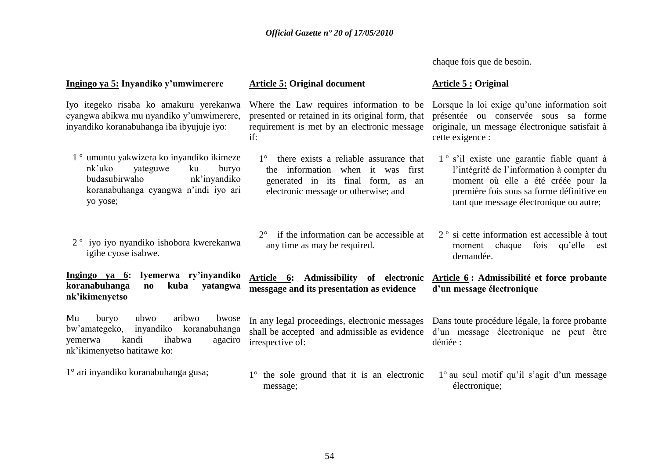chaque fois que de besoin.

#### **Ingingo ya 5: Inyandiko y"umwimerere**

Iyo itegeko risaba ko amakuru yerekanwa cyangwa abikwa mu nyandiko y"umwimerere, inyandiko koranabuhanga iba ibyujuje iyo:

- 1 º umuntu yakwizera ko inyandiko ikimeze nk"uko yateguwe ku buryo budasubirwaho nk"inyandiko koranabuhanga cyangwa n"indi iyo ari yo yose;
- 2 º iyo iyo nyandiko ishobora kwerekanwa igihe cyose isabwe.

**Ingingo ya 6: Iyemerwa ry"inyandiko koranabuhanga no kuba yatangwa nk"ikimenyetso**

Mu buryo ubwo aribwo bwose bw"amategeko, inyandiko koranabuhanga yemerwa kandi ihabwa agaciro nk"ikimenyetso hatitawe ko:

1° ari inyandiko koranabuhanga gusa;

#### **Article 5: Original document**

presented or retained in its original form, that requirement is met by an electronic message if:

- 1° there exists a reliable assurance that the information when it was first generated in its final form, as an electronic message or otherwise; and
- 2° if the information can be accessible at any time as may be required.

**messgage and its presentation as evidence** 

irrespective of:

### **Article 5 : Original**

Where the Law requires information to be Lorsque la loi exige qu'une information soit présentée ou conservée sous sa forme originale, un message électronique satisfait à cette exigence :

- 1 º s"il existe une garantie fiable quant à l"intégrité de l"information à compter du moment où elle a été créée pour la première fois sous sa forme définitive en tant que message électronique ou autre;
- 2 º si cette information est accessible à tout moment chaque fois qu'elle est demandée.

#### **Article 6: Admissibility of electronic Article 6 : Admissibilité et force probante d"un message électronique**

In any legal proceedings, electronic messages Dans toute procédure légale, la force probante shall be accepted and admissible as evidence d"un message électronique ne peut être déniée :

1° the sole ground that it is an electronic message;  $1^\circ$  au seul motif qu'il s'agit d'un message électronique;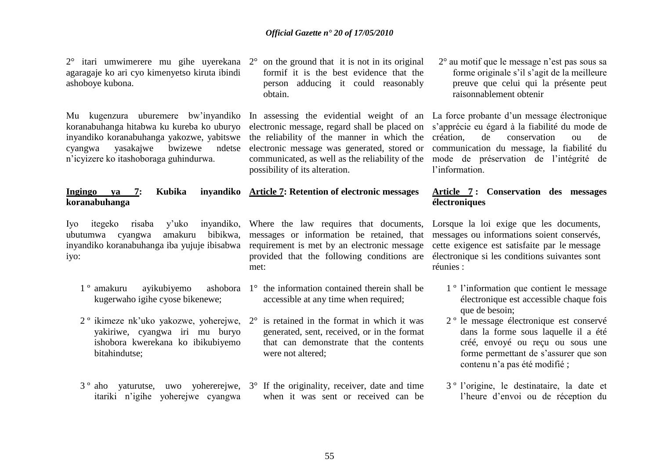2° itari umwimerere mu gihe uyerekana agaragaje ko ari cyo kimenyetso kiruta ibindi ashoboye kubona.

Mu kugenzura uburemere bw"inyandiko koranabuhanga hitabwa ku kureba ko uburyo inyandiko koranabuhanga yakozwe, yabitswe cyangwa yasakajwe bwizewe ndetse n"icyizere ko itashoboraga guhindurwa.

#### **Ingingo ya 7: Kubika koranabuhanga**

Iyo itegeko risaba y'uko ubutumwa cyangwa amakuru iyo:

- 1<sup>°</sup> amakuru avikubiyemo kugerwaho igihe cyose bikenewe;
- yakiriwe, cyangwa iri mu buryo ishobora kwerekana ko ibikubiyemo bitahindutse;
- itariki n"igihe yoherejwe cyangwa

2° on the ground that it is not in its original formif it is the best evidence that the person adducing it could reasonably obtain.

In assessing the evidential weight of an La force probante d'un message électronique electronic message, regard shall be placed on s"apprécie eu égard à la fiabilité du mode de the reliability of the manner in which the création. electronic message was generated, stored or communication du message, la fiabilité du communicated, as well as the reliability of the mode de préservation de l"intégrité de possibility of its alteration.

## **Article 7: Retention of electronic messages**

inyandiko koranabuhanga iba yujuje ibisabwa requirement is met by an electronic message inyandiko, Where the law requires that documents, messages or information be retained, that provided that the following conditions are met:

- ashobora  $1^\circ$  the information contained therein shall be accessible at any time when required;
- $2^{\circ}$  ikimeze nk'uko yakozwe, yoherejwe,  $2^{\circ}$  is retained in the format in which it was generated, sent, received, or in the format that can demonstrate that the contents were not altered;
- 3 º aho yaturutse, uwo yohererejwe, 3° If the originality, receiver, date and time when it was sent or received can be

2° au motif que le message n"est pas sous sa forme originale s"il s"agit de la meilleure preuve que celui qui la présente peut raisonnablement obtenir

de conservation ou de l'information.

#### **Article 7 : Conservation des messages électroniques**

Lorsque la loi exige que les documents, messages ou informations soient conservés, cette exigence est satisfaite par le message électronique si les conditions suivantes sont réunies :

- 1 º l"information que contient le message électronique est accessible chaque fois que de besoin:
- 2 º le message électronique est conservé dans la forme sous laquelle il a été créé, envoyé ou reçu ou sous une forme permettant de s"assurer que son contenu n"a pas été modifié ;
- 3 º l"origine, le destinataire, la date et l"heure d"envoi ou de réception du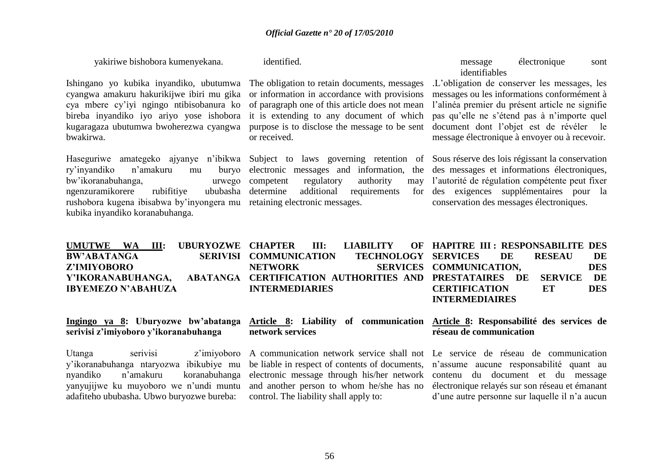yakiriwe bishobora kumenyekana.

identified.

**network services** 

Ishingano yo kubika inyandiko, ubutumwa cyangwa amakuru hakurikijwe ibiri mu gika cya mbere cy"iyi ngingo ntibisobanura ko bireba inyandiko iyo ariyo yose ishobora kugaragaza ubutumwa bwoherezwa cyangwa bwakirwa.

ry"inyandiko n"amakuru mu buryo bw"ikoranabuhanga, urwego ngenzuramikorere rubifitiye ububasha rushobora kugena ibisabwa by"inyongera mu retaining electronic messages. kubika inyandiko koranabuhanga.

The obligation to retain documents, messages or information in accordance with provisions of paragraph one of this article does not mean it is extending to any document of which purpose is to disclose the message to be sent or received.

Haseguriwe amategeko ajyanye n"ibikwa Subject to laws governing retention of Sous réserve des lois régissant la conservation electronic messages and information, the competent regulatory authority determine additional requirements

message électronique sont identifiables

.L"obligation de conserver les messages, les messages ou les informations conformément à l"alinéa premier du présent article ne signifie pas qu"elle ne s"étend pas à n"importe quel document dont l"objet est de révéler le message électronique à envoyer ou à recevoir.

des messages et informations électroniques, may l'autorité de régulation compétente peut fixer des exigences supplémentaires pour la conservation des messages électroniques.

| UMUTWE WA III: UBURYOZWE CHAPTER III: LIABILITY OF HAPITRE III: RESPONSABILITE DES  |                        |  |                               |               |            |
|-------------------------------------------------------------------------------------|------------------------|--|-------------------------------|---------------|------------|
| <b>BW'ABATANGA</b>                                                                  | SERIVISI COMMUNICATION |  | <b>TECHNOLOGY SERVICES DE</b> | <b>RESEAU</b> | DE         |
| Z'IMIYOBORO                                                                         | <b>NETWORK</b>         |  | SERVICES COMMUNICATION,       |               | <b>DES</b> |
| Y'IKORANABUHANGA, ABATANGA CERTIFICATION-AUTHORITIES AND PRESTATAIRES DE SERVICE DE |                        |  |                               |               |            |
| <b>IBYEMEZO N'ABAHUZA</b>                                                           | <b>INTERMEDIARIES</b>  |  | <b>CERTIFICATION</b>          | ET            | <b>DES</b> |
|                                                                                     |                        |  | <b>INTERMEDIAIRES</b>         |               |            |

#### **Ingingo ya 8: Uburyozwe bw"abatanga serivisi z"imiyoboro y"ikoranabuhanga**

Utanga serivisi z'imiyoboro y"ikoranabuhanga ntaryozwa ibikubiye mu nyandiko n"amakuru koranabuhanga yanyujijwe ku muyoboro we n"undi muntu adafiteho ububasha. Ubwo buryozwe bureba:

A communication network service shall not Le service de réseau de communication be liable in respect of contents of documents, electronic message through his/her network and another person to whom he/she has no control. The liability shall apply to:

**Article 8: Liability of communication Article 8: Responsabilité des services de réseau de communication**

> n"assume aucune responsabilité quant au contenu du document et du message électronique relayés sur son réseau et émanant d"une autre personne sur laquelle il n"a aucun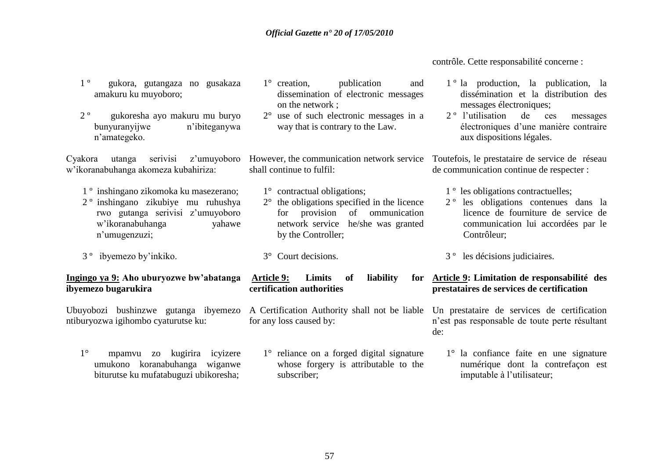contrôle. Cette responsabilité concerne :

- 1 º gukora, gutangaza no gusakaza amakuru ku muyoboro;
- 2 º gukoresha ayo makuru mu buryo bunyuranyijwe n"ibiteganywa n"amategeko.

w"ikoranabuhanga akomeza kubahiriza:

- 1 º inshingano zikomoka ku masezerano;
- 2 º inshingano zikubiye mu ruhushya rwo gutanga serivisi z"umuyoboro w"ikoranabuhanga yahawe n"umugenzuzi;
- 3 º ibyemezo by"inkiko.

#### **Ingingo ya 9: Aho uburyozwe bw"abatanga ibyemezo bugarukira**

Ubuyobozi bushinzwe gutanga ibyemezo ntiburyozwa igihombo cyaturutse ku:

1° mpamvu zo kugirira icyizere umukono koranabuhanga wiganwe biturutse ku mufatabuguzi ubikoresha;

- 1° creation, publication and dissemination of electronic messages on the network ;
- 2° use of such electronic messages in a way that is contrary to the Law.

shall continue to fulfil:

- 1° contractual obligations;
- 2° the obligations specified in the licence for provision of ommunication network service he/she was granted by the Controller;
- 3° Court decisions.

Article 9: **Limits** of **liability certification authorities**

A Certification Authority shall not be liable Un prestataire de services de certification for any loss caused by:

1° reliance on a forged digital signature whose forgery is attributable to the subscriber;

- 1 º la production, la publication, la dissémination et la distribution des messages électroniques;
- 2 º l"utilisation de ces messages électroniques d"une manière contraire aux dispositions légales.

Cyakora utanga serivisi z'umuyoboro However, the communication network service Toutefois, le prestataire de service de réseau de communication continue de respecter :

- 1 º les obligations contractuelles;
- 2 º les obligations contenues dans la licence de fourniture de service de communication lui accordées par le Contrôleur;
- 3 º les décisions judiciaires.

### **Article 9: Limitation de responsabilité des prestataires de services de certification**

n"est pas responsable de toute perte résultant de:

1° la confiance faite en une signature numérique dont la contrefaçon est imputable à l"utilisateur;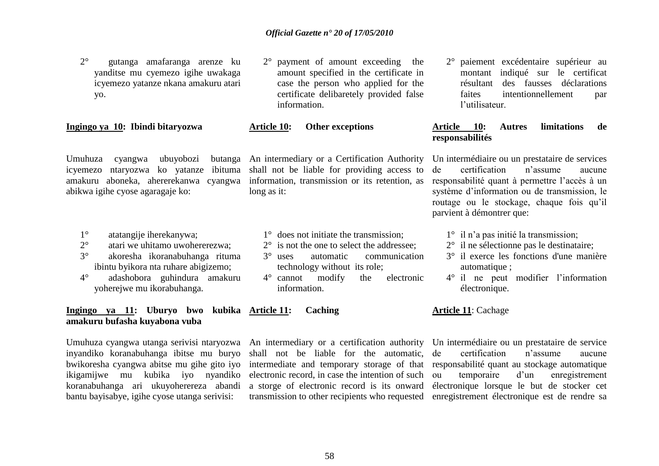2° gutanga amafaranga arenze ku yanditse mu cyemezo igihe uwakaga icyemezo yatanze nkana amakuru atari yo.

#### **Ingingo ya 10: Ibindi bitaryozwa**

Umuhuza cyangwa ubuyobozi icyemezo ntaryozwa ko yatanze ibituma abikwa igihe cyose agaragaje ko:

- 1° atatangije iherekanywa;
- 2° atari we uhitamo uwohererezwa;
- 3° akoresha ikoranabuhanga rituma ibintu byikora nta ruhare abigizemo;
- 4° adashobora guhindura amakuru yoherejwe mu ikorabuhanga.

#### **Ingingo ya 11: Uburyo bwo kubika Article 11: Caching amakuru bufasha kuyabona vuba**

inyandiko koranabuhanga ibitse mu buryo bwikoresha cyangwa abitse mu gihe gito iyo ikigamijwe mu kubika iyo nyandiko koranabuhanga ari ukuyoherereza abandi bantu bayisabye, igihe cyose utanga serivisi:

- 2° payment of amount exceeding the amount specified in the certificate in case the person who applied for the certificate delibaretely provided false information.
- **Article 10: Other exceptions**

amakuru aboneka, ahererekanwa cyangwa information, transmission or its retention, as An intermediary or a Certification Authority shall not be liable for providing access to long as it:

1° does not initiate the transmission;

- 2° is not the one to select the addressee:
- 3° uses automatic communication technology without its role;
- 4° cannot modify the electronic information.

Umuhuza cyangwa utanga serivisi ntaryozwa An intermediary or a certification authority Un intermédiaire ou un prestataire de service shall not be liable for the automatic, intermediate and temporary storage of that electronic record, in case the intention of such a storge of electronic record is its onward

2° paiement excédentaire supérieur au montant indiqué sur le certificat résultant des fausses déclarations faites intentionnellement par l"utilisateur.

#### **Article 10: Autres limitations de responsabilités**

Un intermédiaire ou un prestataire de services de certification n"assume aucune responsabilité quant à permettre l"accès à un système d"information ou de transmission, le routage ou le stockage, chaque fois qu"il parvient à démontrer que:

- 1° il n"a pas initié la transmission;
- 2° il ne sélectionne pas le destinataire;
- 3° il exerce les fonctions d'une manière automatique ;
- 4° il ne peut modifier l"information électronique.

#### **Article 11**: Cachage

transmission to other recipients who requested enregistrement électronique est de rendre sa certification n'assume aucune responsabilité quant au stockage automatique ou temporaire d"un enregistrement électronique lorsque le but de stocker cet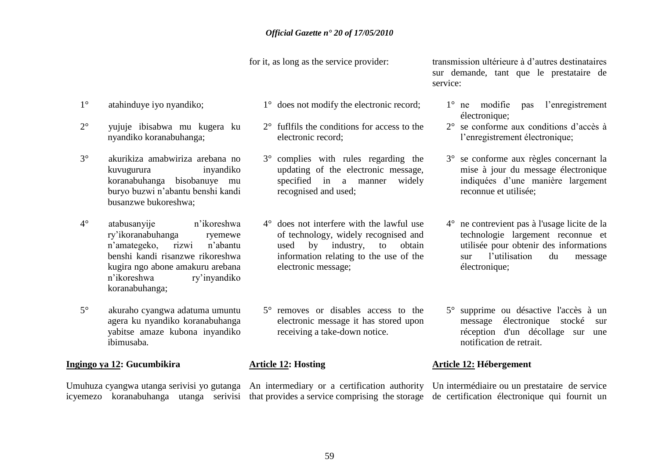for it, as long as the service provider:

- 1° atahinduye iyo nyandiko;
- 2° yujuje ibisabwa mu kugera ku nyandiko koranabuhanga;
- 3° akurikiza amabwiriza arebana no kuvugurura inyandiko koranabuhanga bisobanuye mu buryo buzwi n"abantu benshi kandi busanzwe bukoreshwa;
- 4° atabusanyije n"ikoreshwa ry"ikoranabuhanga ryemewe n"amategeko, rizwi n"abantu benshi kandi risanzwe rikoreshwa kugira ngo abone amakuru arebana n"ikoreshwa ry"inyandiko koranabuhanga;
- 5° akuraho cyangwa adatuma umuntu agera ku nyandiko koranabuhanga yabitse amaze kubona inyandiko ibimusaba.

#### **Ingingo ya 12: Gucumbikira**

- 1° does not modify the electronic record;
- 2° fuflfils the conditions for access to the electronic record;
- 3° complies with rules regarding the updating of the electronic message, specified in a manner widely recognised and used;
- 4° does not interfere with the lawful use of technology, widely recognised and used by industry, to obtain information relating to the use of the electronic message;
- 5° removes or disables access to the electronic message it has stored upon receiving a take-down notice.

#### **Article 12: Hosting**

transmission ultérieure à d"autres destinataires sur demande, tant que le prestataire de service:

- 1° ne modifie pas l"enregistrement électronique;
- 2° se conforme aux conditions d"accès à l"enregistrement électronique;
- 3° se conforme aux règles concernant la mise à jour du message électronique indiquées d"une manière largement reconnue et utilisée;
- 4° ne contrevient pas à l'usage licite de la technologie largement reconnue et utilisée pour obtenir des informations sur l"utilisation du message électronique;
- 5° supprime ou désactive l'accès à un message électronique stocké sur réception d'un décollage sur une notification de retrait.

#### **Article 12: Hébergement**

Umuhuza cyangwa utanga serivisi yo gutanga An intermediary or a certification authority Un intermédiaire ou un prestataire de service icyemezo koranabuhanga utanga serivisi that provides a service comprising the storage de certification électronique qui fournit un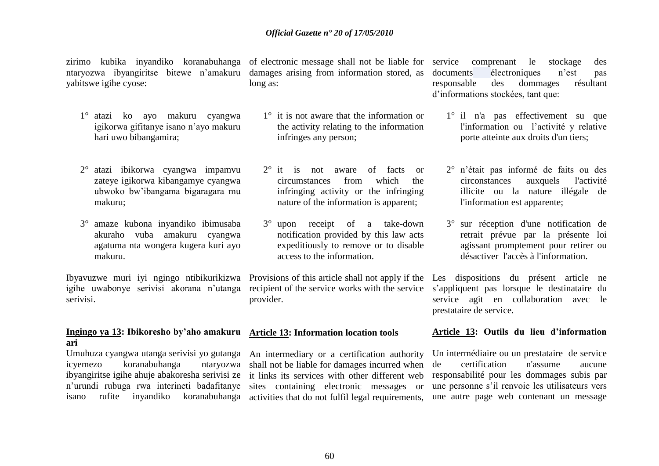yabitswe igihe cyose:

- 1° atazi ko ayo makuru cyangwa igikorwa gifitanye isano n"ayo makuru hari uwo bibangamira;
- 2° atazi ibikorwa cyangwa impamvu zateye igikorwa kibangamye cyangwa ubwoko bw"ibangama bigaragara mu makuru;
- 3° amaze kubona inyandiko ibimusaba akuraho vuba amakuru cyangwa agatuma nta wongera kugera kuri ayo makuru.

Ibyavuzwe muri iyi ngingo ntibikurikizwa Provisions of this article shall not apply if the igihe uwabonye serivisi akorana n"utanga serivisi.

#### **Ingingo ya 13: Ibikoresho by"aho amakuru Article 13: Information location tools ari**

icyemezo koranabuhanga ntaryozwa isano rufite inyandiko koranabuhanga activities that do not fulfil legal requirements,

zirimo kubika inyandiko koranabuhanga of electronic message shall not be liable for ntaryozwa ibyangiritse bitewe n"amakuru damages arising from information stored, as long as:

- 1° it is not aware that the information or the activity relating to the information infringes any person;
- 2° it is not aware of facts or circumstances from which the infringing activity or the infringing nature of the information is apparent;
- 3° upon receipt of a take-down notification provided by this law acts expeditiously to remove or to disable access to the information.

recipient of the service works with the service provider.

Umuhuza cyangwa utanga serivisi yo gutanga An intermediary or a certification authority ibyangiritse igihe ahuje abakoresha serivisi ze it links its services with other different web n"urundi rubuga rwa interineti badafitanye sites containing electronic messages or shall not be liable for damages incurred when

comprenant le stockage des documents électroniques n"est pas responsable des dommages résultant d"informations stockées, tant que:

- 1° il n'a pas effectivement su que l'information ou l'activité y relative porte atteinte aux droits d'un tiers;
- 2° n"était pas informé de faits ou des circonstances auxquels l'activité illicite ou la nature illégale de l'information est apparente;
- 3° sur réception d'une notification de retrait prévue par la présente loi agissant promptement pour retirer ou désactiver l'accès à l'information.

Les dispositions du présent article ne s"appliquent pas lorsque le destinataire du service agit en collaboration avec le prestataire de service.

#### **Article 13: Outils du lieu d"information**

Un intermédiaire ou un prestataire de service de certification n'assume aucune responsabilité pour les dommages subis par une personne s"il renvoie les utilisateurs vers une autre page web contenant un message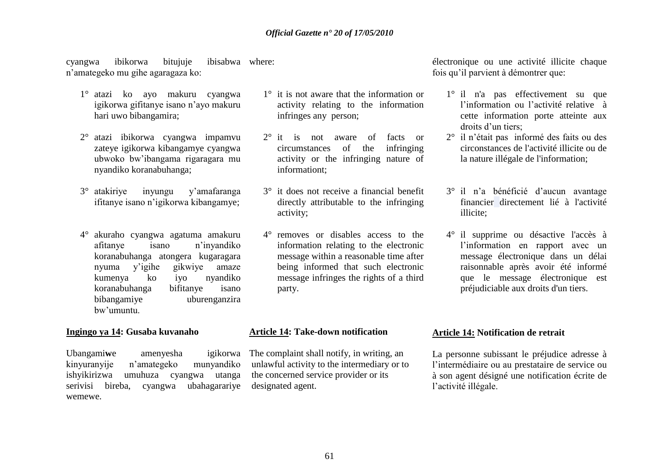cyangwa ibikorwa bitujuje n"amategeko mu gihe agaragaza ko: ibisabwa where:

- 1° atazi ko ayo makuru cyangwa igikorwa gifitanye isano n"ayo makuru hari uwo bibangamira;
- 2° atazi ibikorwa cyangwa impamvu zateye igikorwa kibangamye cyangwa ubwoko bw"ibangama rigaragara mu nyandiko koranabuhanga;
- 3° atakiriye inyungu y"amafaranga ifitanye isano n"igikorwa kibangamye;
- 4° akuraho cyangwa agatuma amakuru afitanye isano n"inyandiko koranabuhanga atongera kugaragara nyuma y"igihe gikwiye amaze kumenya ko iyo nyandiko koranabuhanga bifitanye isano bibangamiye uburenganzira bw"umuntu.

#### **Ingingo ya 14: Gusaba kuvanaho**

Ubangami**w**e amenyesha igikorwa kinyuranyije n"amategeko munyandiko ishyikirizwa umuhuza cyangwa utanga serivisi bireba, cyangwa ubahagarariye wemewe.

- 1° it is not aware that the information or activity relating to the information infringes any person;
- 2° it is not aware of facts or circumstances of the infringing activity or the infringing nature of informationt;
- 3° it does not receive a financial benefit directly attributable to the infringing activity;
- 4° removes or disables access to the information relating to the electronic message within a reasonable time after being informed that such electronic message infringes the rights of a third party.

#### **Article 14: Take-down notification**

The complaint shall notify, in writing, an unlawful activity to the intermediary or to the concerned service provider or its designated agent.

électronique ou une activité illicite chaque fois qu"il parvient à démontrer que:

- 1° il n'a pas effectivement su que l"information ou l"activité relative à cette information porte atteinte aux droits d'un tiers:
- 2° il n"était pas informé des faits ou des circonstances de l'activité illicite ou de la nature illégale de l'information;
- 3° il n"a bénéficié d"aucun avantage financier directement lié à l'activité illicite;
- 4° il supprime ou désactive l'accès à l"information en rapport avec un message électronique dans un délai raisonnable après avoir été informé que le message électronique est préjudiciable aux droits d'un tiers.

#### **Article 14: Notification de retrait**

La personne subissant le préjudice adresse à l"intermédiaire ou au prestataire de service ou à son agent désigné une notification écrite de l"activité illégale.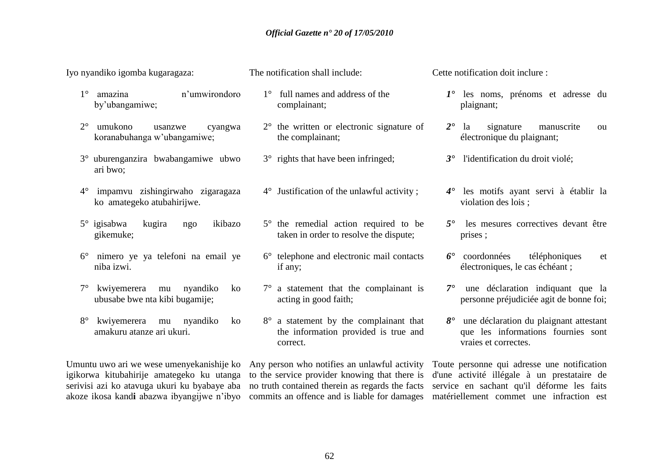Iyo nyandiko igomba kugaragaza:

- 1° amazina n"umwirondoro by"ubangamiwe;
- 2° umukono usanzwe cyangwa koranabuhanga w"ubangamiwe;
- 3° uburenganzira bwabangamiwe ubwo ari bwo;
- 4° impamvu zishingirwaho zigaragaza ko amategeko atubahirijwe.
- 5° igisabwa kugira ngo ikibazo gikemuke;
- 6° nimero ye ya telefoni na email ye niba izwi.
- 7° kwiyemerera mu nyandiko ko ubusabe bwe nta kibi bugamije;
- 8° kwiyemerera mu nyandiko ko amakuru atanze ari ukuri.

Umuntu uwo ari we wese umenyekanishije ko Any person who notifies an unlawful activity igikorwa kitubahirije amategeko ku utanga to the service provider knowing that there is serivisi azi ko atavuga ukuri ku byabaye aba no truth contained therein as regards the facts

The notification shall include:

- 1° full names and address of the complainant;
- 2° the written or electronic signature of the complainant;
- 3° rights that have been infringed;
- 4° Justification of the unlawful activity ;
- 5° the remedial action required to be taken in order to resolve the dispute;
- 6° telephone and electronic mail contacts if any;
- 7° a statement that the complainant is acting in good faith;
- 8° a statement by the complainant that the information provided is true and correct.

Cette notification doit inclure :

- *1°* les noms, prénoms et adresse du plaignant;
- *2°* la signature manuscrite ou électronique du plaignant;
- *3°* l'identification du droit violé;
- *4°* les motifs ayant servi à établir la violation des lois ;
- *5°* les mesures correctives devant être prises ;
- *6°* coordonnées téléphoniques et électroniques, le cas échéant ;
- *7°* une déclaration indiquant que la personne préjudiciée agit de bonne foi;
- *8°* une déclaration du plaignant attestant que les informations fournies sont vraies et correctes.

akoze ikosa kand**i** abazwa ibyangijwe n"ibyo commits an offence and is liable for damages matériellement commet une infraction est Toute personne qui adresse une notification d'une activité illégale à un prestataire de service en sachant qu'il déforme les faits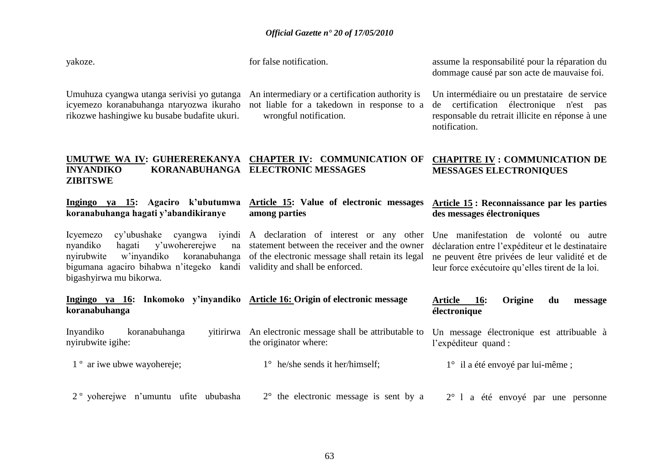yakoze.

for false notification.

assume la responsabilité pour la réparation du dommage causé par son acte de mauvaise foi.

Umuhuza cyangwa utanga serivisi yo gutanga An intermediary or a certification authority is icyemezo koranabuhanga ntaryozwa ikuraho not liable for a takedown in response to a rikozwe hashingiwe ku busabe budafite ukuri.

wrongful notification.

Un intermédiaire ou un prestataire de service de certification électronique n'est pas responsable du retrait illicite en réponse à une notification.

#### **UMUTWE WA IV: GUHEREREKANYA CHAPTER IV: COMMUNICATION OF INYANDIKO KORANABUHANGA ELECTRONIC MESSAGES ZIBITSWE CHAPITRE IV : COMMUNICATION DE MESSAGES ELECTRONIQUES**

| ya 15: Agaciro k'ubutumwa<br>Ingingo<br>koranabuhanga hagati y'abandikiranye                                                                                                               | Article 15: Value of electronic messages<br>among parties                                                                                                                           | Article 15 : Reconnaissance par les parties<br>des messages électroniques                                                                                                                        |
|--------------------------------------------------------------------------------------------------------------------------------------------------------------------------------------------|-------------------------------------------------------------------------------------------------------------------------------------------------------------------------------------|--------------------------------------------------------------------------------------------------------------------------------------------------------------------------------------------------|
| Icyemezo<br>nyandiko<br>y'uwohererejwe<br>hagati<br>na<br>nyirubwite<br>w'inyandiko<br>bigumana agaciro bihabwa n'itegeko kandi validity and shall be enforced.<br>bigashyirwa mu bikorwa. | cy'ubushake cyangwa iyindi A declaration of interest or any other<br>statement between the receiver and the owner<br>koranabuhanga of the electronic message shall retain its legal | Une manifestation de volonté ou autre<br>déclaration entre l'expéditeur et le destinataire<br>ne peuvent être privées de leur validité et de<br>leur force exécutoire qu'elles tirent de la loi. |
| Ingingo ya 16: Inkomoko y'inyandiko Article 16: Origin of electronic message<br>koranabuhanga                                                                                              |                                                                                                                                                                                     | <b>16:</b><br>Origine<br>Article<br>du<br>message<br>électronique                                                                                                                                |
| Inyandiko<br>koranabuhanga<br>yitirirwa<br>nyirubwite igihe:                                                                                                                               | An electronic message shall be attributable to<br>the originator where:                                                                                                             | Un message électronique est attribuable à<br>l'expéditeur quand :                                                                                                                                |
| 1 <sup>°</sup> ar iwe ubwe way ohereje;                                                                                                                                                    | $1^{\circ}$ he/she sends it her/himself;                                                                                                                                            | $1^{\circ}$ il a été envoyé par lui-même;                                                                                                                                                        |
| 2 <sup>°</sup> yoherejwe n'umuntu ufite ububasha                                                                                                                                           | $2^{\circ}$ the electronic message is sent by a                                                                                                                                     | $2^{\circ}$ 1<br>été envoyé par une personne<br>a                                                                                                                                                |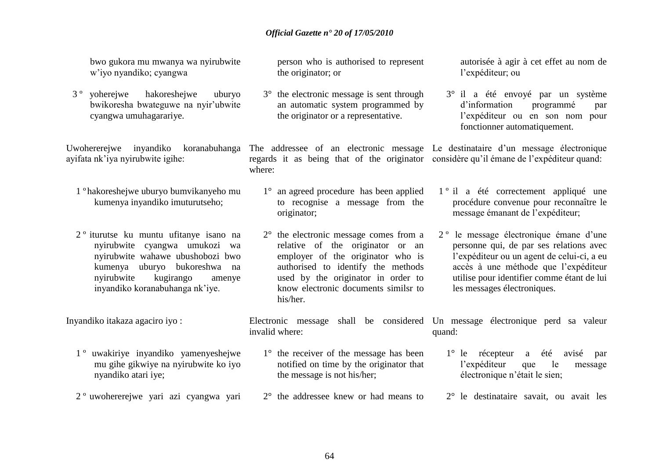bwo gukora mu mwanya wa nyirubwite w"iyo nyandiko; cyangwa

3 º yoherejwe hakoreshejwe uburyo bwikoresha bwateguwe na nyir"ubwite cyangwa umuhagarariye.

ayifata nk"iya nyirubwite igihe:

- 1 º hakoreshejwe uburyo bumvikanyeho mu kumenya inyandiko imuturutseho;
- 2 º iturutse ku muntu ufitanye isano na nyirubwite cyangwa umukozi wa nyirubwite wahawe ubushobozi bwo kumenya uburyo bukoreshwa na nyirubwite kugirango amenye inyandiko koranabuhanga nk"iye.

Inyandiko itakaza agaciro iyo :

- 1 º uwakiriye inyandiko yamenyeshejwe mu gihe gikwiye na nyirubwite ko iyo nyandiko atari iye;
- 2 º uwohererejwe yari azi cyangwa yari

person who is authorised to represent the originator; or

3° the electronic message is sent through an automatic system programmed by the originator or a representative.

Uwohererejwe inyandiko koranabuhanga The addressee of an electronic message Le destinataire d'un message électronique regards it as being that of the originator considère qu'il émane de l'expéditeur quand: where:

- 1° an agreed procedure has been applied to recognise a message from the originator;
- 2° the electronic message comes from a relative of the originator or an employer of the originator who is authorised to identify the methods used by the originator in order to know electronic documents similsr to his/her.

autorisée à agir à cet effet au nom de l"expéditeur; ou

3° il a été envoyé par un système d"information programmé par l"expéditeur ou en son nom pour fonctionner automatiquement.

- 1 º il a été correctement appliqué une procédure convenue pour reconnaître le message émanant de l"expéditeur;
- 2 º le message électronique émane d"une personne qui, de par ses relations avec l"expéditeur ou un agent de celui-ci, a eu accès à une méthode que l"expéditeur utilise pour identifier comme étant de lui les messages électroniques.

Electronic message shall be considered Un message électronique perd sa valeur invalid where: quand:

- 1° the receiver of the message has been notified on time by the originator that the message is not his/her;
- 2° the addressee knew or had means to
- 1° le récepteur a été avisé par l"expéditeur que le message électronique n"était le sien;
- 2° le destinataire savait, ou avait les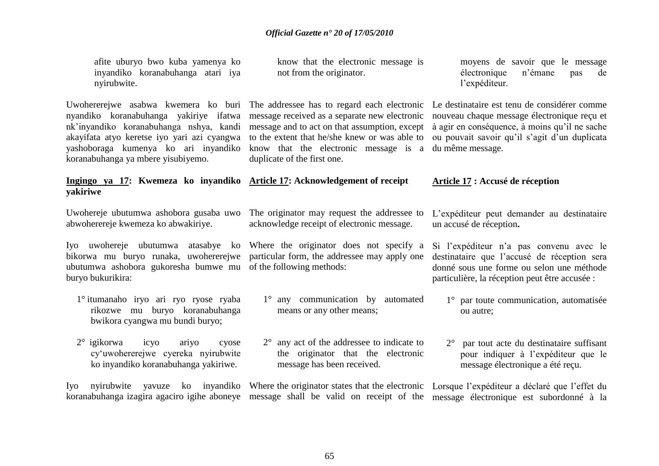| afite uburyo bwo kuba yamenya ko<br>inyandiko koranabuhanga atari iya<br>nyirubwite.                                                                                                                                                                    | know that the electronic message is<br>not from the originator.                                                                                                                                                                                                                                                                                         | moyens de savoir que le message<br>électronique<br>n'émane<br>de<br>pas<br>l'expéditeur.                                                                                              |
|---------------------------------------------------------------------------------------------------------------------------------------------------------------------------------------------------------------------------------------------------------|---------------------------------------------------------------------------------------------------------------------------------------------------------------------------------------------------------------------------------------------------------------------------------------------------------------------------------------------------------|---------------------------------------------------------------------------------------------------------------------------------------------------------------------------------------|
| nyandiko koranabuhanga yakiriye ifatwa<br>nk'inyandiko koranabuhanga nshya, kandi<br>akayifata atyo keretse iyo yari azi cyangwa<br>yashoboraga kumenya ko ari inyandiko<br>koranabuhanga ya mbere yisubiyemo.                                          | Uwohererejwe asabwa kwemera ko buri The addressee has to regard each electronic Le destinataire est tenu de considérer comme<br>message received as a separate new electronic<br>message and to act on that assumption, except<br>to the extent that he/she knew or was able to<br>know that the electronic message is a<br>duplicate of the first one. | nouveau chaque message électronique reçu et<br>à agir en conséquence, à moins qu'il ne sache<br>ou pouvait savoir qu'il s'agit d'un duplicata<br>du même message.                     |
| Ingingo ya 17: Kwemeza ko inyandiko Article 17: Acknowledgement of receipt<br>yakiriwe                                                                                                                                                                  |                                                                                                                                                                                                                                                                                                                                                         | Article 17 : Accusé de réception                                                                                                                                                      |
| Uwohereje ubutumwa ashobora gusaba uwo<br>abwoherereje kwemeza ko abwakiriye.                                                                                                                                                                           | The originator may request the addressee to<br>acknowledge receipt of electronic message.                                                                                                                                                                                                                                                               | L'expéditeur peut demander au destinataire<br>un accusé de réception.                                                                                                                 |
| Iyo uwohereje ubutumwa atasabye ko Where the originator does not specify a<br>bikorwa mu buryo runaka, uwohererejwe particular form, the addressee may apply one<br>ubutumwa ashobora gukoresha bumwe mu of the following methods:<br>buryo bukurikira: |                                                                                                                                                                                                                                                                                                                                                         | Si l'expéditeur n'a pas convenu avec le<br>destinataire que l'accusé de réception sera<br>donné sous une forme ou selon une méthode<br>particulière, la réception peut être accusée : |
| 1° itumanaho iryo ari ryo ryose ryaba<br>rikozwe mu buryo koranabuhanga<br>bwikora cyangwa mu bundi buryo;                                                                                                                                              | 1° any communication by automated<br>means or any other means;                                                                                                                                                                                                                                                                                          | 1° par toute communication, automatisée<br>ou autre;                                                                                                                                  |
| $2^{\circ}$ igikorwa<br>icyo<br>ariyo<br>cyose<br>cy'uwohererejwe cyereka nyirubwite<br>ko inyandiko koranabuhanga yakiriwe.                                                                                                                            | $2^{\circ}$ any act of the addressee to indicate to<br>the originator that the electronic<br>message has been received.                                                                                                                                                                                                                                 | par tout acte du destinataire suffisant<br>$2^{\circ}$<br>pour indiquer à l'expéditeur que le<br>message électronique a été reçu.                                                     |
| nyirubwite<br>Iyo<br>koranabuhanga izagira agaciro igihe aboneye message shall be valid on receipt of the                                                                                                                                               | yavuze ko inyandiko Where the originator states that the electronic                                                                                                                                                                                                                                                                                     | Lorsque l'expéditeur a déclaré que l'effet du<br>message électronique est subordonné à la                                                                                             |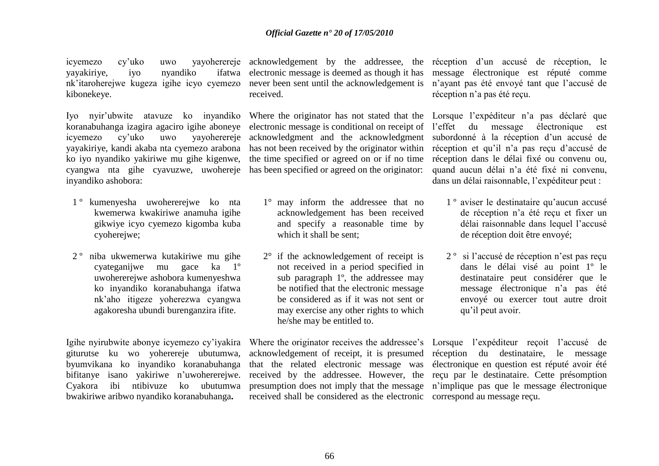yayakiriye, iyo nyandiko kibonekeye.

Iyo nyir"ubwite atavuze ko inyandiko koranabuhanga izagira agaciro igihe aboneye icyemezo cy"uko uwo yayoherereje yayakiriye, kandi akaba nta cyemezo arabona has not been received by the originator within ko iyo nyandiko yakiriwe mu gihe kigenwe, cyangwa nta gihe cyavuzwe, uwohereje has been specified or agreed on the originator: inyandiko ashobora:

- 1 º kumenyesha uwohererejwe ko nta kwemerwa kwakiriwe anamuha igihe gikwiye icyo cyemezo kigomba kuba cyoherejwe;
- 2 º niba ukwemerwa kutakiriwe mu gihe cyateganijwe mu gace ka 1º uwohererejwe ashobora kumenyeshwa ko inyandiko koranabuhanga ifatwa nk"aho itigeze yoherezwa cyangwa agakoresha ubundi burenganzira ifite.

Igihe nyirubwite abonye icyemezo cy"iyakira giturutse ku wo yoherereje ubutumwa, byumvikana ko inyandiko koranabuhanga bifitanye isano yakiriwe n"uwohererejwe. Cyakora ibi ntibivuze ko ubutumwa bwakiriwe aribwo nyandiko koranabuhanga**.**

nk"itaroherejwe kugeza igihe icyo cyemezo never been sent until the acknowledgement is ifatwa electronic message is deemed as though it has received.

> Where the originator has not stated that the Lorsque l'expéditeur n'a pas déclaré que electronic message is conditional on receipt of l"effet du message électronique est acknowledgment and the acknowledgment the time specified or agreed on or if no time

- 1° may inform the addressee that no acknowledgement has been received and specify a reasonable time by which it shall be sent;
- 2° if the acknowledgement of receipt is not received in a period specified in sub paragraph 1º, the addressee may be notified that the electronic message be considered as if it was not sent or may exercise any other rights to which he/she may be entitled to.

acknowledgement of receipt, it is presumed réception du destinataire, le message that the related electronic message was received by the addressee. However, the reçu par le destinataire. Cette présomption presumption does not imply that the message n"implique pas que le message électronique received shall be considered as the electronic correspond au message reçu.

icyemezo cy'uko uwo yayoherereje acknowledgement by the addressee, the réception d'un accusé de réception, le message électronique est réputé comme n"ayant pas été envoyé tant que l"accusé de réception n"a pas été reçu.

> subordonné à la réception d"un accusé de réception et qu'il n'a pas reçu d'accusé de réception dans le délai fixé ou convenu ou, quand aucun délai n"a été fixé ni convenu, dans un délai raisonnable, l"expéditeur peut :

- 1 º aviser le destinataire qu"aucun accusé de réception n"a été reçu et fixer un délai raisonnable dans lequel l"accusé de réception doit être envoyé;
- 2 º si l"accusé de réception n"est pas reçu dans le délai visé au point 1º le destinataire peut considérer que le message électronique n"a pas été envoyé ou exercer tout autre droit qu"il peut avoir.

Where the originator receives the addressee's Lorsque l'expéditeur reçoit l'accusé de électronique en question est réputé avoir été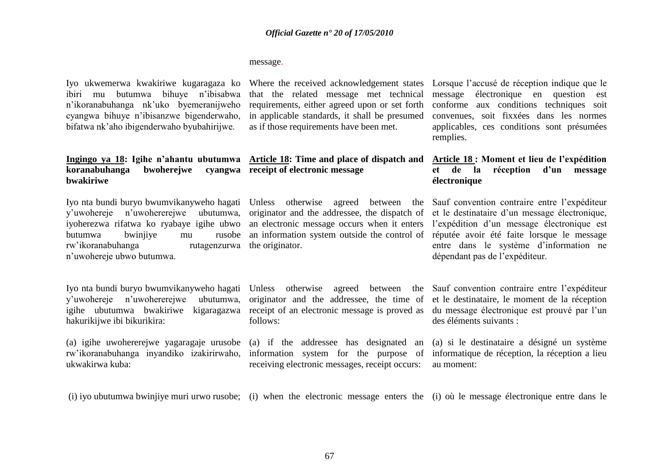#### message.

Iyo ukwemerwa kwakiriwe kugaragaza ko ibiri mu butumwa bihuye n"ibisabwa n"ikoranabuhanga nk"uko byemeranijweho cyangwa bihuye n"ibisanzwe bigenderwaho, bifatwa nk"aho ibigenderwaho byubahirijwe.

that the related message met technical requirements, either agreed upon or set forth in applicable standards, it shall be presumed as if those requirements have been met.

Where the received acknowledgement states Lorsque l'accusé de réception indique que le message électronique en question est conforme aux conditions techniques soit convenues, soit fixxées dans les normes applicables, ces conditions sont présumées remplies.

> Sauf convention contraire entre l"expéditeur et le destinataire d"un message électronique,

entre dans le système d"information ne

dépendant pas de l"expéditeur.

#### **Ingingo ya 18: Igihe n"ahantu ubutumwa Article 18: Time and place of dispatch and koranabuhanga bwohereiwe bwakiriwe receipt of electronic message Article 18 : Moment et lieu de l"expédition et de la réception d"un message électronique**

originator and the addressee, the dispatch of

an information system outside the control of réputée avoir été faite lorsque le message

Iyo nta bundi buryo bwumvikanyweho hagati Unless otherwise agreed between the y"uwohereje n"uwohererejwe ubutumwa, iyoherezwa rifatwa ko ryabaye igihe ubwo an electronic message occurs when it enters l'expédition d'un message électronique est butumwa bwinjiye mu rw'ikoranabuhanga n"uwohereje ubwo butumwa. rutagenzurwa the originator.

Iyo nta bundi buryo bwumvikanyweho hagati y"uwohereje n"uwohererejwe ubutumwa, hakurikijwe ibi bikurikira:

(a) igihe uwohererejwe yagaragaje urusobe (a) if the addressee has designated an rw"ikoranabuhanga inyandiko izakirirwaho, information system for the purpose of informatique de réception, la réception a lieu ukwakirwa kuba:

agreed between originator and the addressee, the time of follows:

receiving electronic messages, receipt occurs:

igihe ubutumwa bwakiriwe kigaragazwa receipt of an electronic message is proved as du message électronique est prouvé par l'un Sauf convention contraire entre l"expéditeur et le destinataire, le moment de la réception des éléments suivants :

> (a) si le destinataire a désigné un système au moment:

(i) iyo ubutumwa bwinjiye muri urwo rusobe; (i) when the electronic message enters the (i) où le message électronique entre dans le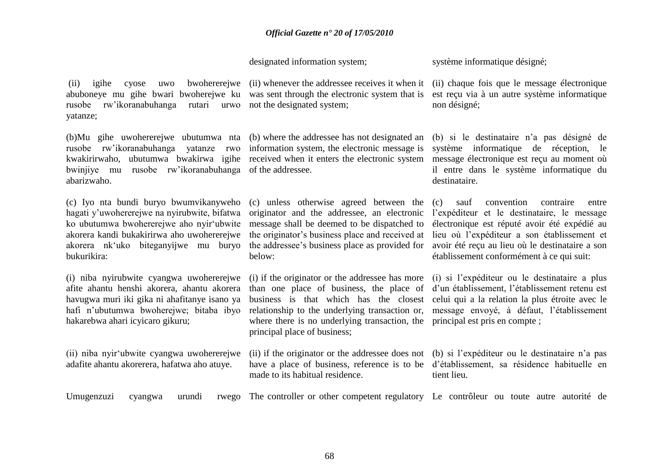designated information system;

rusobe rw"ikoranabuhanga rutari urwo not the designated system; yatanze;

(b)Mu gihe uwohererejwe ubutumwa nta rusobe rw"ikoranabuhanga yatanze rwo information system, the electronic message is kwakirirwaho, ubutumwa bwakirwa igihe received when it enters the electronic system bwinjiye mu rusobe rw"ikoranabuhanga of the addressee. abarizwaho.

(c) Iyo nta bundi buryo bwumvikanyweho hagati y"uwohererejwe na nyirubwite, bifatwa ko ubutumwa bwohererejwe aho nyir"ubwite akorera kandi bukakirirwa aho uwohererejwe akorera nk"uko biteganyijwe mu buryo bukurikira:

(i) niba nyirubwite cyangwa uwohererejwe afite ahantu henshi akorera, ahantu akorera havugwa muri iki gika ni ahafitanye isano ya hafi n"ubutumwa bwoherejwe; bitaba ibyo hakarebwa ahari icyicaro gikuru;

(ii) niba nyir"ubwite cyangwa uwohererejwe adafite ahantu akorerera, hafatwa aho atuye.

(ii) igihe cyose uwo bwohererejwe (ii) whenever the addressee receives it when it (ii) chaque fois que le message électronique abuboneye mu gihe bwari bwoherejwe ku was sent through the electronic system that is

(b) where the addressee has not designated an

(c) unless otherwise agreed between the originator and the addressee, an electronic message shall be deemed to be dispatched to the originator"s business place and received at the addressee"s business place as provided for below:

(i) if the originator or the addressee has more than one place of business, the place of business is that which has the closest relationship to the underlying transaction or, message envoyé, à défaut, l"établissement where there is no underlying transaction, the principal est pris en compte; principal place of business;

made to its habitual residence.

système informatique désigné:

est reçu via à un autre système informatique non désigné;

(b) si le destinataire n"a pas désigné de système informatique de réception, le message électronique est reçu au moment où il entre dans le système informatique du destinataire.

(c) sauf convention contraire entre l"expéditeur et le destinataire, le message électronique est réputé avoir été expédié au lieu où l"expéditeur a son établissement et avoir été reçu au lieu où le destinataire a son établissement conformément à ce qui suit:

(i) si l"expéditeur ou le destinataire a plus d"un établissement, l"établissement retenu est celui qui a la relation la plus étroite avec le

(ii) if the originator or the addressee does not (b) si l"expéditeur ou le destinataire n"a pas have a place of business, reference is to be d"établissement, sa résidence habituelle en tient lieu.

Umugenzuzi cyangwa urundi The controller or other competent regulatory Le contrôleur ou toute autre autorité de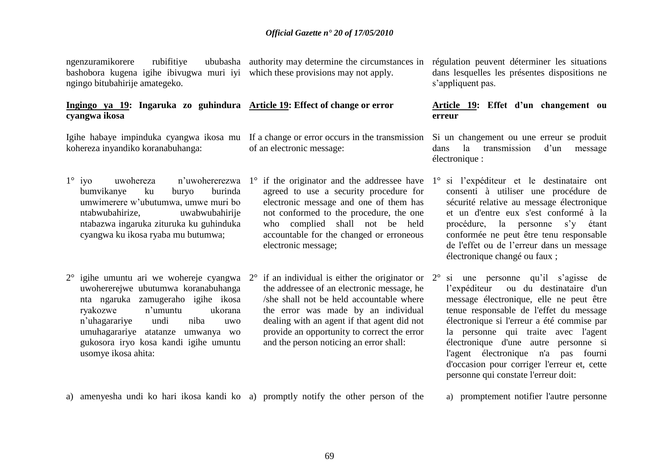ngenzuramikorere rubifitive bashobora kugena igihe ibivugwa muri iyi which these provisions may not apply. ngingo bitubahirije amategeko. authority may determine the circumstances in régulation peuvent déterminer les situations

#### **Ingingo ya 19: Ingaruka zo guhindura Article 19: Effect of change or error cyangwa ikosa**

kohereza inyandiko koranabuhanga:

- 1° iyo uwohereza n"uwohererezwa 1° if the originator and the addressee have 1° si l"expéditeur et le destinataire ont bumvikanye ku buryo burinda umwimerere w"ubutumwa, umwe muri bo ntabwubahirize, uwabwubahirije ntabazwa ingaruka zituruka ku guhinduka cyangwa ku ikosa ryaba mu butumwa;
- $2^{\circ}$  igihe umuntu ari we wohereje cyangwa  $2^{\circ}$ uwohererejwe ubutumwa koranabuhanga nta ngaruka zamugeraho igihe ikosa ryakozwe n"umuntu ukorana n"uhagarariye undi niba uwo umuhagarariye atatanze umwanya wo gukosora iryo kosa kandi igihe umuntu usomye ikosa ahita:

Igihe habaye impinduka cyangwa ikosa mu If a change or error occurs in the transmission Si un changement ou une erreur se produit of an electronic message:

- agreed to use a security procedure for electronic message and one of them has not conformed to the procedure, the one who complied shall not be held accountable for the changed or erroneous electronic message;
- if an individual is either the originator or  $2^{\circ}$ the addressee of an electronic message, he /she shall not be held accountable where the error was made by an individual dealing with an agent if that agent did not provide an opportunity to correct the error and the person noticing an error shall:

dans lesquelles les présentes dispositions ne s'appliquent pas.

#### **Article 19: Effet d"un changement ou erreur**

dans la transmission d'un message électronique :

- consenti à utiliser une procédure de sécurité relative au message électronique et un d'entre eux s'est conformé à la procédure, la personne s"y étant conformée ne peut être tenu responsable de l'effet ou de l"erreur dans un message électronique changé ou faux ;
- si une personne qu'il s'agisse de l"expéditeur ou du destinataire d'un message électronique, elle ne peut être tenue responsable de l'effet du message électronique si l'erreur a été commise par la personne qui traite avec l'agent électronique d'une autre personne si l'agent électronique n'a pas fourni d'occasion pour corriger l'erreur et, cette personne qui constate l'erreur doit:

a) amenyesha undi ko hari ikosa kandi ko a) promptly notify the other person of the

a) promptement notifier l'autre personne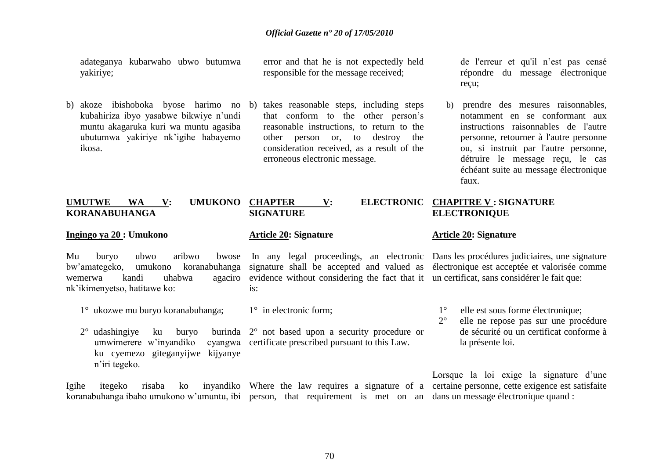adateganya kubarwaho ubwo butumwa yakiriye;

b) akoze ibishoboka byose harimo no b) takes reasonable steps, including steps kubahiriza ibyo yasabwe bikwiye n"undi muntu akagaruka kuri wa muntu agasiba ubutumwa yakiriye nk"igihe habayemo ikosa.

error and that he is not expectedly held responsible for the message received;

that conform to the other person"s reasonable instructions, to return to the other person or, to destroy the consideration received, as a result of the erroneous electronic message.

de l'erreur et qu'il n"est pas censé répondre du message électronique reçu;

b) prendre des mesures raisonnables, notamment en se conformant aux instructions raisonnables de l'autre personne, retourner à l'autre personne ou, si instruit par l'autre personne, détruire le message reçu, le cas échéant suite au message électronique faux.

#### **UMUTWE WA V: UMUKONO KORANABUHANGA**

#### **Ingingo ya 20 : Umukono**

Mu buryo ubwo aribwo bwose wemerwa kandi uhabwa nk"ikimenyetso, hatitawe ko:

- 1° ukozwe mu buryo koranabuhanga; 1° in electronic form;
- $2^{\circ}$  udashingiye ku buryo umwimerere w'inyandiko ku cyemezo giteganyijwe kijyanye n"iri tegeko. 2° not based upon a security procedure or cyangwa certificate prescribed pursuant to this Law.

Igihe itegeko risaba ko inyandiko Where the law requires a signature of a certaine personne, cette exigence est satisfaite koranabuhanga ibaho umukono w"umuntu, ibi person, that requirement is met on an dans un message électronique quand :

is:

**SIGNATURE**

**Article 20: Signature**

#### **CHAPTER V: ELECTRONIC CHAPITRE V : SIGNATURE ELECTRONIQUE**

#### **Article 20: Signature**

bw"amategeko, umukono koranabuhanga signature shall be accepted and valued as électronique est acceptée et valorisée comme In any legal proceedings, an electronic Dans les procédures judiciaires, une signature evidence without considering the fact that it un certificat, sans considérer le fait que:

- 1° elle est sous forme électronique;
- 2° elle ne repose pas sur une procédure de sécurité ou un certificat conforme à la présente loi.

Lorsque la loi exige la signature d'une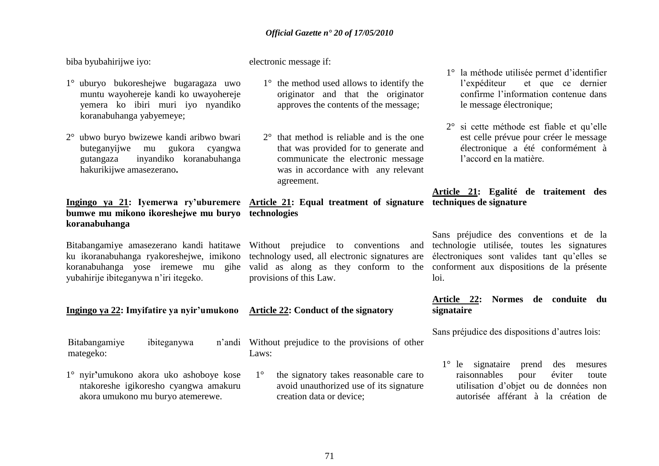biba byubahirijwe iyo:

electronic message if:

- 1° uburyo bukoreshejwe bugaragaza uwo muntu wayohereje kandi ko uwayohereje yemera ko ibiri muri iyo nyandiko koranabuhanga yabyemeye;
- 2° ubwo buryo bwizewe kandi aribwo bwari buteganyijwe mu gukora cyangwa gutangaza inyandiko koranabuhanga hakurikijwe amasezerano**.**

### **bumwe mu mikono ikoreshejwe mu buryo technologies koranabuhanga**

yubahirije ibiteganywa n"iri itegeko.

Bitabangamiye ibiteganywa mategeko:

1° nyir**"**umukono akora uko ashoboye kose ntakoreshe igikoresho cyangwa amakuru akora umukono mu buryo atemerewe.

- 1° the method used allows to identify the originator and that the originator approves the contents of the message;
- 2° that method is reliable and is the one that was provided for to generate and communicate the electronic message was in accordance with any relevant agreement.

# **Ingingo ya 21: Iyemerwa ry"uburemere Article 21: Equal treatment of signature techniques de signature**

Bitabangamiye amasezerano kandi hatitawe Without prejudice to conventions and ku ikoranabuhanga ryakoreshejwe, imikono technology used, all electronic signatures are koranabuhanga yose iremewe mu gihe valid as along as they conform to the conforment aux dispositions de la présente provisions of this Law.

#### **Ingingo ya 22: Imyifatire ya nyir"umukono Article 22: Conduct of the signatory**

Without prejudice to the provisions of other Laws:

> 1° the signatory takes reasonable care to avoid unauthorized use of its signature creation data or device;

- 1° la méthode utilisée permet d"identifier l'expéditeur et que ce dernier confirme l"information contenue dans le message électronique;
- 2° si cette méthode est fiable et qu"elle est celle prévue pour créer le message électronique a été conformément à l"accord en la matière.

## **Article 21: Egalité de traitement des**

Sans préjudice des conventions et de la technologie utilisée, toutes les signatures électroniques sont valides tant qu"elles se loi.

#### **Article 22: Normes de conduite du signataire**

Sans préjudice des dispositions d"autres lois:

1° le signataire prend des mesures raisonnables pour éviter toute utilisation d"objet ou de données non autorisée afférant à la création de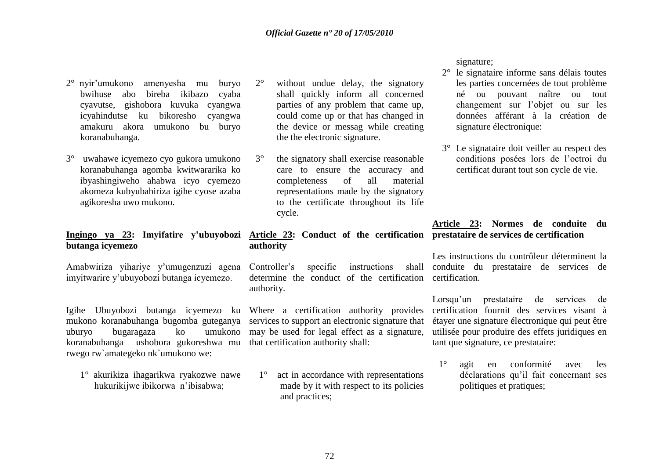- 2° nyir"umukono amenyesha mu buryo bwihuse abo bireba ikibazo cyaba cyavutse, gishobora kuvuka cyangwa icyahindutse ku bikoresho cyangwa amakuru akora umukono bu buryo koranabuhanga.
- 3° uwahawe icyemezo cyo gukora umukono koranabuhanga agomba kwitwararika ko ibyashingiweho ahabwa icyo cyemezo akomeza kubyubahiriza igihe cyose azaba agikoresha uwo mukono.

# **butanga icyemezo**

Amabwiriza yihariye y"umugenzuzi agena imyitwarire y"ubuyobozi butanga icyemezo.

Igihe Ubuyobozi butanga icyemezo ku Where a certification authority provides mukono koranabuhanga bugomba guteganya uburyo bugaragaza ko umukono koranabuhanga ushobora gukoreshwa mu rwego rw`amategeko nk`umukono we:

1° akurikiza ihagarikwa ryakozwe nawe hukurikijwe ibikorwa n"ibisabwa;

- 2° without undue delay, the signatory shall quickly inform all concerned parties of any problem that came up, could come up or that has changed in the device or messag while creating the the electronic signature.
- 3° the signatory shall exercise reasonable care to ensure the accuracy and completeness of all material representations made by the signatory to the certificate throughout its life cycle.

#### Ingingo ya 23: Imyifatire y'ubuyobozi Article 23: Conduct of the certification prestataire de services de certification **authority**

Controller's specific instructions determine the conduct of the certification certification. authority.

services to support an electronic signature that may be used for legal effect as a signature, that certification authority shall:

1° act in accordance with representations made by it with respect to its policies and practices;

signature;

- 2° le signataire informe sans délais toutes les parties concernées de tout problème né ou pouvant naître ou tout changement sur l"objet ou sur les données afférant à la création de signature électronique:
- 3° Le signataire doit veiller au respect des conditions posées lors de l"octroi du certificat durant tout son cycle de vie.

## **Article 23: Normes de conduite du**

Les instructions du contrôleur déterminent la conduite du prestataire de services de

> Lorsqu'un prestataire de services de certification fournit des services visant à étayer une signature électronique qui peut être utilisée pour produire des effets juridiques en tant que signature, ce prestataire:

1° agit en conformité avec les déclarations qu'il fait concernant ses politiques et pratiques;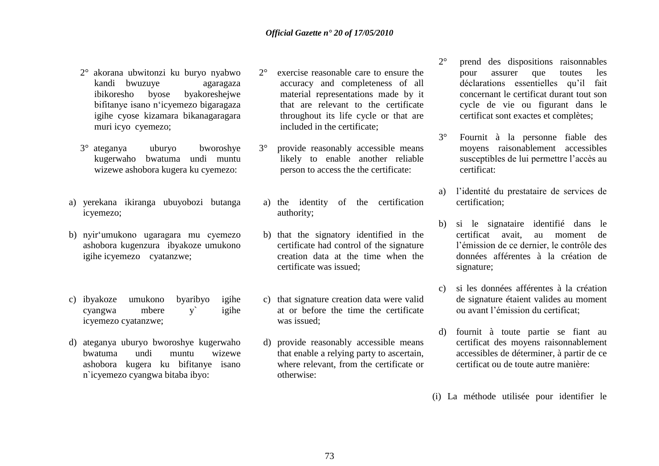- 2° akorana ubwitonzi ku buryo nyabwo kandi bwuzuye agaragaza ibikoresho byose byakoreshejwe bifitanye isano n"icyemezo bigaragaza igihe cyose kizamara bikanagaragara muri icyo cyemezo;
- 3° ateganya uburyo bworoshye kugerwaho bwatuma undi muntu wizewe ashobora kugera ku cyemezo:
- a) yerekana ikiranga ubuyobozi butanga icyemezo;
- b) nyir"umukono ugaragara mu cyemezo ashobora kugenzura ibyakoze umukono igihe icyemezo cyatanzwe;
- c) ibyakoze umukono byaribyo igihe cyangwa mbere y` igihe icyemezo cyatanzwe;
- d) ateganya uburyo bworoshye kugerwaho bwatuma undi muntu wizewe ashobora kugera ku bifitanye isano n`icyemezo cyangwa bitaba ibyo:
- 2° exercise reasonable care to ensure the accuracy and completeness of all material representations made by it that are relevant to the certificate throughout its life cycle or that are included in the certificate;
- 3° provide reasonably accessible means likely to enable another reliable person to access the the certificate:
- a) the identity of the certification authority;
- b) that the signatory identified in the certificate had control of the signature creation data at the time when the certificate was issued;
- c) that signature creation data were valid at or before the time the certificate was issued;
- d) provide reasonably accessible means that enable a relying party to ascertain, where relevant, from the certificate or otherwise:
- 2° prend des dispositions raisonnables pour assurer que toutes les déclarations essentielles qu'il fait concernant le certificat durant tout son cycle de vie ou figurant dans le certificat sont exactes et complètes;
- 3° Fournit à la personne fiable des moyens raisonablement accessibles susceptibles de lui permettre l"accès au certificat:
- a) l"identité du prestataire de services de certification;
- b) si le signataire identifié dans le certificat avait, au moment de l"émission de ce dernier, le contrôle des données afférentes à la création de signature;
- c) si les données afférentes à la création de signature étaient valides au moment ou avant l"émission du certificat;
- d) fournit à toute partie se fiant au certificat des moyens raisonnablement accessibles de déterminer, à partir de ce certificat ou de toute autre manière:
- (i) La méthode utilisée pour identifier le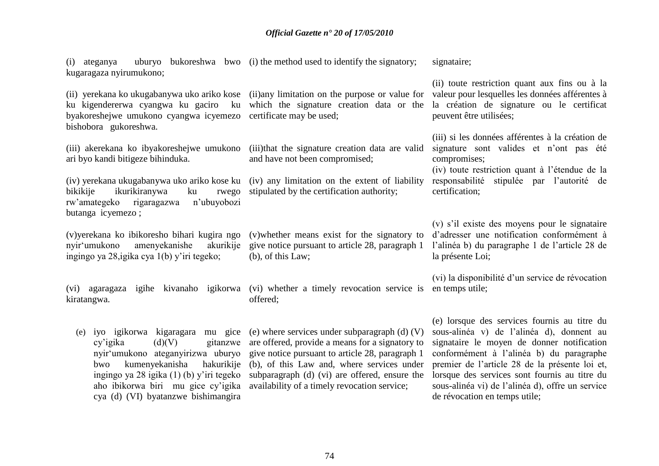(i) ateganya uburyo bukoreshwa bwo (i) the method used to identify the signatory; kugaragaza nyirumukono; signataire;

(ii) yerekana ko ukugabanywa uko ariko kose (ii)any limitation on the purpose or value for ku kigendererwa cyangwa ku gaciro ku which the signature creation data or the byakoreshejwe umukono cyangwa icyemezo certificate may be used; bishobora gukoreshwa.

ari byo kandi bitigeze bihinduka.

(iv) yerekana ukugabanywa uko ariko kose ku (iv) any limitation on the extent of liability bikikije ikurikiranywa ku rw"amategeko rigaragazwa n"ubuyobozi butanga icyemezo ;

(v)yerekana ko ibikoresho bihari kugira ngo nyir"umukono amenyekanishe akurikije ingingo ya 28,igika cya 1(b) y"iri tegeko;

kiratangwa.

 $cv'$ igika  $(d)(V)$  gitanzwe nyir"umukono ateganyirizwa uburyo bwo kumenyekanisha cya (d) (VI) byatanzwe bishimangira

(iii) akerekana ko ibyakoreshejwe umukono (iii)that the signature creation data are valid and have not been compromised;

rwego stipulated by the certification authority:

(v)whether means exist for the signatory to give notice pursuant to article 28, paragraph 1 (b), of this Law;

(vi) agaragaza igihe kivanaho igikorwa (vi) whether a timely revocation service is en temps utile; offered;

(e) iyo igikorwa kigaragara mu gice (e) where services under subparagraph (d) (V) ingingo ya 28 igika (1) (b) y"iri tegeko subparagraph (d) (vi) are offered, ensure the aho ibikorwa biri mu gice cy"igika availability of a timely revocation service; are offered, provide a means for a signatory to give notice pursuant to article 28, paragraph 1 hakurikije (b), of this Law and, where services under

(ii) toute restriction quant aux fins ou à la valeur pour lesquelles les données afférentes à la création de signature ou le certificat peuvent être utilisées;

(iii) si les données afférentes à la création de signature sont valides et n'ont pas été compromises;

(iv) toute restriction quant à l"étendue de la responsabilité stipulée par l"autorité de certification;

(v) s"il existe des moyens pour le signataire d"adresser une notification conformément à l"alinéa b) du paragraphe 1 de l"article 28 de la présente Loi;

(vi) la disponibilité d"un service de révocation

(e) lorsque des services fournis au titre du sous-alinéa v) de l"alinéa d), donnent au signataire le moyen de donner notification conformément à l"alinéa b) du paragraphe premier de l"article 28 de la présente loi et, lorsque des services sont fournis au titre du sous-alinéa vi) de l"alinéa d), offre un service de révocation en temps utile;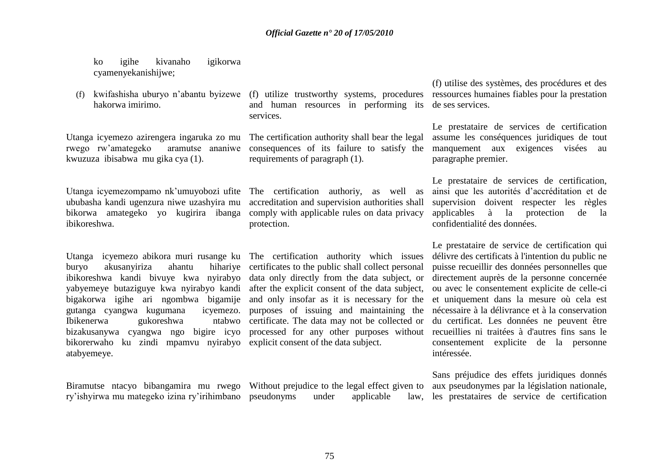ko igihe kivanaho igikorwa cyamenyekanishijwe;

hakorwa imirimo.

rwego rw'amategeko kwuzuza ibisabwa mu gika cya (1).

ububasha kandi ugenzura niwe uzashyira mu bikorwa amategeko yo kugirira ibanga ibikoreshwa.

Utanga icyemezo abikora muri rusange ku The certification authority which issues buryo akusanyiriza ahantu ibikoreshwa kandi bivuye kwa nyirabyo data only directly from the data subject, or yabyemeye butaziguye kwa nyirabyo kandi after the explicit consent of the data subject, bigakorwa igihe ari ngombwa bigamije and only insofar as it is necessary for the gutanga cyangwa kugumana Ibikenerwa gukoreshwa bizakusanywa cyangwa ngo bigire icyo processed for any other purposes without bikorerwaho ku zindi mpamvu nyirabyo explicit consent of the data subject. atabyemeye.

ry"ishyirwa mu mategeko izina ry"irihimbano pseudonyms under applicable law,

(f) kwifashisha uburyo n"abantu byizewe (f) utilize trustworthy systems, procedures and human resources in performing its de ses services. services.

Utanga icyemezo azirengera ingaruka zo mu The certification authority shall bear the legal aramutse ananiwe consequences of its failure to satisfy the requirements of paragraph (1).

Utanga icyemezompamo nk'umuyobozi ufite The certification authoriy, as well as accreditation and supervision authorities shall comply with applicable rules on data privacy protection.

> hihariye certificates to the public shall collect personal icyemezo, purposes of issuing and maintaining the ntabwo certificate. The data may not be collected or

Biramutse ntacyo bibangamira mu rwego Without prejudice to the legal effect given to

(f) utilise des systèmes, des procédures et des ressources humaines fiables pour la prestation

Le prestataire de services de certification assume les conséquences juridiques de tout manquement aux exigences visées au paragraphe premier.

Le prestataire de services de certification, ainsi que les autorités d"accréditation et de supervision doivent respecter les règles applicables à la protection de la confidentialité des données.

Le prestataire de service de certification qui délivre des certificats à l'intention du public ne puisse recueillir des données personnelles que directement auprès de la personne concernée ou avec le consentement explicite de celle-ci et uniquement dans la mesure où cela est nécessaire à la délivrance et à la conservation du certificat. Les données ne peuvent être recueillies ni traitées à d'autres fins sans le consentement explicite de la personne intéressée.

Sans préjudice des effets juridiques donnés aux pseudonymes par la législation nationale, law, les prestataires de service de certification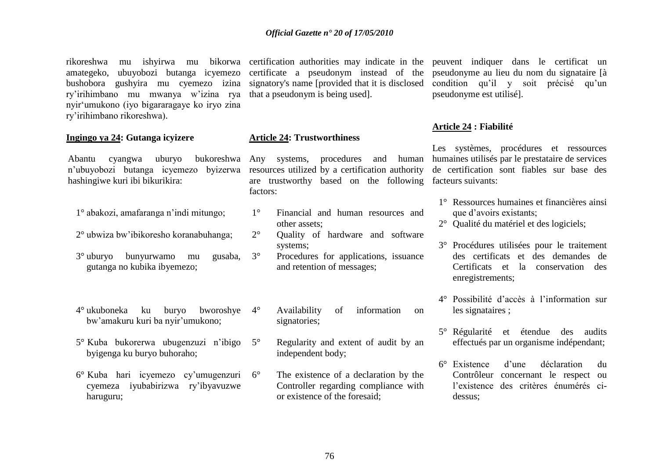rikoreshwa mu ishyirwa mu bikorwa certification-authorities may indicate in the peuvent indiquer dans le certificat un amategeko, ubuyobozi butanga icyemezo certificate a pseudonym instead of the pseudonyme au lieu du nom du signataire [à bushobora gushyira mu cyemezo izina signatory's name [provided that it is disclosed ry"irihimbano mu mwanya w"izina rya that a pseudonym is being used]. nyir"umukono (iyo bigararagaye ko iryo zina ry"irihimbano rikoreshwa).

#### **Ingingo ya 24: Gutanga icyizere**

n"ubuyobozi butanga icyemezo byizerwa hashingiwe kuri ibi bikurikira:

- 1° abakozi, amafaranga n"indi mitungo;
- 2° ubwiza bw"ibikoresho koranabuhanga;
- 3° uburyo bunyurwamo mu gusaba, gutanga no kubika ibyemezo;
- 4° ukuboneka ku buryo bworoshye bw"amakuru kuri ba nyir"umukono;
- 5° Kuba bukorerwa ubugenzuzi n"ibigo byigenga ku buryo buhoraho;
- 6° Kuba hari icyemezo cy"umugenzuri cyemeza iyubabirizwa ry"ibyavuzwe haruguru;

#### **Article 24: Trustworthiness**

Abantu cyangwa uburyo bukoreshwa Any systems, procedures and human resources utilized by a certification authority are trustworthy based on the following facteurs suivants: factors:

- 1° Financial and human resources and other assets;
- 2° Quality of hardware and software systems;
- 3° Procedures for applications, issuance and retention of messages;
	- Availability of information on signatories;
- 5° Regularity and extent of audit by an independent body;
- 6° The existence of a declaration by the Controller regarding compliance with or existence of the foresaid;

condition qu'il y soit précisé qu'un pseudonyme est utilisé].

#### **Article 24 : Fiabilité**

Les systèmes, procédures et ressources humaines utilisés par le prestataire de services de certification sont fiables sur base des

- 1° Ressources humaines et financières ainsi que d"avoirs existants;
- 2° Qualité du matériel et des logiciels;
- 3° Procédures utilisées pour le traitement des certificats et des demandes de Certificats et la conservation des enregistrements;
- 4° Possibilité d"accès à l"information sur les signataires ;
- 5° Régularité et étendue des audits effectués par un organisme indépendant;
- 6° Existence d"une déclaration du Contrôleur concernant le respect ou l"existence des critères énumérés cidessus;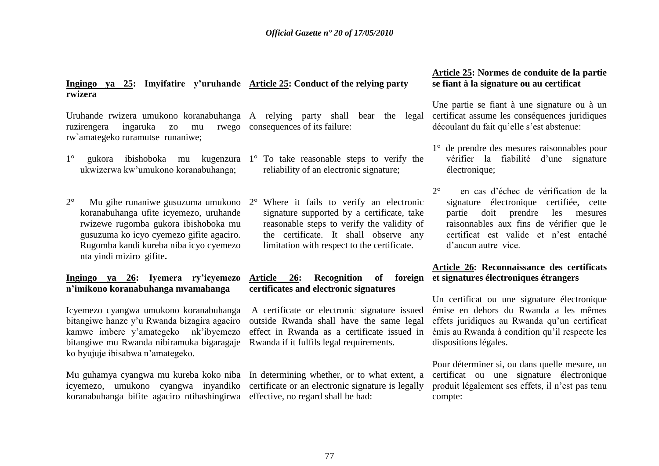## **Ingingo ya 25: Imyifatire y"uruhande Article 25: Conduct of the relying party rwizera**

Uruhande rwizera umukono koranabuhanga A relying party shall bear the legal ruzirengera ingaruka zo mu rw`amategeko ruramutse runaniwe; rwego consequences of its failure:

- 1° gukora ibishoboka mu kugenzura 1° To take reasonable steps to verify the ukwizerwa kw"umukono koranabuhanga;
- 2° Mu gihe runaniwe gusuzuma umukono koranabuhanga ufite icyemezo, uruhande rwizewe rugomba gukora ibishoboka mu gusuzuma ko icyo cyemezo gifite agaciro. Rugomba kandi kureba niba icyo cyemezo nta yindi miziro gifite**.**

**Ingingo ya 26: Iyemera ry"icyemezo n"imikono koranabuhanga mvamahanga**

Icyemezo cyangwa umukono koranabuhanga bitangiwe hanze y"u Rwanda bizagira agaciro kamwe imbere y"amategeko nk"ibyemezo bitangiwe mu Rwanda nibiramuka bigaragaje ko byujuje ibisabwa n"amategeko.

koranabuhanga bifite agaciro ntihashingirwa effective, no regard shall be had:

- reliability of an electronic signature;
	- Where it fails to verify an electronic signature supported by a certificate, take reasonable steps to verify the validity of the certificate. It shall observe any limitation with respect to the certificate.

## **Article 26: Recognition of foreign et signatures électroniques étrangers certificates and electronic signatures**

A certificate or electronic signature issued outside Rwanda shall have the same legal effect in Rwanda as a certificate issued in Rwanda if it fulfils legal requirements.

Mu guhamya cyangwa mu kureba koko niba In determining whether, or to what extent, a icyemezo, umukono cyangwa inyandiko certificate or an electronic signature is legally

## **Article 25: Normes de conduite de la partie se fiant à la signature ou au certificat**

Une partie se fiant à une signature ou à un certificat assume les conséquences juridiques découlant du fait qu'elle s'est abstenue:

- 1° de prendre des mesures raisonnables pour vérifier la fiabilité d"une signature électronique;
- 2° en cas d"échec de vérification de la signature électronique certifiée, cette partie doit prendre les mesures raisonnables aux fins de vérifier que le certificat est valide et n"est entaché d"aucun autre vice.

# **Article 26: Reconnaissance des certificats**

Un certificat ou une signature électronique émise en dehors du Rwanda a les mêmes effets juridiques au Rwanda qu"un certificat émis au Rwanda à condition qu"il respecte les dispositions légales.

Pour déterminer si, ou dans quelle mesure, un certificat ou une signature électronique produit légalement ses effets, il n"est pas tenu compte: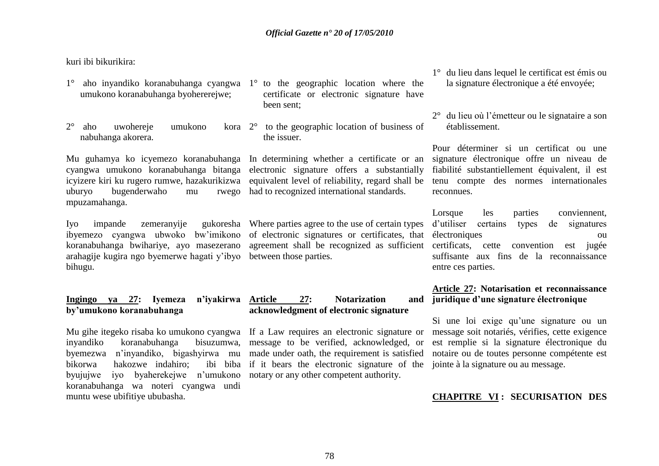kuri ibi bikurikira:

- 1° aho inyandiko koranabuhanga cyangwa 1° to the geographic location where the umukono koranabuhanga byohererejwe;
- 2° aho uwohereje umukono kora nabuhanga akorera.

Mu guhamya ko icyemezo koranabuhanga In determining whether a certificate or an cyangwa umukono koranabuhanga bitanga electronic signature offers a substantially uburyo bugenderwaho mu mpuzamahanga.

Ivo impande zemeranyije koranabuhanga bwihariye, ayo masezerano arahagije kugira ngo byemerwe hagati y"ibyo between those parties. bihugu.

### **Ingingo ya 27: Iyemeza n"iyakirwa by"umukono koranabuhanga**

Mu gihe itegeko risaba ko umukono cyangwa If a Law requires an electronic signature or inyandiko koranabuhanga byemezwa n"inyandiko, bigashyirwa mu made under oath, the requirement is satisfied bikorwa hakozwe indahiro: byujujwe iyo byaherekejwe n"umukono notary or any other competent authority. koranabuhanga wa noteri cyangwa undi muntu wese ubifitiye ububasha.

- certificate or electronic signature have been sent;
- 2° to the geographic location of business of the issuer.

had to recognized international standards.

ibyemezo cyangwa ubwoko bw"imikono of electronic signatures or certificates, that Where parties agree to the use of certain types agreement shall be recognized as sufficient

## 27: Notarization and **acknowledgment of electronic signature**

bisuzumwa, message to be verified, acknowledged, or ibi biba if it bears the electronic signature of the

- 1° du lieu dans lequel le certificat est émis ou la signature électronique a été envoyée;
- 2° du lieu où l"émetteur ou le signataire a son établissement.

icyizere kiri ku rugero rumwe, hazakurikizwa equivalent level of reliability, regard shall be tenu compte des normes internationales Pour déterminer si un certificat ou une signature électronique offre un niveau de fiabilité substantiellement équivalent, il est reconnues.

> Lorsque les parties conviennent, d"utiliser certains types de signatures électroniques ou certificats, cette convention est jugée suffisante aux fins de la reconnaissance entre ces parties.

### **Article 27: Notarisation et reconnaissance juridique d"une signature électronique**

Si une loi exige qu"une signature ou un message soit notariés, vérifies, cette exigence est remplie si la signature électronique du notaire ou de toutes personne compétente est jointe à la signature ou au message.

## **CHAPITRE VI : SECURISATION DES**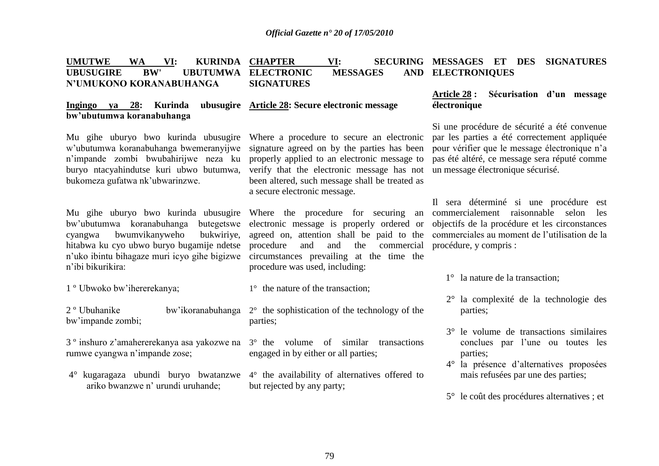| <b>UMUTWE</b>           | <b>WA</b>  | VI: | <b>KURINDA</b> | <b>CHAPTER</b>      | VI: |                 |                   |  | SECURING MESSAGES ET DES SIGNATURES |
|-------------------------|------------|-----|----------------|---------------------|-----|-----------------|-------------------|--|-------------------------------------|
| <b>UBUSUGIRE</b>        | <b>BW'</b> |     |                | UBUTUMWA ELECTRONIC |     | <b>MESSAGES</b> | AND ELECTRONIQUES |  |                                     |
| N'UMUKONO KORANABUHANGA |            |     |                | <b>SIGNATURES</b>   |     |                 |                   |  |                                     |
|                         |            |     |                |                     |     |                 |                   |  |                                     |

#### **Ingingo ya 28: Kurinda ubusugire Article 28: Secure electronic message bw"ubutumwa koranabuhanga**

Mu gihe uburyo bwo kurinda ubusugire Where a procedure to secure an electronic w"ubutumwa koranabuhanga bwemeranyijwe n"impande zombi bwubahirijwe neza ku buryo ntacyahindutse kuri ubwo butumwa, bukomeza gufatwa nk"ubwarinzwe.

Mu gihe uburyo bwo kurinda ubusugire bw"ubutumwa koranabuhanga butegetswe cyangwa bwumvikanyweho bukwiriye, hitabwa ku cyo ubwo buryo bugamije ndetse n'uko ibintu bihagaze muri icyo gihe bigizwe circumstances prevailing at the time the n"ibi bikurikira:

1 º Ubwoko bw"ihererekanya;

bw"impande zombi;

rumwe cyangwa n"impande zose;

4° kugaragaza ubundi buryo bwatanzwe ariko bwanzwe n" urundi uruhande;

signature agreed on by the parties has been properly applied to an electronic message to verify that the electronic message has not been altered, such message shall be treated as a secure electronic message.

Where the procedure for securing an electronic message is properly ordered or agreed on, attention shall be paid to the procedure and and the commercial procedure was used, including:

- 1° the nature of the transaction;
- 2 º Ubuhanike bw"ikoranabuhanga 2° the sophistication of the technology of the parties;
- 3 º inshuro z"amahererekanya asa yakozwe na 3° the volume of similar transactions engaged in by either or all parties;
	- 4° the availability of alternatives offered to but rejected by any party;

### **Article 28 : Sécurisation d"un message électronique**

Si une procédure de sécurité a été convenue par les parties a été correctement appliquée pour vérifier que le message électronique n"a pas été altéré, ce message sera réputé comme un message électronique sécurisé.

Il sera déterminé si une procédure est commercialement raisonnable selon les objectifs de la procédure et les circonstances commerciales au moment de l"utilisation de la procédure, y compris :

- 1° la nature de la transaction;
- 2° la complexité de la technologie des parties;
- 3° le volume de transactions similaires conclues par l"une ou toutes les parties;
- 4° la présence d"alternatives proposées mais refusées par une des parties;
- 5° le coût des procédures alternatives ; et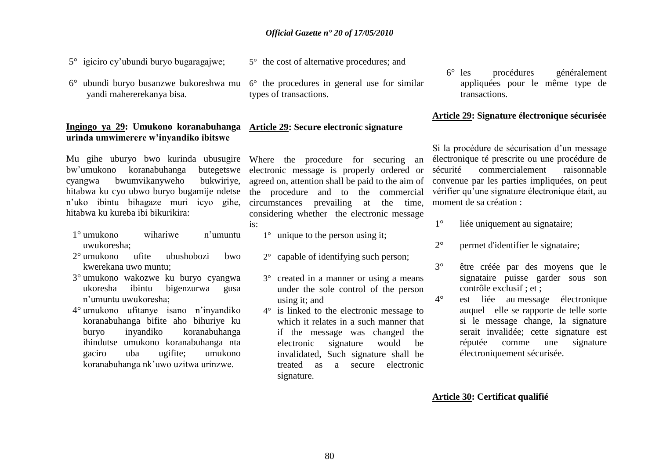5° the cost of alternative procedures; and

- 5° igiciro cy"ubundi buryo bugaragajwe;
- 6° ubundi buryo busanzwe bukoreshwa mu yandi mahererekanya bisa.

#### **Ingingo ya 29: Umukono koranabuhanga urinda umwimerere w"inyandiko ibitswe**

bw"umukono koranabuhanga butegetswe cyangwa bwumvikanyweho bukwiriye, hitabwa ku cyo ubwo buryo bugamije ndetse n"uko ibintu bihagaze muri icyo gihe, hitabwa ku kureba ibi bikurikira:

- 1° umukono wihariwe n"umuntu uwukoresha;
- 2° umukono ufite ubushobozi bwo kwerekana uwo muntu;
- 3° umukono wakozwe ku buryo cyangwa ukoresha ibintu bigenzurwa gusa n"umuntu uwukoresha;
- 4° umukono ufitanye isano n"inyandiko koranabuhanga bifite aho bihuriye ku buryo inyandiko koranabuhanga ihindutse umukono koranabuhanga nta gaciro uba ugifite; umukono koranabuhanga nk"uwo uzitwa urinzwe.

6° the procedures in general use for similar types of transactions.

## **Article 29: Secure electronic signature**

Mu gihe uburyo bwo kurinda ubusugire Where the procedure for securing an electronic message is properly ordered or agreed on, attention shall be paid to the aim of the procedure and to the commercial circumstances prevailing at the time, considering whether the electronic message is:

- 1° unique to the person using it;
- 2° capable of identifying such person;
- 3° created in a manner or using a means under the sole control of the person using it; and
- 4° is linked to the electronic message to which it relates in a such manner that if the message was changed the electronic signature would be invalidated, Such signature shall be treated as a secure electronic signature.

6° les procédures généralement appliquées pour le même type de transactions.

#### **Article 29: Signature électronique sécurisée**

Si la procédure de sécurisation d"un message électronique té prescrite ou une procédure de sécurité commercialement raisonnable convenue par les parties impliquées, on peut vérifier qu"une signature électronique était, au moment de sa création :

- 1° liée uniquement au signataire;
- 2° permet d'identifier le signataire;
- 3° être créée par des moyens que le signataire puisse garder sous son contrôle exclusif ; et ;
- 4° est liée au message électronique auquel elle se rapporte de telle sorte si le message change, la signature serait invalidée; cette signature est réputée comme une signature électroniquement sécurisée.

### **Article 30: Certificat qualifié**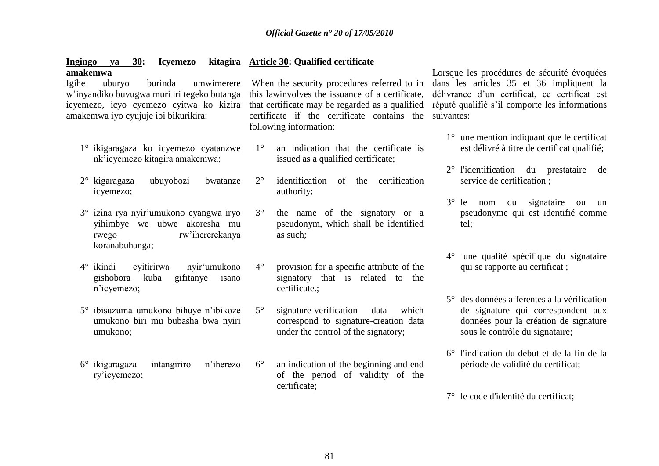#### **Ingingo ya 30: Icyemezo amakemwa Article 30: Qualified certificate**

Igihe uburyo burinda umwimerere w"inyandiko buvugwa muri iri tegeko butanga icyemezo, icyo cyemezo cyitwa ko kizira amakemwa iyo cyujuje ibi bikurikira:

- 1° ikigaragaza ko icyemezo cyatanzwe nk"icyemezo kitagira amakemwa;
- 2° kigaragaza ubuyobozi bwatanze icyemezo;
- 3° izina rya nyir"umukono cyangwa iryo yihimbye we ubwe akoresha mu rwego rw"ihererekanya koranabuhanga;
- 4° ikindi cyitirirwa nyir"umukono gishobora kuba gifitanye isano n"icyemezo;
- 5° ibisuzuma umukono bihuye n"ibikoze umukono biri mu bubasha bwa nyiri umukono;
- 6° ikigaragaza intangiriro n"iherezo ry"icyemezo;

When the security procedures referred to in this lawinvolves the issuance of a certificate, that certificate may be regarded as a qualified certificate if the certificate contains the suivantes: following information:

- 1° an indication that the certificate is issued as a qualified certificate;
- 2° identification of the certification authority;
- 3° the name of the signatory or a pseudonym, which shall be identified as such;
- 4° provision for a specific attribute of the signatory that is related to the certificate.;
- 5° signature-verification data which correspond to signature-creation data under the control of the signatory;
- 6° an indication of the beginning and end of the period of validity of the certificate;

Lorsque les procédures de sécurité évoquées dans les articles 35 et 36 impliquent la délivrance d"un certificat, ce certificat est réputé qualifié s"il comporte les informations

- 1° une mention indiquant que le certificat est délivré à titre de certificat qualifié;
- 2° l'identification du prestataire de service de certification ;
- 3° le nom du signataire ou un pseudonyme qui est identifié comme tel;
- 4° une qualité spécifique du signataire qui se rapporte au certificat ;
- 5° des données afférentes à la vérification de signature qui correspondent aux données pour la création de signature sous le contrôle du signataire;
- 6° l'indication du début et de la fin de la période de validité du certificat;
- 7° le code d'identité du certificat;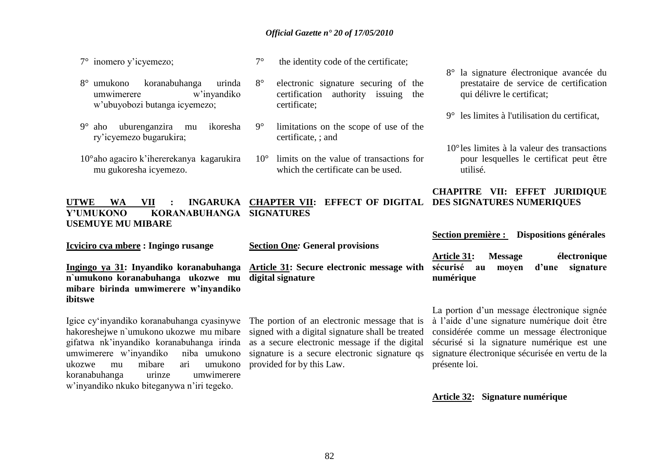7° inomero y"icyemezo;

7° the identity code of the certificate;

8° electronic signature securing of the certification authority issuing the

- 8° umukono koranabuhanga urinda umwimerere w"inyandiko w"ubuyobozi butanga icyemezo;
- 9° aho uburenganzira mu ikoresha ry"icyemezo bugarukira;
- 10°aho agaciro k"ihererekanya kagarukira mu gukoresha icyemezo.
- certificate; 9° limitations on the scope of use of the certificate, ; and
	- 10° limits on the value of transactions for which the certificate can be used.

#### **UTWE WA VII : INGARUKA Y"UMUKONO KORANABUHANGA USEMUYE MU MIBARE CHAPTER VII: EFFECT OF DIGITAL DES SIGNATURES NUMERIQUES SIGNATURES**

**Icyiciro cya mbere : Ingingo rusange**

**Section One***:* **General provisions**

**Ingingo ya 31: Inyandiko koranabuhanga n`umukono koranabuhanga ukozwe mu mibare birinda umwimerere w"inyandiko ibitswe**

Igice cy"inyandiko koranabuhanga cyasinywe hakoreshejwe n`umukono ukozwe mu mibare gifatwa nk"inyandiko koranabuhanga irinda umwimerere w"inyandiko niba umukono ukozwe mu mibare ari umukono koranabuhanga urinze umwimerere w"inyandiko nkuko biteganywa n"iri tegeko.

**Article 31: Secure electronic message with digital signature**

The portion of an electronic message that is signed with a digital signature shall be treated as a secure electronic message if the digital provided for by this Law.

- 8° la signature électronique avancée du prestataire de service de certification qui délivre le certificat;
- 9° les limites à l'utilisation du certificat,
- 10°les limites à la valeur des transactions pour lesquelles le certificat peut être utilisé.

## **CHAPITRE VII: EFFET JURIDIQUE**

**Section première : Dispositions générales**

**Article 31: Message électronique sécurisé au moyen d"une signature numérique** 

signature is a secure electronic signature qs signature électronique sécurisée en vertu de la La portion d'un message électronique signée à l"aide d"une signature numérique doit être considérée comme un message électronique sécurisé si la signature numérique est une présente loi.

#### **Article 32: Signature numérique**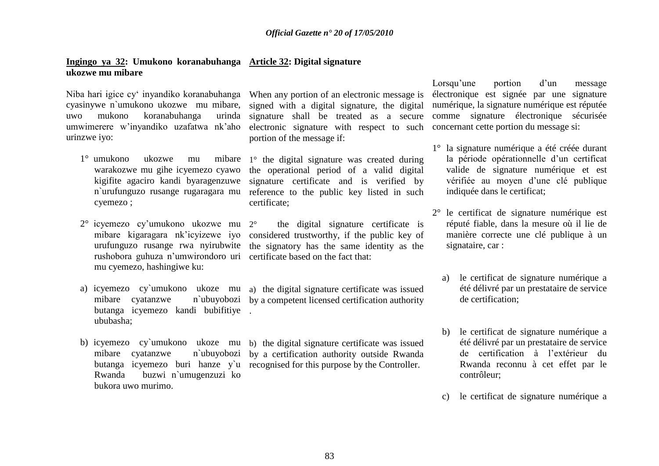### **Ingingo ya 32: Umukono koranabuhanga Article 32: Digital signature ukozwe mu mibare**

Niba hari igice cy" inyandiko koranabuhanga When any portion of an electronic message is cyasinywe n`umukono ukozwe mu mibare, signed with a digital signature, the digital uwo mukono koranabuhanga umwimerere w"inyandiko uzafatwa nk"aho urinzwe iyo:

- 1° umukono ukozwe mu warakozwe mu gihe icyemezo cyawo cyemezo ;
- 2° icyemezo cy"umukono ukozwe mu mibare kigaragara nk"icyizewe iyo urufunguzo rusange rwa nyirubwite rushobora guhuza n'umwirondoro uri certificate based on the fact that: mu cyemezo, hashingiwe ku:
- a) icyemezo cy`umukono ukoze mu mibare cyatanzwe butanga icyemezo kandi bubifitiye . ububasha;
- mibare cyatanzwe Rwanda buzwi n`umugenzuzi ko bukora uwo murimo.

signature shall be treated as a secure electronic signature with respect to such portion of the message if:

kigifite agaciro kandi byaragenzuwe signature certificate and is verified by n`urufunguzo rusange rugaragara mu reference to the public key listed in such mibare  $1^\circ$  the digital signature was created during the operational period of a valid digital certificate;

> 2° the digital signature certificate is considered trustworthy, if the public key of the signatory has the same identity as the

a) the digital signature certificate was issued by a competent licensed certification authority

b) icyemezo cy`umukono ukoze mu b) the digital signature certificate was issued butanga icyemezo buri hanze y`u recognised for this purpose by the Controller. by a certification authority outside Rwanda

Lorsqu'une portion d'un message électronique est signée par une signature numérique, la signature numérique est réputée comme signature électronique sécurisée concernant cette portion du message si:

- 1° la signature numérique a été créée durant la période opérationnelle d'un certificat valide de signature numérique et est vérifiée au moyen d"une clé publique indiquée dans le certificat;
- 2° le certificat de signature numérique est réputé fiable, dans la mesure où il lie de manière correcte une clé publique à un signataire, car :
	- a) le certificat de signature numérique a été délivré par un prestataire de service de certification;
	- b) le certificat de signature numérique a été délivré par un prestataire de service de certification à l"extérieur du Rwanda reconnu à cet effet par le contrôleur;
	- c) le certificat de signature numérique a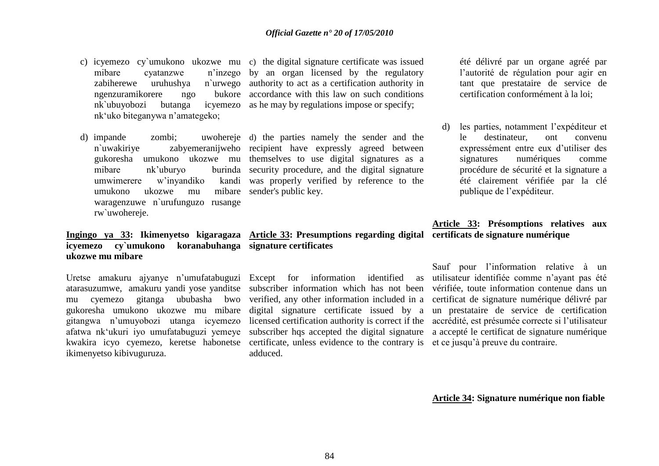- c) icyemezo cy`umukono ukozwe mu c) the digital signature certificate was issued mibare cyatanzwe zabiherewe uruhushya ngenzuramikorere ngo nk`ubuyobozi butanga icyemezo as he may by regulations impose or specify; nk"uko biteganywa n"amategeko; n'inzego by an organ licensed by the regulatory n'urwego authority to act as a certification authority in bukore accordance with this law on such conditions
- d) impande zombi: mibare nk'uburyo umwimerere w'invandiko umukono ukozwe mu waragenzuwe n`urufunguzo rusange rw`uwohereje.

## **icyemezo cy`umukono koranabuhanga signature certificates ukozwe mu mibare**

Uretse amakuru ajyanye n"umufatabuguzi Except for information identified as atarasuzumwe, amakuru yandi yose yanditse mu cyemezo gitanga ububasha bwo gitangwa n"umuyobozi utanga icyemezo afatwa nk"ukuri iyo umufatabuguzi yemeye ikimenyetso kibivuguruza.

n`uwakiriye zabyemeranijweho recipient have expressly agreed between gukoresha umukono ukozwe mu themselves to use digital signatures as a d) the parties namely the sender and the burinda security procedure, and the digital signature kandi was properly verified by reference to the mibare sender's public key.

**Ingingo ya 33: Ikimenyetso kigaragaza Article 33: Presumptions regarding digital certificats de signature numérique**

kwakira icyo cyemezo, keretse habonetse certificate, unless evidence to the contrary is et ce jusqu'à preuve du contraire. adduced.

été délivré par un organe agréé par l"autorité de régulation pour agir en tant que prestataire de service de certification conformément à la loi;

d) les parties, notamment l"expéditeur et le destinateur ont convenu expressément entre eux d"utiliser des signatures numériques comme procédure de sécurité et la signature a été clairement vérifiée par la clé publique de l"expéditeur.

## **Article 33: Présomptions relatives aux**

gukoresha umukono ukozwe mu mibare digital signature certificate issued by a un prestataire de service de certification subscriber information which has not been vérifiée, toute information contenue dans un verified, any other information included in a certificat de signature numérique délivré par licensed certification authority is correct if the accrédité, est présumée correcte si l'utilisateur subscriber hqs accepted the digital signature a accepté le certificat de signature numérique Sauf pour l"information relative à un utilisateur identifiée comme n"ayant pas été

**Article 34: Signature numérique non fiable**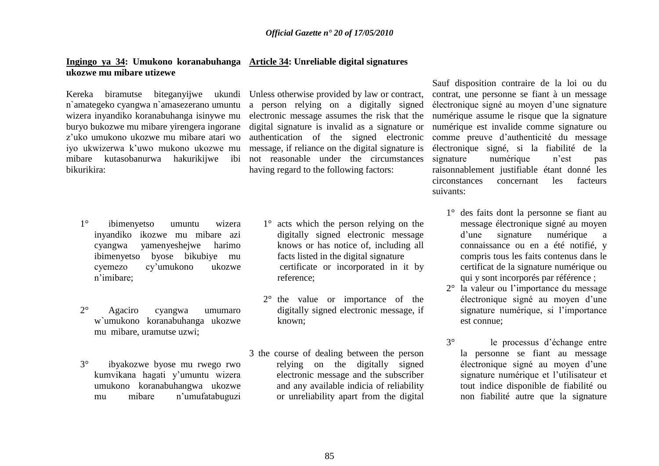#### **Ingingo ya 34: Umukono koranabuhanga Article 34: Unreliable digital signatures ukozwe mu mibare utizewe**

Kereka biramutse biteganyijwe ukundi n`amategeko cyangwa n`amasezerano umuntu wizera inyandiko koranabuhanga isinywe mu buryo bukozwe mu mibare yirengera ingorane z"uko umukono ukozwe mu mibare atari wo iyo ukwizerwa k"uwo mukono ukozwe mu mibare kutasobanurwa hakurikijwe ibi bikurikira:

Unless otherwise provided by law or contract, a person relying on a digitally signed electronic message assumes the risk that the digital signature is invalid as a signature or authentication of the signed electronic message, if reliance on the digital signature is not reasonable under the circumstances having regard to the following factors:

- 1° ibimenyetso umuntu wizera inyandiko ikozwe mu mibare azi cyangwa yamenyeshejwe harimo ibimenyetso byose bikubiye mu cyemezo cy"umukono ukozwe n"imibare;
- 2° Agaciro cyangwa umumaro w`umukono koranabuhanga ukozwe mu mibare, uramutse uzwi;
- 3° ibyakozwe byose mu rwego rwo kumvikana hagati y"umuntu wizera umukono koranabuhangwa ukozwe mu mibare n"umufatabuguzi
- 1° acts which the person relying on the digitally signed electronic message knows or has notice of, including all facts listed in the digital signature certificate or incorporated in it by reference;
- 2° the value or importance of the digitally signed electronic message, if known;
- 3 the course of dealing between the person relying on the digitally signed electronic message and the subscriber and any available indicia of reliability or unreliability apart from the digital

Sauf disposition contraire de la loi ou du contrat, une personne se fiant à un message électronique signé au moyen d"une signature numérique assume le risque que la signature numérique est invalide comme signature ou comme preuve d"authenticité du message électronique signé, si la fiabilité de la signature numérique n'est pas raisonnablement justifiable étant donné les circonstances concernant les facteurs suivants:

- 1° des faits dont la personne se fiant au message électronique signé au moyen d"une signature numérique a connaissance ou en a été notifié, y compris tous les faits contenus dans le certificat de la signature numérique ou qui y sont incorporés par référence ;
- 2° la valeur ou l"importance du message électronique signé au moyen d"une signature numérique, si l'importance est connue;
- 3° le processus d"échange entre la personne se fiant au message électronique signé au moyen d"une signature numérique et l"utilisateur et tout indice disponible de fiabilité ou non fiabilité autre que la signature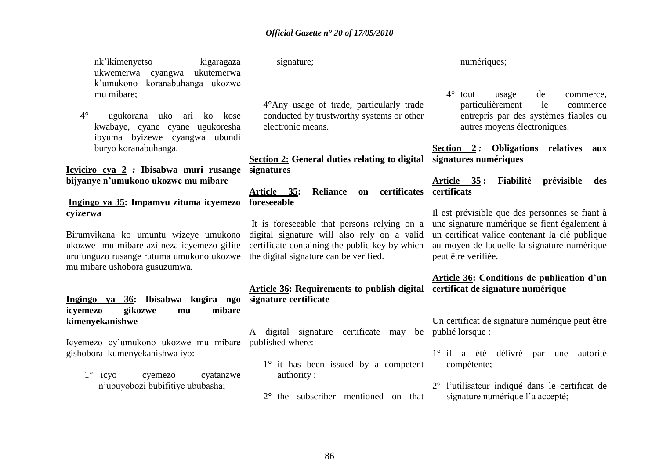nk"ìkimenyetso kigaragaza ukwemerwa cyangwa ukutemerwa k"umukono koranabuhanga ukozwe mu mibare;

4° ugukorana uko ari ko kose kwabaye, cyane cyane ugukoresha ibyuma byizewe cyangwa ubundi buryo koranabuhanga.

**Icyiciro cya 2** *:* **Ibisabwa muri rusange bijyanye n"umukono ukozwe mu mibare**

### **Ingingo ya 35: Impamvu zituma icyemezo foreseeable cyizerwa**

Birumvikana ko umuntu wizeye umukono ukozwe mu mibare azi neza icyemezo gifite urufunguzo rusange rutuma umukono ukozwe mu mibare ushobora gusuzumwa.

### **Ingingo ya 36: Ibisabwa kugira ngo icyemezo gikozwe mu mibare kimenyekanishwe**

Icyemezo cy"umukono ukozwe mu mibare published where: gishobora kumenyekanishwa iyo:

1° icyo cyemezo cyatanzwe n"ubuyobozi bubifitiye ububasha;

signature;

4°Any usage of trade, particularly trade conducted by trustworthy systems or other electronic means.

**Section 2: General duties relating to digital signatures numériques signatures**

**Article 35: Reliance on certificates certificats**

It is foreseeable that persons relying on a digital signature will also rely on a valid certificate containing the public key by which the digital signature can be verified.

**Article 36: Requirements to publish digital certificat de signature numérique signature certificate**

A digital signature certificate may be publié lorsque :

- 1° it has been issued by a competent authority ;
- 2° the subscriber mentioned on that

numériques:

4° tout usage de commerce, particulièrement le commerce entrepris par des systèmes fiables ou autres moyens électroniques.

**Section 2** *:* **Obligations relatives aux** 

**Article 35 : Fiabilité prévisible des** 

Il est prévisible que des personnes se fiant à une signature numérique se fient également à un certificat valide contenant la clé publique au moyen de laquelle la signature numérique peut être vérifiée.

# **Article 36: Conditions de publication d"un**

Un certificat de signature numérique peut être

- 1° il a été délivré par une autorité compétente;
- 2° l"utilisateur indiqué dans le certificat de signature numérique l'a accepté;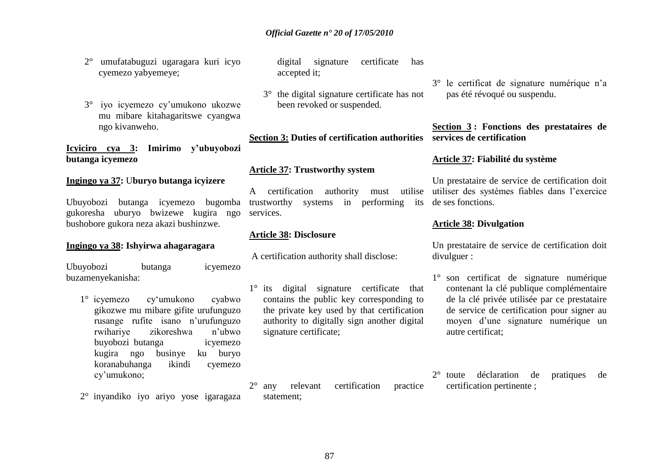- 2° umufatabuguzi ugaragara kuri icyo cyemezo yabyemeye;
- 3° iyo icyemezo cy"umukono ukozwe mu mibare kitahagaritswe cyangwa ngo kivanweho.

**Icyiciro cya 3: Imirimo y"ubuyobozi butanga icyemezo**

## **Ingingo ya 37:** U**buryo butanga icyizere**

Ubuyobozi butanga icyemezo bugomba gukoresha uburyo bwizewe kugira ngo bushobore gukora neza akazi bushinzwe.

#### **Ingingo ya 38: Ishyirwa ahagaragara**

Ubuyobozi butanga icyemezo buzamenyekanisha:

- 1° icyemezo cy"umukono cyabwo gikozwe mu mibare gifite urufunguzo rusange rufite isano n"urufunguzo rwihariye zikoreshwa n"ubwo buyobozi butanga icyemezo kugira ngo businye ku buryo koranabuhanga ikindi cyemezo cy"umukono;
- 2° inyandiko iyo ariyo yose igaragaza

digital signature certificate has accepted it;

3° the digital signature certificate has not been revoked or suspended.

**Section 3: Duties of certification authorities services de certification**

### **Article 37: Trustworthy system**

A certification authority must trustworthy systems in performing its de ses fonctions. services.

### **Article 38: Disclosure**

statement;

A certification authority shall disclose:

1° its digital signature certificate that contains the public key corresponding to the private key used by that certification authority to digitally sign another digital signature certificate;

2° any relevant certification practice

3° le certificat de signature numérique n"a pas été révoqué ou suspendu.

**Section 3 : Fonctions des prestataires de** 

### **Article 37: Fiabilité du système**

Un prestataire de service de certification doit utiliser des systèmes fiables dans l"exercice

#### **Article 38: Divulgation**

Un prestataire de service de certification doit divulguer :

- 1° son certificat de signature numérique contenant la clé publique complémentaire de la clé privée utilisée par ce prestataire de service de certification pour signer au moyen d"une signature numérique un autre certificat;
- 2° toute déclaration de pratiques de certification pertinente ;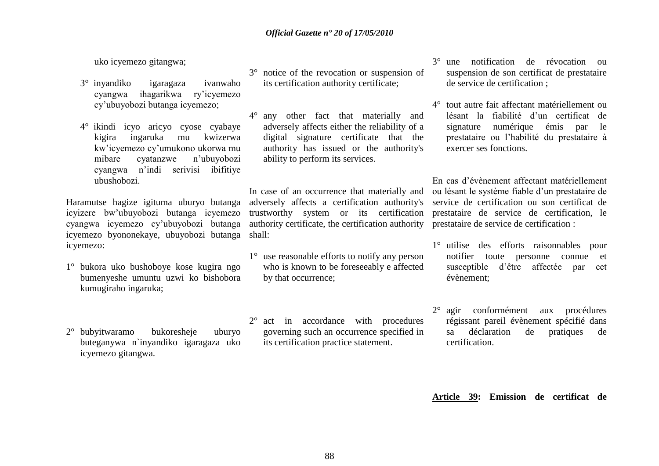uko icyemezo gitangwa;

- 3° inyandiko igaragaza ivanwaho cyangwa ihagarikwa ry"icyemezo cy"ubuyobozi butanga icyemezo;
- 4° ikindi icyo aricyo cyose cyabaye kigira ingaruka mu kwizerwa kw"icyemezo cy"umukono ukorwa mu mibare cyatanzwe n"ubuyobozi cyangwa n"indi serivisi ibifitiye ubushobozi.

Haramutse hagize igituma uburyo butanga icyizere bw"ubuyobozi butanga icyemezo cyangwa icyemezo cy"ubuyobozi butanga icyemezo byononekaye, ubuyobozi butanga shall: icyemezo:

- 1° bukora uko bushoboye kose kugira ngo bumenyeshe umuntu uzwi ko bishobora kumugiraho ingaruka;
- 2° bubyitwaramo bukoresheje uburyo buteganywa n`inyandiko igaragaza uko icyemezo gitangwa.
- 3° notice of the revocation or suspension of its certification authority certificate;
- 4° any other fact that materially and adversely affects either the reliability of a digital signature certificate that the authority has issued or the authority's ability to perform its services.

In case of an occurrence that materially and adversely affects a certification authority's trustworthy system or its certification authority certificate, the certification authority prestataire de service de certification :

- 1° use reasonable efforts to notify any person who is known to be foreseeably e affected by that occurrence;
- 2° act in accordance with procedures governing such an occurrence specified in its certification practice statement.
- 3° une notification de révocation ou suspension de son certificat de prestataire de service de certification ;
- 4° tout autre fait affectant matériellement ou lésant la fiabilité d"un certificat de signature numérique émis par le prestataire ou l"habilité du prestataire à exercer ses fonctions.

En cas d"évènement affectant matériellement ou lésant le système fiable d"un prestataire de service de certification ou son certificat de prestataire de service de certification, le

- 1° utilise des efforts raisonnables pour notifier toute personne connue et susceptible d"être affectée par cet évènement;
- 2° agir conformément aux procédures régissant pareil évènement spécifié dans sa déclaration de pratiques de certification.

**Article 39: Emission de certificat de**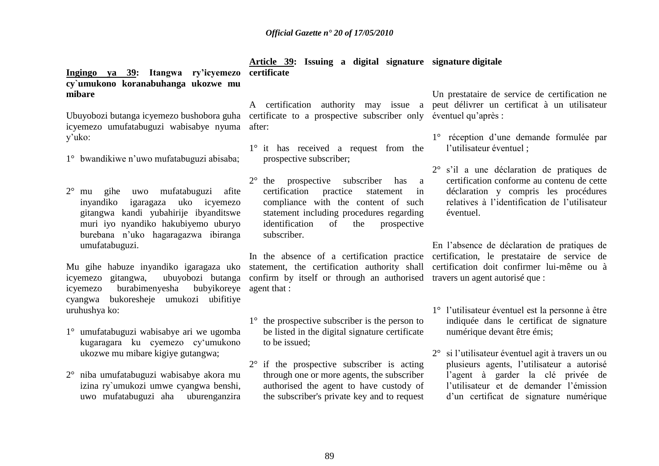**Ingingo ya 39: Itangwa ry"icyemezo certificate cy`umukono koranabuhanga ukozwe mu mibare Article 39: Issuing a digital signature signature digitale**

Ubuyobozi butanga icyemezo bushobora guha certificate to a prospective subscriber only éventuel qu"après : icyemezo umufatabuguzi wabisabye nyuma y"uko:

- 1° bwandikiwe n"uwo mufatabuguzi abisaba;
- 2° mu gihe uwo mufatabuguzi afite inyandiko igaragaza uko icyemezo gitangwa kandi yubahirije ibyanditswe muri iyo nyandiko hakubiyemo uburyo burebana n"uko hagaragazwa ibiranga umufatabuguzi.

icyemezo gitangwa, icyemezo burabimenyesha cyangwa bukoresheje umukozi ubifitiye uruhushya ko: buby ikoreye agent that:

- 1° umufatabuguzi wabisabye ari we ugomba kugaragara ku cyemezo cy"umukono ukozwe mu mibare kigiye gutangwa;
- 2° niba umufatabuguzi wabisabye akora mu izina ry`umukozi umwe cyangwa benshi, uwo mufatabuguzi aha uburenganzira

A certification authority may issue a peut délivrer un certificat à un utilisateur after:

- 1° it has received a request from the prospective subscriber;
- 2° the prospective subscriber has a certification practice statement in compliance with the content of such statement including procedures regarding identification of the prospective subscriber.

Mu gihe habuze inyandiko igaragaza uko statement, the certification authority shall In the absence of a certification practice confirm by itself or through an authorised travers un agent autorisé que :

- 1° the prospective subscriber is the person to be listed in the digital signature certificate to be issued;
- 2° if the prospective subscriber is acting through one or more agents, the subscriber authorised the agent to have custody of the subscriber's private key and to request

Un prestataire de service de certification ne

- 1° réception d"une demande formulée par l'utilisateur éventuel :
- 2° s"il a une déclaration de pratiques de certification conforme au contenu de cette déclaration y compris les procédures relatives à l"identification de l"utilisateur éventuel.

En l"absence de déclaration de pratiques de certification, le prestataire de service de certification doit confirmer lui-même ou à

- 1° l"utilisateur éventuel est la personne à être indiquée dans le certificat de signature numérique devant être émis;
- 2° si l"utilisateur éventuel agit à travers un ou plusieurs agents, l"utilisateur a autorisé l"agent à garder la clé privée de l"utilisateur et de demander l"émission d"un certificat de signature numérique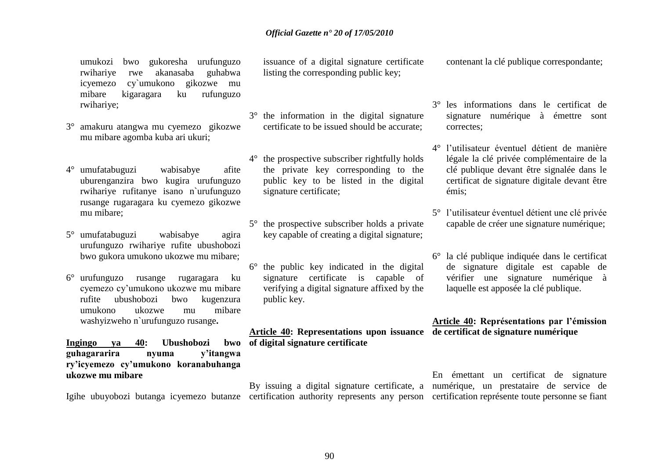umukozi bwo gukoresha urufunguzo rwihariye rwe akanasaba guhabwa icyemezo cy`umukono gikozwe mu mibare kigaragara ku rufunguzo rwihariye;

- 3° amakuru atangwa mu cyemezo gikozwe mu mibare agomba kuba ari ukuri;
- 4° umufatabuguzi wabisabye afite uburenganzira bwo kugira urufunguzo rwihariye rufitanye isano n`urufunguzo rusange rugaragara ku cyemezo gikozwe mu mibare;
- 5° umufatabuguzi wabisabye agira urufunguzo rwihariye rufite ubushobozi bwo gukora umukono ukozwe mu mibare;
- 6° urufunguzo rusange rugaragara ku cyemezo cy"umukono ukozwe mu mibare rufite ubushobozi bwo kugenzura umukono ukozwe mu mibare washyizweho n`urufunguzo rusange**.**

Ingingo va 40: Ubushobozi **guhagararira nyuma y"itangwa ry"icyemezo cy"umukono koranabuhanga ukozwe mu mibare** 

issuance of a digital signature certificate listing the corresponding public key;

- 3° the information in the digital signature certificate to be issued should be accurate;
- 4° the prospective subscriber rightfully holds the private key corresponding to the public key to be listed in the digital signature certificate;
- 5° the prospective subscriber holds a private key capable of creating a digital signature;
- 6° the public key indicated in the digital signature certificate is capable of verifying a digital signature affixed by the public key.

**Article 40: Representations upon issuance de certificat de signature numérique of digital signature certificate**

contenant la clé publique correspondante;

- 3° les informations dans le certificat de signature numérique à émettre sont correctes;
- 4° l"utilisateur éventuel détient de manière légale la clé privée complémentaire de la clé publique devant être signalée dans le certificat de signature digitale devant être émis;
- 5° l"utilisateur éventuel détient une clé privée capable de créer une signature numérique;
- 6° la clé publique indiquée dans le certificat de signature digitale est capable de vérifier une signature numérique à laquelle est apposée la clé publique.

# **Article 40: Représentations par l"émission**

Igihe ubuyobozi butanga icyemezo butanze certification authority represents any person certification représente toute personne se fiant By issuing a digital signature certificate, a numérique, un prestataire de service de En émettant un certificat de signature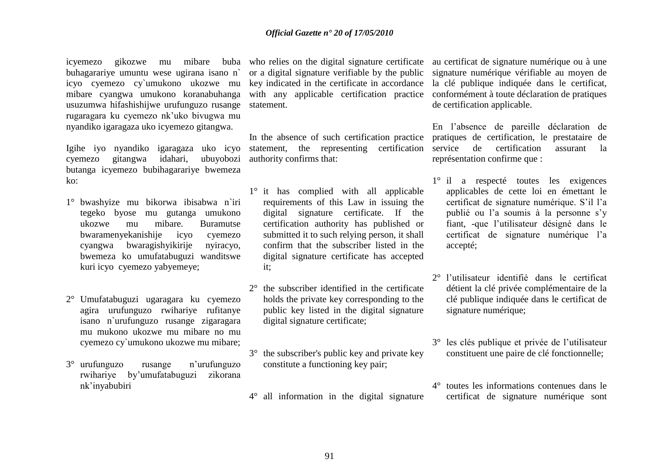icyemezo gikozwe mu mibare buba who relies on the digital signature certificate au certificat de signature numérique ou à une buhagarariye umuntu wese ugirana isano n` icyo cyemezo cy`umukono ukozwe mu mibare cyangwa umukono koranabuhanga usuzumwa hifashishijwe urufunguzo rusange statement. rugaragara ku cyemezo nk"uko bivugwa mu nyandiko igaragaza uko icyemezo gitangwa.

Igihe iyo nyandiko igaragaza uko icyo cyemezo gitangwa idahari, ubuyobozi butanga icyemezo bubihagarariye bwemeza ko:

- 1° bwashyize mu bikorwa ibisabwa n`iri tegeko byose mu gutanga umukono ukozwe mu mibare. Buramutse bwaramenyekanishije icyo cyemezo cyangwa bwaragishyikirije nyiracyo, bwemeza ko umufatabuguzi wanditswe kuri icyo cyemezo yabyemeye;
- 2° Umufatabuguzi ugaragara ku cyemezo agira urufunguzo rwihariye rufitanye isano n`urufunguzo rusange zigaragara mu mukono ukozwe mu mibare no mu cyemezo cy`umukono ukozwe mu mibare;
- 3° urufunguzo rusange n"urufunguzo rwihariye by"umufatabuguzi zikorana nk"inyabubiri

or a digital signature verifiable by the public key indicated in the certificate in accordance

In the absence of such certification practice statement, the representing certification service de certification assurant la authority confirms that:

- 1° it has complied with all applicable requirements of this Law in issuing the digital signature certificate. If the certification authority has published or submitted it to such relying person, it shall confirm that the subscriber listed in the digital signature certificate has accepted it;
- 2° the subscriber identified in the certificate holds the private key corresponding to the public key listed in the digital signature digital signature certificate;
- 3° the subscriber's public key and private key constitute a functioning key pair;

4° all information in the digital signature

with any applicable certification practice conformément à toute déclaration de pratiques signature numérique vérifiable au moyen de la clé publique indiquée dans le certificat, de certification applicable.

> En l"absence de pareille déclaration de pratiques de certification, le prestataire de représentation confirme que :

- 1° il a respecté toutes les exigences applicables de cette loi en émettant le certificat de signature numérique. S"il l"a publié ou l"a soumis à la personne s"y fiant, -que l"utilisateur désigné dans le certificat de signature numérique l"a accepté;
- 2° l"utilisateur identifié dans le certificat détient la clé privée complémentaire de la clé publique indiquée dans le certificat de signature numérique;
- 3° les clés publique et privée de l"utilisateur constituent une paire de clé fonctionnelle;
- 4° toutes les informations contenues dans le certificat de signature numérique sont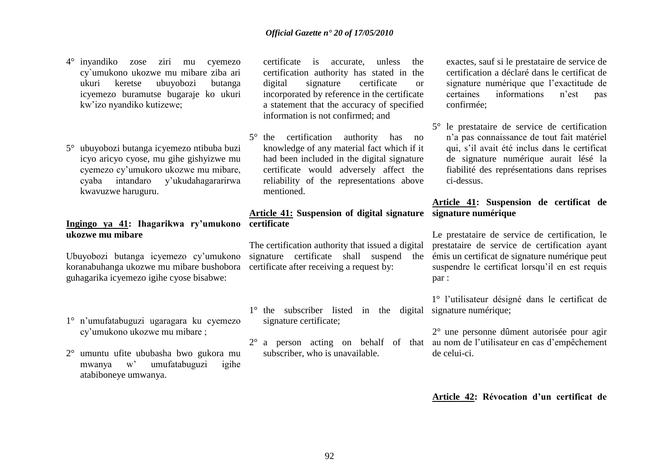- 4° inyandiko zose ziri mu cyemezo cy`umukono ukozwe mu mibare ziba ari ukuri keretse ubuyobozi butanga icyemezo buramutse bugaraje ko ukuri kw"izo nyandiko kutizewe;
- 5° ubuyobozi butanga icyemezo ntibuba buzi icyo aricyo cyose, mu gihe gishyizwe mu cyemezo cy"umukoro ukozwe mu mibare, cyaba intandaro y"ukudahagararirwa kwavuzwe haruguru.

### **Ingingo ya 41: Ihagarikwa ry"umukono certificate ukozwe mu mibare**

Ubuyobozi butanga icyemezo cy"umukono koranabuhanga ukozwe mu mibare bushobora certificate after receiving a request by: guhagarika icyemezo igihe cyose bisabwe:

- 1° n"umufatabuguzi ugaragara ku cyemezo cy"umukono ukozwe mu mibare ;
- 2° umuntu ufite ububasha bwo gukora mu mwanya w" umufatabuguzi igihe atabiboneye umwanya.
- certificate is accurate, unless the certification authority has stated in the digital signature certificate or incorporated by reference in the certificate a statement that the accuracy of specified information is not confirmed; and
- 5° the certification authority has no knowledge of any material fact which if it had been included in the digital signature certificate would adversely affect the reliability of the representations above mentioned.

## **Article 41: Suspension of digital signature signature numérique**

The certification authority that issued a digital signature certificate shall suspend the

- 1° the subscriber listed in the digital signature numérique; signature certificate;
- subscriber, who is unavailable.

exactes, sauf si le prestataire de service de certification a déclaré dans le certificat de signature numérique que l'exactitude de certaines informations n"est pas confirmée;

5° le prestataire de service de certification n"a pas connaissance de tout fait matériel qui, s"il avait été inclus dans le certificat de signature numérique aurait lésé la fiabilité des représentations dans reprises ci-dessus.

## **Article 41: Suspension de certificat de**

Le prestataire de service de certification, le prestataire de service de certification ayant émis un certificat de signature numérique peut suspendre le certificat lorsqu'il en est requis par :

1° l"utilisateur désigné dans le certificat de

 $2^{\circ}$  a person acting on behalf of that au nom de l'utilisateur en cas d'empêchement 2° une personne dûment autorisée pour agir de celui-ci.

**Article 42: Révocation d"un certificat de**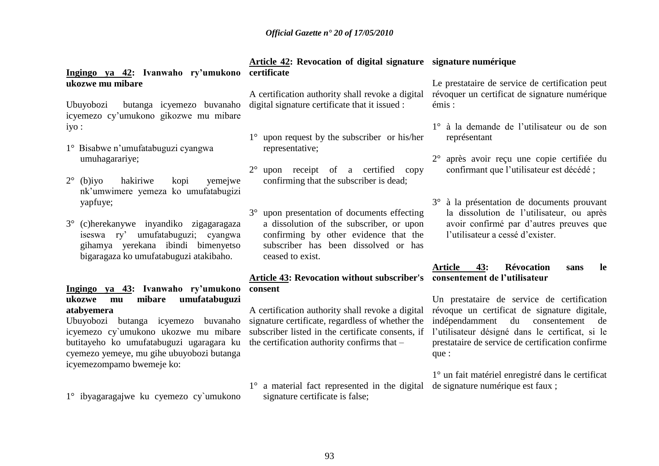**Ingingo ya 42: Ivanwaho ry"umukono certificate ukozwe mu mibare**

Ubuyobozi butanga icyemezo buvanaho digital signature certificate that it issued : icyemezo cy"umukono gikozwe mu mibare iyo :

- 1° Bisabwe n"umufatabuguzi cyangwa umuhagarariye;
- 2° (b)iyo hakiriwe kopi yemejwe nk"umwimere yemeza ko umufatabugizi yapfuye;
- 3° (c)herekanywe inyandiko zigagaragaza iseswa ry" umufatabuguzi; cyangwa gihamya yerekana ibindi bimenyetso bigaragaza ko umufatabuguzi atakibaho.

## **Ingingo ya 43: Ivanwaho ry"umukono ukozwe mu mibare umufatabuguzi atabyemera**

Ubuyobozi butanga icyemezo buvanaho icyemezo cy`umukono ukozwe mu mibare butitayeho ko umufatabuguzi ugaragara ku cyemezo yemeye, mu gihe ubuyobozi butanga icyemezompamo bwemeje ko:

1° ibyagaragajwe ku cyemezo cy`umukono

A certification authority shall revoke a digital

- 1° upon request by the subscriber or his/her representative;
- 2° upon receipt of a certified copy confirming that the subscriber is dead;
- 3° upon presentation of documents effecting a dissolution of the subscriber, or upon confirming by other evidence that the subscriber has been dissolved or has ceased to exist.

## **Article 43: Revocation without subscriber's consentement de l"utilisateur consent**

A certification authority shall revoke a digital signature certificate, regardless of whether the subscriber listed in the certificate consents, if the certification authority confirms that –

1° a material fact represented in the digital de signature numérique est faux ; signature certificate is false;

### **Article 42: Revocation of digital signature signature numérique**

Le prestataire de service de certification peut révoquer un certificat de signature numérique émis :

- 1° à la demande de l"utilisateur ou de son représentant
- 2° après avoir reçu une copie certifiée du confirmant que l"utilisateur est décédé ;
- 3° à la présentation de documents prouvant la dissolution de l"utilisateur, ou après avoir confirmé par d"autres preuves que l"utilisateur a cessé d"exister.

## **Article 43: Révocation sans le**

Un prestataire de service de certification révoque un certificat de signature digitale, indépendamment du consentement de l"utilisateur désigné dans le certificat, si le prestataire de service de certification confirme que :

1° un fait matériel enregistré dans le certificat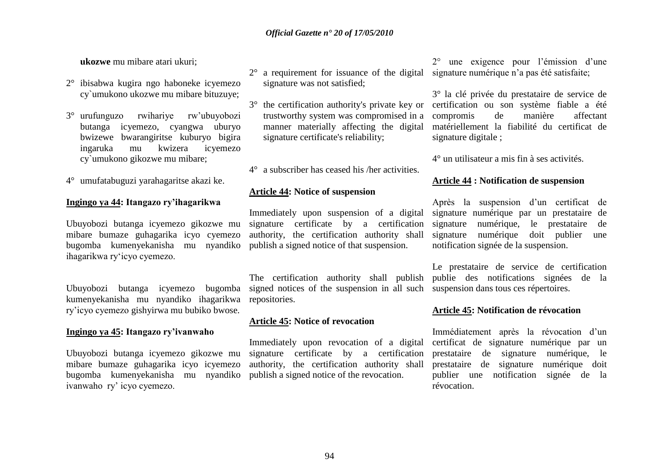**ukozwe** mu mibare atari ukuri;

- 2° ibisabwa kugira ngo haboneke icyemezo cy`umukono ukozwe mu mibare bituzuye;
- 3° urufunguzo rwihariye rw"ubuyobozi butanga icyemezo, cyangwa uburyo bwizewe bwarangiritse kuburyo bigira ingaruka mu kwizera icyemezo cy`umukono gikozwe mu mibare;
- 4° umufatabuguzi yarahagaritse akazi ke.

#### **Ingingo ya 44: Itangazo ry"ihagarikwa**

bugomba kumenyekanisha mu nyandiko publish a signed notice of that suspension. ihagarikwa ry"icyo cyemezo.

Ubuyobozi butanga icyemezo bugomba kumenyekanisha mu nyandiko ihagarikwa repositories. ry"icyo cyemezo gishyirwa mu bubiko bwose.

#### **Ingingo ya 45: Itangazo ry"ivanwaho**

bugomba kumenyekanisha mu nyandiko publish a signed notice of the revocation. ivanwaho ry" icyo cyemezo.

- 2° a requirement for issuance of the digital signature was not satisfied;
	- trustworthy system was compromised in a manner materially affecting the digital signature certificate's reliability;
- 4° a subscriber has ceased his /her activities.

#### **Article 44: Notice of suspension**

Ubuyobozi butanga icyemezo gikozwe mu signature certificate by a certification mibare bumaze guhagarika icyo cyemezo authority, the certification authority shall Immediately upon suspension of a digital

> The certification authority shall publish signed notices of the suspension in all such suspension dans tous ces répertoires.

#### **Article 45: Notice of revocation**

Ubuyobozi butanga icyemezo gikozwe mu signature certificate by a certification mibare bumaze guhagarika icyo icyemezo authority, the certification authority shall Immediately upon revocation of a digital

2° une exigence pour l"émission d"une signature numérique n'a pas été satisfaite;

3° the certification authority's private key or certification ou son système fiable a été 3° la clé privée du prestataire de service de compromis de manière affectant matériellement la fiabilité du certificat de signature digitale ;

4° un utilisateur a mis fin à ses activités.

#### **Article 44 : Notification de suspension**

Après la suspension d"un certificat de signature numérique par un prestataire de signature numérique, le prestataire de signature numérique doit publier une notification signée de la suspension.

Le prestataire de service de certification publie des notifications signées de la

#### **Article 45: Notification de révocation**

Immédiatement après la révocation d'un certificat de signature numérique par un prestataire de signature numérique, le prestataire de signature numérique doit publier une notification signée de la révocation.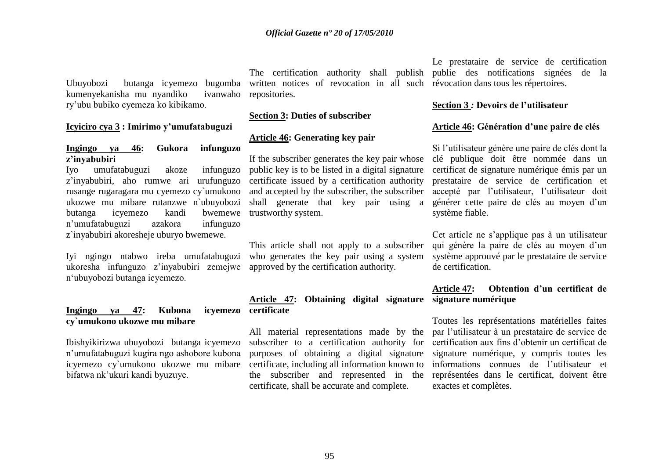Ubuyobozi butanga icyemezo bugomba kumenyekanisha mu nyandiko ivanwaho ry"ubu bubiko cyemeza ko kibikamo.

#### **Icyiciro cya 3 : Imirimo y"umufatabuguzi**

#### **Ingingo ya 46: Gukora infunguzo z"inyabubiri**

Iyo umufatabuguzi akoze infunguzo z"inyabubiri, aho rumwe ari urufunguzo rusange rugaragara mu cyemezo cy`umukono ukozwe mu mibare rutanzwe n`ubuyobozi butanga icyemezo kandi bwemewe n"umufatabuguzi azakora infunguzo z`inyabubiri akoresheje uburyo bwemewe.

Iyi ngingo ntabwo ireba umufatabuguzi ukoresha infunguzo z"inyabubiri zemejwe n"ubuyobozi butanga icyemezo.

## **Ingingo va 47: Kubona cy`umukono ukozwe mu mibare**

Ibishyikirizwa ubuyobozi butanga icyemezo n"umufatabuguzi kugira ngo ashobore kubona icyemezo cy`umukono ukozwe mu mibare bifatwa nk"ukuri kandi byuzuye.

written notices of revocation in all such révocation dans tous les répertoires. repositories.

#### **Section 3: Duties of subscriber**

#### **Article 46: Generating key pair**

If the subscriber generates the key pair whose public key is to be listed in a digital signature certificate issued by a certification authority and accepted by the subscriber, the subscriber shall generate that key pair using a trustworthy system.

This article shall not apply to a subscriber who generates the key pair using a system approved by the certification authority.

**Article 47: Obtaining digital signature signature numérique icyemezo** certificate

> All material representations made by the subscriber to a certification authority for purposes of obtaining a digital signature certificate, including all information known to the subscriber and represented in the certificate, shall be accurate and complete.

The certification authority shall publish publie des notifications signées de la Le prestataire de service de certification

#### **Section 3** *:* **Devoirs de l"utilisateur**

#### **Article 46: Génération d"une paire de clés**

Si l"utilisateur génère une paire de clés dont la clé publique doit être nommée dans un certificat de signature numérique émis par un prestataire de service de certification et accepté par l"utilisateur, l"utilisateur doit générer cette paire de clés au moyen d'un système fiable.

Cet article ne s"applique pas à un utilisateur qui génère la paire de clés au moyen d"un système approuvé par le prestataire de service de certification.

## **Article 47: Obtention d"un certificat de**

Toutes les représentations matérielles faites par l"utilisateur à un prestataire de service de certification aux fins d"obtenir un certificat de signature numérique, y compris toutes les informations connues de l"utilisateur et représentées dans le certificat, doivent être exactes et complètes.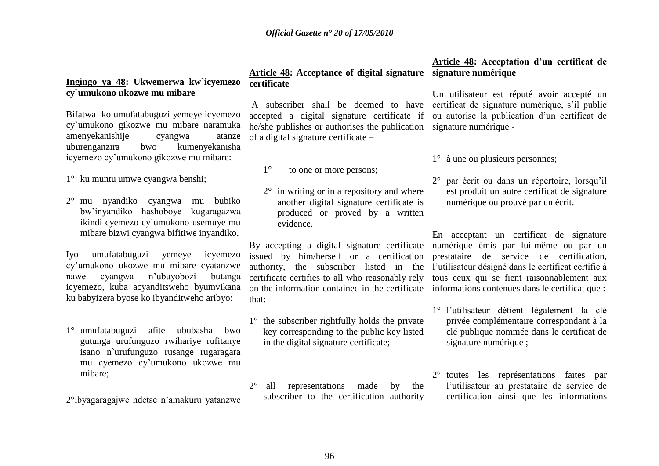## **Ingingo ya 48: Ukwemerwa kw`icyemezo cy`umukono ukozwe mu mibare**

Bifatwa ko umufatabuguzi yemeye icyemezo cy`umukono gikozwe mu mibare naramuka amenyekanishije cyangwa atanze uburenganzira bwo kumenyekanisha icyemezo cy"umukono gikozwe mu mibare:

1° ku muntu umwe cyangwa benshi;

2° mu nyandiko cyangwa mu bubiko bw"inyandiko hashoboye kugaragazwa ikindi cyemezo cy`umukono usemuye mu mibare bizwi cyangwa bifitiwe inyandiko.

Iyo umufatabuguzi yemeye icyemezo cy"umukono ukozwe mu mibare cyatanzwe nawe cyangwa n"ubuyobozi butanga icyemezo, kuba acyanditsweho byumvikana ku babyizera byose ko ibyanditweho aribyo:

1° umufatabuguzi afite ububasha bwo gutunga urufunguzo rwihariye rufitanye isano n`urufunguzo rusange rugaragara mu cyemezo cy"umukono ukozwe mu mibare;

2°ibyagaragajwe ndetse n"amakuru yatanzwe

### **Article 48: Acceptance of digital signature signature numérique certificate**

accepted a digital signature certificate if he/she publishes or authorises the publication signature numérique of a digital signature certificate –

- 1° to one or more persons;
- 2° in writing or in a repository and where another digital signature certificate is produced or proved by a written evidence.

By accepting a digital signature certificate issued by him/herself or a certification authority, the subscriber listed in the certificate certifies to all who reasonably rely on the information contained in the certificate that:

- 1° the subscriber rightfully holds the private key corresponding to the public key listed in the digital signature certificate;
- 2° all representations made by the subscriber to the certification authority

# **Article 48: Acceptation d"un certificat de**

A subscriber shall be deemed to have certificat de signature numérique, s'il publie Un utilisateur est réputé avoir accepté un ou autorise la publication d"un certificat de

1° à une ou plusieurs personnes;

2° par écrit ou dans un répertoire, lorsqu"il est produit un autre certificat de signature numérique ou prouvé par un écrit.

En acceptant un certificat de signature numérique émis par lui-même ou par un prestataire de service de certification, l"utilisateur désigné dans le certificat certifie à tous ceux qui se fient raisonnablement aux informations contenues dans le certificat que :

- 1° l"utilisateur détient légalement la clé privée complémentaire correspondant à la clé publique nommée dans le certificat de signature numérique ;
- 2° toutes les représentations faites par l"utilisateur au prestataire de service de certification ainsi que les informations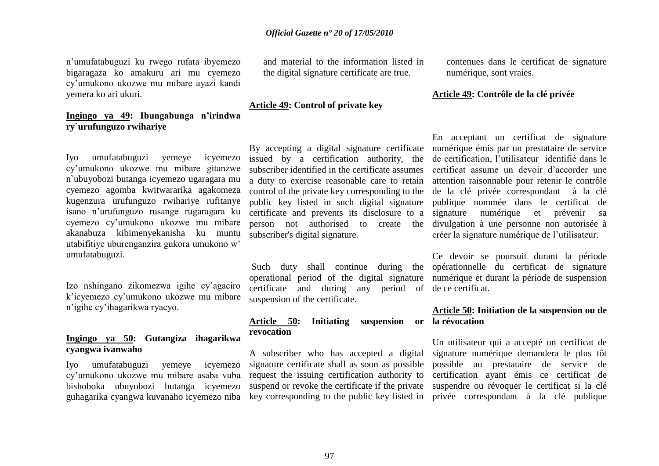n"umufatabuguzi ku rwego rufata ibyemezo bigaragaza ko amakuru ari mu cyemezo cy"umukono ukozwe mu mibare ayazi kandi yemera ko ari ukuri.

## **Ingingo ya 49: Ibungabunga n"irindwa ry`urufunguzo rwihariye**

Iyo umufatabuguzi yemeye icyemezo cy"umukono ukozwe mu mibare gitanzwe n`ubuyobozi butanga icyemezo ugaragara mu cyemezo agomba kwitwararika agakomeza kugenzura urufunguzo rwihariye rufitanye isano n"urufunguzo rusange rugaragara ku cyemezo cy"umukono ukozwe mu mibare akanabuza kibimenyekanisha ku muntu utabifitiye uburenganzira gukora umukono w" umufatabuguzi.

Izo nshingano zikomezwa igihe cy"agaciro k"icyemezo cy"umukono ukozwe mu mibare n"igihe cy"ihagarikwa ryacyo.

### **Ingingo ya 50: Gutangiza ihagarikwa cyangwa ivanwaho**

Iyo umufatabuguzi yemeye icyemezo cy"umukono ukozwe mu mibare asaba vuba bishoboka ubuyobozi butanga icyemezo guhagarika cyangwa kuvanaho icyemezo niba

and material to the information listed in the digital signature certificate are true.

#### **Article 49: Control of private key**

By accepting a digital signature certificate issued by a certification authority, the subscriber identified in the certificate assumes a duty to exercise reasonable care to retain control of the private key corresponding to the public key listed in such digital signature certificate and prevents its disclosure to a subscriber's digital signature.

operational period of the digital signature certificate and during any period of de ce certificat. suspension of the certificate.

## **Article 50: Initiating suspension or la révocation revocation**

A subscriber who has accepted a digital signature certificate shall as soon as possible request the issuing certification authority to

contenues dans le certificat de signature numérique, sont vraies.

#### **Article 49: Contrôle de la clé privée**

person not authorised to create the divulgation à une personne non autorisée à En acceptant un certificat de signature numérique émis par un prestataire de service de certification, l"utilisateur identifié dans le certificat assume un devoir d"accorder une attention raisonnable pour retenir le contrôle de la clé privée correspondant à la clé publique nommée dans le certificat de signature numérique et prévenir sa créer la signature numérique de l"utilisateur.

Such duty shall continue during the opérationnelle du certificat de signature Ce devoir se poursuit durant la période numérique et durant la période de suspension

## **Article 50: Initiation de la suspension ou de**

suspend or revoke the certificate if the private suspendre ou révoquer le certificat si la clé key corresponding to the public key listed in privée correspondant à la clé publique Un utilisateur qui a accepté un certificat de signature numérique demandera le plus tôt possible au prestataire de service de certification ayant émis ce certificat de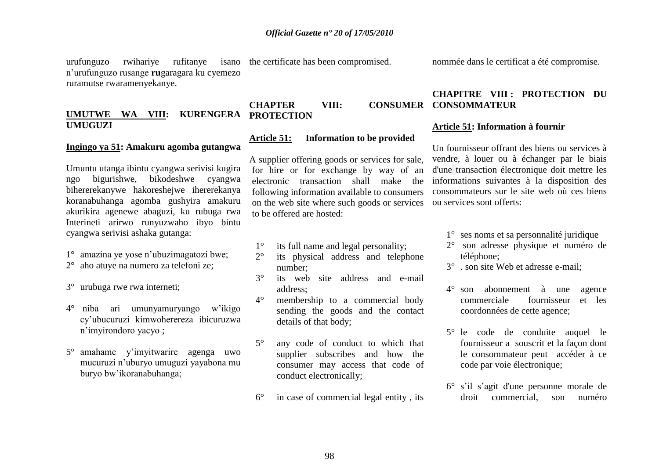urufunguzo rwihariye rufitanye isano the certificate has been compromised. n"urufunguzo rusange **ru**garagara ku cyemezo ruramutse rwaramenyekanye.

## **UMUTWE WA VIII: KURENGERA UMUGUZI**

#### **Ingingo ya 51: Amakuru agomba gutangwa**

Umuntu utanga ibintu cyangwa serivisi kugira ngo bigurishwe, bikodeshwe cyangwa bihererekanywe hakoreshejwe ihererekanya koranabuhanga agomba gushyira amakuru akurikira agenewe abaguzi, ku rubuga rwa Interineti arirwo runyuzwaho ibyo bintu cyangwa serivisi ashaka gutanga:

- 1° amazina ye yose n"ubuzimagatozi bwe;
- 2° aho atuye na numero za telefoni ze;
- 3° urubuga rwe rwa interneti;
- 4° niba ari umunyamuryango w"ikigo cy"ubucuruzi kimwoherereza ibicuruzwa n"imyirondoro yacyo ;
- 5° amahame y"imyitwarire agenga uwo mucuruzi n"uburyo umuguzi yayabona mu buryo bw"ikoranabuhanga;

### **CHAPTER VIII: CONSUMER CONSOMMATEUR PROTECTION**

### **Article 51: Information to be provided**

A supplier offering goods or services for sale, for hire or for exchange by way of an electronic transaction shall make the following information available to consumers on the web site where such goods or services to be offered are hosted:

- 1° its full name and legal personality;
- 2° its physical address and telephone number;
- 3° its web site address and e-mail address;
- 4° membership to a commercial body sending the goods and the contact details of that body;
- 5° any code of conduct to which that supplier subscribes and how the consumer may access that code of conduct electronically;
- 6° in case of commercial legal entity , its

nommée dans le certificat a été compromise.

## **CHAPITRE VIII : PROTECTION DU**

#### **Article 51: Information à fournir**

Un fournisseur offrant des biens ou services à vendre, à louer ou à échanger par le biais d'une transaction électronique doit mettre les informations suivantes à la disposition des consommateurs sur le site web où ces biens ou services sont offerts:

- 1° ses noms et sa personnalité juridique
- 2° son adresse physique et numéro de téléphone;
- 3° . son site Web et adresse e-mail;
- 4° son abonnement à une agence commerciale fournisseur et les coordonnées de cette agence;
- 5° le code de conduite auquel le fournisseur a souscrit et la façon dont le consommateur peut accéder à ce code par voie électronique;
- 6° s"il s"agit d'une personne morale de droit commercial, son numéro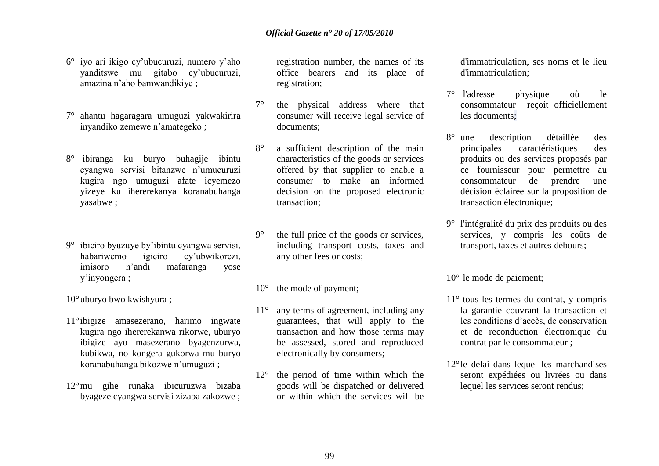- 6° iyo ari ikigo cy"ubucuruzi, numero y"aho yanditswe mu gitabo cy"ubucuruzi, amazina n"aho bamwandikiye ;
- 7° ahantu hagaragara umuguzi yakwakirira inyandiko zemewe n"amategeko ;
- 8° ibiranga ku buryo buhagije ibintu cyangwa servisi bitanzwe n"umucuruzi kugira ngo umuguzi afate icyemezo yizeye ku ihererekanya koranabuhanga yasabwe ;
- 9° ibiciro byuzuye by"ibintu cyangwa servisi, habariwemo igiciro cy"ubwikorezi, imisoro n"andi mafaranga yose y"inyongera ;
- 10°uburyo bwo kwishyura ;
- 11° ibigize amasezerano, harimo ingwate kugira ngo ihererekanwa rikorwe, uburyo ibigize ayo masezerano byagenzurwa, kubikwa, no kongera gukorwa mu buryo koranabuhanga bikozwe n"umuguzi ;
- 12°mu gihe runaka ibicuruzwa bizaba byageze cyangwa servisi zizaba zakozwe ;

registration number, the names of its office bearers and its place of registration;

- 7° the physical address where that consumer will receive legal service of documents;
- 8° a sufficient description of the main characteristics of the goods or services offered by that supplier to enable a consumer to make an informed decision on the proposed electronic transaction;
- 9° the full price of the goods or services, including transport costs, taxes and any other fees or costs;
- 10<sup>°</sup> the mode of payment;
- 11° any terms of agreement, including any guarantees, that will apply to the transaction and how those terms may be assessed, stored and reproduced electronically by consumers;
- 12° the period of time within which the goods will be dispatched or delivered or within which the services will be

d'immatriculation, ses noms et le lieu d'immatriculation;

- 7° l'adresse physique où le consommateur reçoit officiellement les documents;
- 8° une description détaillée des principales caractéristiques des produits ou des services proposés par ce fournisseur pour permettre au consommateur de prendre une décision éclairée sur la proposition de transaction électronique;
- 9° l'intégralité du prix des produits ou des services, y compris les coûts de transport, taxes et autres débours;
- 10° le mode de paiement;
- 11° tous les termes du contrat, y compris la garantie couvrant la transaction et les conditions d"accès, de conservation et de reconduction électronique du contrat par le consommateur ;
- 12°le délai dans lequel les marchandises seront expédiées ou livrées ou dans lequel les services seront rendus;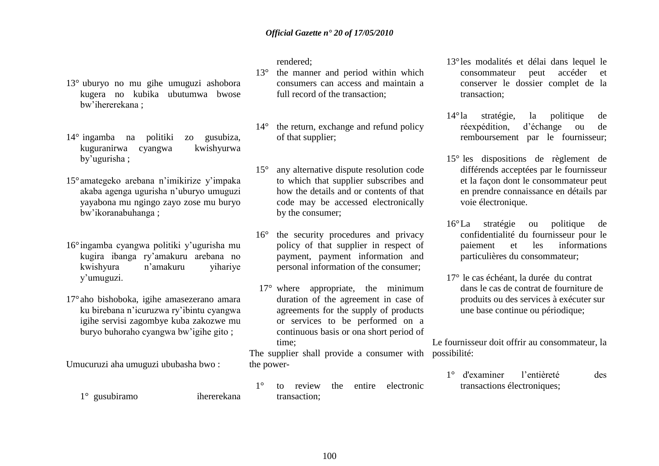13° uburyo no mu gihe umuguzi ashobora kugera no kubika ubutumwa bwose bw"ihererekana ;

- 14° ingamba na politiki zo gusubiza, kuguranirwa cyangwa kwishyurwa by"ugurisha ;
- 15°amategeko arebana n"imikirize y"impaka akaba agenga ugurisha n"uburyo umuguzi yayabona mu ngingo zayo zose mu buryo bw"ikoranabuhanga ;
- 16° ingamba cyangwa politiki y"ugurisha mu kugira ibanga ry"amakuru arebana no kwishyura n"amakuru yihariye y"umuguzi.
- 17°aho bishoboka, igihe amasezerano amara ku birebana n"icuruzwa ry"ibintu cyangwa igihe servisi zagombye kuba zakozwe mu buryo buhoraho cyangwa bw"igihe gito ;

Umucuruzi aha umuguzi ububasha bwo :

rendered;

- 13° the manner and period within which consumers can access and maintain a full record of the transaction;
- 14° the return, exchange and refund policy of that supplier;
- 15° any alternative dispute resolution code to which that supplier subscribes and how the details and or contents of that code may be accessed electronically by the consumer;
- 16° the security procedures and privacy policy of that supplier in respect of payment, payment information and personal information of the consumer;
- 17° where appropriate, the minimum duration of the agreement in case of agreements for the supply of products or services to be performed on a continuous basis or ona short period of time;

The supplier shall provide a consumer with possibilité: the power-

13°les modalités et délai dans lequel le consommateur peut accéder et conserver le dossier complet de la transaction;

- 14°la stratégie, la politique de réexpédition, d"échange ou de remboursement par le fournisseur;
- 15° les dispositions de règlement de différends acceptées par le fournisseur et la façon dont le consommateur peut en prendre connaissance en détails par voie électronique.
- 16°La stratégie ou politique de confidentialité du fournisseur pour le paiement et les informations particulières du consommateur;
- 17° le cas échéant, la durée du contrat dans le cas de contrat de fourniture de produits ou des services à exécuter sur une base continue ou périodique;

Le fournisseur doit offrir au consommateur, la

1° d'examiner l"entièreté des transactions électroniques;

1° gusubiramo ihererekana

1° to review the entire electronic transaction;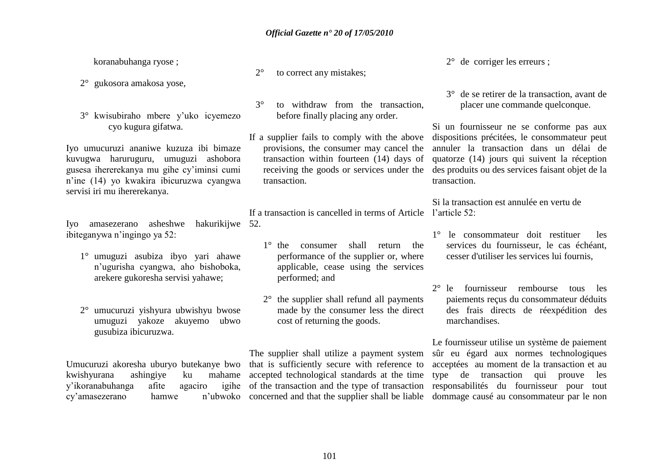koranabuhanga ryose ;

- 2° gukosora amakosa yose,
- 3° kwisubiraho mbere y"uko icyemezo cyo kugura gifatwa.

Iyo umucuruzi ananiwe kuzuza ibi bimaze kuvugwa haruruguru, umuguzi ashobora gusesa ihererekanya mu gihe cy"iminsi cumi n"ine (14) yo kwakira ibicuruzwa cyangwa servisi iri mu ihererekanya.

Iyo amasezerano asheshwe hakurikijwe 52. ibiteganywa n"ingingo ya 52:

- 1° umuguzi asubiza ibyo yari ahawe n"ugurisha cyangwa, aho bishoboka, arekere gukoresha servisi yahawe;
- 2° umucuruzi yishyura ubwishyu bwose umuguzi yakoze akuyemo ubwo gusubiza ibicuruzwa.

kwishyurana ashingiye ku mahame y'ikoranabuhanga afite agaciro cy'amasezerano hamwe

- 2° to correct any mistakes;
- 3° to withdraw from the transaction, before finally placing any order.
- If a supplier fails to comply with the above provisions, the consumer may cancel the transaction within fourteen (14) days of receiving the goods or services under the transaction.

If a transaction is cancelled in terms of Article l'article 52:

- 1° the consumer shall return the performance of the supplier or, where applicable, cease using the services performed; and
- 2° the supplier shall refund all payments made by the consumer less the direct cost of returning the goods.

Umucuruzi akoresha uburyo butekanye bwo that is sufficiently secure with reference to The supplier shall utilize a payment system accepted technological standards at the time

2° de corriger les erreurs ;

3° de se retirer de la transaction, avant de placer une commande quelconque.

Si un fournisseur ne se conforme pas aux dispositions précitées, le consommateur peut annuler la transaction dans un délai de quatorze (14) jours qui suivent la réception des produits ou des services faisant objet de la transaction.

Si la transaction est annulée en vertu de

- 1° le consommateur doit restituer les services du fournisseur, le cas échéant, cesser d'utiliser les services lui fournis,
- 2° le fournisseur rembourse tous les paiements reçus du consommateur déduits des frais directs de réexpédition des marchandises.

of the transaction and the type of transaction responsabilités du fournisseur pour tout concerned and that the supplier shall be liable dommage causé au consommateur par le non Le fournisseur utilise un système de paiement sûr eu égard aux normes technologiques acceptées au moment de la transaction et au type de transaction qui prouve les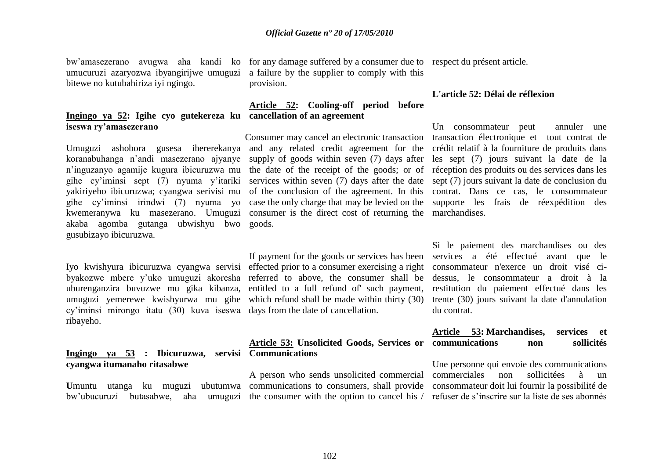bitewe no kutubahiriza iyi ngingo.

#### **Ingingo ya 52: Igihe cyo gutekereza ku cancellation of an agreement iseswa ry"amasezerano**

Umuguzi ashobora gusesa ihererekanya and any related credit agreement for the crédit relatif à la fourniture de produits dans koranabuhanga n"andi masezerano ajyanye n"inguzanyo agamije kugura ibicuruzwa mu gihe cy"iminsi sept (7) nyuma y"itariki yakiriyeho ibicuruzwa; cyangwa serivisi mu gihe cy"iminsi irindwi (7) nyuma yo kwemeranywa ku masezerano. Umuguzi akaba agomba gutanga ubwishyu bwo goods. gusubizayo ibicuruzwa.

cy"iminsi mirongo itatu (30) kuva iseswa days from the date of cancellation. ribayeho.

### **Ingingo ya 53 : Ibicuruzwa, servisi Communications cyangwa itumanaho ritasabwe**

bw'ubucuruzi butasabwe,

bw"amasezerano avugwa aha kandi ko for any damage suffered by a consumer due to respect du présent article. umucuruzi azaryozwa ibyangirijwe umuguzi a failure by the supplier to comply with this provision.

# **Article 52: Cooling-off period before**

Consumer may cancel an electronic transaction transaction électronique et tout contrat de supply of goods within seven (7) days after the date of the receipt of the goods; or of services within seven (7) days after the date of the conclusion of the agreement. In this case the only charge that may be levied on the consumer is the direct cost of returning the

Iyo kwishyura ibicuruzwa cyangwa servisi effected prior to a consumer exercising a right byakozwe mbere y"uko umuguzi akoresha referred to above, the consumer shall be uburenganzira buvuzwe mu gika kibanza, entitled to a full refund of' such payment, umuguzi yemerewe kwishyurwa mu gihe which refund shall be made within thirty (30) If payment for the goods or services has been

## **Article 53: Unsolicited Goods, Services or communications non sollicités**

**U**muntu utanga ku muguzi ubutumwa communications to consumers, shall provide A person who sends unsolicited commercial

#### **L'article 52: Délai de réflexion**

Un consommateur peut annuler une les sept (7) jours suivant la date de la réception des produits ou des services dans les sept (7) jours suivant la date de conclusion du contrat. Dans ce cas, le consommateur supporte les frais de réexpédition des marchandises.

Si le paiement des marchandises ou des services a été effectué avant que le consommateur n'exerce un droit visé cidessus, le consommateur a droit à la restitution du paiement effectué dans les trente (30) jours suivant la date d'annulation du contrat.

## **Article 53: Marchandises, services et**

the consumer with the option to cancel his / refuser de s'inscrire sur la liste de ses abonnés Une personne qui envoie des communications commerciales non sollicitées à un consommateur doit lui fournir la possibilité de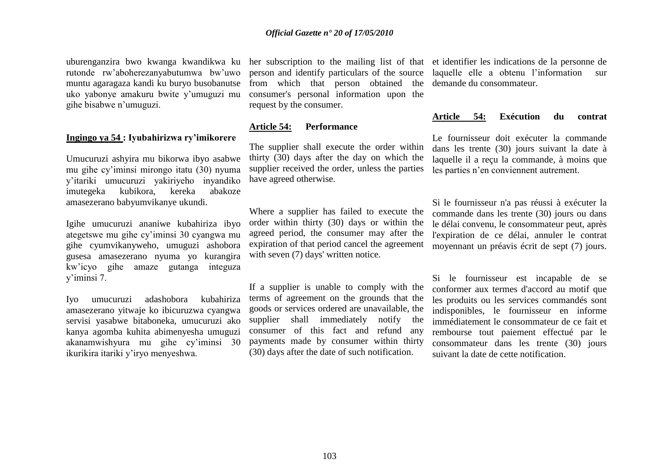rutonde rw"aboherezanyabutumwa bw"uwo muntu agaragaza kandi ku buryo busobanutse uko yabonye amakuru bwite y"umuguzi mu gihe bisabwe n"umuguzi.

#### **Ingingo ya 54 : Iyubahirizwa ry"imikorere**

Umucuruzi ashyira mu bikorwa ibyo asabwe mu gihe cy"iminsi mirongo itatu (30) nyuma y"itariki umucuruzi yakiriyeho inyandiko imutegeka kubikora, kereka abakoze amasezerano babyumvikanye ukundi.

Igihe umucuruzi ananiwe kubahiriza ibyo ategetswe mu gihe cy"iminsi 30 cyangwa mu gihe cyumvikanyweho, umuguzi ashobora gusesa amasezerano nyuma yo kurangira kw"icyo gihe amaze gutanga integuza y"iminsi 7.

Iyo umucuruzi adashobora kubahiriza amasezerano yitwaje ko ibicuruzwa cyangwa servisi yasabwe bitaboneka, umucuruzi ako kanya agomba kuhita abimenyesha umuguzi akanamwishyura mu gihe cy"iminsi 30 ikurikira itariki y"iryo menyeshwa.

person and identify particulars of the source from which that person obtained the consumer's personal information upon the request by the consumer.

#### **Article 54: Performance**

The supplier shall execute the order within thirty (30) days after the day on which the supplier received the order, unless the parties have agreed otherwise.

Where a supplier has failed to execute the order within thirty (30) days or within the agreed period, the consumer may after the expiration of that period cancel the agreement with seven  $(7)$  days' written notice.

If a supplier is unable to comply with the terms of agreement on the grounds that the goods or services ordered are unavailable, the supplier shall immediately notify the consumer of this fact and refund any payments made by consumer within thirty (30) days after the date of such notification.

uburenganzira bwo kwanga kwandikwa ku her subscription to the mailing list of that et identifier les indications de la personne de laquelle elle a obtenu l"information sur demande du consommateur.

#### **Article 54: Exécution du contrat**

Le fournisseur doit exécuter la commande dans les trente (30) jours suivant la date à laquelle il a reçu la commande, à moins que les parties n"en conviennent autrement.

Si le fournisseur n'a pas réussi à exécuter la commande dans les trente (30) jours ou dans le délai convenu, le consommateur peut, après l'expiration de ce délai, annuler le contrat moyennant un préavis écrit de sept (7) jours.

Si le fournisseur est incapable de se conformer aux termes d'accord au motif que les produits ou les services commandés sont indisponibles, le fournisseur en informe immédiatement le consommateur de ce fait et rembourse tout paiement effectué par le consommateur dans les trente (30) jours suivant la date de cette notification.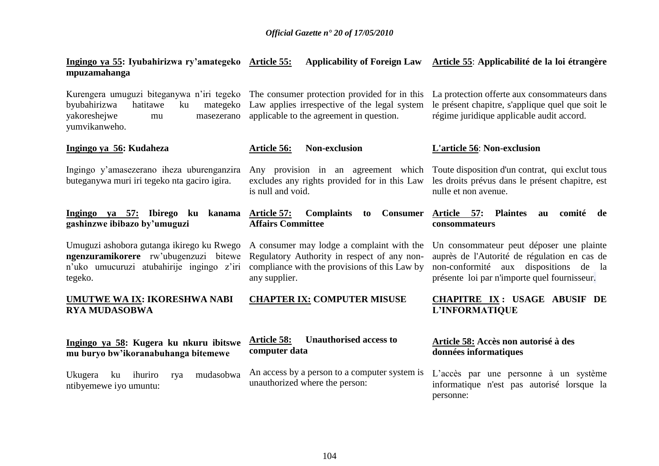## **Ingingo ya 55: Iyubahirizwa ry"amategeko Article 55: Applicability of Foreign Law Article 55**: **Applicabilité de la loi étrangère mpuzamahanga**

| Kurengera umuguzi biteganywa n'iri tegeko<br>byubahirizwa<br>hatitawe<br>ku<br>mategeko<br>yakoreshejwe<br>masezerano<br>mu<br>yumvikanweho. | The consumer protection provided for in this<br>Law applies irrespective of the legal system<br>applicable to the agreement in question.                   | La protection offerte aux consommateurs dans<br>le présent chapitre, s'applique quel que soit le<br>régime juridique applicable audit accord.                                        |  |  |  |
|----------------------------------------------------------------------------------------------------------------------------------------------|------------------------------------------------------------------------------------------------------------------------------------------------------------|--------------------------------------------------------------------------------------------------------------------------------------------------------------------------------------|--|--|--|
| Ingingo ya 56: Kudaheza                                                                                                                      | <b>Non-exclusion</b><br><b>Article 56:</b>                                                                                                                 | <b>L'article 56: Non-exclusion</b>                                                                                                                                                   |  |  |  |
| Ingingo y'amasezerano iheza uburenganzira<br>buteganywa muri iri tegeko nta gaciro igira.                                                    | Any provision in an agreement which<br>excludes any rights provided for in this Law<br>is null and void.                                                   | Toute disposition d'un contrat, qui exclut tous<br>les droits prévus dans le présent chapitre, est<br>nulle et non avenue.                                                           |  |  |  |
| Ingingo ya 57: Ibirego ku<br>kanama<br>gashinzwe ibibazo by'umuguzi                                                                          | <b>Complaints</b><br>Article 57:<br><b>Consumer</b><br>to<br><b>Affairs Committee</b>                                                                      | <b>Plaintes</b><br>Article 57:<br>comité<br>au<br>de<br>consommateurs                                                                                                                |  |  |  |
| Umuguzi ashobora gutanga ikirego ku Rwego<br>ngenzuramikorere rw'ubugenzuzi bitewe<br>n'uko umucuruzi atubahirije ingingo z'iri<br>tegeko.   | A consumer may lodge a complaint with the<br>Regulatory Authority in respect of any non-<br>compliance with the provisions of this Law by<br>any supplier. | Un consommateur peut déposer une plainte<br>auprès de l'Autorité de régulation en cas de<br>non-conformité aux<br>dispositions de la<br>présente loi par n'importe quel fournisseur. |  |  |  |
| <u>UMUTWE WA IX</u> : IKORESHWA NABI<br><b>RYA MUDASOBWA</b>                                                                                 | <b>CHAPTER IX: COMPUTER MISUSE</b>                                                                                                                         | <b>CHAPITRE IX: USAGE ABUSIF DE</b><br>L'INFORMATIQUE                                                                                                                                |  |  |  |
| Ingingo ya 58: Kugera ku nkuru ibitswe<br>mu buryo bw'ikoranabuhanga bitemewe                                                                | <b>Unauthorised access to</b><br><b>Article 58:</b><br>computer data                                                                                       | Article 58: Accès non autorisé à des<br>données informatiques                                                                                                                        |  |  |  |
| Ukugera<br>mudasobwa<br>ku<br>ihuriro<br>rya<br>ntibyemewe iyo umuntu:                                                                       | An access by a person to a computer system is<br>unauthorized where the person:                                                                            | L'accès par une personne à un système<br>informatique n'est pas autorisé lorsque la<br>personne:                                                                                     |  |  |  |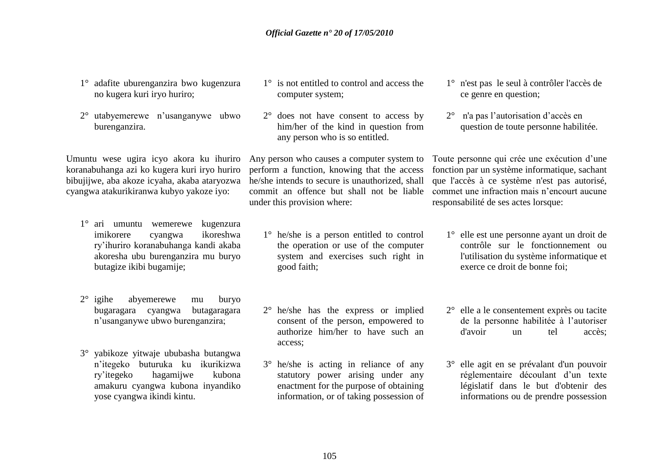- 1° adafite uburenganzira bwo kugenzura no kugera kuri iryo huriro;
- 2° utabyemerewe n"usanganywe ubwo burenganzira.

Umuntu wese ugira icyo akora ku ihuriro koranabuhanga azi ko kugera kuri iryo huriro bibujijwe, aba akoze icyaha, akaba ataryozwa cyangwa atakurikiranwa kubyo yakoze iyo:

- 1° ari umuntu wemerewe kugenzura imikorere cyangwa ikoreshwa ry"ihuriro koranabuhanga kandi akaba akoresha ubu burenganzira mu buryo butagize ikibi bugamije;
- 2° igihe abyemerewe mu buryo bugaragara cyangwa butagaragara n"usanganywe ubwo burenganzira;
- 3° yabikoze yitwaje ububasha butangwa n"itegeko buturuka ku ikurikizwa ry"itegeko hagamijwe kubona amakuru cyangwa kubona inyandiko yose cyangwa ikindi kintu.
- 1° is not entitled to control and access the computer system;
- 2° does not have consent to access by him/her of the kind in question from any person who is so entitled.

Any person who causes a computer system to perform a function, knowing that the access he/she intends to secure is unauthorized, shall commit an offence but shall not be liable under this provision where:

- 1° he/she is a person entitled to control the operation or use of the computer system and exercises such right in good faith;
- 2° he/she has the express or implied consent of the person, empowered to authorize him/her to have such an access;
- 3° he/she is acting in reliance of any statutory power arising under any enactment for the purpose of obtaining information, or of taking possession of
- 1° n'est pas le seul à contrôler l'accès de ce genre en question;
- 2° n'a pas l"autorisation d"accès en question de toute personne habilitée.

Toute personne qui crée une exécution d"une fonction par un système informatique, sachant que l'accès à ce système n'est pas autorisé, commet une infraction mais n"encourt aucune responsabilité de ses actes lorsque:

- 1° elle est une personne ayant un droit de contrôle sur le fonctionnement ou l'utilisation du système informatique et exerce ce droit de bonne foi;
- 2° elle a le consentement exprès ou tacite de la personne habilitée à l"autoriser d'avoir un tel accès;
- 3° elle agit en se prévalant d'un pouvoir réglementaire découlant d"un texte législatif dans le but d'obtenir des informations ou de prendre possession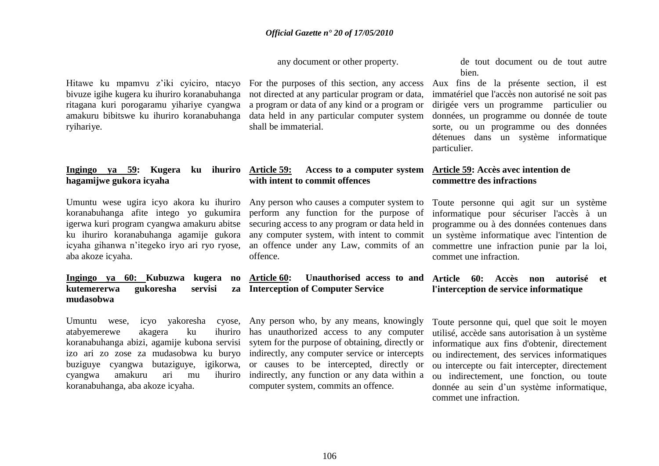any document or other property.

Hitawe ku mpamvu z"iki cyiciro, ntacyo bivuze igihe kugera ku ihuriro koranabuhanga ritagana kuri porogaramu yihariye cyangwa amakuru bibitswe ku ihuriro koranabuhanga ryihariye.

### **Ingingo ya 59: Kugera ku ihuriro hagamijwe gukora icyaha**

Umuntu wese ugira icyo akora ku ihuriro koranabuhanga afite intego yo gukumira igerwa kuri program cyangwa amakuru abitse ku ihuriro koranabuhanga agamije gukora icyaha gihanwa n"itegeko iryo ari ryo ryose, aba akoze icyaha.

### **Ingingo ya 60: Kubuzwa kugera no kutemererwa gukoresha servisi mudasobwa**

atabyemerewe akagera ku ihuriro cyangwa amakuru ari mu koranabuhanga, aba akoze icyaha.

For the purposes of this section, any access not directed at any particular program or data, a program or data of any kind or a program or data held in any particular computer system shall be immaterial.

de tout document ou de tout autre bien.

Aux fins de la présente section, il est immatériel que l'accès non autorisé ne soit pas dirigée vers un programme particulier ou données, un programme ou donnée de toute sorte, ou un programme ou des données détenues dans un système informatique particulier.

### **Article 59: Access to a computer system with intent to commit offences**

Any person who causes a computer system to perform any function for the purpose of securing access to any program or data held in any computer system, with intent to commit an offence under any Law, commits of an offence.

## **Article 60: Unauthorised access to and Article 60: Accès non autorisé et Interception of Computer Service**

Umuntu wese, icyo yakoresha cyose, Any person who, by any means, knowingly koranabuhanga abizi, agamije kubona servisi sytem for the purpose of obtaining, directly or izo ari zo zose za mudasobwa ku buryo indirectly, any computer service or intercepts buziguye cyangwa butaziguye, igikorwa, or causes to be intercepted, directly or has unauthorized access to any computer ihuriro indirectly, any function or any data within a computer system, commits an offence.

Toute personne qui agit sur un système informatique pour sécuriser l'accès à un programme ou à des données contenues dans un système informatique avec l'intention de commettre une infraction punie par la loi, commet une infraction.

**Article 59: Accès avec intention de** 

**commettre des infractions**

## **l'interception de service informatique**

Toute personne qui, quel que soit le moyen utilisé, accède sans autorisation à un système informatique aux fins d'obtenir, directement ou indirectement, des services informatiques ou intercepte ou fait intercepter, directement ou indirectement, une fonction, ou toute donnée au sein d"un système informatique, commet une infraction.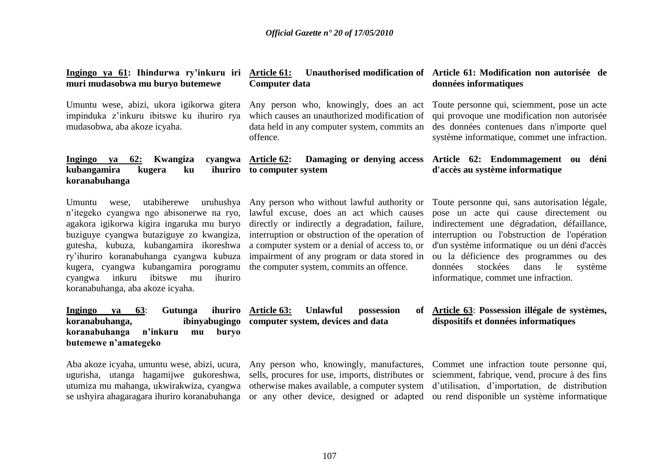**Ingingo ya 61: Ihindurwa ry"inkuru iri muri mudasobwa mu buryo butemewe Article 61: Unauthorised modification of Article 61: Modification non autorisée de Computer data données informatiques**

impinduka z"inkuru ibitswe ku ihuriro rya mudasobwa, aba akoze icyaha.

### Umuntu wese, abizi, ukora igikorwa gitera Any person who, knowingly, does an act Toute personne qui, sciemment, pose un acte which causes an unauthorized modification of data held in any computer system, commits an offence.

lawful excuse, does an act which causes directly or indirectly a degradation, failure,

## qui provoque une modification non autorisée des données contenues dans n'importe quel

système informatique, commet une infraction.

#### **Ingingo ya 62: Kwangiza cyangwa kubangamira kugera ku koranabuhanga Article 62: Damaging or denying access Article 62: Endommagement ou déni to computer system d'accès au système informatique**

Umuntu wese, utabiherewe uruhushya Any person who without lawful authority or n"itegeko cyangwa ngo abisonerwe na ryo, agakora igikorwa kigira ingaruka mu buryo buziguye cyangwa butaziguye zo kwangiza, interruption or obstruction of the operation of ry"ihuriro koranabuhanga cyangwa kubuza kugera, cyangwa kubangamira porogramu the computer system, commits an offence. cyangwa inkuru ibitswe mu ihuriro koranabuhanga, aba akoze icyaha.

gutesha, kubuza, kubangamira ikoreshwa a computer system or a denial of access to, or impairment of any program or data stored in

**Ingingo ya 63**: **Gutunga ihuriro**  koranabuhanga, **koranabuhanga n"inkuru mu buryo butemewe n"amategeko** ibinyabugingo computer system, devices and data

Aba akoze icyaha, umuntu wese, abizi, ucura, ugurisha, utanga hagamijwe gukoreshwa, utumiza mu mahanga, ukwirakwiza, cyangwa

Any person who, knowingly, manufactures, sells, procures for use, imports, distributes or otherwise makes available, a computer system

*Unlawful* possession

Toute personne qui, sans autorisation légale, pose un acte qui cause directement ou indirectement une dégradation, défaillance, interruption ou l'obstruction de l'opération d'un système informatique ou un déni d'accès ou la déficience des programmes ou des données stockées dans le système informatique, commet une infraction.

## **Article 63**: **Possession illégale de systèmes, dispositifs et données informatiques**

se ushyira ahagaragara ihuriro koranabuhanga or any other device, designed or adapted ou rend disponible un système informatique Commet une infraction toute personne qui, sciemment, fabrique, vend, procure à des fins d"utilisation, d"importation, de distribution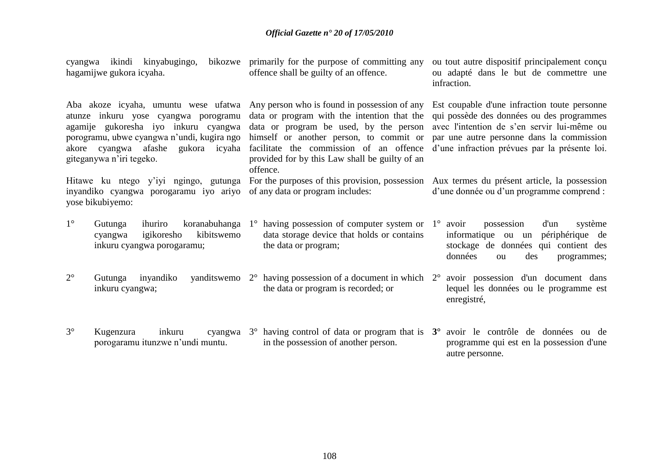| cyangwa ikindi kinyabugingo,<br>hagamijwe gukora icyaha.                                                                                                                                     |            | bikozwe primarily for the purpose of committing any<br>offence shall be guilty of an offence.                                                                                                                                                                                                                                                                                                                                                                                                                                                             | ou tout autre dispositif principalement conçu<br>ou adapté dans le but de commettre une<br>infraction.                                                                         |  |  |  |
|----------------------------------------------------------------------------------------------------------------------------------------------------------------------------------------------|------------|-----------------------------------------------------------------------------------------------------------------------------------------------------------------------------------------------------------------------------------------------------------------------------------------------------------------------------------------------------------------------------------------------------------------------------------------------------------------------------------------------------------------------------------------------------------|--------------------------------------------------------------------------------------------------------------------------------------------------------------------------------|--|--|--|
| atunze inkuru yose cyangwa porogramu<br>agamije gukoresha iyo inkuru cyangwa<br>porogramu, ubwe cyangwa n'undi, kugira ngo<br>akore cyangwa afashe gukora icyaha<br>giteganywa n'iri tegeko. |            | Aba akoze icyaha, umuntu wese ufatwa Any person who is found in possession of any Est coupable d'une infraction toute personne<br>data or program with the intention that the qui possède des données ou des programmes<br>data or program be used, by the person avec l'intention de s'en servir lui-même ou<br>himself or another person, to commit or par une autre personne dans la commission<br>facilitate the commission of an offence d'une infraction prévues par la présente loi.<br>provided for by this Law shall be guilty of an<br>offence. |                                                                                                                                                                                |  |  |  |
| yose bikubiyemo:                                                                                                                                                                             |            | inyandiko cyangwa porogaramu iyo ariyo of any data or program includes:                                                                                                                                                                                                                                                                                                                                                                                                                                                                                   | Hitawe ku ntego y'iyi ngingo, gutunga For the purposes of this provision, possession Aux termes du présent article, la possession<br>d'une donnée ou d'un programme comprend : |  |  |  |
| $1^{\circ}$<br>ihuriro<br>Gutunga<br>igikoresho<br>cyangwa<br>inkuru cyangwa porogaramu;                                                                                                     | kibitswemo | koranabuhanga $1^{\circ}$ having possession of computer system or $1^{\circ}$ avoir<br>data storage device that holds or contains<br>the data or program;                                                                                                                                                                                                                                                                                                                                                                                                 | possession<br>d'un<br>système<br>informatique<br>périphérique de<br>ou un<br>stockage de données qui contient des<br>données<br>des<br>programmes;<br><b>ou</b>                |  |  |  |
| $2^{\circ}$<br>inyandiko<br>Gutunga<br>inkuru cyangwa;                                                                                                                                       |            | yanditswemo $2^{\circ}$ having possession of a document in which $2^{\circ}$ avoir possession d'un document dans<br>the data or program is recorded; or                                                                                                                                                                                                                                                                                                                                                                                                   | lequel les données ou le programme est<br>enregistré,                                                                                                                          |  |  |  |
| $3^\circ$<br>inkuru<br>Kugenzura<br>porogaramu itunzwe n'undi muntu.                                                                                                                         |            | cyangwa $3^{\circ}$ having control of data or program that is $3^{\circ}$ avoir le contrôle de données ou de<br>in the possession of another person.                                                                                                                                                                                                                                                                                                                                                                                                      | programme qui est en la possession d'une<br>autre personne.                                                                                                                    |  |  |  |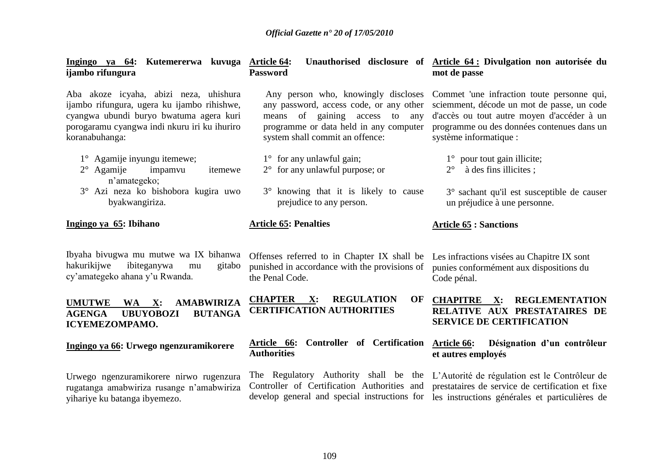| Ingingo ya 64: Kutemererwa kuvuga Article 64:<br>ijambo rifungura                                                                                                                                  | <b>Password</b>                                                                                                 | Unauthorised disclosure of Article 64: Divulgation non autorisée du<br>mot de passe                                                                                                                                                                                                       |
|----------------------------------------------------------------------------------------------------------------------------------------------------------------------------------------------------|-----------------------------------------------------------------------------------------------------------------|-------------------------------------------------------------------------------------------------------------------------------------------------------------------------------------------------------------------------------------------------------------------------------------------|
| Aba akoze icyaha, abizi neza, uhishura<br>ijambo rifungura, ugera ku ijambo rihishwe,<br>cyangwa ubundi buryo bwatuma agera kuri<br>porogaramu cyangwa indi nkuru iri ku ihuriro<br>koranabuhanga: | any password, access code, or any other<br>of gaining access to any<br>means<br>system shall commit an offence: | Any person who, knowingly discloses Commet 'une infraction toute personne qui,<br>sciemment, décode un mot de passe, un code<br>d'accès ou tout autre moyen d'accéder à un<br>programme or data held in any computer programme ou des données contenues dans un<br>système informatique : |
| $1^{\circ}$ Agamije inyungu itemewe;                                                                                                                                                               | $1^{\circ}$ for any unlawful gain;                                                                              | $1^{\circ}$ pour tout gain illicite;                                                                                                                                                                                                                                                      |
| $2^{\circ}$ Agamije<br>impamvu<br>itemewe<br>n'amategeko;                                                                                                                                          | $2^{\circ}$ for any unlawful purpose; or                                                                        | à des fins illicites ;<br>$2^{\circ}$                                                                                                                                                                                                                                                     |
| 3° Azi neza ko bishobora kugira uwo<br>byakwangiriza.                                                                                                                                              | 3° knowing that it is likely to cause<br>prejudice to any person.                                               | 3° sachant qu'il est susceptible de causer<br>un préjudice à une personne.                                                                                                                                                                                                                |
| Ingingo ya 65: Ibihano                                                                                                                                                                             | <b>Article 65: Penalties</b>                                                                                    | <b>Article 65 : Sanctions</b>                                                                                                                                                                                                                                                             |

Ibyaha bivugwa mu mutwe wa IX bihanwa hakurikijwe ibiteganywa mu gitabo cy"amategeko ahana y"u Rwanda.

#### **UMUTWE WA X: AMABWIRIZA AGENGA UBUYOBOZI BUTANGA ICYEMEZOMPAMO.**

#### **Ingingo ya 66: Urwego ngenzuramikorere**

Urwego ngenzuramikorere nirwo rugenzura rugatanga amabwiriza rusange n"amabwiriza yihariye ku batanga ibyemezo.

Offenses referred to in Chapter IX shall be Les infractions visées au Chapitre IX sont punished in accordance with the provisions of punies conformément aux dispositions du the Penal Code.

**CHAPTER X: REGULATION OF CERTIFICATION AUTHORITIES**

#### **Article 66: Controller of Certification Authorities**

Controller of Certification Authorities and

Code pénal.

#### **CHAPITRE X: REGLEMENTATION RELATIVE AUX PRESTATAIRES DE SERVICE DE CERTIFICATION**

#### **Article 66: Désignation d"un contrôleur et autres employés**

The Regulatory Authority shall be the L"Autorité de régulation est le Contrôleur de develop general and special instructions for les instructions générales et particulières de prestataires de service de certification et fixe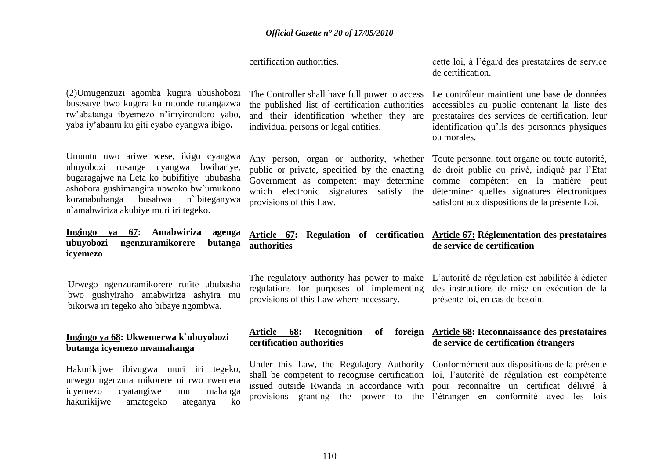certification authorities.

cette loi, à l"égard des prestataires de service de certification.

Le contrôleur maintient une base de données accessibles au public contenant la liste des prestataires des services de certification, leur identification qu"ils des personnes physiques

ou morales.

(2)Umugenzuzi agomba kugira ubushobozi busesuye bwo kugera ku rutonde rutangazwa rw"abatanga ibyemezo n"imyirondoro yabo, yaba iy"abantu ku giti cyabo cyangwa ibigo**.** 

Umuntu uwo ariwe wese, ikigo cyangwa ubuyobozi rusange cyangwa bwihariye, bugaragajwe na Leta ko bubifitiye ububasha ashobora gushimangira ubwoko bw`umukono koranabuhanga busabwa n`ibiteganywa n`amabwiriza akubiye muri iri tegeko.

**Ingingo ya 67: Amabwiriza agenga ubuyobozi ngenzuramikorere butanga icyemezo**

Urwego ngenzuramikorere rufite ububasha bwo gushyiraho amabwiriza ashyira mu bikorwa iri tegeko aho bibaye ngombwa.

#### **Ingingo ya 68: Ukwemerwa k`ubuyobozi butanga icyemezo mvamahanga**

Hakurikijwe ibivugwa muri iri tegeko, urwego ngenzura mikorere ni rwo rwemera icyemezo cyatangiwe mu mahanga hakurikijwe amategeko ateganya ko

The Controller shall have full power to access the published list of certification authorities and their identification whether they are individual persons or legal entities.

Any person, organ or authority, whether Toute personne, tout organe ou toute autorité, public or private, specified by the enacting Government as competent may determine comme compétent en la matière peut which electronic signatures satisfy the déterminer quelles signatures électroniques provisions of this Law.

de droit public ou privé, indiqué par l"Etat satisfont aux dispositions de la présente Loi.

#### **Article 67: Regulation of certification Article 67: Réglementation des prestataires authorities de service de certification**

The regulatory authority has power to make regulations for purposes of implementing provisions of this Law where necessary.

L"autorité de régulation est habilitée à édicter des instructions de mise en exécution de la présente loi, en cas de besoin.

#### Article 68: Recognition of **certification authorities**

Under this Law, the Regulatory Authority Conformément aux dispositions de la présente issued outside Rwanda in accordance with

### **Article 68: Reconnaissance des prestataires de service de certification étrangers**

shall be competent to recognise certification loi, l"autorité de régulation est compétente provisions granting the power to the l"étranger en conformité avec les lois pour reconnaître un certificat délivré à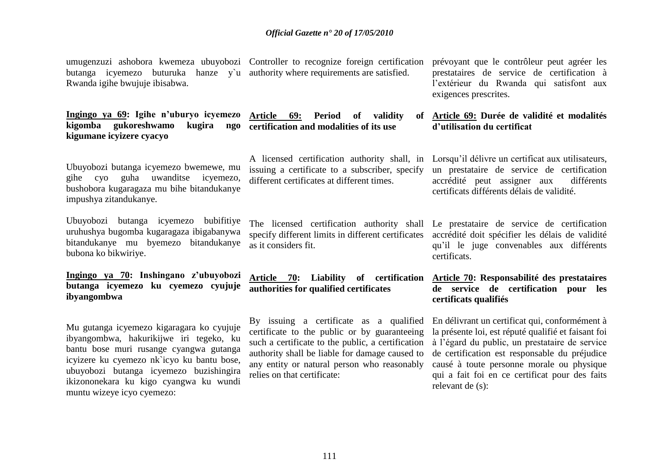umugenzuzi ashobora kwemeza ubuyobozi Controller to recognize foreign certification prévoyant que le contrôleur peut agréer les butanga icyemezo buturuka hanze y`u authority where requirements are satisfied. Rwanda igihe bwujuje ibisabwa.

**Ingingo ya 69: Igihe n"uburyo icyemezo kigomba gukoreshwamo kugira ngo kigumane icyizere cyacyo**  Article 69: Period of validity **certification and modalities of its use**

Ubuyobozi butanga icyemezo bwemewe, mu gihe cyo guha uwanditse icyemezo, bushobora kugaragaza mu bihe bitandukanye impushya zitandukanye.

Ubuyobozi butanga icyemezo bubifitiye uruhushya bugomba kugaragaza ibigabanywa bitandukanye mu byemezo bitandukanye bubona ko bikwiriye.

#### **Ingingo ya 70: Inshingano z"ubuyobozi butanga icyemezo ku cyemezo cyujuje ibyangombwa**

Mu gutanga icyemezo kigaragara ko cyujuje ibyangombwa, hakurikijwe iri tegeko, ku bantu bose muri rusange cyangwa gutanga icyizere ku cyemezo nk`icyo ku bantu bose, ubuyobozi butanga icyemezo buzishingira ikizononekara ku kigo cyangwa ku wundi muntu wizeye icyo cyemezo:

issuing a certificate to a subscriber, specify different certificates at different times.

as it considers fit.

**Article 70: Liability of certification authorities for qualified certificates**

By issuing a certificate as a qualified certificate to the public or by guaranteeing such a certificate to the public, a certification authority shall be liable for damage caused to any entity or natural person who reasonably relies on that certificate:

prestataires de service de certification à l"extérieur du Rwanda qui satisfont aux exigences prescrites.

#### **Article 69: Durée de validité et modalités d"utilisation du certificat**

A licensed certification authority shall, in Lorsqu"il délivre un certificat aux utilisateurs, un prestataire de service de certification accrédité peut assigner aux différents certificats différents délais de validité.

The licensed certification authority shall Le prestataire de service de certification specify different limits in different certificates accrédité doit spécifier les délais de validité qu"il le juge convenables aux différents certificats.

#### **Article 70: Responsabilité des prestataires de service de certification pour les certificats qualifiés**

En délivrant un certificat qui, conformément à la présente loi, est réputé qualifié et faisant foi à l"égard du public, un prestataire de service de certification est responsable du préjudice causé à toute personne morale ou physique qui a fait foi en ce certificat pour des faits relevant de (s):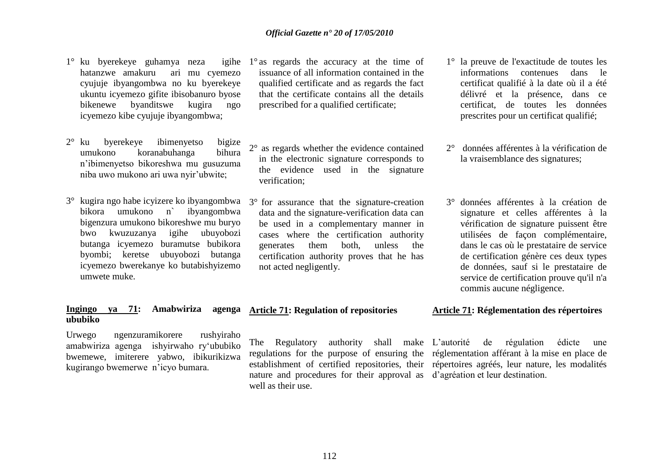- $1^\circ$  ku byerekeye guhamya neza hatanzwe amakuru ari mu cyemezo cyujuje ibyangombwa no ku byerekeye ukuntu icyemezo gifite ibisobanuro byose bikenewe byanditswe kugira ngo icyemezo kibe cyujuje ibyangombwa;
- 2° ku byerekeye ibimenyetso bigize umukono koranabuhanga bihura n"ibimenyetso bikoreshwa mu gusuzuma niba uwo mukono ari uwa nyir"ubwite;
- 3° kugira ngo habe icyizere ko ibyangombwa bikora umukono n` ibyangombwa bigenzura umukono bikoreshwe mu buryo bwo kwuzuzanya igihe ubuyobozi butanga icyemezo buramutse bubikora byombi; keretse ubuyobozi butanga icyemezo bwerekanye ko butabishyizemo umwete muke.

#### **Ingingo ya 71: Amabwiriza ububiko**

Urwego ngenzuramikorere rushyiraho amabwiriza agenga ishyirwaho ry"ububiko bwemewe, imiterere yabwo, ibikurikizwa kugirango bwemerwe n"icyo bumara.

- 1° igihe  $1^\circ$  as regards the accuracy at the time of issuance of all information contained in the qualified certificate and as regards the fact that the certificate contains all the details prescribed for a qualified certificate;
	- 2° as regards whether the evidence contained in the electronic signature corresponds to the evidence used in the signature verification;
	- 3° for assurance that the signature-creation data and the signature-verification data can be used in a complementary manner in cases where the certification authority generates them both, unless the certification authority proves that he has not acted negligently.
- 1° la preuve de l'exactitude de toutes les informations contenues dans le certificat qualifié à la date où il a été délivré et la présence, dans ce certificat, de toutes les données prescrites pour un certificat qualifié;
- 2° données afférentes à la vérification de la vraisemblance des signatures;
- 3° données afférentes à la création de signature et celles afférentes à la vérification de signature puissent être utilisées de façon complémentaire, dans le cas où le prestataire de service de certification génère ces deux types de données, sauf si le prestataire de service de certification prouve qu'il n'a commis aucune négligence.

#### **Article 71: Regulation of repositories**

The Regulatory authority shall make L"autorité de régulation édicte une regulations for the purpose of ensuring the réglementation afférant à la mise en place de establishment of certified repositories, their répertoires agréés, leur nature, les modalités nature and procedures for their approval as d"agréation et leur destination. well as their use.

#### **Article 71: Réglementation des répertoires**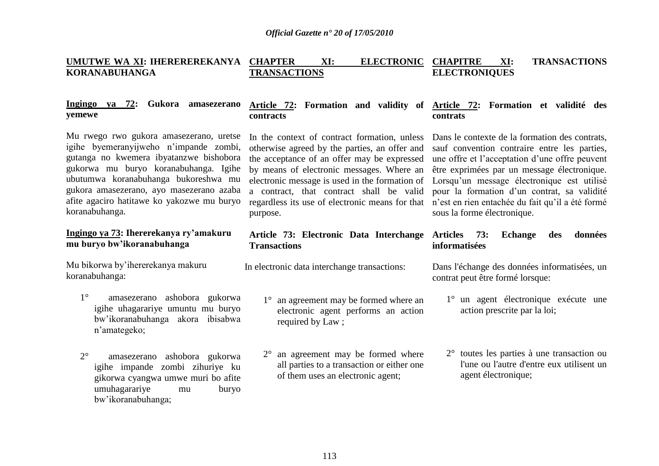**contracts**

#### **UMUTWE WA XI: IHEREREREKANYA KORANABUHANGA CHAPTER XI: ELECTRONIC CHAPITRE TRANSACTIONS CHARE XI: TRANSACTIONS ELECTRONIQUES**

**Article 72: Formation and validity of Article 72: Formation et validité des** 

**contrats**

#### **Ingingo ya 72: Gukora amasezerano yemewe**

Mu rwego rwo gukora amasezerano, uretse igihe byemeranyijweho n"impande zombi, gutanga no kwemera ibyatanzwe bishobora gukorwa mu buryo koranabuhanga. Igihe ubutumwa koranabuhanga bukoreshwa mu gukora amasezerano, ayo masezerano azaba afite agaciro hatitawe ko yakozwe mu buryo koranabuhanga.

#### **Ingingo ya 73: Ihererekanya ry"amakuru mu buryo bw"ikoranabuhanga**

Mu bikorwa by"ihererekanya makuru koranabuhanga:

- 1° amasezerano ashobora gukorwa igihe uhagarariye umuntu mu buryo bw"ikoranabuhanga akora ibisabwa n"amategeko;
- 2° amasezerano ashobora gukorwa igihe impande zombi zihuriye ku gikorwa cyangwa umwe muri bo afite umuhagarariye mu buryo bw"ikoranabuhanga;

In the context of contract formation, unless otherwise agreed by the parties, an offer and the acceptance of an offer may be expressed by means of electronic messages. Where an electronic message is used in the formation of Lorsqu"un message électronique est utilisé a contract, that contract shall be valid regardless its use of electronic means for that purpose.

#### **Article 73: Electronic Data Interchange Articles 73: Echange des données Transactions**

In electronic data interchange transactions:

- 1° an agreement may be formed where an electronic agent performs an action required by Law ;
- 2° an agreement may be formed where all parties to a transaction or either one of them uses an electronic agent;

Dans le contexte de la formation des contrats. sauf convention contraire entre les parties, une offre et l"acceptation d"une offre peuvent être exprimées par un message électronique. pour la formation d"un contrat, sa validité n"est en rien entachée du fait qu"il a été formé sous la forme électronique.

# **informatisées**

Dans l'échange des données informatisées, un contrat peut être formé lorsque:

- 1° un agent électronique exécute une action prescrite par la loi;
- 2° toutes les parties à une transaction ou l'une ou l'autre d'entre eux utilisent un agent électronique;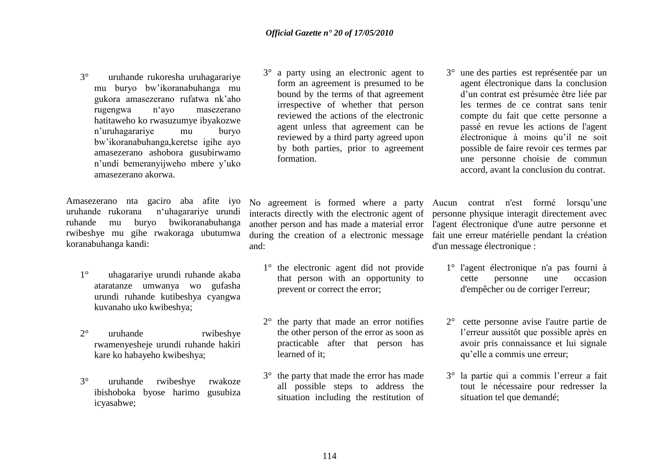3° uruhande rukoresha uruhagarariye mu buryo bw"ikoranabuhanga mu gukora amasezerano rufatwa nk"aho rugengwa n"ayo masezerano hatitaweho ko rwasuzumye ibyakozwe n"uruhagarariye mu buryo bw"ikoranabuhanga,keretse igihe ayo amasezerano ashobora gusubirwamo n"undi bemeranyijweho mbere y"uko amasezerano akorwa.

Amasezerano nta gaciro aba afite iyo uruhande rukorana n"uhagarariye urundi ruhande mu buryo bwikoranabuhanga rwibeshye mu gihe rwakoraga ubutumwa koranabuhanga kandi:

- 1° uhagarariye urundi ruhande akaba ataratanze umwanya wo gufasha urundi ruhande kutibeshya cyangwa kuvanaho uko kwibeshya;
- 2° uruhande rwibeshye rwamenyesheje urundi ruhande hakiri kare ko habayeho kwibeshya;
- 3° uruhande rwibeshye rwakoze ibishoboka byose harimo gusubiza icyasabwe;

3° a party using an electronic agent to form an agreement is presumed to be bound by the terms of that agreement irrespective of whether that person reviewed the actions of the electronic agent unless that agreement can be reviewed by a third party agreed upon by both parties, prior to agreement formation.

No agreement is formed where a party interacts directly with the electronic agent of another person and has made a material error during the creation of a electronic message and:

- 1° the electronic agent did not provide that person with an opportunity to prevent or correct the error;
- 2° the party that made an error notifies the other person of the error as soon as practicable after that person has learned of it;
- 3° the party that made the error has made all possible steps to address the situation including the restitution of

3° une des parties est représentée par un agent électronique dans la conclusion d"un contrat est présumée être liée par les termes de ce contrat sans tenir compte du fait que cette personne a passé en revue les actions de l'agent électronique à moins qu"il ne soit possible de faire revoir ces termes par une personne choisie de commun accord, avant la conclusion du contrat.

Aucun contrat n'est formé lorsqu"une personne physique interagit directement avec l'agent électronique d'une autre personne et fait une erreur matérielle pendant la création d'un message électronique :

- 1° l'agent électronique n'a pas fourni à cette personne une occasion d'empêcher ou de corriger l'erreur;
- 2° cette personne avise l'autre partie de l"erreur aussitôt que possible après en avoir pris connaissance et lui signale qu"elle a commis une erreur;
- 3° la partie qui a commis l"erreur a fait tout le nécessaire pour redresser la situation tel que demandé;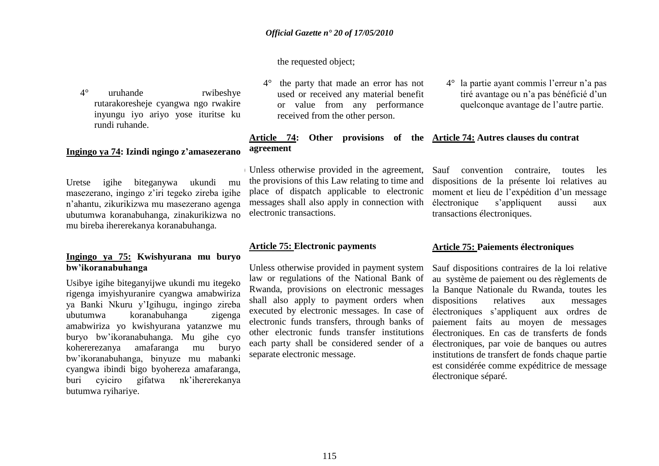the requested object;

4° uruhande rwibeshye rutarakoresheje cyangwa ngo rwakire inyungu iyo ariyo yose ituritse ku rundi ruhande.

#### **Ingingo ya 74: Izindi ngingo z"amasezerano**

Uretse igihe biteganywa ukundi mu masezerano, ingingo z"iri tegeko zireba igihe n"ahantu, zikurikizwa mu masezerano agenga ubutumwa koranabuhanga, zinakurikizwa no mu bireba ihererekanya koranabuhanga.

#### **Ingingo ya 75: Kwishyurana mu buryo bw"ikoranabuhanga**

Usibye igihe biteganyijwe ukundi mu itegeko rigenga imyishyuranire cyangwa amabwiriza ya Banki Nkuru y"Igihugu, ingingo zireba ubutumwa koranabuhanga zigenga amabwiriza yo kwishyurana yatanzwe mu buryo bw"ikoranabuhanga. Mu gihe cyo kohererezanya amafaranga mu buryo bw"ikoranabuhanga, binyuze mu mabanki cyangwa ibindi bigo byohereza amafaranga, buri cyiciro gifatwa nk"ihererekanya butumwa ryihariye.

- 4° the party that made an error has not used or received any material benefit or value from any performance received from the other person.
- 4° la partie ayant commis l"erreur n"a pas tiré avantage ou n"a pas bénéficié d"un quelconque avantage de l"autre partie.

#### **Article 74: Other provisions of the Article 74: Autres clauses du contrat agreement**

Unless otherwise provided in the agreement, the provisions of this Law relating to time and place of dispatch applicable to electronic messages shall also apply in connection with electronic transactions.

Sauf convention contraire, toutes les dispositions de la présente loi relatives au moment et lieu de l"expédition d"un message électronique s"appliquent aussi aux transactions électroniques.

#### **Article 75: Electronic payments**

Unless otherwise provided in payment system law or regulations of the National Bank of Rwanda, provisions on electronic messages shall also apply to payment orders when executed by electronic messages. In case of electronic funds transfers, through banks of other electronic funds transfer institutions each party shall be considered sender of a separate electronic message.

#### **Article 75: Paiements électroniques**

Sauf dispositions contraires de la loi relative au système de paiement ou des règlements de la Banque Nationale du Rwanda, toutes les dispositions relatives aux messages électroniques s"appliquent aux ordres de paiement faits au moyen de messages électroniques. En cas de transferts de fonds électroniques, par voie de banques ou autres institutions de transfert de fonds chaque partie est considérée comme expéditrice de message électronique séparé.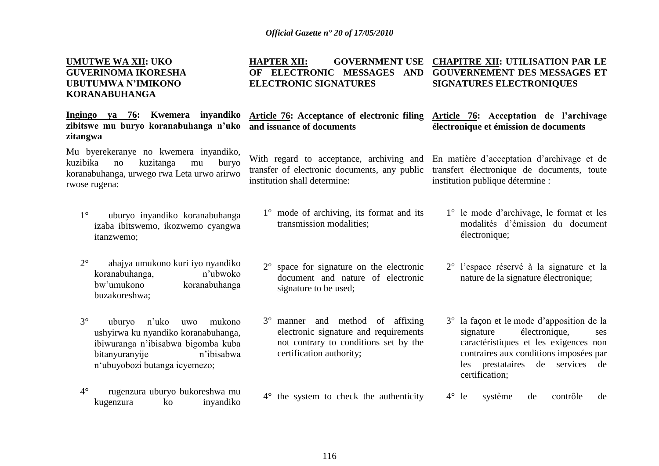#### **UMUTWE WA XII: UKO GUVERINOMA IKORESHA UBUTUMWA N"IMIKONO KORANABUHANGA**

**Ingingo ya 76: Kwemera inyandiko zibitswe mu buryo koranabuhanga n"uko zitangwa**

Mu byerekeranye no kwemera inyandiko, kuzibika no kuzitanga mu buryo koranabuhanga, urwego rwa Leta urwo arirwo rwose rugena:

- 1° uburyo inyandiko koranabuhanga izaba ibitswemo, ikozwemo cyangwa itanzwemo;
- 2° ahajya umukono kuri iyo nyandiko koranabuhanga, n'ubwoko bw"umukono koranabuhanga buzakoreshwa;
- 3° uburyo n"uko uwo mukono ushyirwa ku nyandiko koranabuhanga, ibiwuranga n"ibisabwa bigomba kuba bitanyuranyije n'ibisabwa n"ubuyobozi butanga icyemezo;
- 4° rugenzura uburyo bukoreshwa mu kugenzura ko inyandiko

**HAPTER XII: GOVERNMENT USE CHAPITRE XII: UTILISATION PAR LE OF ELECTRONIC MESSAGES AND GOUVERNEMENT DES MESSAGES ET ELECTRONIC SIGNATURES SIGNATURES ELECTRONIQUES** 

**Article 76: Acceptance of electronic filing and issuance of documents** 

With regard to acceptance, archiving and transfer of electronic documents, any public institution shall determine:

- 1° mode of archiving, its format and its transmission modalities;
- 2° space for signature on the electronic document and nature of electronic signature to be used;
- 3° manner and method of affixing electronic signature and requirements not contrary to conditions set by the certification authority;
- 4° the system to check the authenticity

En matière d"acceptation d"archivage et de transfert électronique de documents, toute institution publique détermine :

**Article 76: Acceptation de l"archivage électronique et émission de documents**

- 1° le mode d"archivage, le format et les modalités d"émission du document électronique;
- 2° l"espace réservé à la signature et la nature de la signature électronique;
- 3° la façon et le mode d"apposition de la signature électronique, ses caractéristiques et les exigences non contraires aux conditions imposées par les prestataires de services de certification;
- 4° le système de contrôle de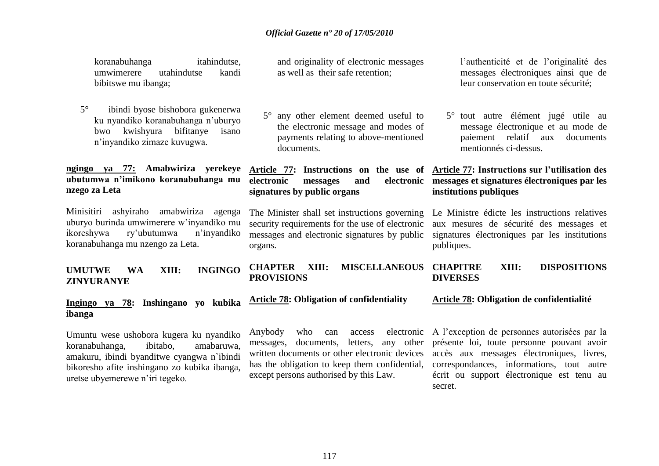koranabuhanga itahindutse, umwimerere utahindutse kandi bibitswe mu ibanga;

5° ibindi byose bishobora gukenerwa ku nyandiko koranabuhanga n"uburyo bwo kwishyura bifitanye isano n"inyandiko zimaze kuvugwa.

#### **ngingo ya 77: Amabwiriza yerekeye ubutumwa n"imikono koranabuhanga mu nzego za Leta**

Minisitiri ashyiraho amabwiriza agenga uburyo burinda umwimerere w"inyandiko mu ikoreshywa ry"ubutumwa n"inyandiko koranabuhanga mu nzengo za Leta.

### **UMUTWE WA XIII: INGINGO ZINYURANYE**

#### **Ingingo ya 78: Inshingano yo kubika ibanga**

Umuntu wese ushobora kugera ku nyandiko koranabuhanga, ibitabo, amabaruwa, amakuru, ibindi byanditwe cyangwa n`ibindi bikoresho afite inshingano zo kubika ibanga, uretse ubyemerewe n"iri tegeko.

and originality of electronic messages as well as their safe retention;

5° any other element deemed useful to the electronic message and modes of payments relating to above-mentioned documents.

**signatures by public organs**

The Minister shall set instructions governing security requirements for the use of electronic messages and electronic signatures by public organs.

**CHAPTER XIII: MISCELLANEOUS PROVISIONS DIVERSES** 

**Article 78: Obligation of confidentiality** 

Anybody who can access electronic messages, documents, letters, any other written documents or other electronic devices has the obligation to keep them confidential, except persons authorised by this Law.

l"authenticité et de l"originalité des messages électroniques ainsi que de leur conservation en toute sécurité;

5° tout autre élément jugé utile au message électronique et au mode de paiement relatif aux documents mentionnés ci-dessus.

#### **Article 77: Instructions on the use of Article 77: Instructions sur l"utilisation des electronic messages and electronic messages et signatures électroniques par les institutions publiques**

Le Ministre édicte les instructions relatives aux mesures de sécurité des messages et signatures électroniques par les institutions publiques.

# **CHAPITRE XIII: DISPOSITIONS**

#### **Article 78: Obligation de confidentialité**

A l"exception de personnes autorisées par la présente loi, toute personne pouvant avoir accès aux messages électroniques, livres, correspondances, informations, tout autre écrit ou support électronique est tenu au secret.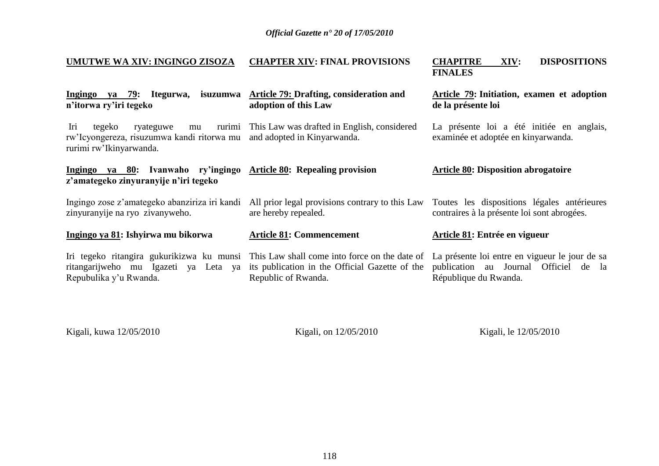| <b>UMUTWE WA XIV: INGINGO ZISOZA</b>                                                                                                  | <b>CHAPTER XIV: FINAL PROVISIONS</b>                                                                                                                                                                            | <b>CHAPITRE</b><br><b>DISPOSITIONS</b><br>XIV:<br><b>FINALES</b>                           |
|---------------------------------------------------------------------------------------------------------------------------------------|-----------------------------------------------------------------------------------------------------------------------------------------------------------------------------------------------------------------|--------------------------------------------------------------------------------------------|
| <u>Ingingo ya 79</u> : Itegurwa,<br>n'itorwa ry'iri tegeko                                                                            | isuzumwa Article 79: Drafting, consideration and<br>adoption of this Law                                                                                                                                        | Article 79: Initiation, examen et adoption<br>de la présente loi                           |
| Iri<br>ryateguwe<br>tegeko<br>mu<br>rw'Icyongereza, risuzumwa kandi ritorwa mu and adopted in Kinyarwanda.<br>rurimi rw'Ikinyarwanda. | rurimi This Law was drafted in English, considered                                                                                                                                                              | La présente loi a été initiée en anglais,<br>examinée et adoptée en kinyarwanda.           |
| Ingingo ya 80: Ivanwaho ry'ingingo Article 80: Repealing provision<br>z'amategeko zinyuranyije n'iri tegeko                           |                                                                                                                                                                                                                 | <b>Article 80: Disposition abrogatoire</b>                                                 |
| Ingingo zose z'amategeko abanziriza iri kandi<br>zinyuranyije na ryo zivanyweho.                                                      | All prior legal provisions contrary to this Law<br>are hereby repealed.                                                                                                                                         | Toutes les dispositions légales antérieures<br>contraires à la présente loi sont abrogées. |
| Ingingo ya 81: Ishyirwa mu bikorwa                                                                                                    | <b>Article 81: Commencement</b>                                                                                                                                                                                 | Article 81: Entrée en vigueur                                                              |
| ritangarijweho mu Igazeti ya Leta ya<br>Repubulika y'u Rwanda.                                                                        | Iri tegeko ritangira gukurikizwa ku munsi This Law shall come into force on the date of La présente loi entre en vigueur le jour de sa<br>its publication in the Official Gazette of the<br>Republic of Rwanda. | publication au Journal Officiel de la<br>République du Rwanda.                             |

Kigali, kuwa 12/05/2010

Kigali, on 12/05/2010

Kigali, le 12/05/2010